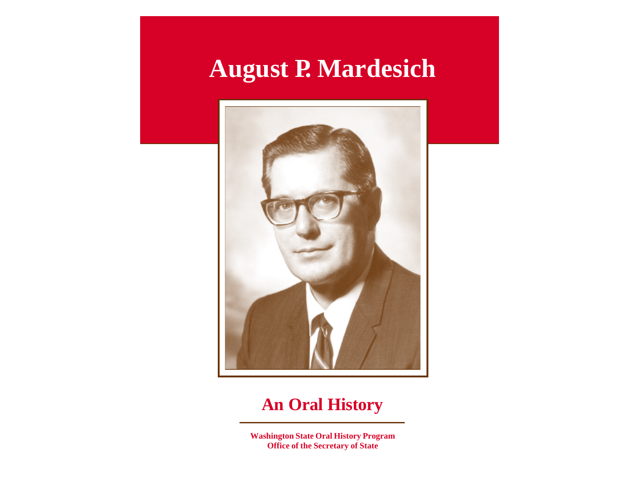## **August P. Mardesich**



### **An Oral History**

**Washington State Oral History Program Office of the Secretary of State**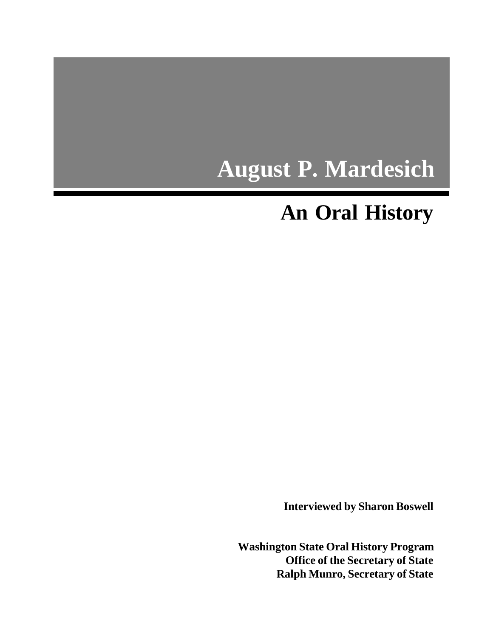# **August P. Mardesich**

## **An Oral History**

**Interviewed by Sharon Boswell**

**Washington State Oral History Program Office of the Secretary of State Ralph Munro, Secretary of State**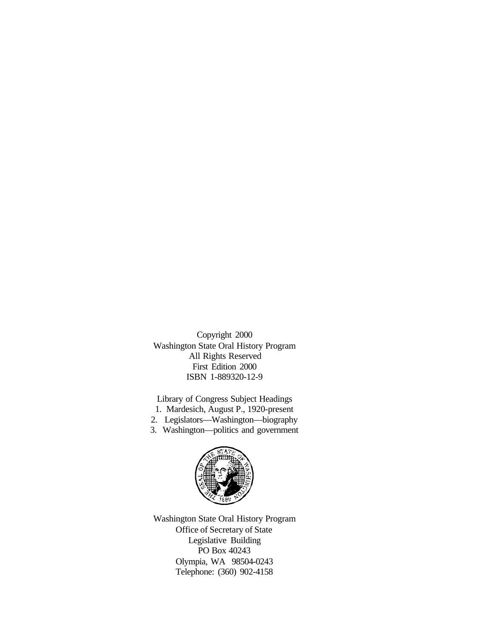Copyright 2000 Washington State Oral History Program All Rights Reserved First Edition 2000 ISBN 1-889320-12-9

Library of Congress Subject Headings

- 1. Mardesich, August P., 1920-present
- 2. Legislators—Washington—biography
- 3. Washington—politics and government



Washington State Oral History Program Office of Secretary of State Legislative Building PO Box 40243 Olympia, WA 98504-0243 Telephone: (360) 902-4158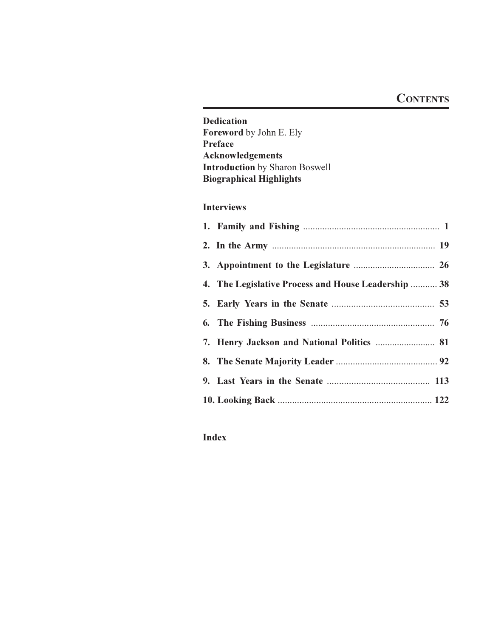#### **CONTENTS**

**Dedication** Foreword by John E. Ely Preface Acknowledgements **Introduction** by Sharon Boswell **Biographical Highlights** 

#### **Interviews**

| 4. The Legislative Process and House Leadership  38 |
|-----------------------------------------------------|
|                                                     |
|                                                     |
| 7. Henry Jackson and National Politics  81          |
|                                                     |
|                                                     |
|                                                     |

#### **Index**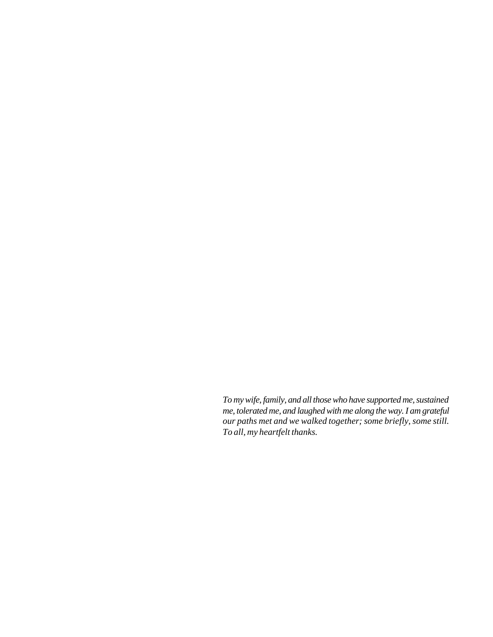<span id="page-4-0"></span>*To my wife, family, and all those who have supported me, sustained me, tolerated me, and laughed with me along the way. I am grateful our paths met and we walked together; some briefly, some still. To all, my heartfelt thanks.*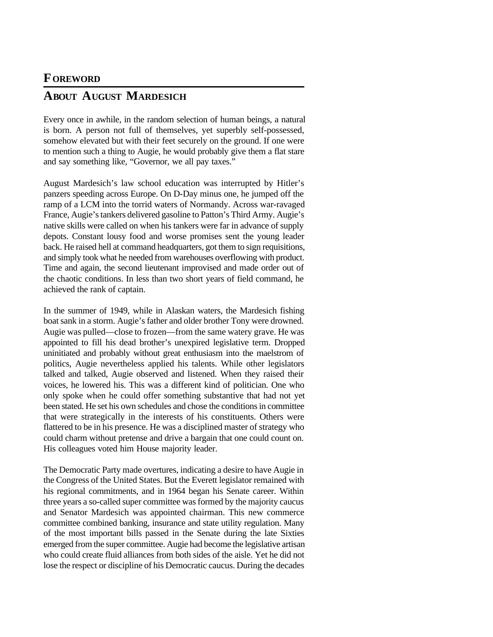#### <span id="page-5-0"></span>**FOREWORD**

#### **ABOUT AUGUST MARDESICH**

Every once in awhile, in the random selection of human beings, a natural is born. A person not full of themselves, yet superbly self-possessed, somehow elevated but with their feet securely on the ground. If one were to mention such a thing to Augie, he would probably give them a flat stare and say something like, "Governor, we all pay taxes."

August Mardesich's law school education was interrupted by Hitler's panzers speeding across Europe. On D-Day minus one, he jumped off the ramp of a LCM into the torrid waters of Normandy. Across war-ravaged France, Augie's tankers delivered gasoline to Patton's Third Army. Augie's native skills were called on when his tankers were far in advance of supply depots. Constant lousy food and worse promises sent the young leader back. He raised hell at command headquarters, got them to sign requisitions, and simply took what he needed from warehouses overflowing with product. Time and again, the second lieutenant improvised and made order out of the chaotic conditions. In less than two short years of field command, he achieved the rank of captain.

In the summer of 1949, while in Alaskan waters, the Mardesich fishing boat sank in a storm. Augie's father and older brother Tony were drowned. Augie was pulled—close to frozen—from the same watery grave. He was appointed to fill his dead brother's unexpired legislative term. Dropped uninitiated and probably without great enthusiasm into the maelstrom of politics, Augie nevertheless applied his talents. While other legislators talked and talked, Augie observed and listened. When they raised their voices, he lowered his. This was a different kind of politician. One who only spoke when he could offer something substantive that had not yet been stated. He set his own schedules and chose the conditions in committee that were strategically in the interests of his constituents. Others were flattered to be in his presence. He was a disciplined master of strategy who could charm without pretense and drive a bargain that one could count on. His colleagues voted him House majority leader.

The Democratic Party made overtures, indicating a desire to have Augie in the Congress of the United States. But the Everett legislator remained with his regional commitments, and in 1964 began his Senate career. Within three years a so-called super committee was formed by the majority caucus and Senator Mardesich was appointed chairman. This new commerce committee combined banking, insurance and state utility regulation. Many of the most important bills passed in the Senate during the late Sixties emerged from the super committee. Augie had become the legislative artisan who could create fluid alliances from both sides of the aisle. Yet he did not lose the respect or discipline of his Democratic caucus. During the decades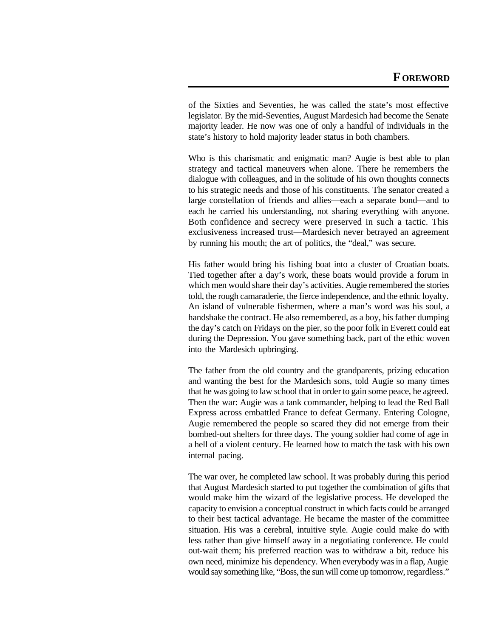of the Sixties and Seventies, he was called the state's most effective legislator. By the mid-Seventies, August Mardesich had become the Senate majority leader. He now was one of only a handful of individuals in the state's history to hold majority leader status in both chambers.

Who is this charismatic and enigmatic man? Augie is best able to plan strategy and tactical maneuvers when alone. There he remembers the dialogue with colleagues, and in the solitude of his own thoughts connects to his strategic needs and those of his constituents. The senator created a large constellation of friends and allies—each a separate bond—and to each he carried his understanding, not sharing everything with anyone. Both confidence and secrecy were preserved in such a tactic. This exclusiveness increased trust—Mardesich never betrayed an agreement by running his mouth; the art of politics, the "deal," was secure.

His father would bring his fishing boat into a cluster of Croatian boats. Tied together after a day's work, these boats would provide a forum in which men would share their day's activities. Augie remembered the stories told, the rough camaraderie, the fierce independence, and the ethnic loyalty. An island of vulnerable fishermen, where a man's word was his soul, a handshake the contract. He also remembered, as a boy, his father dumping the day's catch on Fridays on the pier, so the poor folk in Everett could eat during the Depression. You gave something back, part of the ethic woven into the Mardesich upbringing.

The father from the old country and the grandparents, prizing education and wanting the best for the Mardesich sons, told Augie so many times that he was going to law school that in order to gain some peace, he agreed. Then the war: Augie was a tank commander, helping to lead the Red Ball Express across embattled France to defeat Germany. Entering Cologne, Augie remembered the people so scared they did not emerge from their bombed-out shelters for three days. The young soldier had come of age in a hell of a violent century. He learned how to match the task with his own internal pacing.

The war over, he completed law school. It was probably during this period that August Mardesich started to put together the combination of gifts that would make him the wizard of the legislative process. He developed the capacity to envision a conceptual construct in which facts could be arranged to their best tactical advantage. He became the master of the committee situation. His was a cerebral, intuitive style. Augie could make do with less rather than give himself away in a negotiating conference. He could out-wait them; his preferred reaction was to withdraw a bit, reduce his own need, minimize his dependency. When everybody was in a flap, Augie would say something like, "Boss, the sun will come up tomorrow, regardless."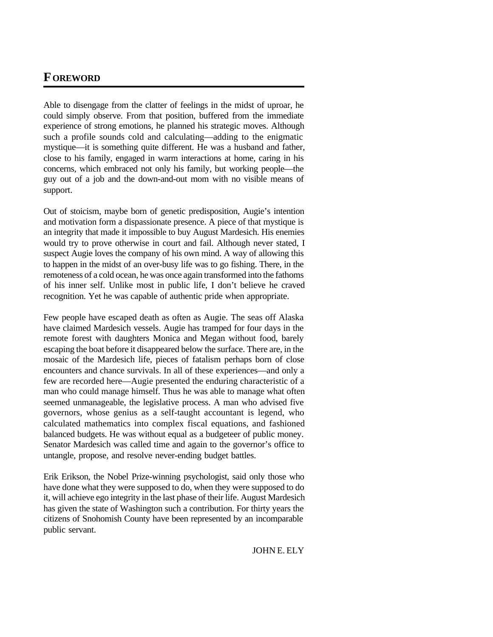#### **FOREWORD**

Able to disengage from the clatter of feelings in the midst of uproar, he could simply observe. From that position, buffered from the immediate experience of strong emotions, he planned his strategic moves. Although such a profile sounds cold and calculating—adding to the enigmatic mystique—it is something quite different. He was a husband and father, close to his family, engaged in warm interactions at home, caring in his concerns, which embraced not only his family, but working people—the guy out of a job and the down-and-out mom with no visible means of support.

Out of stoicism, maybe born of genetic predisposition, Augie's intention and motivation form a dispassionate presence. A piece of that mystique is an integrity that made it impossible to buy August Mardesich. His enemies would try to prove otherwise in court and fail. Although never stated, I suspect Augie loves the company of his own mind. A way of allowing this to happen in the midst of an over-busy life was to go fishing. There, in the remoteness of a cold ocean, he was once again transformed into the fathoms of his inner self. Unlike most in public life, I don't believe he craved recognition. Yet he was capable of authentic pride when appropriate.

Few people have escaped death as often as Augie. The seas off Alaska have claimed Mardesich vessels. Augie has tramped for four days in the remote forest with daughters Monica and Megan without food, barely escaping the boat before it disappeared below the surface. There are, in the mosaic of the Mardesich life, pieces of fatalism perhaps born of close encounters and chance survivals. In all of these experiences—and only a few are recorded here—Augie presented the enduring characteristic of a man who could manage himself. Thus he was able to manage what often seemed unmanageable, the legislative process. A man who advised five governors, whose genius as a self-taught accountant is legend, who calculated mathematics into complex fiscal equations, and fashioned balanced budgets. He was without equal as a budgeteer of public money. Senator Mardesich was called time and again to the governor's office to untangle, propose, and resolve never-ending budget battles.

Erik Erikson, the Nobel Prize-winning psychologist, said only those who have done what they were supposed to do, when they were supposed to do it, will achieve ego integrity in the last phase of their life. August Mardesich has given the state of Washington such a contribution. For thirty years the citizens of Snohomish County have been represented by an incomparable public servant.

JOHN E. ELY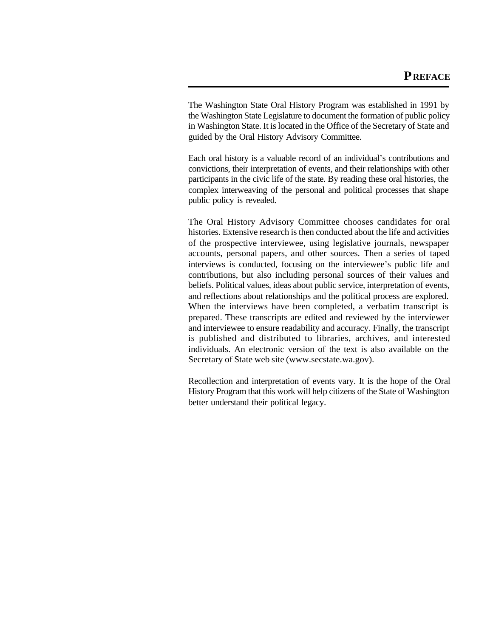<span id="page-8-0"></span>The Washington State Oral History Program was established in 1991 by the Washington State Legislature to document the formation of public policy in Washington State. It is located in the Office of the Secretary of State and guided by the Oral History Advisory Committee.

Each oral history is a valuable record of an individual's contributions and convictions, their interpretation of events, and their relationships with other participants in the civic life of the state. By reading these oral histories, the complex interweaving of the personal and political processes that shape public policy is revealed.

The Oral History Advisory Committee chooses candidates for oral histories. Extensive research is then conducted about the life and activities of the prospective interviewee, using legislative journals, newspaper accounts, personal papers, and other sources. Then a series of taped interviews is conducted, focusing on the interviewee's public life and contributions, but also including personal sources of their values and beliefs. Political values, ideas about public service, interpretation of events, and reflections about relationships and the political process are explored. When the interviews have been completed, a verbatim transcript is prepared. These transcripts are edited and reviewed by the interviewer and interviewee to ensure readability and accuracy. Finally, the transcript is published and distributed to libraries, archives, and interested individuals. An electronic version of the text is also available on the Secretary of State web site (www.secstate.wa.gov).

Recollection and interpretation of events vary. It is the hope of the Oral History Program that this work will help citizens of the State of Washington better understand their political legacy.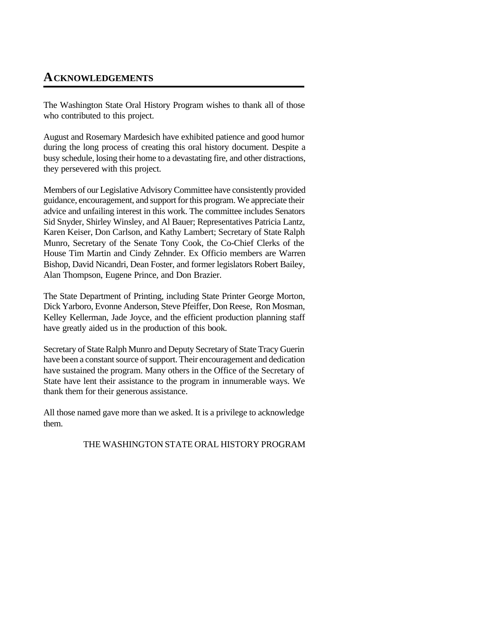#### <span id="page-9-0"></span>**ACKNOWLEDGEMENTS**

The Washington State Oral History Program wishes to thank all of those who contributed to this project.

August and Rosemary Mardesich have exhibited patience and good humor during the long process of creating this oral history document. Despite a busy schedule, losing their home to a devastating fire, and other distractions, they persevered with this project.

Members of our Legislative Advisory Committee have consistently provided guidance, encouragement, and support for this program. We appreciate their advice and unfailing interest in this work. The committee includes Senators Sid Snyder, Shirley Winsley, and Al Bauer; Representatives Patricia Lantz, Karen Keiser, Don Carlson, and Kathy Lambert; Secretary of State Ralph Munro, Secretary of the Senate Tony Cook, the Co-Chief Clerks of the House Tim Martin and Cindy Zehnder. Ex Officio members are Warren Bishop, David Nicandri, Dean Foster, and former legislators Robert Bailey, Alan Thompson, Eugene Prince, and Don Brazier.

The State Department of Printing, including State Printer George Morton, Dick Yarboro, Evonne Anderson, Steve Pfeiffer, Don Reese, Ron Mosman, Kelley Kellerman, Jade Joyce, and the efficient production planning staff have greatly aided us in the production of this book.

Secretary of State Ralph Munro and Deputy Secretary of State Tracy Guerin have been a constant source of support. Their encouragement and dedication have sustained the program. Many others in the Office of the Secretary of State have lent their assistance to the program in innumerable ways. We thank them for their generous assistance.

All those named gave more than we asked. It is a privilege to acknowledge them.

THE WASHINGTON STATE ORAL HISTORY PROGRAM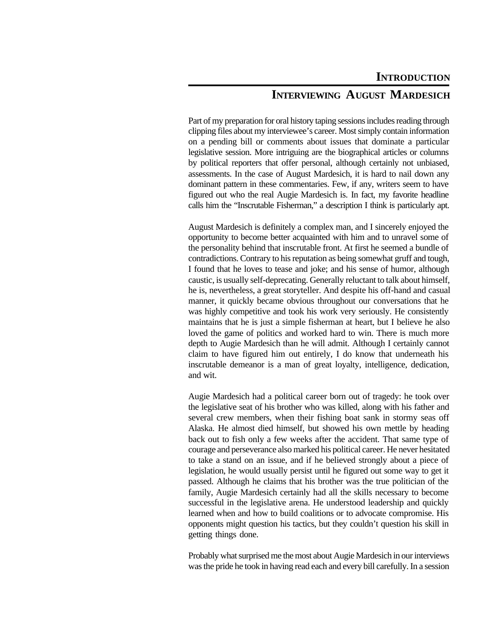#### **INTERVIEWING AUGUST MARDESICH**

<span id="page-10-0"></span>Part of my preparation for oral history taping sessions includes reading through clipping files about my interviewee's career. Most simply contain information on a pending bill or comments about issues that dominate a particular legislative session. More intriguing are the biographical articles or columns by political reporters that offer personal, although certainly not unbiased, assessments. In the case of August Mardesich, it is hard to nail down any dominant pattern in these commentaries. Few, if any, writers seem to have figured out who the real Augie Mardesich is. In fact, my favorite headline calls him the "Inscrutable Fisherman," a description I think is particularly apt.

August Mardesich is definitely a complex man, and I sincerely enjoyed the opportunity to become better acquainted with him and to unravel some of the personality behind that inscrutable front. At first he seemed a bundle of contradictions. Contrary to his reputation as being somewhat gruff and tough, I found that he loves to tease and joke; and his sense of humor, although caustic, is usually self-deprecating. Generally reluctant to talk about himself, he is, nevertheless, a great storyteller. And despite his off-hand and casual manner, it quickly became obvious throughout our conversations that he was highly competitive and took his work very seriously. He consistently maintains that he is just a simple fisherman at heart, but I believe he also loved the game of politics and worked hard to win. There is much more depth to Augie Mardesich than he will admit. Although I certainly cannot claim to have figured him out entirely, I do know that underneath his inscrutable demeanor is a man of great loyalty, intelligence, dedication, and wit.

Augie Mardesich had a political career born out of tragedy: he took over the legislative seat of his brother who was killed, along with his father and several crew members, when their fishing boat sank in stormy seas off Alaska. He almost died himself, but showed his own mettle by heading back out to fish only a few weeks after the accident. That same type of courage and perseverance also marked his political career. He never hesitated to take a stand on an issue, and if he believed strongly about a piece of legislation, he would usually persist until he figured out some way to get it passed. Although he claims that his brother was the true politician of the family, Augie Mardesich certainly had all the skills necessary to become successful in the legislative arena. He understood leadership and quickly learned when and how to build coalitions or to advocate compromise. His opponents might question his tactics, but they couldn't question his skill in getting things done.

Probably what surprised me the most about Augie Mardesich in our interviews was the pride he took in having read each and every bill carefully. In a session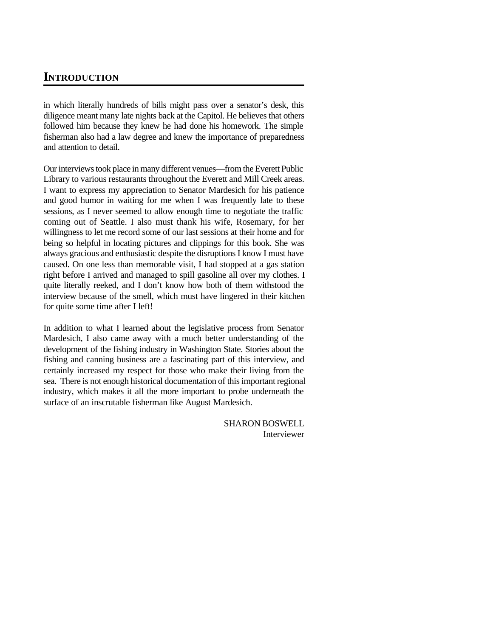#### **INTRODUCTION**

in which literally hundreds of bills might pass over a senator's desk, this diligence meant many late nights back at the Capitol. He believes that others followed him because they knew he had done his homework. The simple fisherman also had a law degree and knew the importance of preparedness and attention to detail.

Our interviews took place in many different venues—from the Everett Public Library to various restaurants throughout the Everett and Mill Creek areas. I want to express my appreciation to Senator Mardesich for his patience and good humor in waiting for me when I was frequently late to these sessions, as I never seemed to allow enough time to negotiate the traffic coming out of Seattle. I also must thank his wife, Rosemary, for her willingness to let me record some of our last sessions at their home and for being so helpful in locating pictures and clippings for this book. She was always gracious and enthusiastic despite the disruptions I know I must have caused. On one less than memorable visit, I had stopped at a gas station right before I arrived and managed to spill gasoline all over my clothes. I quite literally reeked, and I don't know how both of them withstood the interview because of the smell, which must have lingered in their kitchen for quite some time after I left!

In addition to what I learned about the legislative process from Senator Mardesich, I also came away with a much better understanding of the development of the fishing industry in Washington State. Stories about the fishing and canning business are a fascinating part of this interview, and certainly increased my respect for those who make their living from the sea. There is not enough historical documentation of this important regional industry, which makes it all the more important to probe underneath the surface of an inscrutable fisherman like August Mardesich.

> SHARON BOSWELL Interviewer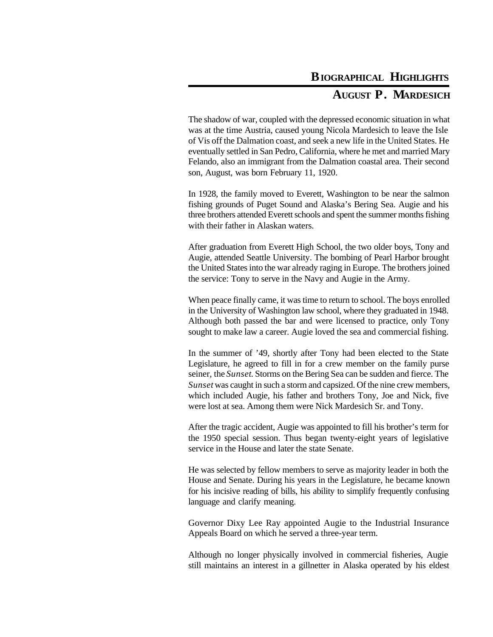### **BIOGRAPHICAL HIGHLIGHTS**

#### **AUGUST P. MARDESICH**

<span id="page-12-0"></span>The shadow of war, coupled with the depressed economic situation in what was at the time Austria, caused young Nicola Mardesich to leave the Isle of Vis off the Dalmation coast, and seek a new life in the United States. He eventually settled in San Pedro, California, where he met and married Mary Felando, also an immigrant from the Dalmation coastal area. Their second son, August, was born February 11, 1920.

In 1928, the family moved to Everett, Washington to be near the salmon fishing grounds of Puget Sound and Alaska's Bering Sea. Augie and his three brothers attended Everett schools and spent the summer months fishing with their father in Alaskan waters.

After graduation from Everett High School, the two older boys, Tony and Augie, attended Seattle University. The bombing of Pearl Harbor brought the United States into the war already raging in Europe. The brothers joined the service: Tony to serve in the Navy and Augie in the Army.

When peace finally came, it was time to return to school. The boys enrolled in the University of Washington law school, where they graduated in 1948. Although both passed the bar and were licensed to practice, only Tony sought to make law a career. Augie loved the sea and commercial fishing.

In the summer of '49, shortly after Tony had been elected to the State Legislature, he agreed to fill in for a crew member on the family purse seiner, the *Sunset*. Storms on the Bering Sea can be sudden and fierce. The *Sunset* was caught in such a storm and capsized. Of the nine crew members, which included Augie, his father and brothers Tony, Joe and Nick, five were lost at sea. Among them were Nick Mardesich Sr. and Tony.

After the tragic accident, Augie was appointed to fill his brother's term for the 1950 special session. Thus began twenty-eight years of legislative service in the House and later the state Senate.

He was selected by fellow members to serve as majority leader in both the House and Senate. During his years in the Legislature, he became known for his incisive reading of bills, his ability to simplify frequently confusing language and clarify meaning.

Governor Dixy Lee Ray appointed Augie to the Industrial Insurance Appeals Board on which he served a three-year term.

Although no longer physically involved in commercial fisheries, Augie still maintains an interest in a gillnetter in Alaska operated by his eldest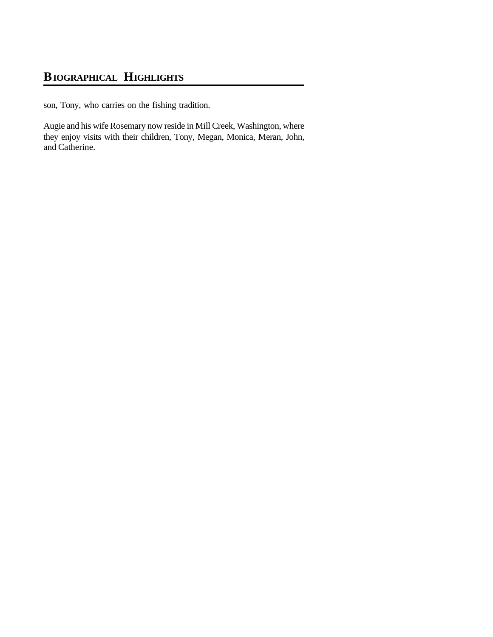#### **BIOGRAPHICAL HIGHLIGHTS**

son, Tony, who carries on the fishing tradition.

Augie and his wife Rosemary now reside in Mill Creek, Washington, where they enjoy visits with their children, Tony, Megan, Monica, Meran, John, and Catherine.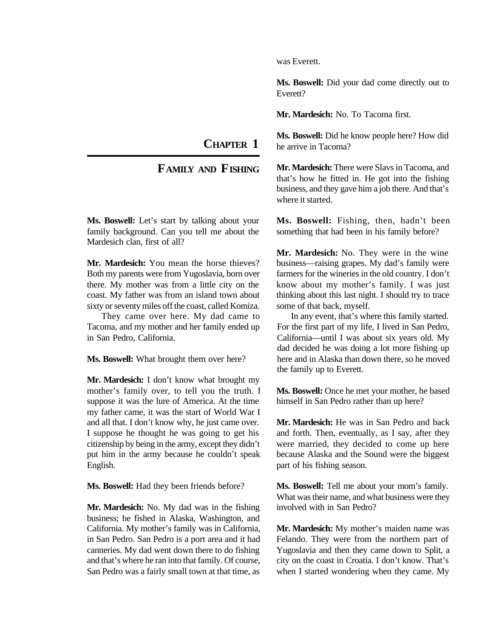**CHAPTER 1**

#### **FAMILY AND FISHING**

<span id="page-14-0"></span>**Ms. Boswell:** Let's start by talking about your family background. Can you tell me about the Mardesich clan, first of all?

**Mr. Mardesich:** You mean the horse thieves? Both my parents were from Yugoslavia, born over there. My mother was from a little city on the coast. My father was from an island town about sixty or seventy miles off the coast, called Komiza.

They came over here. My dad came to Tacoma, and my mother and her family ended up in San Pedro, California.

**Ms. Boswell:** What brought them over here?

**Mr. Mardesich:** I don't know what brought my mother's family over, to tell you the truth. I suppose it was the lure of America. At the time my father came, it was the start of World War I and all that. I don't know why, he just came over. I suppose he thought he was going to get his citizenship by being in the army, except they didn't put him in the army because he couldn't speak English.

**Ms. Boswell:** Had they been friends before?

**Mr. Mardesich:** No. My dad was in the fishing business; he fished in Alaska, Washington, and California. My mother's family was in California, in San Pedro. San Pedro is a port area and it had canneries. My dad went down there to do fishing and that's where he ran into that family. Of course, San Pedro was a fairly small town at that time, as was Everett.

**Ms. Boswell:** Did your dad come directly out to Everett?

**Mr. Mardesich:** No. To Tacoma first.

**Ms. Boswell:** Did he know people here? How did he arrive in Tacoma?

**Mr. Mardesich:** There were Slavs in Tacoma, and that's how he fitted in. He got into the fishing business, and they gave him a job there. And that's where it started.

**Ms. Boswell:** Fishing, then, hadn't been something that had been in his family before?

**Mr. Mardesich:** No. They were in the wine business—raising grapes. My dad's family were farmers for the wineries in the old country. I don't know about my mother's family. I was just thinking about this last night. I should try to trace some of that back, myself.

In any event, that's where this family started. For the first part of my life, I lived in San Pedro, California—until I was about six years old. My dad decided he was doing a lot more fishing up here and in Alaska than down there, so he moved the family up to Everett.

**Ms. Boswell:** Once he met your mother, he based himself in San Pedro rather than up here?

**Mr. Mardesich:** He was in San Pedro and back and forth. Then, eventually, as I say, after they were married, they decided to come up here because Alaska and the Sound were the biggest part of his fishing season.

**Ms. Boswell:** Tell me about your mom's family. What was their name, and what business were they involved with in San Pedro?

**Mr. Mardesich:** My mother's maiden name was Felando. They were from the northern part of Yugoslavia and then they came down to Split, a city on the coast in Croatia. I don't know. That's when I started wondering when they came. My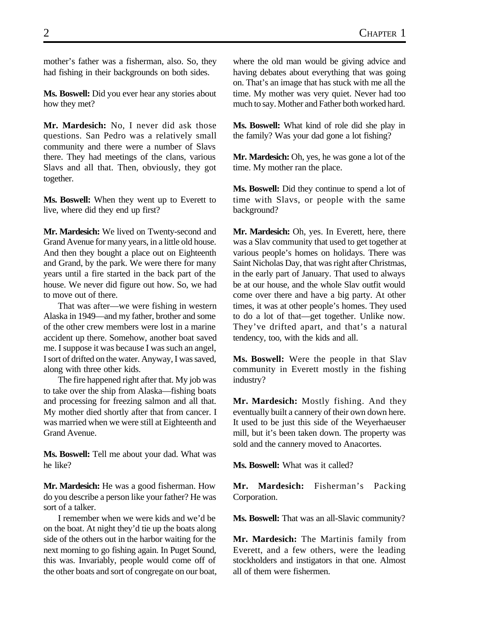mother's father was a fisherman, also. So, they had fishing in their backgrounds on both sides.

**Ms. Boswell:** Did you ever hear any stories about how they met?

**Mr. Mardesich:** No, I never did ask those questions. San Pedro was a relatively small community and there were a number of Slavs there. They had meetings of the clans, various Slavs and all that. Then, obviously, they got together.

**Ms. Boswell:** When they went up to Everett to live, where did they end up first?

**Mr. Mardesich:** We lived on Twenty-second and Grand Avenue for many years, in a little old house. And then they bought a place out on Eighteenth and Grand, by the park. We were there for many years until a fire started in the back part of the house. We never did figure out how. So, we had to move out of there.

That was after—we were fishing in western Alaska in 1949—and my father, brother and some of the other crew members were lost in a marine accident up there. Somehow, another boat saved me. I suppose it was because I was such an angel, I sort of drifted on the water. Anyway, I was saved, along with three other kids.

The fire happened right after that. My job was to take over the ship from Alaska—fishing boats and processing for freezing salmon and all that. My mother died shortly after that from cancer. I was married when we were still at Eighteenth and Grand Avenue.

**Ms. Boswell:** Tell me about your dad. What was he like?

**Mr. Mardesich:** He was a good fisherman. How do you describe a person like your father? He was sort of a talker.

I remember when we were kids and we'd be on the boat. At night they'd tie up the boats along side of the others out in the harbor waiting for the next morning to go fishing again. In Puget Sound, this was. Invariably, people would come off of the other boats and sort of congregate on our boat, where the old man would be giving advice and having debates about everything that was going on. That's an image that has stuck with me all the time. My mother was very quiet. Never had too much to say. Mother and Father both worked hard.

**Ms. Boswell:** What kind of role did she play in the family? Was your dad gone a lot fishing?

**Mr. Mardesich:** Oh, yes, he was gone a lot of the time. My mother ran the place.

**Ms. Boswell:** Did they continue to spend a lot of time with Slavs, or people with the same background?

**Mr. Mardesich:** Oh, yes. In Everett, here, there was a Slav community that used to get together at various people's homes on holidays. There was Saint Nicholas Day, that was right after Christmas, in the early part of January. That used to always be at our house, and the whole Slav outfit would come over there and have a big party. At other times, it was at other people's homes. They used to do a lot of that—get together. Unlike now. They've drifted apart, and that's a natural tendency, too, with the kids and all.

**Ms. Boswell:** Were the people in that Slav community in Everett mostly in the fishing industry?

**Mr. Mardesich:** Mostly fishing. And they eventually built a cannery of their own down here. It used to be just this side of the Weyerhaeuser mill, but it's been taken down. The property was sold and the cannery moved to Anacortes.

**Ms. Boswell:** What was it called?

**Mr. Mardesich:** Fisherman's Packing Corporation.

**Ms. Boswell:** That was an all-Slavic community?

**Mr. Mardesich:** The Martinis family from Everett, and a few others, were the leading stockholders and instigators in that one. Almost all of them were fishermen.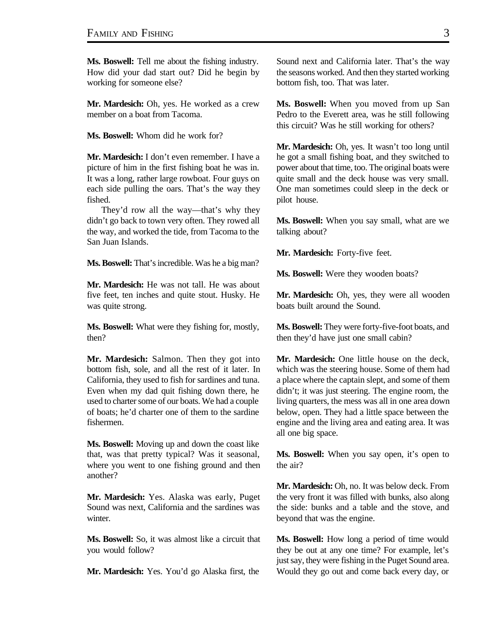**Ms. Boswell:** Tell me about the fishing industry. How did your dad start out? Did he begin by working for someone else?

**Mr. Mardesich:** Oh, yes. He worked as a crew member on a boat from Tacoma.

**Ms. Boswell:** Whom did he work for?

**Mr. Mardesich:** I don't even remember. I have a picture of him in the first fishing boat he was in. It was a long, rather large rowboat. Four guys on each side pulling the oars. That's the way they fished.

They'd row all the way—that's why they didn't go back to town very often. They rowed all the way, and worked the tide, from Tacoma to the San Juan Islands.

**Ms. Boswell:** That's incredible. Was he a big man?

**Mr. Mardesich:** He was not tall. He was about five feet, ten inches and quite stout. Husky. He was quite strong.

**Ms. Boswell:** What were they fishing for, mostly, then?

**Mr. Mardesich:** Salmon. Then they got into bottom fish, sole, and all the rest of it later. In California, they used to fish for sardines and tuna. Even when my dad quit fishing down there, he used to charter some of our boats. We had a couple of boats; he'd charter one of them to the sardine fishermen.

**Ms. Boswell:** Moving up and down the coast like that, was that pretty typical? Was it seasonal, where you went to one fishing ground and then another?

**Mr. Mardesich:** Yes. Alaska was early, Puget Sound was next, California and the sardines was winter.

**Ms. Boswell:** So, it was almost like a circuit that you would follow?

**Mr. Mardesich:** Yes. You'd go Alaska first, the

Sound next and California later. That's the way the seasons worked. And then they started working bottom fish, too. That was later.

**Ms. Boswell:** When you moved from up San Pedro to the Everett area, was he still following this circuit? Was he still working for others?

**Mr. Mardesich:** Oh, yes. It wasn't too long until he got a small fishing boat, and they switched to power about that time, too. The original boats were quite small and the deck house was very small. One man sometimes could sleep in the deck or pilot house.

**Ms. Boswell:** When you say small, what are we talking about?

**Mr. Mardesich:** Forty-five feet.

**Ms. Boswell:** Were they wooden boats?

**Mr. Mardesich:** Oh, yes, they were all wooden boats built around the Sound.

**Ms. Boswell:** They were forty-five-foot boats, and then they'd have just one small cabin?

**Mr. Mardesich:** One little house on the deck, which was the steering house. Some of them had a place where the captain slept, and some of them didn't; it was just steering. The engine room, the living quarters, the mess was all in one area down below, open. They had a little space between the engine and the living area and eating area. It was all one big space.

**Ms. Boswell:** When you say open, it's open to the air?

**Mr. Mardesich:** Oh, no. It was below deck. From the very front it was filled with bunks, also along the side: bunks and a table and the stove, and beyond that was the engine.

**Ms. Boswell:** How long a period of time would they be out at any one time? For example, let's just say, they were fishing in the Puget Sound area. Would they go out and come back every day, or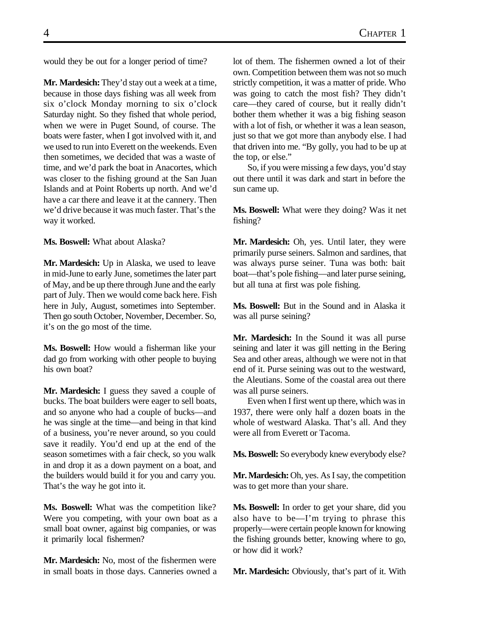would they be out for a longer period of time?

**Mr. Mardesich:** They'd stay out a week at a time, because in those days fishing was all week from six o'clock Monday morning to six o'clock Saturday night. So they fished that whole period, when we were in Puget Sound, of course. The boats were faster, when I got involved with it, and we used to run into Everett on the weekends. Even then sometimes, we decided that was a waste of time, and we'd park the boat in Anacortes, which was closer to the fishing ground at the San Juan Islands and at Point Roberts up north. And we'd have a car there and leave it at the cannery. Then we'd drive because it was much faster. That's the way it worked.

**Ms. Boswell:** What about Alaska?

**Mr. Mardesich:** Up in Alaska, we used to leave in mid-June to early June, sometimes the later part of May, and be up there through June and the early part of July. Then we would come back here. Fish here in July, August, sometimes into September. Then go south October, November, December. So, it's on the go most of the time.

**Ms. Boswell:** How would a fisherman like your dad go from working with other people to buying his own boat?

**Mr. Mardesich:** I guess they saved a couple of bucks. The boat builders were eager to sell boats, and so anyone who had a couple of bucks—and he was single at the time—and being in that kind of a business, you're never around, so you could save it readily. You'd end up at the end of the season sometimes with a fair check, so you walk in and drop it as a down payment on a boat, and the builders would build it for you and carry you. That's the way he got into it.

**Ms. Boswell:** What was the competition like? Were you competing, with your own boat as a small boat owner, against big companies, or was it primarily local fishermen?

**Mr. Mardesich:** No, most of the fishermen were in small boats in those days. Canneries owned a

lot of them. The fishermen owned a lot of their own. Competition between them was not so much strictly competition, it was a matter of pride. Who was going to catch the most fish? They didn't care—they cared of course, but it really didn't bother them whether it was a big fishing season with a lot of fish, or whether it was a lean season, just so that we got more than anybody else. I had that driven into me. "By golly, you had to be up at the top, or else."

So, if you were missing a few days, you'd stay out there until it was dark and start in before the sun came up.

**Ms. Boswell:** What were they doing? Was it net fishing?

**Mr. Mardesich:** Oh, yes. Until later, they were primarily purse seiners. Salmon and sardines, that was always purse seiner. Tuna was both: bait boat—that's pole fishing—and later purse seining, but all tuna at first was pole fishing.

**Ms. Boswell:** But in the Sound and in Alaska it was all purse seining?

**Mr. Mardesich:** In the Sound it was all purse seining and later it was gill netting in the Bering Sea and other areas, although we were not in that end of it. Purse seining was out to the westward, the Aleutians. Some of the coastal area out there was all purse seiners.

Even when I first went up there, which was in 1937, there were only half a dozen boats in the whole of westward Alaska. That's all. And they were all from Everett or Tacoma.

**Ms. Boswell:** So everybody knew everybody else?

**Mr. Mardesich:** Oh, yes. As I say, the competition was to get more than your share.

**Ms. Boswell:** In order to get your share, did you also have to be—I'm trying to phrase this properly—were certain people known for knowing the fishing grounds better, knowing where to go, or how did it work?

**Mr. Mardesich:** Obviously, that's part of it. With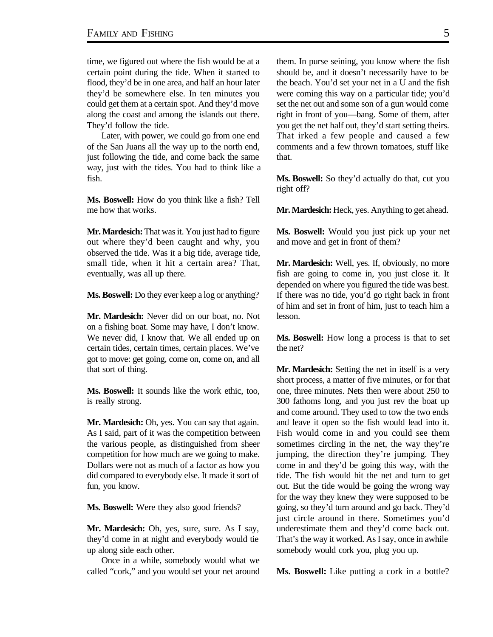time, we figured out where the fish would be at a certain point during the tide. When it started to flood, they'd be in one area, and half an hour later they'd be somewhere else. In ten minutes you could get them at a certain spot. And they'd move along the coast and among the islands out there. They'd follow the tide.

Later, with power, we could go from one end of the San Juans all the way up to the north end, just following the tide, and come back the same way, just with the tides. You had to think like a fish.

**Ms. Boswell:** How do you think like a fish? Tell me how that works.

**Mr. Mardesich:** That was it. You just had to figure out where they'd been caught and why, you observed the tide. Was it a big tide, average tide, small tide, when it hit a certain area? That, eventually, was all up there.

**Ms. Boswell:** Do they ever keep a log or anything?

**Mr. Mardesich:** Never did on our boat, no. Not on a fishing boat. Some may have, I don't know. We never did, I know that. We all ended up on certain tides, certain times, certain places. We've got to move: get going, come on, come on, and all that sort of thing.

**Ms. Boswell:** It sounds like the work ethic, too, is really strong.

**Mr. Mardesich:** Oh, yes. You can say that again. As I said, part of it was the competition between the various people, as distinguished from sheer competition for how much are we going to make. Dollars were not as much of a factor as how you did compared to everybody else. It made it sort of fun, you know.

**Ms. Boswell:** Were they also good friends?

**Mr. Mardesich:** Oh, yes, sure, sure. As I say, they'd come in at night and everybody would tie up along side each other.

Once in a while, somebody would what we called "cork," and you would set your net around them. In purse seining, you know where the fish should be, and it doesn't necessarily have to be the beach. You'd set your net in a U and the fish were coming this way on a particular tide; you'd set the net out and some son of a gun would come right in front of you—bang. Some of them, after you get the net half out, they'd start setting theirs. That irked a few people and caused a few comments and a few thrown tomatoes, stuff like that.

**Ms. Boswell:** So they'd actually do that, cut you right off?

**Mr. Mardesich:** Heck, yes. Anything to get ahead.

**Ms. Boswell:** Would you just pick up your net and move and get in front of them?

**Mr. Mardesich:** Well, yes. If, obviously, no more fish are going to come in, you just close it. It depended on where you figured the tide was best. If there was no tide, you'd go right back in front of him and set in front of him, just to teach him a lesson.

**Ms. Boswell:** How long a process is that to set the net?

**Mr. Mardesich:** Setting the net in itself is a very short process, a matter of five minutes, or for that one, three minutes. Nets then were about 250 to 300 fathoms long, and you just rev the boat up and come around. They used to tow the two ends and leave it open so the fish would lead into it. Fish would come in and you could see them sometimes circling in the net, the way they're jumping, the direction they're jumping. They come in and they'd be going this way, with the tide. The fish would hit the net and turn to get out. But the tide would be going the wrong way for the way they knew they were supposed to be going, so they'd turn around and go back. They'd just circle around in there. Sometimes you'd underestimate them and they'd come back out. That's the way it worked. As I say, once in awhile somebody would cork you, plug you up.

**Ms. Boswell:** Like putting a cork in a bottle?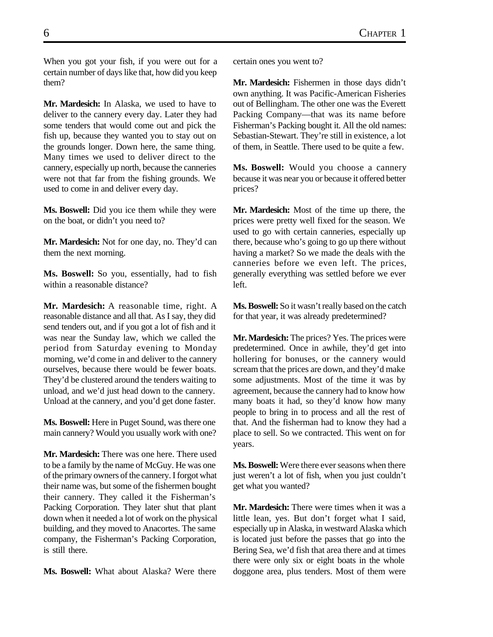When you got your fish, if you were out for a certain number of days like that, how did you keep them?

**Mr. Mardesich:** In Alaska, we used to have to deliver to the cannery every day. Later they had some tenders that would come out and pick the fish up, because they wanted you to stay out on the grounds longer. Down here, the same thing. Many times we used to deliver direct to the cannery, especially up north, because the canneries were not that far from the fishing grounds. We used to come in and deliver every day.

**Ms. Boswell:** Did you ice them while they were on the boat, or didn't you need to?

**Mr. Mardesich:** Not for one day, no. They'd can them the next morning.

**Ms. Boswell:** So you, essentially, had to fish within a reasonable distance?

**Mr. Mardesich:** A reasonable time, right. A reasonable distance and all that. As I say, they did send tenders out, and if you got a lot of fish and it was near the Sunday law, which we called the period from Saturday evening to Monday morning, we'd come in and deliver to the cannery ourselves, because there would be fewer boats. They'd be clustered around the tenders waiting to unload, and we'd just head down to the cannery. Unload at the cannery, and you'd get done faster.

**Ms. Boswell:** Here in Puget Sound, was there one main cannery? Would you usually work with one?

**Mr. Mardesich:** There was one here. There used to be a family by the name of McGuy. He was one of the primary owners of the cannery. I forgot what their name was, but some of the fishermen bought their cannery. They called it the Fisherman's Packing Corporation. They later shut that plant down when it needed a lot of work on the physical building, and they moved to Anacortes. The same company, the Fisherman's Packing Corporation, is still there.

**Ms. Boswell:** What about Alaska? Were there

certain ones you went to?

**Mr. Mardesich:** Fishermen in those days didn't own anything. It was Pacific-American Fisheries out of Bellingham. The other one was the Everett Packing Company—that was its name before Fisherman's Packing bought it. All the old names: Sebastian-Stewart. They're still in existence, a lot of them, in Seattle. There used to be quite a few.

**Ms. Boswell:** Would you choose a cannery because it was near you or because it offered better prices?

**Mr. Mardesich:** Most of the time up there, the prices were pretty well fixed for the season. We used to go with certain canneries, especially up there, because who's going to go up there without having a market? So we made the deals with the canneries before we even left. The prices, generally everything was settled before we ever left.

**Ms. Boswell:** So it wasn't really based on the catch for that year, it was already predetermined?

**Mr. Mardesich:** The prices? Yes. The prices were predetermined. Once in awhile, they'd get into hollering for bonuses, or the cannery would scream that the prices are down, and they'd make some adjustments. Most of the time it was by agreement, because the cannery had to know how many boats it had, so they'd know how many people to bring in to process and all the rest of that. And the fisherman had to know they had a place to sell. So we contracted. This went on for years.

**Ms. Boswell:** Were there ever seasons when there just weren't a lot of fish, when you just couldn't get what you wanted?

**Mr. Mardesich:** There were times when it was a little lean, yes. But don't forget what I said, especially up in Alaska, in westward Alaska which is located just before the passes that go into the Bering Sea, we'd fish that area there and at times there were only six or eight boats in the whole doggone area, plus tenders. Most of them were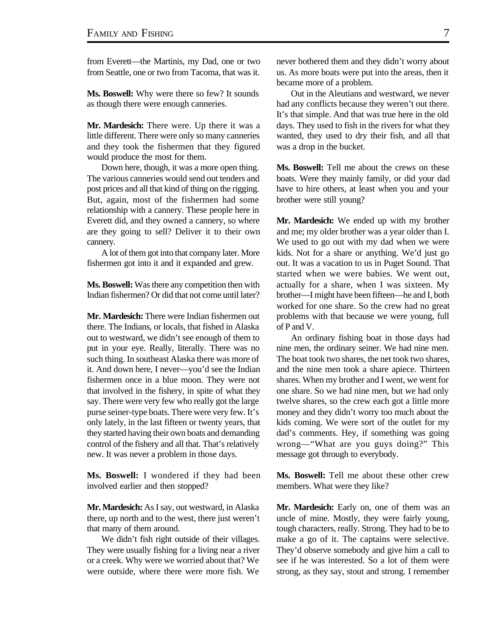from Everett—the Martinis, my Dad, one or two from Seattle, one or two from Tacoma, that was it.

**Ms. Boswell:** Why were there so few? It sounds as though there were enough canneries.

**Mr. Mardesich:** There were. Up there it was a little different. There were only so many canneries and they took the fishermen that they figured would produce the most for them.

Down here, though, it was a more open thing. The various canneries would send out tenders and post prices and all that kind of thing on the rigging. But, again, most of the fishermen had some relationship with a cannery. These people here in Everett did, and they owned a cannery, so where are they going to sell? Deliver it to their own cannery.

A lot of them got into that company later. More fishermen got into it and it expanded and grew.

**Ms. Boswell:** Was there any competition then with Indian fishermen? Or did that not come until later?

**Mr. Mardesich:** There were Indian fishermen out there. The Indians, or locals, that fished in Alaska out to westward, we didn't see enough of them to put in your eye. Really, literally. There was no such thing. In southeast Alaska there was more of it. And down here, I never—you'd see the Indian fishermen once in a blue moon. They were not that involved in the fishery, in spite of what they say. There were very few who really got the large purse seiner-type boats. There were very few. It's only lately, in the last fifteen or twenty years, that they started having their own boats and demanding control of the fishery and all that. That's relatively new. It was never a problem in those days.

**Ms. Boswell:** I wondered if they had been involved earlier and then stopped?

**Mr. Mardesich:** As I say, out westward, in Alaska there, up north and to the west, there just weren't that many of them around.

We didn't fish right outside of their villages. They were usually fishing for a living near a river or a creek. Why were we worried about that? We were outside, where there were more fish. We

never bothered them and they didn't worry about us. As more boats were put into the areas, then it became more of a problem.

Out in the Aleutians and westward, we never had any conflicts because they weren't out there. It's that simple. And that was true here in the old days. They used to fish in the rivers for what they wanted, they used to dry their fish, and all that was a drop in the bucket.

**Ms. Boswell:** Tell me about the crews on these boats. Were they mainly family, or did your dad have to hire others, at least when you and your brother were still young?

**Mr. Mardesich:** We ended up with my brother and me; my older brother was a year older than I. We used to go out with my dad when we were kids. Not for a share or anything. We'd just go out. It was a vacation to us in Puget Sound. That started when we were babies. We went out, actually for a share, when I was sixteen. My brother—I might have been fifteen—he and I, both worked for one share. So the crew had no great problems with that because we were young, full of P and V.

An ordinary fishing boat in those days had nine men, the ordinary seiner. We had nine men. The boat took two shares, the net took two shares, and the nine men took a share apiece. Thirteen shares. When my brother and I went, we went for one share. So we had nine men, but we had only twelve shares, so the crew each got a little more money and they didn't worry too much about the kids coming. We were sort of the outlet for my dad's comments. Hey, if something was going wrong—"What are you guys doing?" This message got through to everybody.

**Ms. Boswell:** Tell me about these other crew members. What were they like?

**Mr. Mardesich:** Early on, one of them was an uncle of mine. Mostly, they were fairly young, tough characters, really. Strong. They had to be to make a go of it. The captains were selective. They'd observe somebody and give him a call to see if he was interested. So a lot of them were strong, as they say, stout and strong. I remember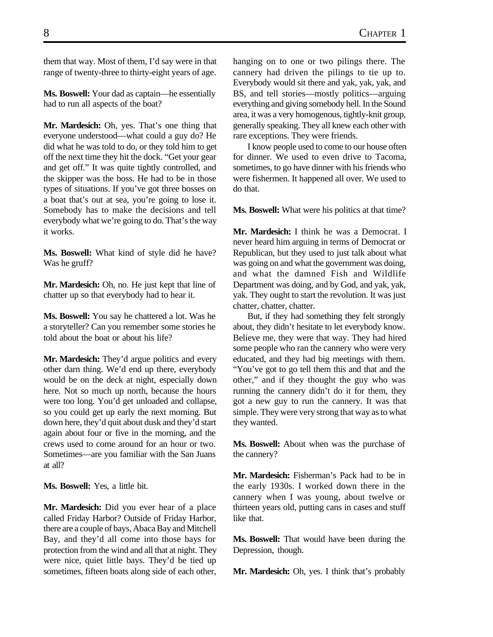them that way. Most of them, I'd say were in that range of twenty-three to thirty-eight years of age.

**Ms. Boswell:** Your dad as captain—he essentially had to run all aspects of the boat?

**Mr. Mardesich:** Oh, yes. That's one thing that everyone understood—what could a guy do? He did what he was told to do, or they told him to get off the next time they hit the dock. "Get your gear and get off." It was quite tightly controlled, and the skipper was the boss. He had to be in those types of situations. If you've got three bosses on a boat that's out at sea, you're going to lose it. Somebody has to make the decisions and tell everybody what we're going to do. That's the way it works.

**Ms. Boswell:** What kind of style did he have? Was he gruff?

**Mr. Mardesich:** Oh, no. He just kept that line of chatter up so that everybody had to hear it.

**Ms. Boswell:** You say he chattered a lot. Was he a storyteller? Can you remember some stories he told about the boat or about his life?

**Mr. Mardesich:** They'd argue politics and every other darn thing. We'd end up there, everybody would be on the deck at night, especially down here. Not so much up north, because the hours were too long. You'd get unloaded and collapse, so you could get up early the next morning. But down here, they'd quit about dusk and they'd start again about four or five in the morning, and the crews used to come around for an hour or two. Sometimes—are you familiar with the San Juans at all?

**Ms. Boswell:** Yes, a little bit.

**Mr. Mardesich:** Did you ever hear of a place called Friday Harbor? Outside of Friday Harbor, there are a couple of bays, Abaca Bay and Mitchell Bay, and they'd all come into those bays for protection from the wind and all that at night. They were nice, quiet little bays. They'd be tied up sometimes, fifteen boats along side of each other, hanging on to one or two pilings there. The cannery had driven the pilings to tie up to. Everybody would sit there and yak, yak, yak, and BS, and tell stories—mostly politics—arguing everything and giving somebody hell. In the Sound area, it was a very homogenous, tightly-knit group, generally speaking. They all knew each other with rare exceptions. They were friends.

I know people used to come to our house often for dinner. We used to even drive to Tacoma, sometimes, to go have dinner with his friends who were fishermen. It happened all over. We used to do that.

**Ms. Boswell:** What were his politics at that time?

**Mr. Mardesich:** I think he was a Democrat. I never heard him arguing in terms of Democrat or Republican, but they used to just talk about what was going on and what the government was doing, and what the damned Fish and Wildlife Department was doing, and by God, and yak, yak, yak. They ought to start the revolution. It was just chatter, chatter, chatter.

But, if they had something they felt strongly about, they didn't hesitate to let everybody know. Believe me, they were that way. They had hired some people who ran the cannery who were very educated, and they had big meetings with them. "You've got to go tell them this and that and the other," and if they thought the guy who was running the cannery didn't do it for them, they got a new guy to run the cannery. It was that simple. They were very strong that way as to what they wanted.

**Ms. Boswell:** About when was the purchase of the cannery?

**Mr. Mardesich:** Fisherman's Pack had to be in the early 1930s. I worked down there in the cannery when I was young, about twelve or thirteen years old, putting cans in cases and stuff like that.

**Ms. Boswell:** That would have been during the Depression, though.

**Mr. Mardesich:** Oh, yes. I think that's probably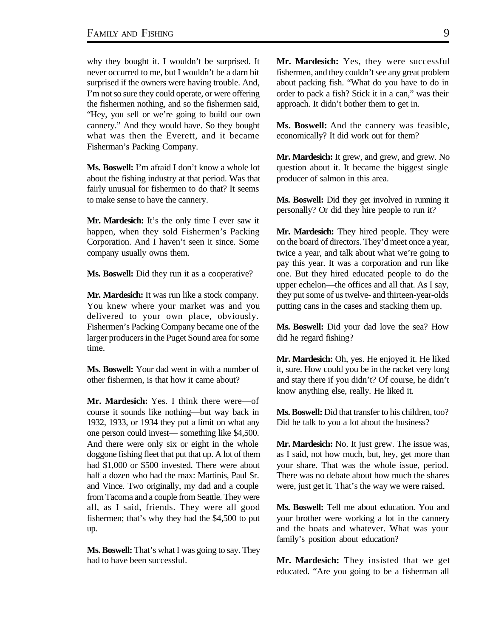why they bought it. I wouldn't be surprised. It never occurred to me, but I wouldn't be a darn bit surprised if the owners were having trouble. And, I'm not so sure they could operate, or were offering the fishermen nothing, and so the fishermen said, "Hey, you sell or we're going to build our own cannery." And they would have. So they bought what was then the Everett, and it became Fisherman's Packing Company.

**Ms. Boswell:** I'm afraid I don't know a whole lot about the fishing industry at that period. Was that fairly unusual for fishermen to do that? It seems to make sense to have the cannery.

Mr. Mardesich: It's the only time I ever saw it happen, when they sold Fishermen's Packing Corporation. And I haven't seen it since. Some company usually owns them.

**Ms. Boswell:** Did they run it as a cooperative?

**Mr. Mardesich:** It was run like a stock company. You knew where your market was and you delivered to your own place, obviously. Fishermen's Packing Company became one of the larger producers in the Puget Sound area for some time.

**Ms. Boswell:** Your dad went in with a number of other fishermen, is that how it came about?

**Mr. Mardesich:** Yes. I think there were—of course it sounds like nothing—but way back in 1932, 1933, or 1934 they put a limit on what any one person could invest— something like \$4,500. And there were only six or eight in the whole doggone fishing fleet that put that up. A lot of them had \$1,000 or \$500 invested. There were about half a dozen who had the max: Martinis, Paul Sr. and Vince. Two originally, my dad and a couple from Tacoma and a couple from Seattle. They were all, as I said, friends. They were all good fishermen; that's why they had the \$4,500 to put up.

**Ms. Boswell:** That's what I was going to say. They had to have been successful.

**Mr. Mardesich:** Yes, they were successful fishermen, and they couldn't see any great problem about packing fish. "What do you have to do in order to pack a fish? Stick it in a can," was their approach. It didn't bother them to get in.

**Ms. Boswell:** And the cannery was feasible, economically? It did work out for them?

**Mr. Mardesich:** It grew, and grew, and grew. No question about it. It became the biggest single producer of salmon in this area.

**Ms. Boswell:** Did they get involved in running it personally? Or did they hire people to run it?

**Mr. Mardesich:** They hired people. They were on the board of directors. They'd meet once a year, twice a year, and talk about what we're going to pay this year. It was a corporation and run like one. But they hired educated people to do the upper echelon—the offices and all that. As I say, they put some of us twelve- and thirteen-year-olds putting cans in the cases and stacking them up.

**Ms. Boswell:** Did your dad love the sea? How did he regard fishing?

**Mr. Mardesich:** Oh, yes. He enjoyed it. He liked it, sure. How could you be in the racket very long and stay there if you didn't? Of course, he didn't know anything else, really. He liked it.

**Ms. Boswell:** Did that transfer to his children, too? Did he talk to you a lot about the business?

**Mr. Mardesich:** No. It just grew. The issue was, as I said, not how much, but, hey, get more than your share. That was the whole issue, period. There was no debate about how much the shares were, just get it. That's the way we were raised.

**Ms. Boswell:** Tell me about education. You and your brother were working a lot in the cannery and the boats and whatever. What was your family's position about education?

**Mr. Mardesich:** They insisted that we get educated. "Are you going to be a fisherman all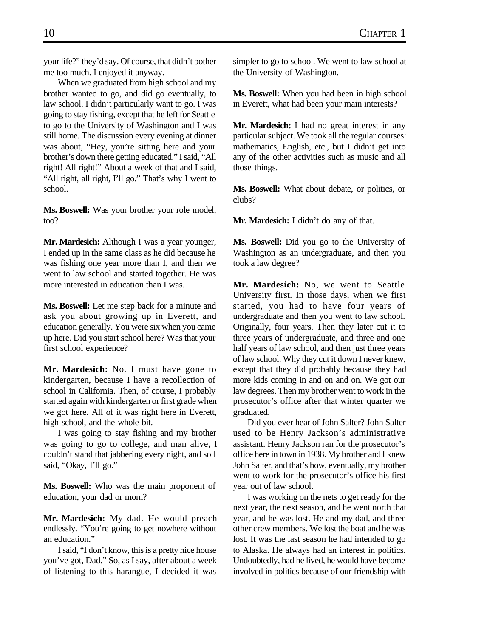your life?" they'd say. Of course, that didn't bother me too much. I enjoyed it anyway.

When we graduated from high school and my brother wanted to go, and did go eventually, to law school. I didn't particularly want to go. I was going to stay fishing, except that he left for Seattle to go to the University of Washington and I was still home. The discussion every evening at dinner was about, "Hey, you're sitting here and your brother's down there getting educated." I said, "All right! All right!" About a week of that and I said, "All right, all right, I'll go." That's why I went to school.

**Ms. Boswell:** Was your brother your role model, too?

**Mr. Mardesich:** Although I was a year younger, I ended up in the same class as he did because he was fishing one year more than I, and then we went to law school and started together. He was more interested in education than I was.

**Ms. Boswell:** Let me step back for a minute and ask you about growing up in Everett, and education generally. You were six when you came up here. Did you start school here? Was that your first school experience?

**Mr. Mardesich:** No. I must have gone to kindergarten, because I have a recollection of school in California. Then, of course, I probably started again with kindergarten or first grade when we got here. All of it was right here in Everett, high school, and the whole bit.

I was going to stay fishing and my brother was going to go to college, and man alive, I couldn't stand that jabbering every night, and so I said, "Okay, I'll go."

**Ms. Boswell:** Who was the main proponent of education, your dad or mom?

**Mr. Mardesich:** My dad. He would preach endlessly. "You're going to get nowhere without an education."

I said, "I don't know, this is a pretty nice house you've got, Dad." So, as I say, after about a week of listening to this harangue, I decided it was

simpler to go to school. We went to law school at the University of Washington.

**Ms. Boswell:** When you had been in high school in Everett, what had been your main interests?

**Mr. Mardesich:** I had no great interest in any particular subject. We took all the regular courses: mathematics, English, etc., but I didn't get into any of the other activities such as music and all those things.

**Ms. Boswell:** What about debate, or politics, or clubs?

Mr. Mardesich: I didn't do any of that.

**Ms. Boswell:** Did you go to the University of Washington as an undergraduate, and then you took a law degree?

**Mr. Mardesich:** No, we went to Seattle University first. In those days, when we first started, you had to have four years of undergraduate and then you went to law school. Originally, four years. Then they later cut it to three years of undergraduate, and three and one half years of law school, and then just three years of law school. Why they cut it down I never knew, except that they did probably because they had more kids coming in and on and on. We got our law degrees. Then my brother went to work in the prosecutor's office after that winter quarter we graduated.

Did you ever hear of John Salter? John Salter used to be Henry Jackson's administrative assistant. Henry Jackson ran for the prosecutor's office here in town in 1938. My brother and I knew John Salter, and that's how, eventually, my brother went to work for the prosecutor's office his first year out of law school.

I was working on the nets to get ready for the next year, the next season, and he went north that year, and he was lost. He and my dad, and three other crew members. We lost the boat and he was lost. It was the last season he had intended to go to Alaska. He always had an interest in politics. Undoubtedly, had he lived, he would have become involved in politics because of our friendship with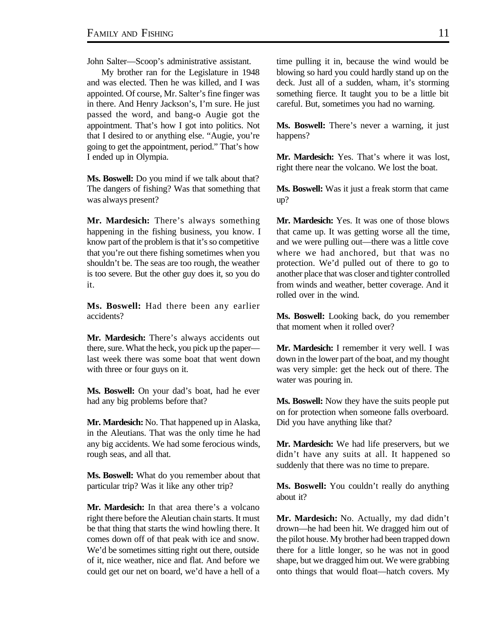John Salter—Scoop's administrative assistant.

My brother ran for the Legislature in 1948 and was elected. Then he was killed, and I was appointed. Of course, Mr. Salter's fine finger was in there. And Henry Jackson's, I'm sure. He just passed the word, and bang-o Augie got the appointment. That's how I got into politics. Not that I desired to or anything else. "Augie, you're going to get the appointment, period." That's how I ended up in Olympia.

**Ms. Boswell:** Do you mind if we talk about that? The dangers of fishing? Was that something that was always present?

**Mr. Mardesich:** There's always something happening in the fishing business, you know. I know part of the problem is that it's so competitive that you're out there fishing sometimes when you shouldn't be. The seas are too rough, the weather is too severe. But the other guy does it, so you do it.

**Ms. Boswell:** Had there been any earlier accidents?

**Mr. Mardesich:** There's always accidents out there, sure. What the heck, you pick up the paper last week there was some boat that went down with three or four guys on it.

**Ms. Boswell:** On your dad's boat, had he ever had any big problems before that?

**Mr. Mardesich:** No. That happened up in Alaska, in the Aleutians. That was the only time he had any big accidents. We had some ferocious winds, rough seas, and all that.

**Ms. Boswell:** What do you remember about that particular trip? Was it like any other trip?

**Mr. Mardesich:** In that area there's a volcano right there before the Aleutian chain starts. It must be that thing that starts the wind howling there. It comes down off of that peak with ice and snow. We'd be sometimes sitting right out there, outside of it, nice weather, nice and flat. And before we could get our net on board, we'd have a hell of a time pulling it in, because the wind would be blowing so hard you could hardly stand up on the deck. Just all of a sudden, wham, it's storming something fierce. It taught you to be a little bit careful. But, sometimes you had no warning.

**Ms. Boswell:** There's never a warning, it just happens?

**Mr. Mardesich:** Yes. That's where it was lost, right there near the volcano. We lost the boat.

**Ms. Boswell:** Was it just a freak storm that came up?

**Mr. Mardesich:** Yes. It was one of those blows that came up. It was getting worse all the time, and we were pulling out—there was a little cove where we had anchored, but that was no protection. We'd pulled out of there to go to another place that was closer and tighter controlled from winds and weather, better coverage. And it rolled over in the wind.

**Ms. Boswell:** Looking back, do you remember that moment when it rolled over?

**Mr. Mardesich:** I remember it very well. I was down in the lower part of the boat, and my thought was very simple: get the heck out of there. The water was pouring in.

**Ms. Boswell:** Now they have the suits people put on for protection when someone falls overboard. Did you have anything like that?

**Mr. Mardesich:** We had life preservers, but we didn't have any suits at all. It happened so suddenly that there was no time to prepare.

**Ms. Boswell:** You couldn't really do anything about it?

**Mr. Mardesich:** No. Actually, my dad didn't drown—he had been hit. We dragged him out of the pilot house. My brother had been trapped down there for a little longer, so he was not in good shape, but we dragged him out. We were grabbing onto things that would float—hatch covers. My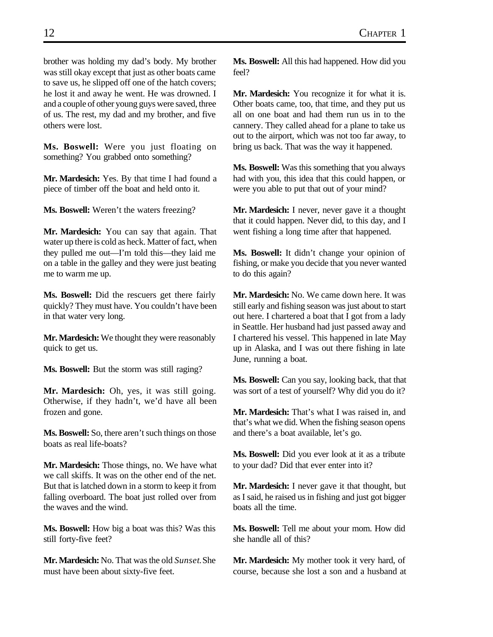brother was holding my dad's body. My brother was still okay except that just as other boats came to save us, he slipped off one of the hatch covers; he lost it and away he went. He was drowned. I and a couple of other young guys were saved, three of us. The rest, my dad and my brother, and five others were lost.

**Ms. Boswell:** Were you just floating on something? You grabbed onto something?

**Mr. Mardesich:** Yes. By that time I had found a piece of timber off the boat and held onto it.

**Ms. Boswell:** Weren't the waters freezing?

**Mr. Mardesich:** You can say that again. That water up there is cold as heck. Matter of fact, when they pulled me out—I'm told this—they laid me on a table in the galley and they were just beating me to warm me up.

**Ms. Boswell:** Did the rescuers get there fairly quickly? They must have. You couldn't have been in that water very long.

**Mr. Mardesich:** We thought they were reasonably quick to get us.

**Ms. Boswell:** But the storm was still raging?

**Mr. Mardesich:** Oh, yes, it was still going. Otherwise, if they hadn't, we'd have all been frozen and gone.

**Ms. Boswell:** So, there aren't such things on those boats as real life-boats?

**Mr. Mardesich:** Those things, no. We have what we call skiffs. It was on the other end of the net. But that is latched down in a storm to keep it from falling overboard. The boat just rolled over from the waves and the wind.

**Ms. Boswell:** How big a boat was this? Was this still forty-five feet?

**Mr. Mardesich:** No. That was the old *Sunset*. She must have been about sixty-five feet.

**Ms. Boswell:** All this had happened. How did you feel?

**Mr. Mardesich:** You recognize it for what it is. Other boats came, too, that time, and they put us all on one boat and had them run us in to the cannery. They called ahead for a plane to take us out to the airport, which was not too far away, to bring us back. That was the way it happened.

**Ms. Boswell:** Was this something that you always had with you, this idea that this could happen, or were you able to put that out of your mind?

**Mr. Mardesich:** I never, never gave it a thought that it could happen. Never did, to this day, and I went fishing a long time after that happened.

**Ms. Boswell:** It didn't change your opinion of fishing, or make you decide that you never wanted to do this again?

**Mr. Mardesich:** No. We came down here. It was still early and fishing season was just about to start out here. I chartered a boat that I got from a lady in Seattle. Her husband had just passed away and I chartered his vessel. This happened in late May up in Alaska, and I was out there fishing in late June, running a boat.

**Ms. Boswell:** Can you say, looking back, that that was sort of a test of yourself? Why did you do it?

**Mr. Mardesich:** That's what I was raised in, and that's what we did. When the fishing season opens and there's a boat available, let's go.

**Ms. Boswell:** Did you ever look at it as a tribute to your dad? Did that ever enter into it?

**Mr. Mardesich:** I never gave it that thought, but as I said, he raised us in fishing and just got bigger boats all the time.

**Ms. Boswell:** Tell me about your mom. How did she handle all of this?

**Mr. Mardesich:** My mother took it very hard, of course, because she lost a son and a husband at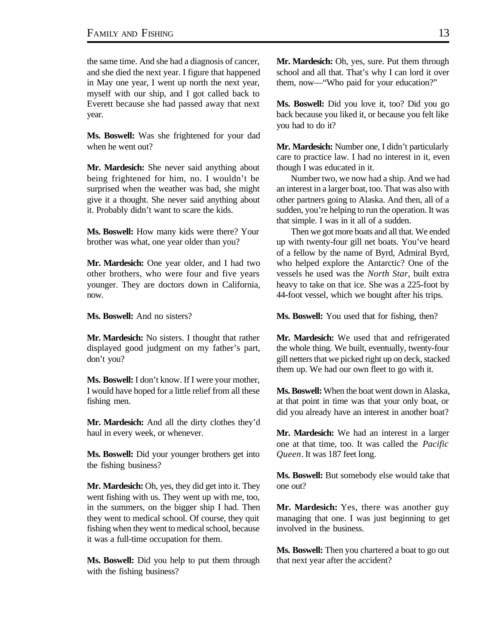the same time. And she had a diagnosis of cancer, and she died the next year. I figure that happened in May one year, I went up north the next year, myself with our ship, and I got called back to Everett because she had passed away that next year.

**Ms. Boswell:** Was she frightened for your dad when he went out?

**Mr. Mardesich:** She never said anything about being frightened for him, no. I wouldn't be surprised when the weather was bad, she might give it a thought. She never said anything about it. Probably didn't want to scare the kids.

**Ms. Boswell:** How many kids were there? Your brother was what, one year older than you?

**Mr. Mardesich:** One year older, and I had two other brothers, who were four and five years younger. They are doctors down in California, now.

**Ms. Boswell:** And no sisters?

**Mr. Mardesich:** No sisters. I thought that rather displayed good judgment on my father's part, don't you?

**Ms. Boswell:** I don't know. If I were your mother, I would have hoped for a little relief from all these fishing men.

**Mr. Mardesich:** And all the dirty clothes they'd haul in every week, or whenever.

**Ms. Boswell:** Did your younger brothers get into the fishing business?

**Mr. Mardesich:** Oh, yes, they did get into it. They went fishing with us. They went up with me, too, in the summers, on the bigger ship I had. Then they went to medical school. Of course, they quit fishing when they went to medical school, because it was a full-time occupation for them.

**Ms. Boswell:** Did you help to put them through with the fishing business?

**Mr. Mardesich:** Oh, yes, sure. Put them through school and all that. That's why I can lord it over them, now—"Who paid for your education?"

**Ms. Boswell:** Did you love it, too? Did you go back because you liked it, or because you felt like you had to do it?

**Mr. Mardesich:** Number one, I didn't particularly care to practice law. I had no interest in it, even though I was educated in it.

Number two, we now had a ship. And we had an interest in a larger boat, too. That was also with other partners going to Alaska. And then, all of a sudden, you're helping to run the operation. It was that simple. I was in it all of a sudden.

Then we got more boats and all that. We ended up with twenty-four gill net boats. You've heard of a fellow by the name of Byrd, Admiral Byrd, who helped explore the Antarctic? One of the vessels he used was the *North Star*, built extra heavy to take on that ice. She was a 225-foot by 44-foot vessel, which we bought after his trips.

**Ms. Boswell:** You used that for fishing, then?

**Mr. Mardesich:** We used that and refrigerated the whole thing. We built, eventually, twenty-four gill netters that we picked right up on deck, stacked them up. We had our own fleet to go with it.

**Ms. Boswell:** When the boat went down in Alaska, at that point in time was that your only boat, or did you already have an interest in another boat?

**Mr. Mardesich:** We had an interest in a larger one at that time, too. It was called the *Pacific Queen*. It was 187 feet long.

**Ms. Boswell:** But somebody else would take that one out?

**Mr. Mardesich:** Yes, there was another guy managing that one. I was just beginning to get involved in the business.

**Ms. Boswell:** Then you chartered a boat to go out that next year after the accident?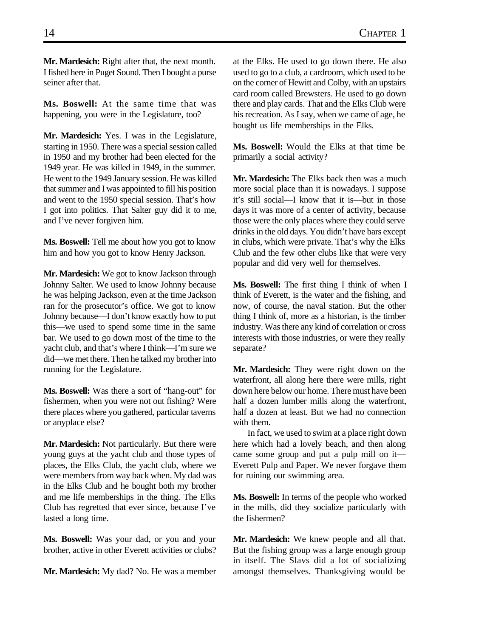**Mr. Mardesich:** Right after that, the next month. I fished here in Puget Sound. Then I bought a purse seiner after that.

**Ms. Boswell:** At the same time that was happening, you were in the Legislature, too?

**Mr. Mardesich:** Yes. I was in the Legislature, starting in 1950. There was a special session called in 1950 and my brother had been elected for the 1949 year. He was killed in 1949, in the summer. He went to the 1949 January session. He was killed that summer and I was appointed to fill his position and went to the 1950 special session. That's how I got into politics. That Salter guy did it to me, and I've never forgiven him.

**Ms. Boswell:** Tell me about how you got to know him and how you got to know Henry Jackson.

**Mr. Mardesich:** We got to know Jackson through Johnny Salter. We used to know Johnny because he was helping Jackson, even at the time Jackson ran for the prosecutor's office. We got to know Johnny because—I don't know exactly how to put this—we used to spend some time in the same bar. We used to go down most of the time to the yacht club, and that's where I think—I'm sure we did—we met there. Then he talked my brother into running for the Legislature.

**Ms. Boswell:** Was there a sort of "hang-out" for fishermen, when you were not out fishing? Were there places where you gathered, particular taverns or anyplace else?

**Mr. Mardesich:** Not particularly. But there were young guys at the yacht club and those types of places, the Elks Club, the yacht club, where we were members from way back when. My dad was in the Elks Club and he bought both my brother and me life memberships in the thing. The Elks Club has regretted that ever since, because I've lasted a long time.

**Ms. Boswell:** Was your dad, or you and your brother, active in other Everett activities or clubs?

**Mr. Mardesich:** My dad? No. He was a member

at the Elks. He used to go down there. He also used to go to a club, a cardroom, which used to be on the corner of Hewitt and Colby, with an upstairs card room called Brewsters. He used to go down there and play cards. That and the Elks Club were his recreation. As I say, when we came of age, he bought us life memberships in the Elks.

**Ms. Boswell:** Would the Elks at that time be primarily a social activity?

**Mr. Mardesich:** The Elks back then was a much more social place than it is nowadays. I suppose it's still social—I know that it is—but in those days it was more of a center of activity, because those were the only places where they could serve drinks in the old days. You didn't have bars except in clubs, which were private. That's why the Elks Club and the few other clubs like that were very popular and did very well for themselves.

**Ms. Boswell:** The first thing I think of when I think of Everett, is the water and the fishing, and now, of course, the naval station. But the other thing I think of, more as a historian, is the timber industry. Was there any kind of correlation or cross interests with those industries, or were they really separate?

**Mr. Mardesich:** They were right down on the waterfront, all along here there were mills, right down here below our home. There must have been half a dozen lumber mills along the waterfront, half a dozen at least. But we had no connection with them.

In fact, we used to swim at a place right down here which had a lovely beach, and then along came some group and put a pulp mill on it— Everett Pulp and Paper. We never forgave them for ruining our swimming area.

**Ms. Boswell:** In terms of the people who worked in the mills, did they socialize particularly with the fishermen?

**Mr. Mardesich:** We knew people and all that. But the fishing group was a large enough group in itself. The Slavs did a lot of socializing amongst themselves. Thanksgiving would be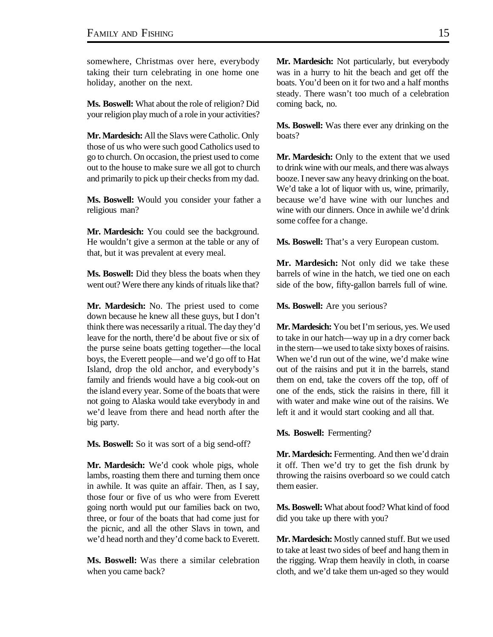somewhere, Christmas over here, everybody taking their turn celebrating in one home one holiday, another on the next.

**Ms. Boswell:** What about the role of religion? Did your religion play much of a role in your activities?

**Mr. Mardesich:** All the Slavs were Catholic. Only those of us who were such good Catholics used to go to church. On occasion, the priest used to come out to the house to make sure we all got to church and primarily to pick up their checks from my dad.

**Ms. Boswell:** Would you consider your father a religious man?

**Mr. Mardesich:** You could see the background. He wouldn't give a sermon at the table or any of that, but it was prevalent at every meal.

**Ms. Boswell:** Did they bless the boats when they went out? Were there any kinds of rituals like that?

**Mr. Mardesich:** No. The priest used to come down because he knew all these guys, but I don't think there was necessarily a ritual. The day they'd leave for the north, there'd be about five or six of the purse seine boats getting together—the local boys, the Everett people—and we'd go off to Hat Island, drop the old anchor, and everybody's family and friends would have a big cook-out on the island every year. Some of the boats that were not going to Alaska would take everybody in and we'd leave from there and head north after the big party.

**Ms. Boswell:** So it was sort of a big send-off?

**Mr. Mardesich:** We'd cook whole pigs, whole lambs, roasting them there and turning them once in awhile. It was quite an affair. Then, as I say, those four or five of us who were from Everett going north would put our families back on two, three, or four of the boats that had come just for the picnic, and all the other Slavs in town, and we'd head north and they'd come back to Everett.

**Ms. Boswell:** Was there a similar celebration when you came back?

**Mr. Mardesich:** Not particularly, but everybody was in a hurry to hit the beach and get off the boats. You'd been on it for two and a half months steady. There wasn't too much of a celebration coming back, no.

**Ms. Boswell:** Was there ever any drinking on the boats?

**Mr. Mardesich:** Only to the extent that we used to drink wine with our meals, and there was always booze. I never saw any heavy drinking on the boat. We'd take a lot of liquor with us, wine, primarily, because we'd have wine with our lunches and wine with our dinners. Once in awhile we'd drink some coffee for a change.

**Ms. Boswell:** That's a very European custom.

**Mr. Mardesich:** Not only did we take these barrels of wine in the hatch, we tied one on each side of the bow, fifty-gallon barrels full of wine.

**Ms. Boswell:** Are you serious?

**Mr. Mardesich:** You bet I'm serious, yes. We used to take in our hatch—way up in a dry corner back in the stern—we used to take sixty boxes of raisins. When we'd run out of the wine, we'd make wine out of the raisins and put it in the barrels, stand them on end, take the covers off the top, off of one of the ends, stick the raisins in there, fill it with water and make wine out of the raisins. We left it and it would start cooking and all that.

**Ms. Boswell:** Fermenting?

**Mr. Mardesich:** Fermenting. And then we'd drain it off. Then we'd try to get the fish drunk by throwing the raisins overboard so we could catch them easier.

**Ms. Boswell:** What about food? What kind of food did you take up there with you?

**Mr. Mardesich:** Mostly canned stuff. But we used to take at least two sides of beef and hang them in the rigging. Wrap them heavily in cloth, in coarse cloth, and we'd take them un-aged so they would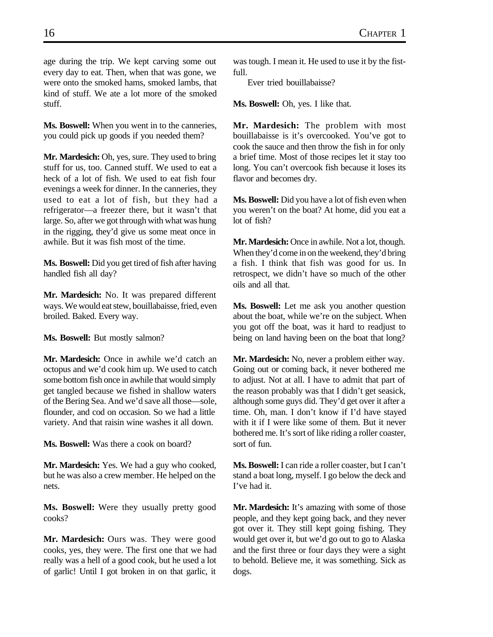age during the trip. We kept carving some out every day to eat. Then, when that was gone, we were onto the smoked hams, smoked lambs, that kind of stuff. We ate a lot more of the smoked stuff.

**Ms. Boswell:** When you went in to the canneries, you could pick up goods if you needed them?

**Mr. Mardesich:** Oh, yes, sure. They used to bring stuff for us, too. Canned stuff. We used to eat a heck of a lot of fish. We used to eat fish four evenings a week for dinner. In the canneries, they used to eat a lot of fish, but they had a refrigerator—a freezer there, but it wasn't that large. So, after we got through with what was hung in the rigging, they'd give us some meat once in awhile. But it was fish most of the time.

**Ms. Boswell:** Did you get tired of fish after having handled fish all day?

**Mr. Mardesich:** No. It was prepared different ways. We would eat stew, bouillabaisse, fried, even broiled. Baked. Every way.

**Ms. Boswell:** But mostly salmon?

**Mr. Mardesich:** Once in awhile we'd catch an octopus and we'd cook him up. We used to catch some bottom fish once in awhile that would simply get tangled because we fished in shallow waters of the Bering Sea. And we'd save all those—sole, flounder, and cod on occasion. So we had a little variety. And that raisin wine washes it all down.

**Ms. Boswell:** Was there a cook on board?

**Mr. Mardesich:** Yes. We had a guy who cooked, but he was also a crew member. He helped on the nets.

**Ms. Boswell:** Were they usually pretty good cooks?

**Mr. Mardesich:** Ours was. They were good cooks, yes, they were. The first one that we had really was a hell of a good cook, but he used a lot of garlic! Until I got broken in on that garlic, it

was tough. I mean it. He used to use it by the fistfull.

Ever tried bouillabaisse?

**Ms. Boswell:** Oh, yes. I like that.

**Mr. Mardesich:** The problem with most bouillabaisse is it's overcooked. You've got to cook the sauce and then throw the fish in for only a brief time. Most of those recipes let it stay too long. You can't overcook fish because it loses its flavor and becomes dry.

**Ms. Boswell:** Did you have a lot of fish even when you weren't on the boat? At home, did you eat a lot of fish?

**Mr. Mardesich:** Once in awhile. Not a lot, though. When they'd come in on the weekend, they'd bring a fish. I think that fish was good for us. In retrospect, we didn't have so much of the other oils and all that.

**Ms. Boswell:** Let me ask you another question about the boat, while we're on the subject. When you got off the boat, was it hard to readjust to being on land having been on the boat that long?

**Mr. Mardesich:** No, never a problem either way. Going out or coming back, it never bothered me to adjust. Not at all. I have to admit that part of the reason probably was that I didn't get seasick, although some guys did. They'd get over it after a time. Oh, man. I don't know if I'd have stayed with it if I were like some of them. But it never bothered me. It's sort of like riding a roller coaster, sort of fun.

**Ms. Boswell:** I can ride a roller coaster, but I can't stand a boat long, myself. I go below the deck and I've had it.

**Mr. Mardesich:** It's amazing with some of those people, and they kept going back, and they never got over it. They still kept going fishing. They would get over it, but we'd go out to go to Alaska and the first three or four days they were a sight to behold. Believe me, it was something. Sick as dogs.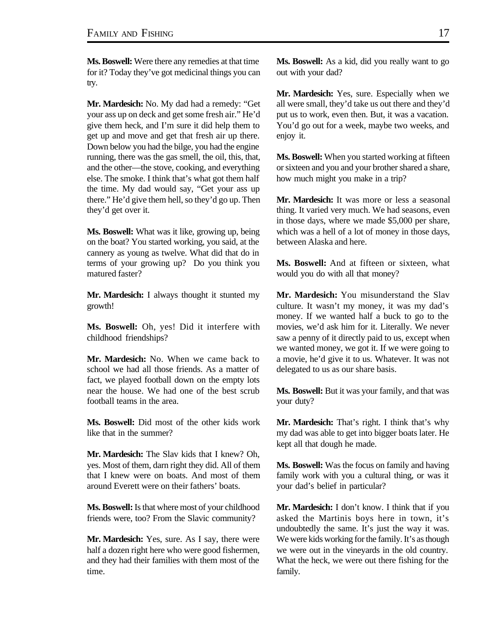**Ms. Boswell:** Were there any remedies at that time for it? Today they've got medicinal things you can try.

**Mr. Mardesich:** No. My dad had a remedy: "Get your ass up on deck and get some fresh air." He'd give them heck, and I'm sure it did help them to get up and move and get that fresh air up there. Down below you had the bilge, you had the engine running, there was the gas smell, the oil, this, that, and the other—the stove, cooking, and everything else. The smoke. I think that's what got them half the time. My dad would say, "Get your ass up there." He'd give them hell, so they'd go up. Then they'd get over it.

**Ms. Boswell:** What was it like, growing up, being on the boat? You started working, you said, at the cannery as young as twelve. What did that do in terms of your growing up? Do you think you matured faster?

**Mr. Mardesich:** I always thought it stunted my growth!

**Ms. Boswell:** Oh, yes! Did it interfere with childhood friendships?

**Mr. Mardesich:** No. When we came back to school we had all those friends. As a matter of fact, we played football down on the empty lots near the house. We had one of the best scrub football teams in the area.

**Ms. Boswell:** Did most of the other kids work like that in the summer?

**Mr. Mardesich:** The Slav kids that I knew? Oh, yes. Most of them, darn right they did. All of them that I knew were on boats. And most of them around Everett were on their fathers' boats.

**Ms. Boswell:** Is that where most of your childhood friends were, too? From the Slavic community?

**Mr. Mardesich:** Yes, sure. As I say, there were half a dozen right here who were good fishermen, and they had their families with them most of the time.

**Ms. Boswell:** As a kid, did you really want to go out with your dad?

**Mr. Mardesich:** Yes, sure. Especially when we all were small, they'd take us out there and they'd put us to work, even then. But, it was a vacation. You'd go out for a week, maybe two weeks, and enjoy it.

**Ms. Boswell:** When you started working at fifteen or sixteen and you and your brother shared a share, how much might you make in a trip?

**Mr. Mardesich:** It was more or less a seasonal thing. It varied very much. We had seasons, even in those days, where we made \$5,000 per share, which was a hell of a lot of money in those days, between Alaska and here.

**Ms. Boswell:** And at fifteen or sixteen, what would you do with all that money?

**Mr. Mardesich:** You misunderstand the Slav culture. It wasn't my money, it was my dad's money. If we wanted half a buck to go to the movies, we'd ask him for it. Literally. We never saw a penny of it directly paid to us, except when we wanted money, we got it. If we were going to a movie, he'd give it to us. Whatever. It was not delegated to us as our share basis.

**Ms. Boswell:** But it was your family, and that was your duty?

**Mr. Mardesich:** That's right. I think that's why my dad was able to get into bigger boats later. He kept all that dough he made.

**Ms. Boswell:** Was the focus on family and having family work with you a cultural thing, or was it your dad's belief in particular?

**Mr. Mardesich:** I don't know. I think that if you asked the Martinis boys here in town, it's undoubtedly the same. It's just the way it was. We were kids working for the family. It's as though we were out in the vineyards in the old country. What the heck, we were out there fishing for the family.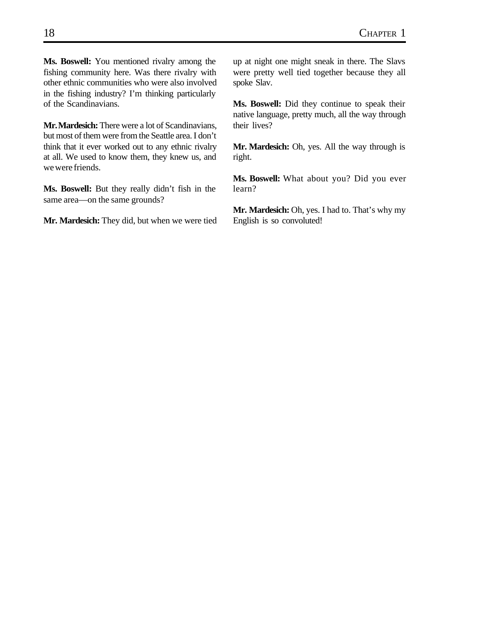**Ms. Boswell:** You mentioned rivalry among the fishing community here. Was there rivalry with other ethnic communities who were also involved in the fishing industry? I'm thinking particularly of the Scandinavians.

**Mr. Mardesich:** There were a lot of Scandinavians, but most of them were from the Seattle area. I don't think that it ever worked out to any ethnic rivalry at all. We used to know them, they knew us, and we were friends.

**Ms. Boswell:** But they really didn't fish in the same area—on the same grounds?

**Mr. Mardesich:** They did, but when we were tied

up at night one might sneak in there. The Slavs were pretty well tied together because they all spoke Slav.

**Ms. Boswell:** Did they continue to speak their native language, pretty much, all the way through their lives?

**Mr. Mardesich:** Oh, yes. All the way through is right.

**Ms. Boswell:** What about you? Did you ever learn?

**Mr. Mardesich:** Oh, yes. I had to. That's why my English is so convoluted!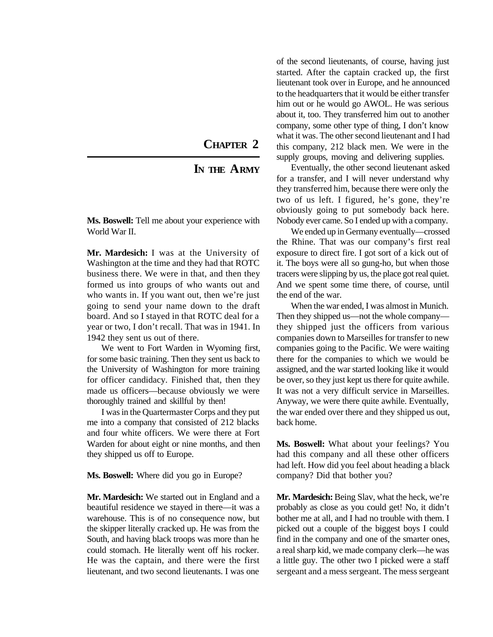#### **CHAPTER 2**

#### **IN THE ARMY**

<span id="page-32-0"></span>**Ms. Boswell:** Tell me about your experience with World War II.

**Mr. Mardesich:** I was at the University of Washington at the time and they had that ROTC business there. We were in that, and then they formed us into groups of who wants out and who wants in. If you want out, then we're just going to send your name down to the draft board. And so I stayed in that ROTC deal for a year or two, I don't recall. That was in 1941. In 1942 they sent us out of there.

We went to Fort Warden in Wyoming first, for some basic training. Then they sent us back to the University of Washington for more training for officer candidacy. Finished that, then they made us officers—because obviously we were thoroughly trained and skillful by then!

I was in the Quartermaster Corps and they put me into a company that consisted of 212 blacks and four white officers. We were there at Fort Warden for about eight or nine months, and then they shipped us off to Europe.

**Ms. Boswell:** Where did you go in Europe?

**Mr. Mardesich:** We started out in England and a beautiful residence we stayed in there—it was a warehouse. This is of no consequence now, but the skipper literally cracked up. He was from the South, and having black troops was more than he could stomach. He literally went off his rocker. He was the captain, and there were the first lieutenant, and two second lieutenants. I was one

of the second lieutenants, of course, having just started. After the captain cracked up, the first lieutenant took over in Europe, and he announced to the headquarters that it would be either transfer him out or he would go AWOL. He was serious about it, too. They transferred him out to another company, some other type of thing, I don't know what it was. The other second lieutenant and I had this company, 212 black men. We were in the supply groups, moving and delivering supplies.

Eventually, the other second lieutenant asked for a transfer, and I will never understand why they transferred him, because there were only the two of us left. I figured, he's gone, they're obviously going to put somebody back here. Nobody ever came. So I ended up with a company.

We ended up in Germany eventually—crossed the Rhine. That was our company's first real exposure to direct fire. I got sort of a kick out of it. The boys were all so gung-ho, but when those tracers were slipping by us, the place got real quiet. And we spent some time there, of course, until the end of the war.

When the war ended, I was almost in Munich. Then they shipped us—not the whole company they shipped just the officers from various companies down to Marseilles for transfer to new companies going to the Pacific. We were waiting there for the companies to which we would be assigned, and the war started looking like it would be over, so they just kept us there for quite awhile. It was not a very difficult service in Marseilles. Anyway, we were there quite awhile. Eventually, the war ended over there and they shipped us out, back home.

**Ms. Boswell:** What about your feelings? You had this company and all these other officers had left. How did you feel about heading a black company? Did that bother you?

**Mr. Mardesich:** Being Slav, what the heck, we're probably as close as you could get! No, it didn't bother me at all, and I had no trouble with them. I picked out a couple of the biggest boys I could find in the company and one of the smarter ones, a real sharp kid, we made company clerk—he was a little guy. The other two I picked were a staff sergeant and a mess sergeant. The mess sergeant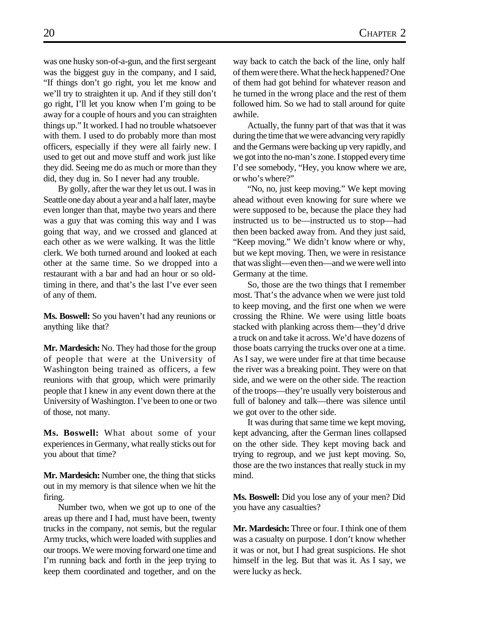was one husky son-of-a-gun, and the first sergeant was the biggest guy in the company, and I said, "If things don't go right, you let me know and we'll try to straighten it up. And if they still don't go right, I'll let you know when I'm going to be away for a couple of hours and you can straighten things up." It worked. I had no trouble whatsoever with them. I used to do probably more than most officers, especially if they were all fairly new. I used to get out and move stuff and work just like they did. Seeing me do as much or more than they did, they dug in. So I never had any trouble.

By golly, after the war they let us out. I was in Seattle one day about a year and a half later, maybe even longer than that, maybe two years and there was a guy that was coming this way and I was going that way, and we crossed and glanced at each other as we were walking. It was the little clerk. We both turned around and looked at each other at the same time. So we dropped into a restaurant with a bar and had an hour or so oldtiming in there, and that's the last I've ever seen of any of them.

**Ms. Boswell:** So you haven't had any reunions or anything like that?

**Mr. Mardesich:** No. They had those for the group of people that were at the University of Washington being trained as officers, a few reunions with that group, which were primarily people that I knew in any event down there at the University of Washington. I've been to one or two of those, not many.

**Ms. Boswell:** What about some of your experiences in Germany, what really sticks out for you about that time?

**Mr. Mardesich:** Number one, the thing that sticks out in my memory is that silence when we hit the firing.

Number two, when we got up to one of the areas up there and I had, must have been, twenty trucks in the company, not semis, but the regular Army trucks, which were loaded with supplies and our troops. We were moving forward one time and I'm running back and forth in the jeep trying to keep them coordinated and together, and on the way back to catch the back of the line, only half of them were there. What the heck happened? One of them had got behind for whatever reason and he turned in the wrong place and the rest of them followed him. So we had to stall around for quite awhile.

Actually, the funny part of that was that it was during the time that we were advancing very rapidly and the Germans were backing up very rapidly, and we got into the no-man's zone. I stopped every time I'd see somebody, "Hey, you know where we are, or who's where?"

"No, no, just keep moving." We kept moving ahead without even knowing for sure where we were supposed to be, because the place they had instructed us to be—instructed us to stop—had then been backed away from. And they just said, "Keep moving." We didn't know where or why, but we kept moving. Then, we were in resistance that was slight—even then—and we were well into Germany at the time.

So, those are the two things that I remember most. That's the advance when we were just told to keep moving, and the first one when we were crossing the Rhine. We were using little boats stacked with planking across them—they'd drive a truck on and take it across. We'd have dozens of those boats carrying the trucks over one at a time. As I say, we were under fire at that time because the river was a breaking point. They were on that side, and we were on the other side. The reaction of the troops—they're usually very boisterous and full of baloney and talk—there was silence until we got over to the other side.

It was during that same time we kept moving, kept advancing, after the German lines collapsed on the other side. They kept moving back and trying to regroup, and we just kept moving. So, those are the two instances that really stuck in my mind.

**Ms. Boswell:** Did you lose any of your men? Did you have any casualties?

**Mr. Mardesich:** Three or four. I think one of them was a casualty on purpose. I don't know whether it was or not, but I had great suspicions. He shot himself in the leg. But that was it. As I say, we were lucky as heck.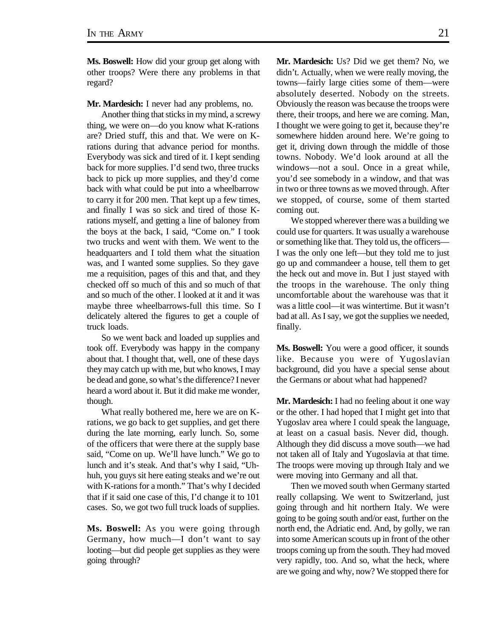**Ms. Boswell:** How did your group get along with other troops? Were there any problems in that regard?

**Mr. Mardesich:** I never had any problems, no.

Another thing that sticks in my mind, a screwy thing, we were on—do you know what K-rations are? Dried stuff, this and that. We were on Krations during that advance period for months. Everybody was sick and tired of it. I kept sending back for more supplies. I'd send two, three trucks back to pick up more supplies, and they'd come back with what could be put into a wheelbarrow to carry it for 200 men. That kept up a few times, and finally I was so sick and tired of those Krations myself, and getting a line of baloney from the boys at the back, I said, "Come on." I took two trucks and went with them. We went to the headquarters and I told them what the situation was, and I wanted some supplies. So they gave me a requisition, pages of this and that, and they checked off so much of this and so much of that and so much of the other. I looked at it and it was maybe three wheelbarrows-full this time. So I delicately altered the figures to get a couple of truck loads.

So we went back and loaded up supplies and took off. Everybody was happy in the company about that. I thought that, well, one of these days they may catch up with me, but who knows, I may be dead and gone, so what's the difference? I never heard a word about it. But it did make me wonder, though.

What really bothered me, here we are on Krations, we go back to get supplies, and get there during the late morning, early lunch. So, some of the officers that were there at the supply base said, "Come on up. We'll have lunch." We go to lunch and it's steak. And that's why I said, "Uhhuh, you guys sit here eating steaks and we're out with K-rations for a month." That's why I decided that if it said one case of this, I'd change it to 101 cases. So, we got two full truck loads of supplies.

**Ms. Boswell:** As you were going through Germany, how much—I don't want to say looting—but did people get supplies as they were going through?

**Mr. Mardesich:** Us? Did we get them? No, we didn't. Actually, when we were really moving, the towns—fairly large cities some of them—were absolutely deserted. Nobody on the streets. Obviously the reason was because the troops were there, their troops, and here we are coming. Man, I thought we were going to get it, because they're somewhere hidden around here. We're going to get it, driving down through the middle of those towns. Nobody. We'd look around at all the windows—not a soul. Once in a great while, you'd see somebody in a window, and that was in two or three towns as we moved through. After we stopped, of course, some of them started coming out.

We stopped wherever there was a building we could use for quarters. It was usually a warehouse or something like that. They told us, the officers— I was the only one left—but they told me to just go up and commandeer a house, tell them to get the heck out and move in. But I just stayed with the troops in the warehouse. The only thing uncomfortable about the warehouse was that it was a little cool—it was wintertime. But it wasn't bad at all. As I say, we got the supplies we needed, finally.

**Ms. Boswell:** You were a good officer, it sounds like. Because you were of Yugoslavian background, did you have a special sense about the Germans or about what had happened?

**Mr. Mardesich:** I had no feeling about it one way or the other. I had hoped that I might get into that Yugoslav area where I could speak the language, at least on a casual basis. Never did, though. Although they did discuss a move south—we had not taken all of Italy and Yugoslavia at that time. The troops were moving up through Italy and we were moving into Germany and all that.

Then we moved south when Germany started really collapsing. We went to Switzerland, just going through and hit northern Italy. We were going to be going south and/or east, further on the north end, the Adriatic end. And, by golly, we ran into some American scouts up in front of the other troops coming up from the south. They had moved very rapidly, too. And so, what the heck, where are we going and why, now? We stopped there for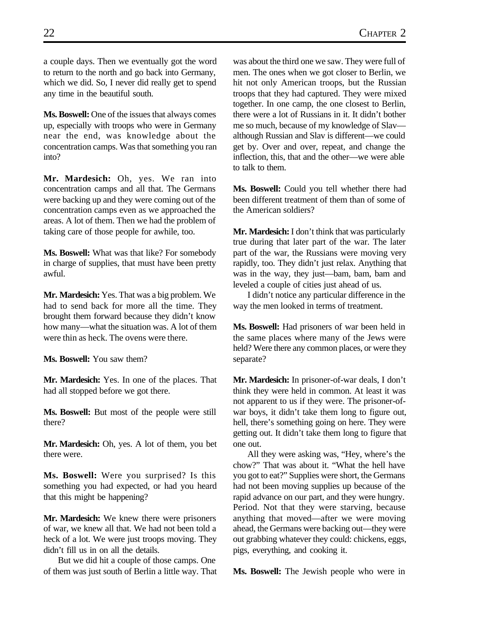a couple days. Then we eventually got the word to return to the north and go back into Germany, which we did. So, I never did really get to spend any time in the beautiful south.

**Ms. Boswell:** One of the issues that always comes up, especially with troops who were in Germany near the end, was knowledge about the concentration camps. Was that something you ran into?

**Mr. Mardesich:** Oh, yes. We ran into concentration camps and all that. The Germans were backing up and they were coming out of the concentration camps even as we approached the areas. A lot of them. Then we had the problem of taking care of those people for awhile, too.

**Ms. Boswell:** What was that like? For somebody in charge of supplies, that must have been pretty awful.

**Mr. Mardesich:** Yes. That was a big problem. We had to send back for more all the time. They brought them forward because they didn't know how many—what the situation was. A lot of them were thin as heck. The ovens were there.

**Ms. Boswell:** You saw them?

**Mr. Mardesich:** Yes. In one of the places. That had all stopped before we got there.

**Ms. Boswell:** But most of the people were still there?

**Mr. Mardesich:** Oh, yes. A lot of them, you bet there were.

**Ms. Boswell:** Were you surprised? Is this something you had expected, or had you heard that this might be happening?

**Mr. Mardesich:** We knew there were prisoners of war, we knew all that. We had not been told a heck of a lot. We were just troops moving. They didn't fill us in on all the details.

But we did hit a couple of those camps. One of them was just south of Berlin a little way. That was about the third one we saw. They were full of men. The ones when we got closer to Berlin, we hit not only American troops, but the Russian troops that they had captured. They were mixed together. In one camp, the one closest to Berlin, there were a lot of Russians in it. It didn't bother me so much, because of my knowledge of Slav although Russian and Slav is different—we could get by. Over and over, repeat, and change the inflection, this, that and the other—we were able to talk to them.

**Ms. Boswell:** Could you tell whether there had been different treatment of them than of some of the American soldiers?

**Mr. Mardesich:** I don't think that was particularly true during that later part of the war. The later part of the war, the Russians were moving very rapidly, too. They didn't just relax. Anything that was in the way, they just—bam, bam, bam and leveled a couple of cities just ahead of us.

I didn't notice any particular difference in the way the men looked in terms of treatment.

**Ms. Boswell:** Had prisoners of war been held in the same places where many of the Jews were held? Were there any common places, or were they separate?

**Mr. Mardesich:** In prisoner-of-war deals, I don't think they were held in common. At least it was not apparent to us if they were. The prisoner-ofwar boys, it didn't take them long to figure out, hell, there's something going on here. They were getting out. It didn't take them long to figure that one out.

All they were asking was, "Hey, where's the chow?" That was about it. "What the hell have you got to eat?" Supplies were short, the Germans had not been moving supplies up because of the rapid advance on our part, and they were hungry. Period. Not that they were starving, because anything that moved—after we were moving ahead, the Germans were backing out—they were out grabbing whatever they could: chickens, eggs, pigs, everything, and cooking it.

**Ms. Boswell:** The Jewish people who were in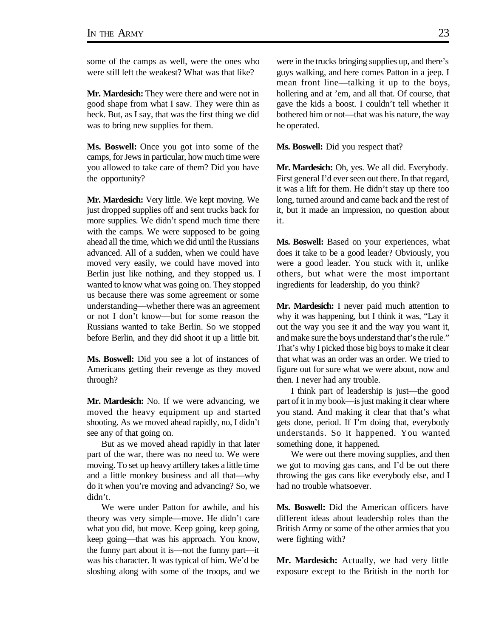some of the camps as well, were the ones who were still left the weakest? What was that like?

**Mr. Mardesich:** They were there and were not in good shape from what I saw. They were thin as heck. But, as I say, that was the first thing we did was to bring new supplies for them.

**Ms. Boswell:** Once you got into some of the camps, for Jews in particular, how much time were you allowed to take care of them? Did you have the opportunity?

**Mr. Mardesich:** Very little. We kept moving. We just dropped supplies off and sent trucks back for more supplies. We didn't spend much time there with the camps. We were supposed to be going ahead all the time, which we did until the Russians advanced. All of a sudden, when we could have moved very easily, we could have moved into Berlin just like nothing, and they stopped us. I wanted to know what was going on. They stopped us because there was some agreement or some understanding—whether there was an agreement or not I don't know—but for some reason the Russians wanted to take Berlin. So we stopped before Berlin, and they did shoot it up a little bit.

**Ms. Boswell:** Did you see a lot of instances of Americans getting their revenge as they moved through?

**Mr. Mardesich:** No. If we were advancing, we moved the heavy equipment up and started shooting. As we moved ahead rapidly, no, I didn't see any of that going on.

But as we moved ahead rapidly in that later part of the war, there was no need to. We were moving. To set up heavy artillery takes a little time and a little monkey business and all that—why do it when you're moving and advancing? So, we didn't.

We were under Patton for awhile, and his theory was very simple—move. He didn't care what you did, but move. Keep going, keep going, keep going—that was his approach. You know, the funny part about it is—not the funny part—it was his character. It was typical of him. We'd be sloshing along with some of the troops, and we were in the trucks bringing supplies up, and there's guys walking, and here comes Patton in a jeep. I mean front line—talking it up to the boys, hollering and at 'em, and all that. Of course, that gave the kids a boost. I couldn't tell whether it bothered him or not—that was his nature, the way he operated.

**Ms. Boswell:** Did you respect that?

**Mr. Mardesich:** Oh, yes. We all did. Everybody. First general I'd ever seen out there. In that regard, it was a lift for them. He didn't stay up there too long, turned around and came back and the rest of it, but it made an impression, no question about it.

**Ms. Boswell:** Based on your experiences, what does it take to be a good leader? Obviously, you were a good leader. You stuck with it, unlike others, but what were the most important ingredients for leadership, do you think?

**Mr. Mardesich:** I never paid much attention to why it was happening, but I think it was, "Lay it out the way you see it and the way you want it, and make sure the boys understand that's the rule." That's why I picked those big boys to make it clear that what was an order was an order. We tried to figure out for sure what we were about, now and then. I never had any trouble.

I think part of leadership is just—the good part of it in my book—is just making it clear where you stand. And making it clear that that's what gets done, period. If I'm doing that, everybody understands. So it happened. You wanted something done, it happened.

We were out there moving supplies, and then we got to moving gas cans, and I'd be out there throwing the gas cans like everybody else, and I had no trouble whatsoever.

**Ms. Boswell:** Did the American officers have different ideas about leadership roles than the British Army or some of the other armies that you were fighting with?

**Mr. Mardesich:** Actually, we had very little exposure except to the British in the north for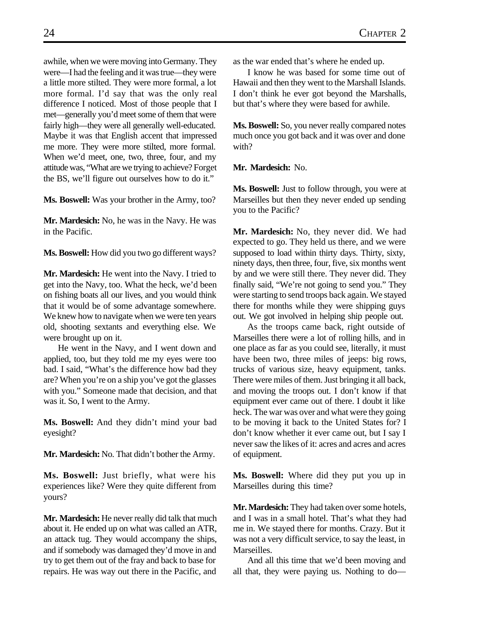awhile, when we were moving into Germany. They were—I had the feeling and it was true—they were a little more stilted. They were more formal, a lot more formal. I'd say that was the only real difference I noticed. Most of those people that I met—generally you'd meet some of them that were fairly high—they were all generally well-educated. Maybe it was that English accent that impressed me more. They were more stilted, more formal. When we'd meet, one, two, three, four, and my attitude was, "What are we trying to achieve? Forget the BS, we'll figure out ourselves how to do it."

**Ms. Boswell:** Was your brother in the Army, too?

**Mr. Mardesich:** No, he was in the Navy. He was in the Pacific.

**Ms. Boswell:** How did you two go different ways?

**Mr. Mardesich:** He went into the Navy. I tried to get into the Navy, too. What the heck, we'd been on fishing boats all our lives, and you would think that it would be of some advantage somewhere. We knew how to navigate when we were ten years old, shooting sextants and everything else. We were brought up on it.

He went in the Navy, and I went down and applied, too, but they told me my eyes were too bad. I said, "What's the difference how bad they are? When you're on a ship you've got the glasses with you." Someone made that decision, and that was it. So, I went to the Army.

**Ms. Boswell:** And they didn't mind your bad eyesight?

**Mr. Mardesich:** No. That didn't bother the Army.

**Ms. Boswell:** Just briefly, what were his experiences like? Were they quite different from yours?

**Mr. Mardesich:** He never really did talk that much about it. He ended up on what was called an ATR, an attack tug. They would accompany the ships, and if somebody was damaged they'd move in and try to get them out of the fray and back to base for repairs. He was way out there in the Pacific, and

as the war ended that's where he ended up.

I know he was based for some time out of Hawaii and then they went to the Marshall Islands. I don't think he ever got beyond the Marshalls, but that's where they were based for awhile.

**Ms. Boswell:** So, you never really compared notes much once you got back and it was over and done with?

**Mr. Mardesich:** No.

**Ms. Boswell:** Just to follow through, you were at Marseilles but then they never ended up sending you to the Pacific?

**Mr. Mardesich:** No, they never did. We had expected to go. They held us there, and we were supposed to load within thirty days. Thirty, sixty, ninety days, then three, four, five, six months went by and we were still there. They never did. They finally said, "We're not going to send you." They were starting to send troops back again. We stayed there for months while they were shipping guys out. We got involved in helping ship people out.

As the troops came back, right outside of Marseilles there were a lot of rolling hills, and in one place as far as you could see, literally, it must have been two, three miles of jeeps: big rows, trucks of various size, heavy equipment, tanks. There were miles of them. Just bringing it all back, and moving the troops out. I don't know if that equipment ever came out of there. I doubt it like heck. The war was over and what were they going to be moving it back to the United States for? I don't know whether it ever came out, but I say I never saw the likes of it: acres and acres and acres of equipment.

**Ms. Boswell:** Where did they put you up in Marseilles during this time?

**Mr. Mardesich:** They had taken over some hotels, and I was in a small hotel. That's what they had me in. We stayed there for months. Crazy. But it was not a very difficult service, to say the least, in Marseilles.

And all this time that we'd been moving and all that, they were paying us. Nothing to do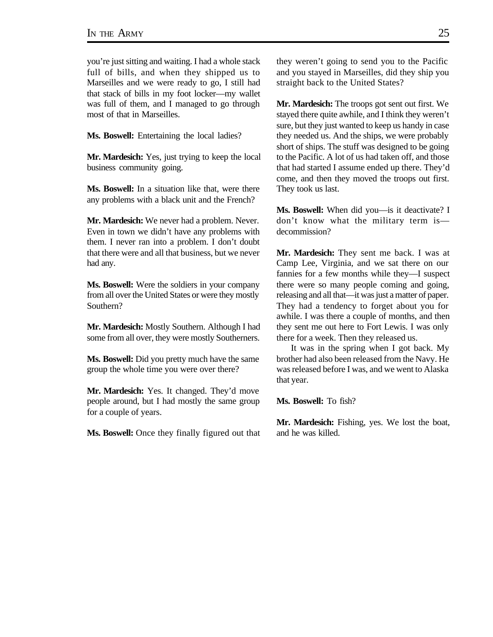you're just sitting and waiting. I had a whole stack full of bills, and when they shipped us to Marseilles and we were ready to go, I still had that stack of bills in my foot locker—my wallet was full of them, and I managed to go through most of that in Marseilles.

**Ms. Boswell:** Entertaining the local ladies?

**Mr. Mardesich:** Yes, just trying to keep the local business community going.

**Ms. Boswell:** In a situation like that, were there any problems with a black unit and the French?

**Mr. Mardesich:** We never had a problem. Never. Even in town we didn't have any problems with them. I never ran into a problem. I don't doubt that there were and all that business, but we never had any.

**Ms. Boswell:** Were the soldiers in your company from all over the United States or were they mostly Southern?

**Mr. Mardesich:** Mostly Southern. Although I had some from all over, they were mostly Southerners.

**Ms. Boswell:** Did you pretty much have the same group the whole time you were over there?

**Mr. Mardesich:** Yes. It changed. They'd move people around, but I had mostly the same group for a couple of years.

**Ms. Boswell:** Once they finally figured out that

they weren't going to send you to the Pacific and you stayed in Marseilles, did they ship you straight back to the United States?

**Mr. Mardesich:** The troops got sent out first. We stayed there quite awhile, and I think they weren't sure, but they just wanted to keep us handy in case they needed us. And the ships, we were probably short of ships. The stuff was designed to be going to the Pacific. A lot of us had taken off, and those that had started I assume ended up there. They'd come, and then they moved the troops out first. They took us last.

**Ms. Boswell:** When did you—is it deactivate? I don't know what the military term is decommission?

**Mr. Mardesich:** They sent me back. I was at Camp Lee, Virginia, and we sat there on our fannies for a few months while they—I suspect there were so many people coming and going, releasing and all that—it was just a matter of paper. They had a tendency to forget about you for awhile. I was there a couple of months, and then they sent me out here to Fort Lewis. I was only there for a week. Then they released us.

It was in the spring when I got back. My brother had also been released from the Navy. He was released before I was, and we went to Alaska that year.

**Ms. Boswell:** To fish?

**Mr. Mardesich:** Fishing, yes. We lost the boat, and he was killed.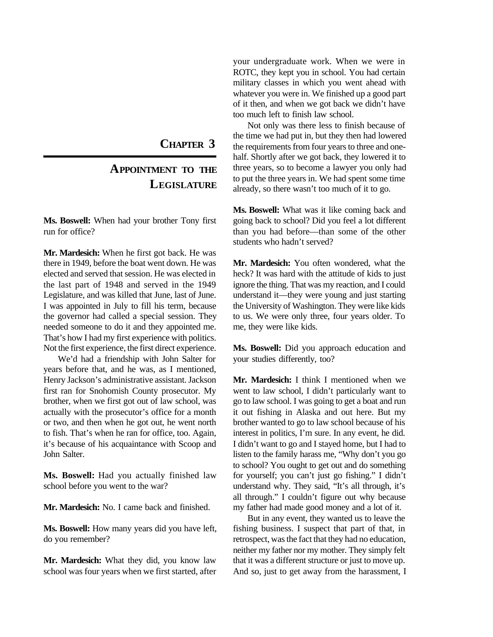**CHAPTER 3**

## **APPOINTMENT TO THE LEGISLATURE**

**Ms. Boswell:** When had your brother Tony first run for office?

**Mr. Mardesich:** When he first got back. He was there in 1949, before the boat went down. He was elected and served that session. He was elected in the last part of 1948 and served in the 1949 Legislature, and was killed that June, last of June. I was appointed in July to fill his term, because the governor had called a special session. They needed someone to do it and they appointed me. That's how I had my first experience with politics. Not the first experience, the first direct experience.

We'd had a friendship with John Salter for years before that, and he was, as I mentioned, Henry Jackson's administrative assistant. Jackson first ran for Snohomish County prosecutor. My brother, when we first got out of law school, was actually with the prosecutor's office for a month or two, and then when he got out, he went north to fish. That's when he ran for office, too. Again, it's because of his acquaintance with Scoop and John Salter.

**Ms. Boswell:** Had you actually finished law school before you went to the war?

**Mr. Mardesich:** No. I came back and finished.

**Ms. Boswell:** How many years did you have left, do you remember?

**Mr. Mardesich:** What they did, you know law school was four years when we first started, after your undergraduate work. When we were in ROTC, they kept you in school. You had certain military classes in which you went ahead with whatever you were in. We finished up a good part of it then, and when we got back we didn't have too much left to finish law school.

Not only was there less to finish because of the time we had put in, but they then had lowered the requirements from four years to three and onehalf. Shortly after we got back, they lowered it to three years, so to become a lawyer you only had to put the three years in. We had spent some time already, so there wasn't too much of it to go.

**Ms. Boswell:** What was it like coming back and going back to school? Did you feel a lot different than you had before—than some of the other students who hadn't served?

**Mr. Mardesich:** You often wondered, what the heck? It was hard with the attitude of kids to just ignore the thing. That was my reaction, and I could understand it—they were young and just starting the University of Washington. They were like kids to us. We were only three, four years older. To me, they were like kids.

**Ms. Boswell:** Did you approach education and your studies differently, too?

**Mr. Mardesich:** I think I mentioned when we went to law school, I didn't particularly want to go to law school. I was going to get a boat and run it out fishing in Alaska and out here. But my brother wanted to go to law school because of his interest in politics, I'm sure. In any event, he did. I didn't want to go and I stayed home, but I had to listen to the family harass me, "Why don't you go to school? You ought to get out and do something for yourself; you can't just go fishing." I didn't understand why. They said, "It's all through, it's all through." I couldn't figure out why because my father had made good money and a lot of it.

But in any event, they wanted us to leave the fishing business. I suspect that part of that, in retrospect, was the fact that they had no education, neither my father nor my mother. They simply felt that it was a different structure or just to move up. And so, just to get away from the harassment, I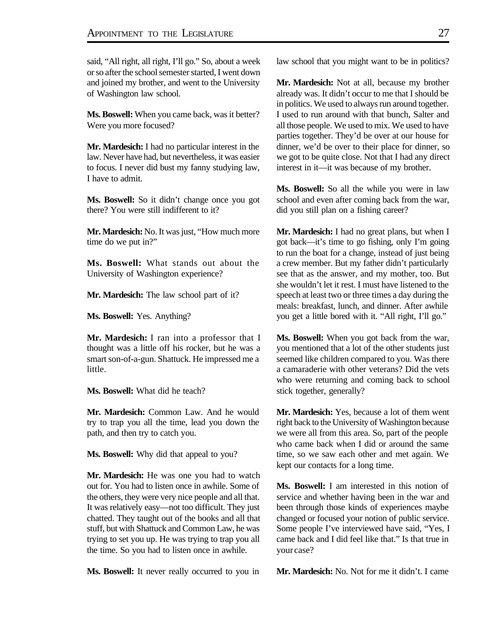said, "All right, all right, I'll go." So, about a week or so after the school semester started, I went down and joined my brother, and went to the University of Washington law school.

**Ms. Boswell:** When you came back, was it better? Were you more focused?

**Mr. Mardesich:** I had no particular interest in the law. Never have had, but nevertheless, it was easier to focus. I never did bust my fanny studying law, I have to admit.

**Ms. Boswell:** So it didn't change once you got there? You were still indifferent to it?

**Mr. Mardesich:** No. It was just, "How much more time do we put in?"

**Ms. Boswell:** What stands out about the University of Washington experience?

**Mr. Mardesich:** The law school part of it?

**Ms. Boswell:** Yes. Anything?

**Mr. Mardesich:** I ran into a professor that I thought was a little off his rocker, but he was a smart son-of-a-gun. Shattuck. He impressed me a little.

**Ms. Boswell:** What did he teach?

**Mr. Mardesich:** Common Law. And he would try to trap you all the time, lead you down the path, and then try to catch you.

**Ms. Boswell:** Why did that appeal to you?

**Mr. Mardesich:** He was one you had to watch out for. You had to listen once in awhile. Some of the others, they were very nice people and all that. It was relatively easy—not too difficult. They just chatted. They taught out of the books and all that stuff, but with Shattuck and Common Law, he was trying to set you up. He was trying to trap you all the time. So you had to listen once in awhile.

**Ms. Boswell:** It never really occurred to you in

law school that you might want to be in politics?

**Mr. Mardesich:** Not at all, because my brother already was. It didn't occur to me that I should be in politics. We used to always run around together. I used to run around with that bunch, Salter and all those people. We used to mix. We used to have parties together. They'd be over at our house for dinner, we'd be over to their place for dinner, so we got to be quite close. Not that I had any direct interest in it—it was because of my brother.

**Ms. Boswell:** So all the while you were in law school and even after coming back from the war, did you still plan on a fishing career?

**Mr. Mardesich:** I had no great plans, but when I got back—it's time to go fishing, only I'm going to run the boat for a change, instead of just being a crew member. But my father didn't particularly see that as the answer, and my mother, too. But she wouldn't let it rest. I must have listened to the speech at least two or three times a day during the meals: breakfast, lunch, and dinner. After awhile you get a little bored with it. "All right, I'll go."

**Ms. Boswell:** When you got back from the war, you mentioned that a lot of the other students just seemed like children compared to you. Was there a camaraderie with other veterans? Did the vets who were returning and coming back to school stick together, generally?

**Mr. Mardesich:** Yes, because a lot of them went right back to the University of Washington because we were all from this area. So, part of the people who came back when I did or around the same time, so we saw each other and met again. We kept our contacts for a long time.

**Ms. Boswell:** I am interested in this notion of service and whether having been in the war and been through those kinds of experiences maybe changed or focused your notion of public service. Some people I've interviewed have said, "Yes, I came back and I did feel like that." Is that true in your case?

**Mr. Mardesich:** No. Not for me it didn't. I came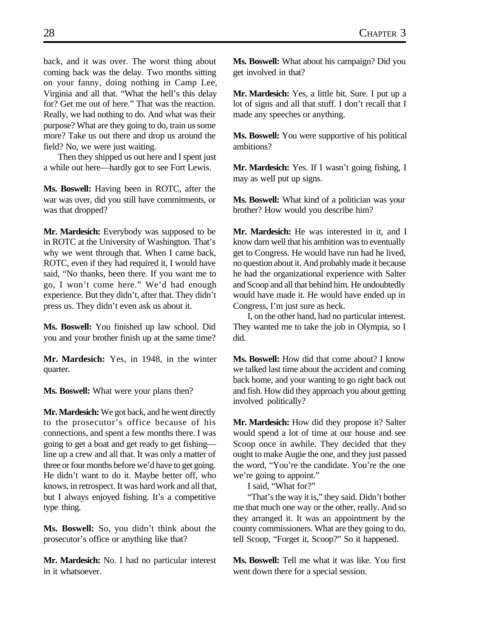back, and it was over. The worst thing about coming back was the delay. Two months sitting on your fanny, doing nothing in Camp Lee, Virginia and all that. "What the hell's this delay for? Get me out of here." That was the reaction. Really, we had nothing to do. And what was their purpose? What are they going to do, train us some more? Take us out there and drop us around the field? No, we were just waiting.

Then they shipped us out here and I spent just a while out here—hardly got to see Fort Lewis.

**Ms. Boswell:** Having been in ROTC, after the war was over, did you still have commitments, or was that dropped?

**Mr. Mardesich:** Everybody was supposed to be in ROTC at the University of Washington. That's why we went through that. When I came back, ROTC, even if they had required it, I would have said, "No thanks, been there. If you want me to go, I won't come here." We'd had enough experience. But they didn't, after that. They didn't press us. They didn't even ask us about it.

**Ms. Boswell:** You finished up law school. Did you and your brother finish up at the same time?

**Mr. Mardesich:** Yes, in 1948, in the winter quarter.

**Ms. Boswell:** What were your plans then?

**Mr. Mardesich:** We got back, and he went directly to the prosecutor's office because of his connections, and spent a few months there. I was going to get a boat and get ready to get fishing line up a crew and all that. It was only a matter of three or four months before we'd have to get going. He didn't want to do it. Maybe better off, who knows, in retrospect. It was hard work and all that, but I always enjoyed fishing. It's a competitive type thing.

**Ms. Boswell:** So, you didn't think about the prosecutor's office or anything like that?

**Mr. Mardesich:** No. I had no particular interest in it whatsoever.

**Ms. Boswell:** What about his campaign? Did you get involved in that?

**Mr. Mardesich:** Yes, a little bit. Sure. I put up a lot of signs and all that stuff. I don't recall that I made any speeches or anything.

**Ms. Boswell:** You were supportive of his political ambitions?

**Mr. Mardesich:** Yes. If I wasn't going fishing, I may as well put up signs.

**Ms. Boswell:** What kind of a politician was your brother? How would you describe him?

**Mr. Mardesich:** He was interested in it, and I know darn well that his ambition was to eventually get to Congress. He would have run had he lived, no question about it. And probably made it because he had the organizational experience with Salter and Scoop and all that behind him. He undoubtedly would have made it. He would have ended up in Congress, I'm just sure as heck.

I, on the other hand, had no particular interest. They wanted me to take the job in Olympia, so I did.

**Ms. Boswell:** How did that come about? I know we talked last time about the accident and coming back home, and your wanting to go right back out and fish. How did they approach you about getting involved politically?

**Mr. Mardesich:** How did they propose it? Salter would spend a lot of time at our house and see Scoop once in awhile. They decided that they ought to make Augie the one, and they just passed the word, "You're the candidate. You're the one we're going to appoint."

I said, "What for?"

"That's the way it is," they said. Didn't bother me that much one way or the other, really. And so they arranged it. It was an appointment by the county commissioners. What are they going to do, tell Scoop, "Forget it, Scoop?" So it happened.

**Ms. Boswell:** Tell me what it was like. You first went down there for a special session.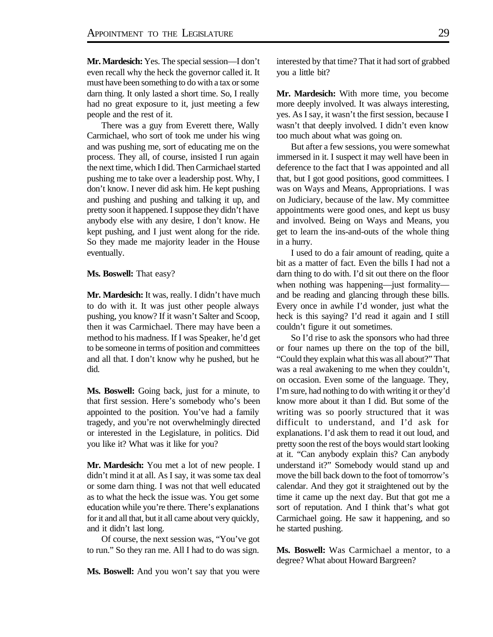**Mr. Mardesich:** Yes. The special session—I don't even recall why the heck the governor called it. It must have been something to do with a tax or some darn thing. It only lasted a short time. So, I really had no great exposure to it, just meeting a few people and the rest of it.

There was a guy from Everett there, Wally Carmichael, who sort of took me under his wing and was pushing me, sort of educating me on the process. They all, of course, insisted I run again the next time, which I did. Then Carmichael started pushing me to take over a leadership post. Why, I don't know. I never did ask him. He kept pushing and pushing and pushing and talking it up, and pretty soon it happened. I suppose they didn't have anybody else with any desire, I don't know. He kept pushing, and I just went along for the ride. So they made me majority leader in the House eventually.

#### **Ms. Boswell:** That easy?

**Mr. Mardesich:** It was, really. I didn't have much to do with it. It was just other people always pushing, you know? If it wasn't Salter and Scoop, then it was Carmichael. There may have been a method to his madness. If I was Speaker, he'd get to be someone in terms of position and committees and all that. I don't know why he pushed, but he did.

**Ms. Boswell:** Going back, just for a minute, to that first session. Here's somebody who's been appointed to the position. You've had a family tragedy, and you're not overwhelmingly directed or interested in the Legislature, in politics. Did you like it? What was it like for you?

**Mr. Mardesich:** You met a lot of new people. I didn't mind it at all. As I say, it was some tax deal or some darn thing. I was not that well educated as to what the heck the issue was. You get some education while you're there. There's explanations for it and all that, but it all came about very quickly, and it didn't last long.

Of course, the next session was, "You've got to run." So they ran me. All I had to do was sign.

**Ms. Boswell:** And you won't say that you were

interested by that time? That it had sort of grabbed you a little bit?

**Mr. Mardesich:** With more time, you become more deeply involved. It was always interesting, yes. As I say, it wasn't the first session, because I wasn't that deeply involved. I didn't even know too much about what was going on.

But after a few sessions, you were somewhat immersed in it. I suspect it may well have been in deference to the fact that I was appointed and all that, but I got good positions, good committees. I was on Ways and Means, Appropriations. I was on Judiciary, because of the law. My committee appointments were good ones, and kept us busy and involved. Being on Ways and Means, you get to learn the ins-and-outs of the whole thing in a hurry.

I used to do a fair amount of reading, quite a bit as a matter of fact. Even the bills I had not a darn thing to do with. I'd sit out there on the floor when nothing was happening—just formality and be reading and glancing through these bills. Every once in awhile I'd wonder, just what the heck is this saying? I'd read it again and I still couldn't figure it out sometimes.

So I'd rise to ask the sponsors who had three or four names up there on the top of the bill, "Could they explain what this was all about?" That was a real awakening to me when they couldn't, on occasion. Even some of the language. They, I'm sure, had nothing to do with writing it or they'd know more about it than I did. But some of the writing was so poorly structured that it was difficult to understand, and I'd ask for explanations. I'd ask them to read it out loud, and pretty soon the rest of the boys would start looking at it. "Can anybody explain this? Can anybody understand it?" Somebody would stand up and move the bill back down to the foot of tomorrow's calendar. And they got it straightened out by the time it came up the next day. But that got me a sort of reputation. And I think that's what got Carmichael going. He saw it happening, and so he started pushing.

**Ms. Boswell:** Was Carmichael a mentor, to a degree? What about Howard Bargreen?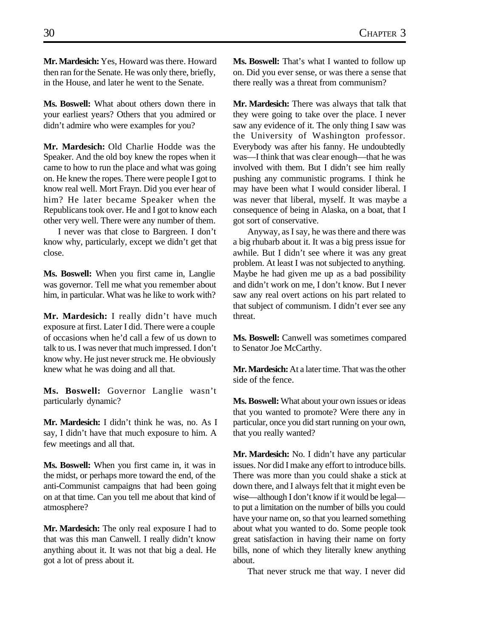**Mr. Mardesich:** Yes, Howard was there. Howard then ran for the Senate. He was only there, briefly, in the House, and later he went to the Senate.

**Ms. Boswell:** What about others down there in your earliest years? Others that you admired or didn't admire who were examples for you?

**Mr. Mardesich:** Old Charlie Hodde was the Speaker. And the old boy knew the ropes when it came to how to run the place and what was going on. He knew the ropes. There were people I got to know real well. Mort Frayn. Did you ever hear of him? He later became Speaker when the Republicans took over. He and I got to know each other very well. There were any number of them.

I never was that close to Bargreen. I don't know why, particularly, except we didn't get that close.

**Ms. Boswell:** When you first came in, Langlie was governor. Tell me what you remember about him, in particular. What was he like to work with?

**Mr. Mardesich:** I really didn't have much exposure at first. Later I did. There were a couple of occasions when he'd call a few of us down to talk to us. I was never that much impressed. I don't know why. He just never struck me. He obviously knew what he was doing and all that.

**Ms. Boswell:** Governor Langlie wasn't particularly dynamic?

**Mr. Mardesich:** I didn't think he was, no. As I say, I didn't have that much exposure to him. A few meetings and all that.

**Ms. Boswell:** When you first came in, it was in the midst, or perhaps more toward the end, of the anti-Communist campaigns that had been going on at that time. Can you tell me about that kind of atmosphere?

**Mr. Mardesich:** The only real exposure I had to that was this man Canwell. I really didn't know anything about it. It was not that big a deal. He got a lot of press about it.

**Ms. Boswell:** That's what I wanted to follow up on. Did you ever sense, or was there a sense that there really was a threat from communism?

**Mr. Mardesich:** There was always that talk that they were going to take over the place. I never saw any evidence of it. The only thing I saw was the University of Washington professor. Everybody was after his fanny. He undoubtedly was—I think that was clear enough—that he was involved with them. But I didn't see him really pushing any communistic programs. I think he may have been what I would consider liberal. I was never that liberal, myself. It was maybe a consequence of being in Alaska, on a boat, that I got sort of conservative.

Anyway, as I say, he was there and there was a big rhubarb about it. It was a big press issue for awhile. But I didn't see where it was any great problem. At least I was not subjected to anything. Maybe he had given me up as a bad possibility and didn't work on me, I don't know. But I never saw any real overt actions on his part related to that subject of communism. I didn't ever see any threat.

**Ms. Boswell:** Canwell was sometimes compared to Senator Joe McCarthy.

**Mr. Mardesich:** At a later time. That was the other side of the fence.

**Ms. Boswell:** What about your own issues or ideas that you wanted to promote? Were there any in particular, once you did start running on your own, that you really wanted?

**Mr. Mardesich:** No. I didn't have any particular issues. Nor did I make any effort to introduce bills. There was more than you could shake a stick at down there, and I always felt that it might even be wise—although I don't know if it would be legal to put a limitation on the number of bills you could have your name on, so that you learned something about what you wanted to do. Some people took great satisfaction in having their name on forty bills, none of which they literally knew anything about.

That never struck me that way. I never did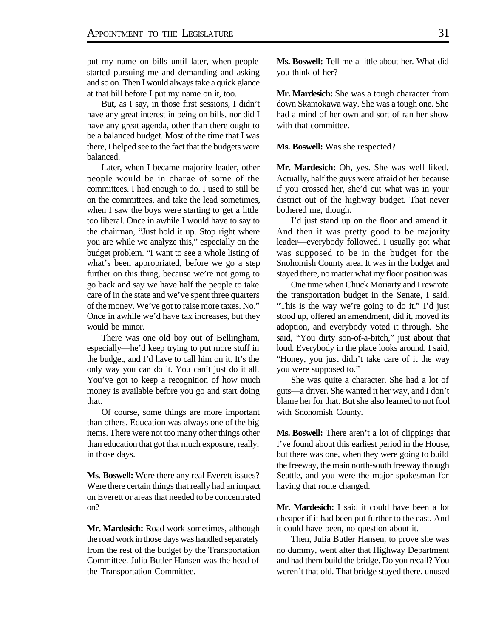put my name on bills until later, when people started pursuing me and demanding and asking and so on. Then I would always take a quick glance at that bill before I put my name on it, too.

But, as I say, in those first sessions, I didn't have any great interest in being on bills, nor did I have any great agenda, other than there ought to be a balanced budget. Most of the time that I was there, I helped see to the fact that the budgets were balanced.

Later, when I became majority leader, other people would be in charge of some of the committees. I had enough to do. I used to still be on the committees, and take the lead sometimes, when I saw the boys were starting to get a little too liberal. Once in awhile I would have to say to the chairman, "Just hold it up. Stop right where you are while we analyze this," especially on the budget problem. "I want to see a whole listing of what's been appropriated, before we go a step further on this thing, because we're not going to go back and say we have half the people to take care of in the state and we've spent three quarters of the money. We've got to raise more taxes. No." Once in awhile we'd have tax increases, but they would be minor.

There was one old boy out of Bellingham, especially—he'd keep trying to put more stuff in the budget, and I'd have to call him on it. It's the only way you can do it. You can't just do it all. You've got to keep a recognition of how much money is available before you go and start doing that.

Of course, some things are more important than others. Education was always one of the big items. There were not too many other things other than education that got that much exposure, really, in those days.

**Ms. Boswell:** Were there any real Everett issues? Were there certain things that really had an impact on Everett or areas that needed to be concentrated on?

**Mr. Mardesich:** Road work sometimes, although the road work in those days was handled separately from the rest of the budget by the Transportation Committee. Julia Butler Hansen was the head of the Transportation Committee.

**Ms. Boswell:** Tell me a little about her. What did you think of her?

**Mr. Mardesich:** She was a tough character from down Skamokawa way. She was a tough one. She had a mind of her own and sort of ran her show with that committee.

**Ms. Boswell:** Was she respected?

**Mr. Mardesich:** Oh, yes. She was well liked. Actually, half the guys were afraid of her because if you crossed her, she'd cut what was in your district out of the highway budget. That never bothered me, though.

I'd just stand up on the floor and amend it. And then it was pretty good to be majority leader—everybody followed. I usually got what was supposed to be in the budget for the Snohomish County area. It was in the budget and stayed there, no matter what my floor position was.

One time when Chuck Moriarty and I rewrote the transportation budget in the Senate, I said, "This is the way we're going to do it." I'd just stood up, offered an amendment, did it, moved its adoption, and everybody voted it through. She said, "You dirty son-of-a-bitch," just about that loud. Everybody in the place looks around. I said, "Honey, you just didn't take care of it the way you were supposed to."

She was quite a character. She had a lot of guts—a driver. She wanted it her way, and I don't blame her for that. But she also learned to not fool with Snohomish County.

**Ms. Boswell:** There aren't a lot of clippings that I've found about this earliest period in the House, but there was one, when they were going to build the freeway, the main north-south freeway through Seattle, and you were the major spokesman for having that route changed.

**Mr. Mardesich:** I said it could have been a lot cheaper if it had been put further to the east. And it could have been, no question about it.

Then, Julia Butler Hansen, to prove she was no dummy, went after that Highway Department and had them build the bridge. Do you recall? You weren't that old. That bridge stayed there, unused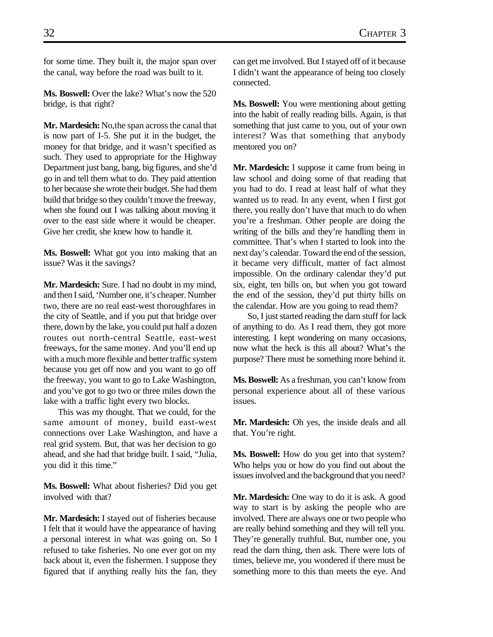for some time. They built it, the major span over the canal, way before the road was built to it.

**Ms. Boswell:** Over the lake? What's now the 520 bridge, is that right?

**Mr. Mardesich:** No,the span across the canal that is now part of I-5. She put it in the budget, the money for that bridge, and it wasn't specified as such. They used to appropriate for the Highway Department just bang, bang, big figures, and she'd go in and tell them what to do. They paid attention to her because she wrote their budget. She had them build that bridge so they couldn't move the freeway, when she found out I was talking about moving it over to the east side where it would be cheaper. Give her credit, she knew how to handle it.

**Ms. Boswell:** What got you into making that an issue? Was it the savings?

**Mr. Mardesich:** Sure. I had no doubt in my mind, and then I said, 'Number one, it's cheaper. Number two, there are no real east-west thoroughfares in the city of Seattle, and if you put that bridge over there, down by the lake, you could put half a dozen routes out north-central Seattle, east-west freeways, for the same money. And you'll end up with a much more flexible and better traffic system because you get off now and you want to go off the freeway, you want to go to Lake Washington, and you've got to go two or three miles down the lake with a traffic light every two blocks.

This was my thought. That we could, for the same amount of money, build east-west connections over Lake Washington, and have a real grid system. But, that was her decision to go ahead, and she had that bridge built. I said, "Julia, you did it this time."

**Ms. Boswell:** What about fisheries? Did you get involved with that?

**Mr. Mardesich:** I stayed out of fisheries because I felt that it would have the appearance of having a personal interest in what was going on. So I refused to take fisheries. No one ever got on my back about it, even the fishermen. I suppose they figured that if anything really hits the fan, they can get me involved. But I stayed off of it because I didn't want the appearance of being too closely connected.

**Ms. Boswell:** You were mentioning about getting into the habit of really reading bills. Again, is that something that just came to you, out of your own interest? Was that something that anybody mentored you on?

**Mr. Mardesich:** I suppose it came from being in law school and doing some of that reading that you had to do. I read at least half of what they wanted us to read. In any event, when I first got there, you really don't have that much to do when you're a freshman. Other people are doing the writing of the bills and they're handling them in committee. That's when I started to look into the next day's calendar. Toward the end of the session, it became very difficult, matter of fact almost impossible. On the ordinary calendar they'd put six, eight, ten bills on, but when you got toward the end of the session, they'd put thirty bills on the calendar. How are you going to read them?

So, I just started reading the darn stuff for lack of anything to do. As I read them, they got more interesting. I kept wondering on many occasions, now what the heck is this all about? What's the purpose? There must be something more behind it.

**Ms. Boswell:** As a freshman, you can't know from personal experience about all of these various issues.

**Mr. Mardesich:** Oh yes, the inside deals and all that. You're right.

**Ms. Boswell:** How do you get into that system? Who helps you or how do you find out about the issues involved and the background that you need?

**Mr. Mardesich:** One way to do it is ask. A good way to start is by asking the people who are involved. There are always one or two people who are really behind something and they will tell you. They're generally truthful. But, number one, you read the darn thing, then ask. There were lots of times, believe me, you wondered if there must be something more to this than meets the eye. And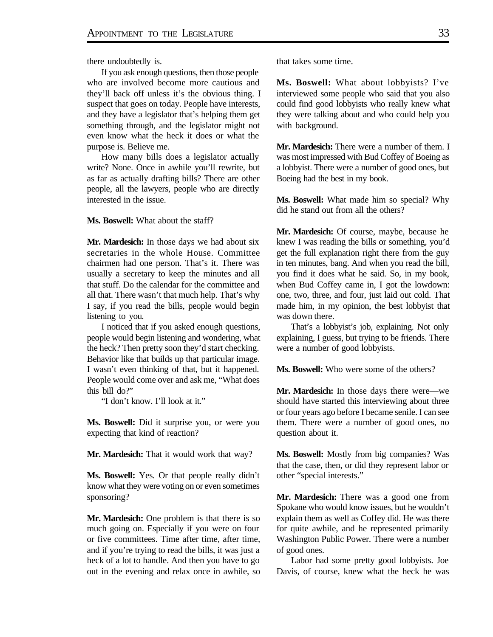there undoubtedly is.

If you ask enough questions, then those people who are involved become more cautious and they'll back off unless it's the obvious thing. I suspect that goes on today. People have interests, and they have a legislator that's helping them get something through, and the legislator might not even know what the heck it does or what the purpose is. Believe me.

How many bills does a legislator actually write? None. Once in awhile you'll rewrite, but as far as actually drafting bills? There are other people, all the lawyers, people who are directly interested in the issue.

**Ms. Boswell:** What about the staff?

**Mr. Mardesich:** In those days we had about six secretaries in the whole House. Committee chairmen had one person. That's it. There was usually a secretary to keep the minutes and all that stuff. Do the calendar for the committee and all that. There wasn't that much help. That's why I say, if you read the bills, people would begin listening to you.

I noticed that if you asked enough questions, people would begin listening and wondering, what the heck? Then pretty soon they'd start checking. Behavior like that builds up that particular image. I wasn't even thinking of that, but it happened. People would come over and ask me, "What does this bill do?"

"I don't know. I'll look at it."

**Ms. Boswell:** Did it surprise you, or were you expecting that kind of reaction?

**Mr. Mardesich:** That it would work that way?

**Ms. Boswell:** Yes. Or that people really didn't know what they were voting on or even sometimes sponsoring?

**Mr. Mardesich:** One problem is that there is so much going on. Especially if you were on four or five committees. Time after time, after time, and if you're trying to read the bills, it was just a heck of a lot to handle. And then you have to go out in the evening and relax once in awhile, so that takes some time.

**Ms. Boswell:** What about lobbyists? I've interviewed some people who said that you also could find good lobbyists who really knew what they were talking about and who could help you with background.

**Mr. Mardesich:** There were a number of them. I was most impressed with Bud Coffey of Boeing as a lobbyist. There were a number of good ones, but Boeing had the best in my book.

**Ms. Boswell:** What made him so special? Why did he stand out from all the others?

**Mr. Mardesich:** Of course, maybe, because he knew I was reading the bills or something, you'd get the full explanation right there from the guy in ten minutes, bang. And when you read the bill, you find it does what he said. So, in my book, when Bud Coffey came in, I got the lowdown: one, two, three, and four, just laid out cold. That made him, in my opinion, the best lobbyist that was down there.

That's a lobbyist's job, explaining. Not only explaining, I guess, but trying to be friends. There were a number of good lobbyists.

**Ms. Boswell:** Who were some of the others?

**Mr. Mardesich:** In those days there were—we should have started this interviewing about three or four years ago before I became senile. I can see them. There were a number of good ones, no question about it.

**Ms. Boswell:** Mostly from big companies? Was that the case, then, or did they represent labor or other "special interests."

**Mr. Mardesich:** There was a good one from Spokane who would know issues, but he wouldn't explain them as well as Coffey did. He was there for quite awhile, and he represented primarily Washington Public Power. There were a number of good ones.

Labor had some pretty good lobbyists. Joe Davis, of course, knew what the heck he was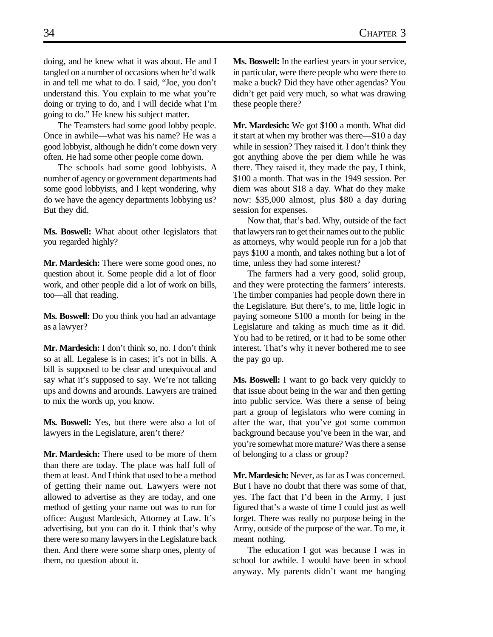doing, and he knew what it was about. He and I tangled on a number of occasions when he'd walk in and tell me what to do. I said, "Joe, you don't understand this. You explain to me what you're doing or trying to do, and I will decide what I'm going to do." He knew his subject matter.

The Teamsters had some good lobby people. Once in awhile—what was his name? He was a good lobbyist, although he didn't come down very often. He had some other people come down.

The schools had some good lobbyists. A number of agency or government departments had some good lobbyists, and I kept wondering, why do we have the agency departments lobbying us? But they did.

**Ms. Boswell:** What about other legislators that you regarded highly?

**Mr. Mardesich:** There were some good ones, no question about it. Some people did a lot of floor work, and other people did a lot of work on bills, too—all that reading.

**Ms. Boswell:** Do you think you had an advantage as a lawyer?

**Mr. Mardesich:** I don't think so, no. I don't think so at all. Legalese is in cases; it's not in bills. A bill is supposed to be clear and unequivocal and say what it's supposed to say. We're not talking ups and downs and arounds. Lawyers are trained to mix the words up, you know.

**Ms. Boswell:** Yes, but there were also a lot of lawyers in the Legislature, aren't there?

**Mr. Mardesich:** There used to be more of them than there are today. The place was half full of them at least. And I think that used to be a method of getting their name out. Lawyers were not allowed to advertise as they are today, and one method of getting your name out was to run for office: August Mardesich, Attorney at Law. It's advertising, but you can do it. I think that's why there were so many lawyers in the Legislature back then. And there were some sharp ones, plenty of them, no question about it.

**Ms. Boswell:** In the earliest years in your service, in particular, were there people who were there to make a buck? Did they have other agendas? You didn't get paid very much, so what was drawing these people there?

**Mr. Mardesich:** We got \$100 a month. What did it start at when my brother was there—\$10 a day while in session? They raised it. I don't think they got anything above the per diem while he was there. They raised it, they made the pay, I think, \$100 a month. That was in the 1949 session. Per diem was about \$18 a day. What do they make now: \$35,000 almost, plus \$80 a day during session for expenses.

Now that, that's bad. Why, outside of the fact that lawyers ran to get their names out to the public as attorneys, why would people run for a job that pays \$100 a month, and takes nothing but a lot of time, unless they had some interest?

The farmers had a very good, solid group, and they were protecting the farmers' interests. The timber companies had people down there in the Legislature. But there's, to me, little logic in paying someone \$100 a month for being in the Legislature and taking as much time as it did. You had to be retired, or it had to be some other interest. That's why it never bothered me to see the pay go up.

**Ms. Boswell:** I want to go back very quickly to that issue about being in the war and then getting into public service. Was there a sense of being part a group of legislators who were coming in after the war, that you've got some common background because you've been in the war, and you're somewhat more mature? Was there a sense of belonging to a class or group?

**Mr. Mardesich:** Never, as far as I was concerned. But I have no doubt that there was some of that, yes. The fact that I'd been in the Army, I just figured that's a waste of time I could just as well forget. There was really no purpose being in the Army, outside of the purpose of the war. To me, it meant nothing.

The education I got was because I was in school for awhile. I would have been in school anyway. My parents didn't want me hanging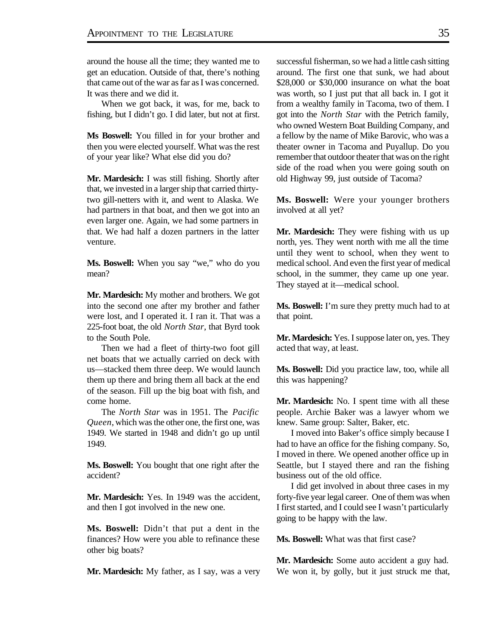around the house all the time; they wanted me to get an education. Outside of that, there's nothing that came out of the war as far as I was concerned. It was there and we did it.

When we got back, it was, for me, back to fishing, but I didn't go. I did later, but not at first.

**Ms Boswell:** You filled in for your brother and then you were elected yourself. What was the rest of your year like? What else did you do?

**Mr. Mardesich:** I was still fishing. Shortly after that, we invested in a larger ship that carried thirtytwo gill-netters with it, and went to Alaska. We had partners in that boat, and then we got into an even larger one. Again, we had some partners in that. We had half a dozen partners in the latter venture.

**Ms. Boswell:** When you say "we," who do you mean?

**Mr. Mardesich:** My mother and brothers. We got into the second one after my brother and father were lost, and I operated it. I ran it. That was a 225-foot boat, the old *North Star*, that Byrd took to the South Pole.

Then we had a fleet of thirty-two foot gill net boats that we actually carried on deck with us—stacked them three deep. We would launch them up there and bring them all back at the end of the season. Fill up the big boat with fish, and come home.

The *North Star* was in 1951. The *Pacific Queen*, which was the other one, the first one, was 1949. We started in 1948 and didn't go up until 1949.

**Ms. Boswell:** You bought that one right after the accident?

**Mr. Mardesich:** Yes. In 1949 was the accident, and then I got involved in the new one.

**Ms. Boswell:** Didn't that put a dent in the finances? How were you able to refinance these other big boats?

**Mr. Mardesich:** My father, as I say, was a very

successful fisherman, so we had a little cash sitting around. The first one that sunk, we had about \$28,000 or \$30,000 insurance on what the boat was worth, so I just put that all back in. I got it from a wealthy family in Tacoma, two of them. I got into the *North Star* with the Petrich family, who owned Western Boat Building Company, and a fellow by the name of Mike Barovic, who was a theater owner in Tacoma and Puyallup. Do you remember that outdoor theater that was on the right side of the road when you were going south on old Highway 99, just outside of Tacoma?

**Ms. Boswell:** Were your younger brothers involved at all yet?

**Mr. Mardesich:** They were fishing with us up north, yes. They went north with me all the time until they went to school, when they went to medical school. And even the first year of medical school, in the summer, they came up one year. They stayed at it—medical school.

**Ms. Boswell:** I'm sure they pretty much had to at that point.

**Mr. Mardesich:** Yes. I suppose later on, yes. They acted that way, at least.

**Ms. Boswell:** Did you practice law, too, while all this was happening?

**Mr. Mardesich:** No. I spent time with all these people. Archie Baker was a lawyer whom we knew. Same group: Salter, Baker, etc.

I moved into Baker's office simply because I had to have an office for the fishing company. So, I moved in there. We opened another office up in Seattle, but I stayed there and ran the fishing business out of the old office.

I did get involved in about three cases in my forty-five year legal career. One of them was when I first started, and I could see I wasn't particularly going to be happy with the law.

**Ms. Boswell:** What was that first case?

**Mr. Mardesich:** Some auto accident a guy had. We won it, by golly, but it just struck me that,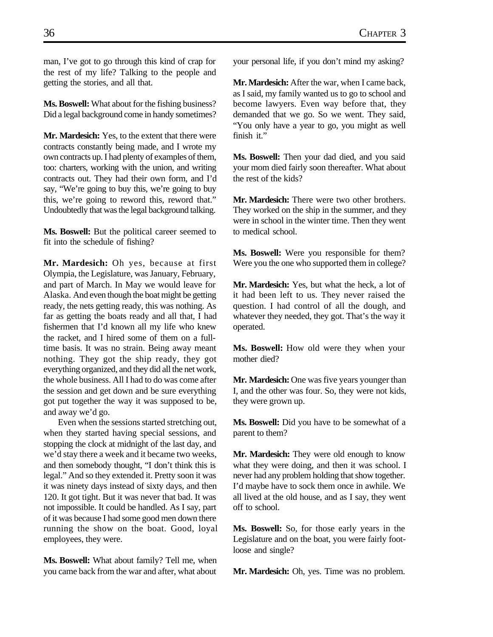man, I've got to go through this kind of crap for the rest of my life? Talking to the people and getting the stories, and all that.

**Ms. Boswell:** What about for the fishing business? Did a legal background come in handy sometimes?

**Mr. Mardesich:** Yes, to the extent that there were contracts constantly being made, and I wrote my own contracts up. I had plenty of examples of them, too: charters, working with the union, and writing contracts out. They had their own form, and I'd say, "We're going to buy this, we're going to buy this, we're going to reword this, reword that." Undoubtedly that was the legal background talking.

**Ms. Boswell:** But the political career seemed to fit into the schedule of fishing?

**Mr. Mardesich:** Oh yes, because at first Olympia, the Legislature, was January, February, and part of March. In May we would leave for Alaska. And even though the boat might be getting ready, the nets getting ready, this was nothing. As far as getting the boats ready and all that, I had fishermen that I'd known all my life who knew the racket, and I hired some of them on a fulltime basis. It was no strain. Being away meant nothing. They got the ship ready, they got everything organized, and they did all the net work, the whole business. All I had to do was come after the session and get down and be sure everything got put together the way it was supposed to be, and away we'd go.

Even when the sessions started stretching out, when they started having special sessions, and stopping the clock at midnight of the last day, and we'd stay there a week and it became two weeks, and then somebody thought, "I don't think this is legal." And so they extended it. Pretty soon it was it was ninety days instead of sixty days, and then 120. It got tight. But it was never that bad. It was not impossible. It could be handled. As I say, part of it was because I had some good men down there running the show on the boat. Good, loyal employees, they were.

**Ms. Boswell:** What about family? Tell me, when you came back from the war and after, what about your personal life, if you don't mind my asking?

**Mr. Mardesich:** After the war, when I came back, as I said, my family wanted us to go to school and become lawyers. Even way before that, they demanded that we go. So we went. They said, "You only have a year to go, you might as well finish it."

**Ms. Boswell:** Then your dad died, and you said your mom died fairly soon thereafter. What about the rest of the kids?

**Mr. Mardesich:** There were two other brothers. They worked on the ship in the summer, and they were in school in the winter time. Then they went to medical school.

**Ms. Boswell:** Were you responsible for them? Were you the one who supported them in college?

**Mr. Mardesich:** Yes, but what the heck, a lot of it had been left to us. They never raised the question. I had control of all the dough, and whatever they needed, they got. That's the way it operated.

**Ms. Boswell:** How old were they when your mother died?

**Mr. Mardesich:** One was five years younger than I, and the other was four. So, they were not kids, they were grown up.

**Ms. Boswell:** Did you have to be somewhat of a parent to them?

**Mr. Mardesich:** They were old enough to know what they were doing, and then it was school. I never had any problem holding that show together. I'd maybe have to sock them once in awhile. We all lived at the old house, and as I say, they went off to school.

**Ms. Boswell:** So, for those early years in the Legislature and on the boat, you were fairly footloose and single?

**Mr. Mardesich:** Oh, yes. Time was no problem.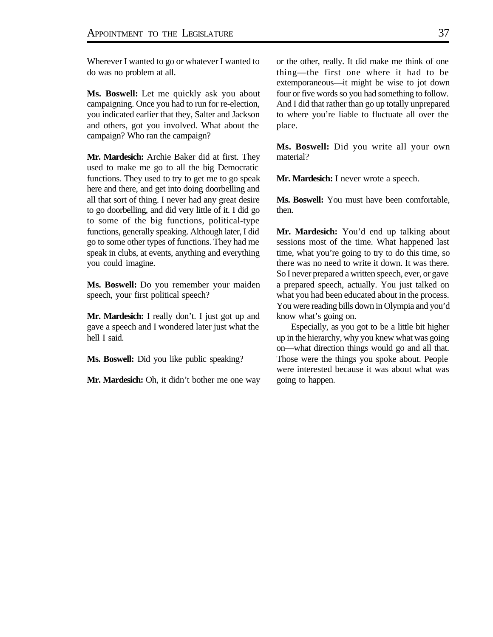Wherever I wanted to go or whatever I wanted to do was no problem at all.

**Ms. Boswell:** Let me quickly ask you about campaigning. Once you had to run for re-election, you indicated earlier that they, Salter and Jackson and others, got you involved. What about the campaign? Who ran the campaign?

**Mr. Mardesich:** Archie Baker did at first. They used to make me go to all the big Democratic functions. They used to try to get me to go speak here and there, and get into doing doorbelling and all that sort of thing. I never had any great desire to go doorbelling, and did very little of it. I did go to some of the big functions, political-type functions, generally speaking. Although later, I did go to some other types of functions. They had me speak in clubs, at events, anything and everything you could imagine.

**Ms. Boswell:** Do you remember your maiden speech, your first political speech?

**Mr. Mardesich:** I really don't. I just got up and gave a speech and I wondered later just what the hell I said.

**Ms. Boswell:** Did you like public speaking?

**Mr. Mardesich:** Oh, it didn't bother me one way

or the other, really. It did make me think of one thing—the first one where it had to be extemporaneous—it might be wise to jot down four or five words so you had something to follow. And I did that rather than go up totally unprepared to where you're liable to fluctuate all over the place.

**Ms. Boswell:** Did you write all your own material?

**Mr. Mardesich:** I never wrote a speech.

**Ms. Boswell:** You must have been comfortable, then.

**Mr. Mardesich:** You'd end up talking about sessions most of the time. What happened last time, what you're going to try to do this time, so there was no need to write it down. It was there. So I never prepared a written speech, ever, or gave a prepared speech, actually. You just talked on what you had been educated about in the process. You were reading bills down in Olympia and you'd know what's going on.

Especially, as you got to be a little bit higher up in the hierarchy, why you knew what was going on—what direction things would go and all that. Those were the things you spoke about. People were interested because it was about what was going to happen.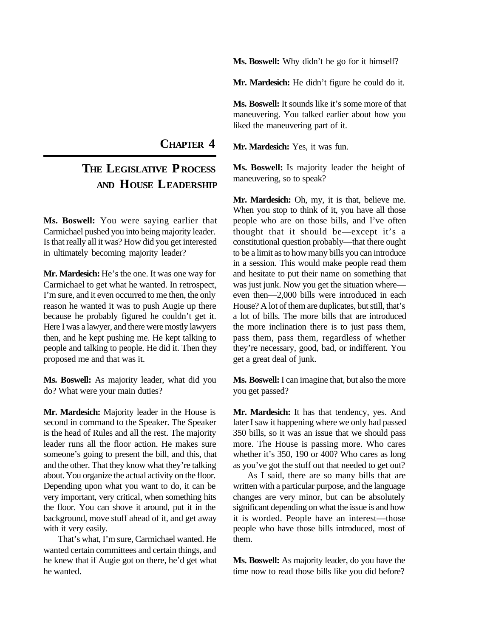**Ms. Boswell:** Why didn't he go for it himself?

**Mr. Mardesich:** He didn't figure he could do it.

**Ms. Boswell:** It sounds like it's some more of that maneuvering. You talked earlier about how you liked the maneuvering part of it.

**Mr. Mardesich:** Yes, it was fun.

**Ms. Boswell:** Is majority leader the height of maneuvering, so to speak?

**Mr. Mardesich:** Oh, my, it is that, believe me. When you stop to think of it, you have all those people who are on those bills, and I've often thought that it should be—except it's a constitutional question probably—that there ought to be a limit as to how many bills you can introduce in a session. This would make people read them and hesitate to put their name on something that was just junk. Now you get the situation where even then—2,000 bills were introduced in each House? A lot of them are duplicates, but still, that's a lot of bills. The more bills that are introduced the more inclination there is to just pass them, pass them, pass them, regardless of whether they're necessary, good, bad, or indifferent. You get a great deal of junk.

**Ms. Boswell:** I can imagine that, but also the more you get passed?

**Mr. Mardesich:** It has that tendency, yes. And later I saw it happening where we only had passed 350 bills, so it was an issue that we should pass more. The House is passing more. Who cares whether it's 350, 190 or 400? Who cares as long as you've got the stuff out that needed to get out?

As I said, there are so many bills that are written with a particular purpose, and the language changes are very minor, but can be absolutely significant depending on what the issue is and how it is worded. People have an interest—those people who have those bills introduced, most of them.

**Ms. Boswell:** As majority leader, do you have the time now to read those bills like you did before?

**CHAPTER 4**

# **THE LEGISLATIVE P ROCESS AND HOUSE LEADERSHIP**

**Ms. Boswell:** You were saying earlier that Carmichael pushed you into being majority leader. Is that really all it was? How did you get interested in ultimately becoming majority leader?

**Mr. Mardesich:** He's the one. It was one way for Carmichael to get what he wanted. In retrospect, I'm sure, and it even occurred to me then, the only reason he wanted it was to push Augie up there because he probably figured he couldn't get it. Here I was a lawyer, and there were mostly lawyers then, and he kept pushing me. He kept talking to people and talking to people. He did it. Then they proposed me and that was it.

**Ms. Boswell:** As majority leader, what did you do? What were your main duties?

**Mr. Mardesich:** Majority leader in the House is second in command to the Speaker. The Speaker is the head of Rules and all the rest. The majority leader runs all the floor action. He makes sure someone's going to present the bill, and this, that and the other. That they know what they're talking about. You organize the actual activity on the floor. Depending upon what you want to do, it can be very important, very critical, when something hits the floor. You can shove it around, put it in the background, move stuff ahead of it, and get away with it very easily.

That's what, I'm sure, Carmichael wanted. He wanted certain committees and certain things, and he knew that if Augie got on there, he'd get what he wanted.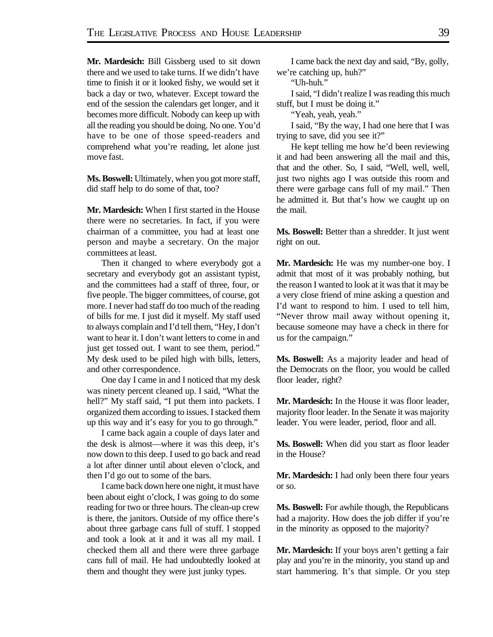**Mr. Mardesich:** Bill Gissberg used to sit down there and we used to take turns. If we didn't have time to finish it or it looked fishy, we would set it back a day or two, whatever. Except toward the end of the session the calendars get longer, and it becomes more difficult. Nobody can keep up with all the reading you should be doing. No one. You'd have to be one of those speed-readers and comprehend what you're reading, let alone just move fast.

**Ms. Boswell:** Ultimately, when you got more staff, did staff help to do some of that, too?

**Mr. Mardesich:** When I first started in the House there were no secretaries. In fact, if you were chairman of a committee, you had at least one person and maybe a secretary. On the major committees at least.

Then it changed to where everybody got a secretary and everybody got an assistant typist, and the committees had a staff of three, four, or five people. The bigger committees, of course, got more. I never had staff do too much of the reading of bills for me. I just did it myself. My staff used to always complain and I'd tell them, "Hey, I don't want to hear it. I don't want letters to come in and just get tossed out. I want to see them, period." My desk used to be piled high with bills, letters, and other correspondence.

One day I came in and I noticed that my desk was ninety percent cleaned up. I said, "What the hell?" My staff said, "I put them into packets. I organized them according to issues. I stacked them up this way and it's easy for you to go through."

I came back again a couple of days later and the desk is almost—where it was this deep, it's now down to this deep. I used to go back and read a lot after dinner until about eleven o'clock, and then I'd go out to some of the bars.

I came back down here one night, it must have been about eight o'clock, I was going to do some reading for two or three hours. The clean-up crew is there, the janitors. Outside of my office there's about three garbage cans full of stuff. I stopped and took a look at it and it was all my mail. I checked them all and there were three garbage cans full of mail. He had undoubtedly looked at them and thought they were just junky types.

I came back the next day and said, "By, golly, we're catching up, huh?"

"Uh-huh."

I said, "I didn't realize I was reading this much stuff, but I must be doing it."

"Yeah, yeah, yeah."

I said, "By the way, I had one here that I was trying to save, did you see it?"

He kept telling me how he'd been reviewing it and had been answering all the mail and this, that and the other. So, I said, "Well, well, well, just two nights ago I was outside this room and there were garbage cans full of my mail." Then he admitted it. But that's how we caught up on the mail.

**Ms. Boswell:** Better than a shredder. It just went right on out.

**Mr. Mardesich:** He was my number-one boy. I admit that most of it was probably nothing, but the reason I wanted to look at it was that it may be a very close friend of mine asking a question and I'd want to respond to him. I used to tell him, "Never throw mail away without opening it, because someone may have a check in there for us for the campaign."

**Ms. Boswell:** As a majority leader and head of the Democrats on the floor, you would be called floor leader, right?

**Mr. Mardesich:** In the House it was floor leader, majority floor leader. In the Senate it was majority leader. You were leader, period, floor and all.

**Ms. Boswell:** When did you start as floor leader in the House?

**Mr. Mardesich:** I had only been there four years or so.

**Ms. Boswell:** For awhile though, the Republicans had a majority. How does the job differ if you're in the minority as opposed to the majority?

**Mr. Mardesich:** If your boys aren't getting a fair play and you're in the minority, you stand up and start hammering. It's that simple. Or you step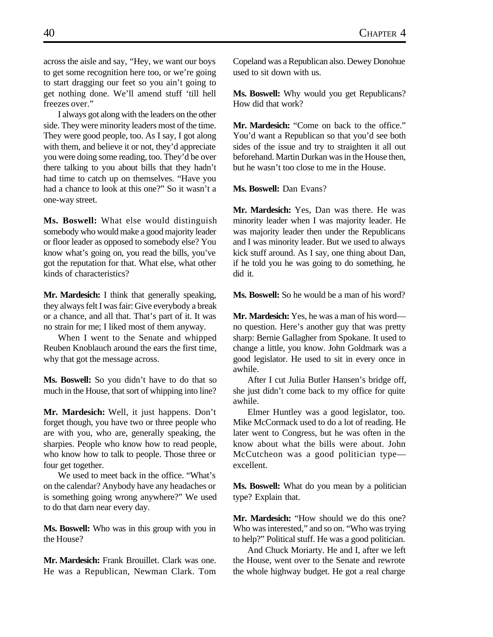across the aisle and say, "Hey, we want our boys to get some recognition here too, or we're going to start dragging our feet so you ain't going to get nothing done. We'll amend stuff 'till hell freezes over."

I always got along with the leaders on the other side. They were minority leaders most of the time. They were good people, too. As I say, I got along with them, and believe it or not, they'd appreciate you were doing some reading, too. They'd be over there talking to you about bills that they hadn't had time to catch up on themselves. "Have you had a chance to look at this one?" So it wasn't a one-way street.

**Ms. Boswell:** What else would distinguish somebody who would make a good majority leader or floor leader as opposed to somebody else? You know what's going on, you read the bills, you've got the reputation for that. What else, what other kinds of characteristics?

**Mr. Mardesich:** I think that generally speaking, they always felt I was fair: Give everybody a break or a chance, and all that. That's part of it. It was no strain for me; I liked most of them anyway.

When I went to the Senate and whipped Reuben Knoblauch around the ears the first time, why that got the message across.

**Ms. Boswell:** So you didn't have to do that so much in the House, that sort of whipping into line?

**Mr. Mardesich:** Well, it just happens. Don't forget though, you have two or three people who are with you, who are, generally speaking, the sharpies. People who know how to read people, who know how to talk to people. Those three or four get together.

We used to meet back in the office. "What's on the calendar? Anybody have any headaches or is something going wrong anywhere?" We used to do that darn near every day.

**Ms. Boswell:** Who was in this group with you in the House?

**Mr. Mardesich:** Frank Brouillet. Clark was one. He was a Republican, Newman Clark. Tom Copeland was a Republican also. Dewey Donohue used to sit down with us.

**Ms. Boswell:** Why would you get Republicans? How did that work?

**Mr. Mardesich:** "Come on back to the office." You'd want a Republican so that you'd see both sides of the issue and try to straighten it all out beforehand. Martin Durkan was in the House then, but he wasn't too close to me in the House.

**Ms. Boswell:** Dan Evans?

**Mr. Mardesich:** Yes, Dan was there. He was minority leader when I was majority leader. He was majority leader then under the Republicans and I was minority leader. But we used to always kick stuff around. As I say, one thing about Dan, if he told you he was going to do something, he did it.

**Ms. Boswell:** So he would be a man of his word?

**Mr. Mardesich:** Yes, he was a man of his word no question. Here's another guy that was pretty sharp: Bernie Gallagher from Spokane. It used to change a little, you know. John Goldmark was a good legislator. He used to sit in every once in awhile.

After I cut Julia Butler Hansen's bridge off, she just didn't come back to my office for quite awhile.

Elmer Huntley was a good legislator, too. Mike McCormack used to do a lot of reading. He later went to Congress, but he was often in the know about what the bills were about. John McCutcheon was a good politician type excellent.

**Ms. Boswell:** What do you mean by a politician type? Explain that.

**Mr. Mardesich:** "How should we do this one? Who was interested," and so on. "Who was trying to help?" Political stuff. He was a good politician.

And Chuck Moriarty. He and I, after we left the House, went over to the Senate and rewrote the whole highway budget. He got a real charge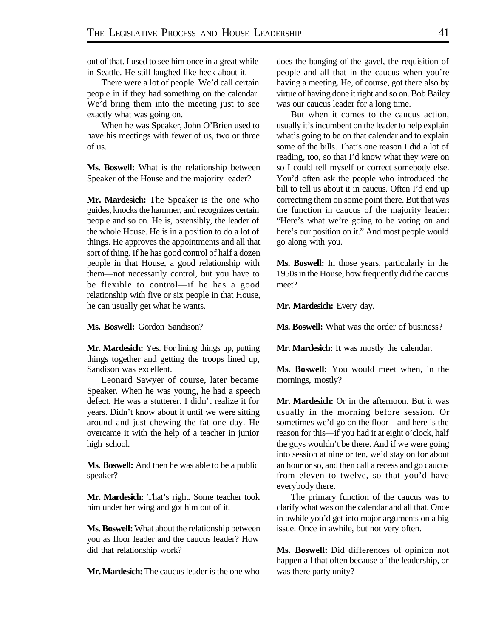out of that. I used to see him once in a great while in Seattle. He still laughed like heck about it.

There were a lot of people. We'd call certain people in if they had something on the calendar. We'd bring them into the meeting just to see exactly what was going on.

When he was Speaker, John O'Brien used to have his meetings with fewer of us, two or three of us.

**Ms. Boswell:** What is the relationship between Speaker of the House and the majority leader?

**Mr. Mardesich:** The Speaker is the one who guides, knocks the hammer, and recognizes certain people and so on. He is, ostensibly, the leader of the whole House. He is in a position to do a lot of things. He approves the appointments and all that sort of thing. If he has good control of half a dozen people in that House, a good relationship with them—not necessarily control, but you have to be flexible to control—if he has a good relationship with five or six people in that House, he can usually get what he wants.

**Ms. Boswell:** Gordon Sandison?

**Mr. Mardesich:** Yes. For lining things up, putting things together and getting the troops lined up, Sandison was excellent.

Leonard Sawyer of course, later became Speaker. When he was young, he had a speech defect. He was a stutterer. I didn't realize it for years. Didn't know about it until we were sitting around and just chewing the fat one day. He overcame it with the help of a teacher in junior high school.

**Ms. Boswell:** And then he was able to be a public speaker?

**Mr. Mardesich:** That's right. Some teacher took him under her wing and got him out of it.

**Ms. Boswell:** What about the relationship between you as floor leader and the caucus leader? How did that relationship work?

**Mr. Mardesich:** The caucus leader is the one who

does the banging of the gavel, the requisition of people and all that in the caucus when you're having a meeting. He, of course, got there also by virtue of having done it right and so on. Bob Bailey was our caucus leader for a long time.

But when it comes to the caucus action, usually it's incumbent on the leader to help explain what's going to be on that calendar and to explain some of the bills. That's one reason I did a lot of reading, too, so that I'd know what they were on so I could tell myself or correct somebody else. You'd often ask the people who introduced the bill to tell us about it in caucus. Often I'd end up correcting them on some point there. But that was the function in caucus of the majority leader: "Here's what we're going to be voting on and here's our position on it." And most people would go along with you.

**Ms. Boswell:** In those years, particularly in the 1950s in the House, how frequently did the caucus meet?

**Mr. Mardesich:** Every day.

**Ms. Boswell:** What was the order of business?

**Mr. Mardesich:** It was mostly the calendar.

**Ms. Boswell:** You would meet when, in the mornings, mostly?

**Mr. Mardesich:** Or in the afternoon. But it was usually in the morning before session. Or sometimes we'd go on the floor—and here is the reason for this—if you had it at eight o'clock, half the guys wouldn't be there. And if we were going into session at nine or ten, we'd stay on for about an hour or so, and then call a recess and go caucus from eleven to twelve, so that you'd have everybody there.

The primary function of the caucus was to clarify what was on the calendar and all that. Once in awhile you'd get into major arguments on a big issue. Once in awhile, but not very often.

**Ms. Boswell:** Did differences of opinion not happen all that often because of the leadership, or was there party unity?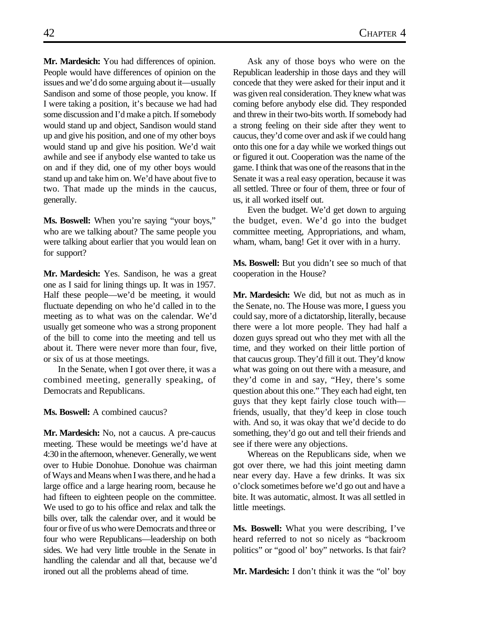**Mr. Mardesich:** You had differences of opinion. People would have differences of opinion on the issues and we'd do some arguing about it—usually Sandison and some of those people, you know. If I were taking a position, it's because we had had some discussion and I'd make a pitch. If somebody would stand up and object, Sandison would stand up and give his position, and one of my other boys would stand up and give his position. We'd wait awhile and see if anybody else wanted to take us on and if they did, one of my other boys would stand up and take him on. We'd have about five to two. That made up the minds in the caucus, generally.

**Ms. Boswell:** When you're saying "your boys," who are we talking about? The same people you were talking about earlier that you would lean on for support?

**Mr. Mardesich:** Yes. Sandison, he was a great one as I said for lining things up. It was in 1957. Half these people—we'd be meeting, it would fluctuate depending on who he'd called in to the meeting as to what was on the calendar. We'd usually get someone who was a strong proponent of the bill to come into the meeting and tell us about it. There were never more than four, five, or six of us at those meetings.

In the Senate, when I got over there, it was a combined meeting, generally speaking, of Democrats and Republicans.

**Ms. Boswell:** A combined caucus?

**Mr. Mardesich:** No, not a caucus. A pre-caucus meeting. These would be meetings we'd have at 4:30 in the afternoon, whenever. Generally, we went over to Hubie Donohue. Donohue was chairman of Ways and Means when I was there, and he had a large office and a large hearing room, because he had fifteen to eighteen people on the committee. We used to go to his office and relax and talk the bills over, talk the calendar over, and it would be four or five of us who were Democrats and three or four who were Republicans—leadership on both sides. We had very little trouble in the Senate in handling the calendar and all that, because we'd ironed out all the problems ahead of time.

Ask any of those boys who were on the Republican leadership in those days and they will concede that they were asked for their input and it was given real consideration. They knew what was coming before anybody else did. They responded and threw in their two-bits worth. If somebody had a strong feeling on their side after they went to caucus, they'd come over and ask if we could hang onto this one for a day while we worked things out or figured it out. Cooperation was the name of the game. I think that was one of the reasons that in the Senate it was a real easy operation, because it was all settled. Three or four of them, three or four of us, it all worked itself out.

Even the budget. We'd get down to arguing the budget, even. We'd go into the budget committee meeting, Appropriations, and wham, wham, wham, bang! Get it over with in a hurry.

**Ms. Boswell:** But you didn't see so much of that cooperation in the House?

**Mr. Mardesich:** We did, but not as much as in the Senate, no. The House was more, I guess you could say, more of a dictatorship, literally, because there were a lot more people. They had half a dozen guys spread out who they met with all the time, and they worked on their little portion of that caucus group. They'd fill it out. They'd know what was going on out there with a measure, and they'd come in and say, "Hey, there's some question about this one." They each had eight, ten guys that they kept fairly close touch with friends, usually, that they'd keep in close touch with. And so, it was okay that we'd decide to do something, they'd go out and tell their friends and see if there were any objections.

Whereas on the Republicans side, when we got over there, we had this joint meeting damn near every day. Have a few drinks. It was six o'clock sometimes before we'd go out and have a bite. It was automatic, almost. It was all settled in little meetings.

**Ms. Boswell:** What you were describing, I've heard referred to not so nicely as "backroom politics" or "good ol' boy" networks. Is that fair?

**Mr. Mardesich:** I don't think it was the "ol" boy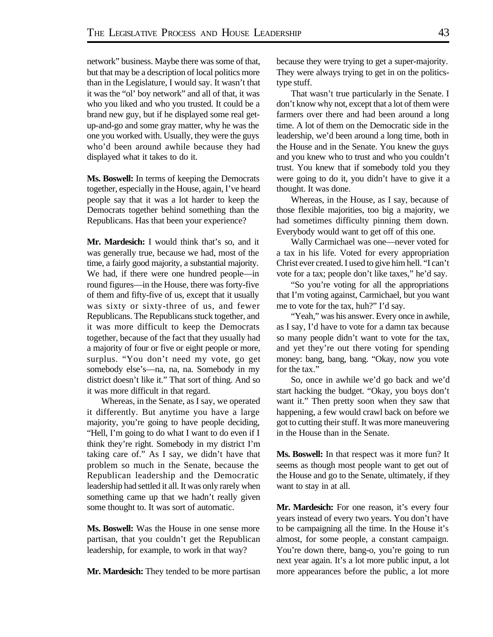network" business. Maybe there was some of that, but that may be a description of local politics more than in the Legislature, I would say. It wasn't that it was the "ol' boy network" and all of that, it was who you liked and who you trusted. It could be a brand new guy, but if he displayed some real getup-and-go and some gray matter, why he was the one you worked with. Usually, they were the guys who'd been around awhile because they had displayed what it takes to do it.

**Ms. Boswell:** In terms of keeping the Democrats together, especially in the House, again, I've heard people say that it was a lot harder to keep the Democrats together behind something than the Republicans. Has that been your experience?

**Mr. Mardesich:** I would think that's so, and it was generally true, because we had, most of the time, a fairly good majority, a substantial majority. We had, if there were one hundred people—in round figures—in the House, there was forty-five of them and fifty-five of us, except that it usually was sixty or sixty-three of us, and fewer Republicans. The Republicans stuck together, and it was more difficult to keep the Democrats together, because of the fact that they usually had a majority of four or five or eight people or more, surplus. "You don't need my vote, go get somebody else's—na, na, na. Somebody in my district doesn't like it." That sort of thing. And so it was more difficult in that regard.

Whereas, in the Senate, as I say, we operated it differently. But anytime you have a large majority, you're going to have people deciding, "Hell, I'm going to do what I want to do even if I think they're right. Somebody in my district I'm taking care of." As I say, we didn't have that problem so much in the Senate, because the Republican leadership and the Democratic leadership had settled it all. It was only rarely when something came up that we hadn't really given some thought to. It was sort of automatic.

**Ms. Boswell:** Was the House in one sense more partisan, that you couldn't get the Republican leadership, for example, to work in that way?

**Mr. Mardesich:** They tended to be more partisan

because they were trying to get a super-majority. They were always trying to get in on the politicstype stuff.

That wasn't true particularly in the Senate. I don't know why not, except that a lot of them were farmers over there and had been around a long time. A lot of them on the Democratic side in the leadership, we'd been around a long time, both in the House and in the Senate. You knew the guys and you knew who to trust and who you couldn't trust. You knew that if somebody told you they were going to do it, you didn't have to give it a thought. It was done.

Whereas, in the House, as I say, because of those flexible majorities, too big a majority, we had sometimes difficulty pinning them down. Everybody would want to get off of this one.

Wally Carmichael was one—never voted for a tax in his life. Voted for every appropriation Christ ever created. I used to give him hell. "I can't vote for a tax; people don't like taxes," he'd say.

"So you're voting for all the appropriations that I'm voting against, Carmichael, but you want me to vote for the tax, huh?" I'd say.

"Yeah," was his answer. Every once in awhile, as I say, I'd have to vote for a damn tax because so many people didn't want to vote for the tax, and yet they're out there voting for spending money: bang, bang, bang. "Okay, now you vote for the tax."

So, once in awhile we'd go back and we'd start hacking the budget. "Okay, you boys don't want it." Then pretty soon when they saw that happening, a few would crawl back on before we got to cutting their stuff. It was more maneuvering in the House than in the Senate.

**Ms. Boswell:** In that respect was it more fun? It seems as though most people want to get out of the House and go to the Senate, ultimately, if they want to stay in at all.

**Mr. Mardesich:** For one reason, it's every four years instead of every two years. You don't have to be campaigning all the time. In the House it's almost, for some people, a constant campaign. You're down there, bang-o, you're going to run next year again. It's a lot more public input, a lot more appearances before the public, a lot more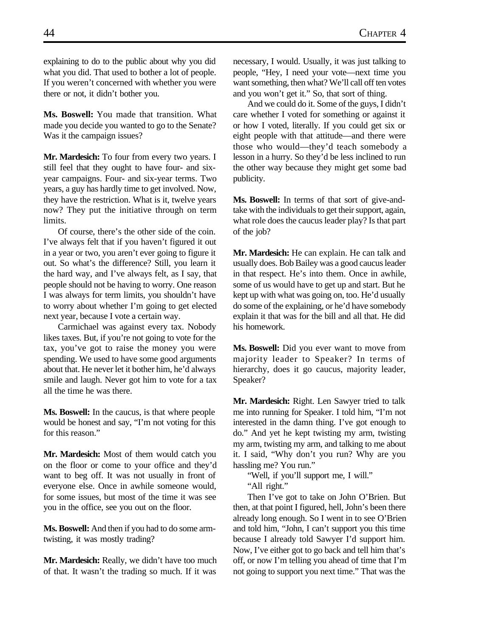explaining to do to the public about why you did what you did. That used to bother a lot of people. If you weren't concerned with whether you were there or not, it didn't bother you.

**Ms. Boswell:** You made that transition. What made you decide you wanted to go to the Senate? Was it the campaign issues?

**Mr. Mardesich:** To four from every two years. I still feel that they ought to have four- and sixyear campaigns. Four- and six-year terms. Two years, a guy has hardly time to get involved. Now, they have the restriction. What is it, twelve years now? They put the initiative through on term limits.

Of course, there's the other side of the coin. I've always felt that if you haven't figured it out in a year or two, you aren't ever going to figure it out. So what's the difference? Still, you learn it the hard way, and I've always felt, as I say, that people should not be having to worry. One reason I was always for term limits, you shouldn't have to worry about whether I'm going to get elected next year, because I vote a certain way.

Carmichael was against every tax. Nobody likes taxes. But, if you're not going to vote for the tax, you've got to raise the money you were spending. We used to have some good arguments about that. He never let it bother him, he'd always smile and laugh. Never got him to vote for a tax all the time he was there.

**Ms. Boswell:** In the caucus, is that where people would be honest and say, "I'm not voting for this for this reason."

**Mr. Mardesich:** Most of them would catch you on the floor or come to your office and they'd want to beg off. It was not usually in front of everyone else. Once in awhile someone would, for some issues, but most of the time it was see you in the office, see you out on the floor.

**Ms. Boswell:** And then if you had to do some armtwisting, it was mostly trading?

**Mr. Mardesich:** Really, we didn't have too much of that. It wasn't the trading so much. If it was

necessary, I would. Usually, it was just talking to people, "Hey, I need your vote—next time you want something, then what? We'll call off ten votes and you won't get it." So, that sort of thing.

And we could do it. Some of the guys, I didn't care whether I voted for something or against it or how I voted, literally. If you could get six or eight people with that attitude—and there were those who would—they'd teach somebody a lesson in a hurry. So they'd be less inclined to run the other way because they might get some bad publicity.

**Ms. Boswell:** In terms of that sort of give-andtake with the individuals to get their support, again, what role does the caucus leader play? Is that part of the job?

**Mr. Mardesich:** He can explain. He can talk and usually does. Bob Bailey was a good caucus leader in that respect. He's into them. Once in awhile, some of us would have to get up and start. But he kept up with what was going on, too. He'd usually do some of the explaining, or he'd have somebody explain it that was for the bill and all that. He did his homework.

**Ms. Boswell:** Did you ever want to move from majority leader to Speaker? In terms of hierarchy, does it go caucus, majority leader, Speaker?

**Mr. Mardesich:** Right. Len Sawyer tried to talk me into running for Speaker. I told him, "I'm not interested in the damn thing. I've got enough to do." And yet he kept twisting my arm, twisting my arm, twisting my arm, and talking to me about it. I said, "Why don't you run? Why are you hassling me? You run."

"Well, if you'll support me, I will." "All right."

Then I've got to take on John O'Brien. But then, at that point I figured, hell, John's been there already long enough. So I went in to see O'Brien and told him, "John, I can't support you this time because I already told Sawyer I'd support him. Now, I've either got to go back and tell him that's off, or now I'm telling you ahead of time that I'm not going to support you next time." That was the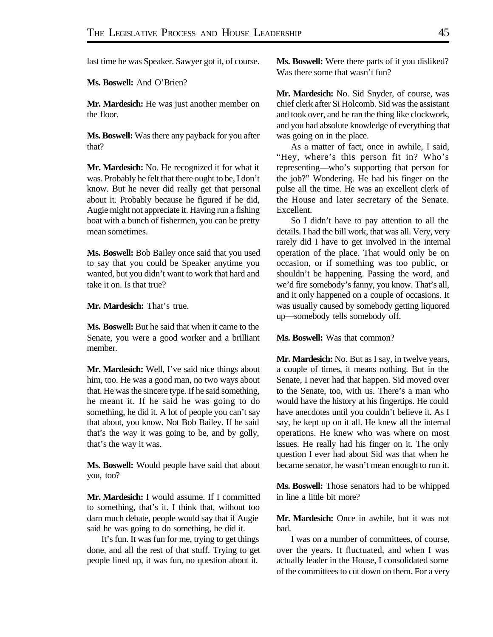last time he was Speaker. Sawyer got it, of course.

**Ms. Boswell:** And O'Brien?

**Mr. Mardesich:** He was just another member on the floor.

**Ms. Boswell:** Was there any payback for you after that?

**Mr. Mardesich:** No. He recognized it for what it was. Probably he felt that there ought to be, I don't know. But he never did really get that personal about it. Probably because he figured if he did, Augie might not appreciate it. Having run a fishing boat with a bunch of fishermen, you can be pretty mean sometimes.

**Ms. Boswell:** Bob Bailey once said that you used to say that you could be Speaker anytime you wanted, but you didn't want to work that hard and take it on. Is that true?

**Mr. Mardesich:** That's true.

**Ms. Boswell:** But he said that when it came to the Senate, you were a good worker and a brilliant member.

**Mr. Mardesich:** Well, I've said nice things about him, too. He was a good man, no two ways about that. He was the sincere type. If he said something, he meant it. If he said he was going to do something, he did it. A lot of people you can't say that about, you know. Not Bob Bailey. If he said that's the way it was going to be, and by golly, that's the way it was.

**Ms. Boswell:** Would people have said that about you, too?

**Mr. Mardesich:** I would assume. If I committed to something, that's it. I think that, without too darn much debate, people would say that if Augie said he was going to do something, he did it.

It's fun. It was fun for me, trying to get things done, and all the rest of that stuff. Trying to get people lined up, it was fun, no question about it.

**Ms. Boswell:** Were there parts of it you disliked? Was there some that wasn't fun?

**Mr. Mardesich:** No. Sid Snyder, of course, was chief clerk after Si Holcomb. Sid was the assistant and took over, and he ran the thing like clockwork, and you had absolute knowledge of everything that was going on in the place.

As a matter of fact, once in awhile, I said, "Hey, where's this person fit in? Who's representing—who's supporting that person for the job?" Wondering. He had his finger on the pulse all the time. He was an excellent clerk of the House and later secretary of the Senate. Excellent.

So I didn't have to pay attention to all the details. I had the bill work, that was all. Very, very rarely did I have to get involved in the internal operation of the place. That would only be on occasion, or if something was too public, or shouldn't be happening. Passing the word, and we'd fire somebody's fanny, you know. That's all, and it only happened on a couple of occasions. It was usually caused by somebody getting liquored up—somebody tells somebody off.

**Ms. Boswell:** Was that common?

**Mr. Mardesich:** No. But as I say, in twelve years, a couple of times, it means nothing. But in the Senate, I never had that happen. Sid moved over to the Senate, too, with us. There's a man who would have the history at his fingertips. He could have anecdotes until you couldn't believe it. As I say, he kept up on it all. He knew all the internal operations. He knew who was where on most issues. He really had his finger on it. The only question I ever had about Sid was that when he became senator, he wasn't mean enough to run it.

**Ms. Boswell:** Those senators had to be whipped in line a little bit more?

**Mr. Mardesich:** Once in awhile, but it was not bad.

I was on a number of committees, of course, over the years. It fluctuated, and when I was actually leader in the House, I consolidated some of the committees to cut down on them. For a very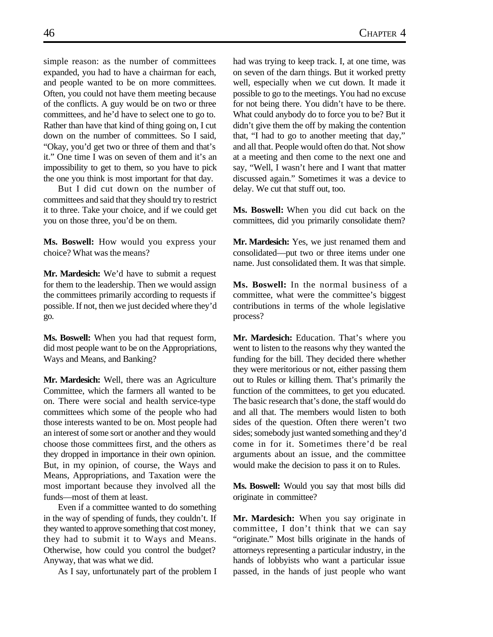simple reason: as the number of committees expanded, you had to have a chairman for each, and people wanted to be on more committees. Often, you could not have them meeting because of the conflicts. A guy would be on two or three committees, and he'd have to select one to go to. Rather than have that kind of thing going on, I cut down on the number of committees. So I said, "Okay, you'd get two or three of them and that's it." One time I was on seven of them and it's an impossibility to get to them, so you have to pick the one you think is most important for that day.

But I did cut down on the number of committees and said that they should try to restrict it to three. Take your choice, and if we could get you on those three, you'd be on them.

**Ms. Boswell:** How would you express your choice? What was the means?

**Mr. Mardesich:** We'd have to submit a request for them to the leadership. Then we would assign the committees primarily according to requests if possible. If not, then we just decided where they'd go.

**Ms. Boswell:** When you had that request form, did most people want to be on the Appropriations, Ways and Means, and Banking?

**Mr. Mardesich:** Well, there was an Agriculture Committee, which the farmers all wanted to be on. There were social and health service-type committees which some of the people who had those interests wanted to be on. Most people had an interest of some sort or another and they would choose those committees first, and the others as they dropped in importance in their own opinion. But, in my opinion, of course, the Ways and Means, Appropriations, and Taxation were the most important because they involved all the funds—most of them at least.

Even if a committee wanted to do something in the way of spending of funds, they couldn't. If they wanted to approve something that cost money, they had to submit it to Ways and Means. Otherwise, how could you control the budget? Anyway, that was what we did.

As I say, unfortunately part of the problem I

had was trying to keep track. I, at one time, was on seven of the darn things. But it worked pretty well, especially when we cut down. It made it possible to go to the meetings. You had no excuse for not being there. You didn't have to be there. What could anybody do to force you to be? But it didn't give them the off by making the contention that, "I had to go to another meeting that day," and all that. People would often do that. Not show at a meeting and then come to the next one and say, "Well, I wasn't here and I want that matter discussed again." Sometimes it was a device to delay. We cut that stuff out, too.

**Ms. Boswell:** When you did cut back on the committees, did you primarily consolidate them?

**Mr. Mardesich:** Yes, we just renamed them and consolidated—put two or three items under one name. Just consolidated them. It was that simple.

**Ms. Boswell:** In the normal business of a committee, what were the committee's biggest contributions in terms of the whole legislative process?

**Mr. Mardesich:** Education. That's where you went to listen to the reasons why they wanted the funding for the bill. They decided there whether they were meritorious or not, either passing them out to Rules or killing them. That's primarily the function of the committees, to get you educated. The basic research that's done, the staff would do and all that. The members would listen to both sides of the question. Often there weren't two sides; somebody just wanted something and they'd come in for it. Sometimes there'd be real arguments about an issue, and the committee would make the decision to pass it on to Rules.

**Ms. Boswell:** Would you say that most bills did originate in committee?

**Mr. Mardesich:** When you say originate in committee, I don't think that we can say "originate." Most bills originate in the hands of attorneys representing a particular industry, in the hands of lobbyists who want a particular issue passed, in the hands of just people who want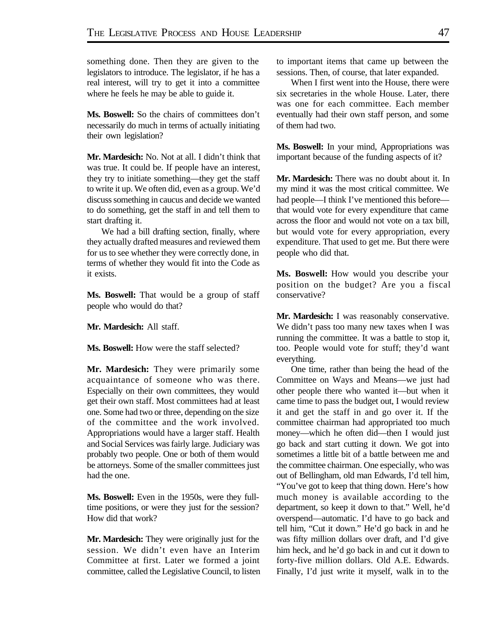something done. Then they are given to the legislators to introduce. The legislator, if he has a real interest, will try to get it into a committee where he feels he may be able to guide it.

Ms. Boswell: So the chairs of committees don't necessarily do much in terms of actually initiating their own legislation?

**Mr. Mardesich:** No. Not at all. I didn't think that was true. It could be. If people have an interest, they try to initiate something—they get the staff to write it up. We often did, even as a group. We'd discuss something in caucus and decide we wanted to do something, get the staff in and tell them to start drafting it.

We had a bill drafting section, finally, where they actually drafted measures and reviewed them for us to see whether they were correctly done, in terms of whether they would fit into the Code as it exists.

**Ms. Boswell:** That would be a group of staff people who would do that?

**Mr. Mardesich:** All staff.

**Ms. Boswell:** How were the staff selected?

**Mr. Mardesich:** They were primarily some acquaintance of someone who was there. Especially on their own committees, they would get their own staff. Most committees had at least one. Some had two or three, depending on the size of the committee and the work involved. Appropriations would have a larger staff. Health and Social Services was fairly large. Judiciary was probably two people. One or both of them would be attorneys. Some of the smaller committees just had the one.

**Ms. Boswell:** Even in the 1950s, were they fulltime positions, or were they just for the session? How did that work?

**Mr. Mardesich:** They were originally just for the session. We didn't even have an Interim Committee at first. Later we formed a joint committee, called the Legislative Council, to listen to important items that came up between the sessions. Then, of course, that later expanded.

When I first went into the House, there were six secretaries in the whole House. Later, there was one for each committee. Each member eventually had their own staff person, and some of them had two.

**Ms. Boswell:** In your mind, Appropriations was important because of the funding aspects of it?

**Mr. Mardesich:** There was no doubt about it. In my mind it was the most critical committee. We had people—I think I've mentioned this before that would vote for every expenditure that came across the floor and would not vote on a tax bill, but would vote for every appropriation, every expenditure. That used to get me. But there were people who did that.

**Ms. Boswell:** How would you describe your position on the budget? Are you a fiscal conservative?

**Mr. Mardesich:** I was reasonably conservative. We didn't pass too many new taxes when I was running the committee. It was a battle to stop it, too. People would vote for stuff; they'd want everything.

One time, rather than being the head of the Committee on Ways and Means—we just had other people there who wanted it—but when it came time to pass the budget out, I would review it and get the staff in and go over it. If the committee chairman had appropriated too much money—which he often did—then I would just go back and start cutting it down. We got into sometimes a little bit of a battle between me and the committee chairman. One especially, who was out of Bellingham, old man Edwards, I'd tell him, "You've got to keep that thing down. Here's how much money is available according to the department, so keep it down to that." Well, he'd overspend—automatic. I'd have to go back and tell him, "Cut it down." He'd go back in and he was fifty million dollars over draft, and I'd give him heck, and he'd go back in and cut it down to forty-five million dollars. Old A.E. Edwards. Finally, I'd just write it myself, walk in to the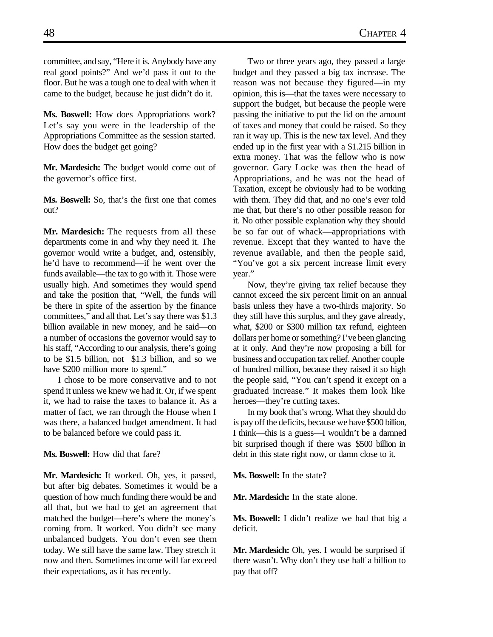committee, and say, "Here it is. Anybody have any real good points?" And we'd pass it out to the floor. But he was a tough one to deal with when it came to the budget, because he just didn't do it.

**Ms. Boswell:** How does Appropriations work? Let's say you were in the leadership of the Appropriations Committee as the session started. How does the budget get going?

**Mr. Mardesich:** The budget would come out of the governor's office first.

**Ms. Boswell:** So, that's the first one that comes out?

**Mr. Mardesich:** The requests from all these departments come in and why they need it. The governor would write a budget, and, ostensibly, he'd have to recommend—if he went over the funds available—the tax to go with it. Those were usually high. And sometimes they would spend and take the position that, "Well, the funds will be there in spite of the assertion by the finance committees," and all that. Let's say there was \$1.3 billion available in new money, and he said—on a number of occasions the governor would say to his staff, "According to our analysis, there's going to be \$1.5 billion, not \$1.3 billion, and so we have \$200 million more to spend."

I chose to be more conservative and to not spend it unless we knew we had it. Or, if we spent it, we had to raise the taxes to balance it. As a matter of fact, we ran through the House when I was there, a balanced budget amendment. It had to be balanced before we could pass it.

#### **Ms. Boswell:** How did that fare?

**Mr. Mardesich:** It worked. Oh, yes, it passed, but after big debates. Sometimes it would be a question of how much funding there would be and all that, but we had to get an agreement that matched the budget—here's where the money's coming from. It worked. You didn't see many unbalanced budgets. You don't even see them today. We still have the same law. They stretch it now and then. Sometimes income will far exceed their expectations, as it has recently.

Two or three years ago, they passed a large budget and they passed a big tax increase. The reason was not because they figured—in my opinion, this is—that the taxes were necessary to support the budget, but because the people were passing the initiative to put the lid on the amount of taxes and money that could be raised. So they ran it way up. This is the new tax level. And they ended up in the first year with a \$1.215 billion in extra money. That was the fellow who is now governor. Gary Locke was then the head of Appropriations, and he was not the head of Taxation, except he obviously had to be working with them. They did that, and no one's ever told me that, but there's no other possible reason for it. No other possible explanation why they should be so far out of whack—appropriations with revenue. Except that they wanted to have the revenue available, and then the people said, "You've got a six percent increase limit every year."

Now, they're giving tax relief because they cannot exceed the six percent limit on an annual basis unless they have a two-thirds majority. So they still have this surplus, and they gave already, what, \$200 or \$300 million tax refund, eighteen dollars per home or something? I've been glancing at it only. And they're now proposing a bill for business and occupation tax relief. Another couple of hundred million, because they raised it so high the people said, "You can't spend it except on a graduated increase." It makes them look like heroes—they're cutting taxes.

In my book that's wrong. What they should do is pay off the deficits, because we have \$500 billion, I think—this is a guess—I wouldn't be a damned bit surprised though if there was \$500 billion in debt in this state right now, or damn close to it.

**Ms. Boswell:** In the state?

**Mr. Mardesich:** In the state alone.

**Ms. Boswell:** I didn't realize we had that big a deficit.

**Mr. Mardesich:** Oh, yes. I would be surprised if there wasn't. Why don't they use half a billion to pay that off?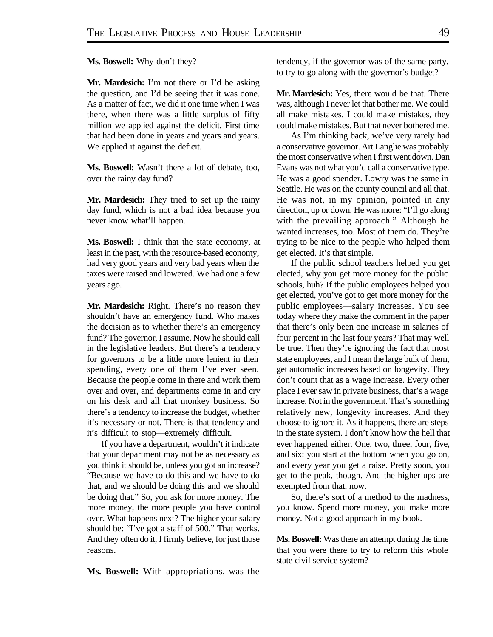**Ms. Boswell:** Why don't they?

**Mr. Mardesich:** I'm not there or I'd be asking the question, and I'd be seeing that it was done. As a matter of fact, we did it one time when I was there, when there was a little surplus of fifty million we applied against the deficit. First time that had been done in years and years and years. We applied it against the deficit.

**Ms. Boswell:** Wasn't there a lot of debate, too, over the rainy day fund?

**Mr. Mardesich:** They tried to set up the rainy day fund, which is not a bad idea because you never know what'll happen.

**Ms. Boswell:** I think that the state economy, at least in the past, with the resource-based economy, had very good years and very bad years when the taxes were raised and lowered. We had one a few years ago.

**Mr. Mardesich:** Right. There's no reason they shouldn't have an emergency fund. Who makes the decision as to whether there's an emergency fund? The governor, I assume. Now he should call in the legislative leaders. But there's a tendency for governors to be a little more lenient in their spending, every one of them I've ever seen. Because the people come in there and work them over and over, and departments come in and cry on his desk and all that monkey business. So there's a tendency to increase the budget, whether it's necessary or not. There is that tendency and it's difficult to stop—extremely difficult.

If you have a department, wouldn't it indicate that your department may not be as necessary as you think it should be, unless you got an increase? "Because we have to do this and we have to do that, and we should be doing this and we should be doing that." So, you ask for more money. The more money, the more people you have control over. What happens next? The higher your salary should be: "I've got a staff of 500." That works. And they often do it, I firmly believe, for just those reasons.

**Ms. Boswell:** With appropriations, was the

tendency, if the governor was of the same party, to try to go along with the governor's budget?

**Mr. Mardesich:** Yes, there would be that. There was, although I never let that bother me. We could all make mistakes. I could make mistakes, they could make mistakes. But that never bothered me.

As I'm thinking back, we've very rarely had a conservative governor. Art Langlie was probably the most conservative when I first went down. Dan Evans was not what you'd call a conservative type. He was a good spender. Lowry was the same in Seattle. He was on the county council and all that. He was not, in my opinion, pointed in any direction, up or down. He was more: "I'll go along with the prevailing approach." Although he wanted increases, too. Most of them do. They're trying to be nice to the people who helped them get elected. It's that simple.

If the public school teachers helped you get elected, why you get more money for the public schools, huh? If the public employees helped you get elected, you've got to get more money for the public employees—salary increases. You see today where they make the comment in the paper that there's only been one increase in salaries of four percent in the last four years? That may well be true. Then they're ignoring the fact that most state employees, and I mean the large bulk of them, get automatic increases based on longevity. They don't count that as a wage increase. Every other place I ever saw in private business, that's a wage increase. Not in the government. That's something relatively new, longevity increases. And they choose to ignore it. As it happens, there are steps in the state system. I don't know how the hell that ever happened either. One, two, three, four, five, and six: you start at the bottom when you go on, and every year you get a raise. Pretty soon, you get to the peak, though. And the higher-ups are exempted from that, now.

So, there's sort of a method to the madness, you know. Spend more money, you make more money. Not a good approach in my book.

**Ms. Boswell:** Was there an attempt during the time that you were there to try to reform this whole state civil service system?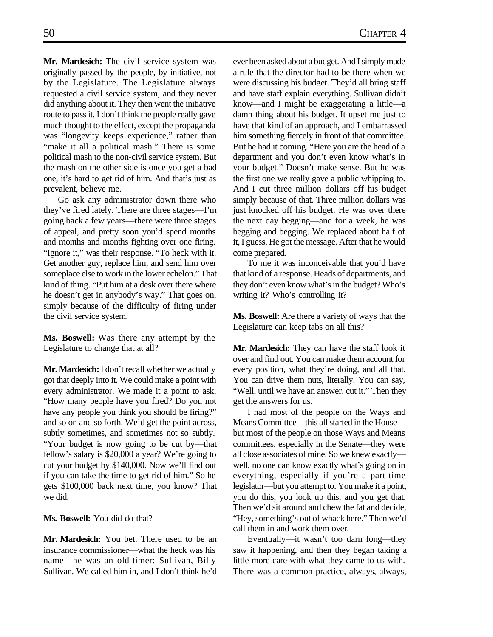**Mr. Mardesich:** The civil service system was originally passed by the people, by initiative, not by the Legislature. The Legislature always requested a civil service system, and they never did anything about it. They then went the initiative route to pass it. I don't think the people really gave much thought to the effect, except the propaganda was "longevity keeps experience," rather than "make it all a political mash." There is some political mash to the non-civil service system. But the mash on the other side is once you get a bad one, it's hard to get rid of him. And that's just as prevalent, believe me.

Go ask any administrator down there who they've fired lately. There are three stages—I'm going back a few years—there were three stages of appeal, and pretty soon you'd spend months and months and months fighting over one firing. "Ignore it," was their response. "To heck with it. Get another guy, replace him, and send him over someplace else to work in the lower echelon." That kind of thing. "Put him at a desk over there where he doesn't get in anybody's way." That goes on, simply because of the difficulty of firing under the civil service system.

**Ms. Boswell:** Was there any attempt by the Legislature to change that at all?

**Mr. Mardesich:** I don't recall whether we actually got that deeply into it. We could make a point with every administrator. We made it a point to ask, "How many people have you fired? Do you not have any people you think you should be firing?" and so on and so forth. We'd get the point across, subtly sometimes, and sometimes not so subtly. "Your budget is now going to be cut by—that fellow's salary is \$20,000 a year? We're going to cut your budget by \$140,000. Now we'll find out if you can take the time to get rid of him." So he gets \$100,000 back next time, you know? That we did.

**Ms. Boswell:** You did do that?

**Mr. Mardesich:** You bet. There used to be an insurance commissioner—what the heck was his name—he was an old-timer: Sullivan, Billy Sullivan. We called him in, and I don't think he'd ever been asked about a budget. And I simply made a rule that the director had to be there when we were discussing his budget. They'd all bring staff and have staff explain everything. Sullivan didn't know—and I might be exaggerating a little—a damn thing about his budget. It upset me just to have that kind of an approach, and I embarrassed him something fiercely in front of that committee. But he had it coming. "Here you are the head of a department and you don't even know what's in your budget." Doesn't make sense. But he was the first one we really gave a public whipping to. And I cut three million dollars off his budget simply because of that. Three million dollars was just knocked off his budget. He was over there the next day begging—and for a week, he was begging and begging. We replaced about half of it, I guess. He got the message. After that he would come prepared.

To me it was inconceivable that you'd have that kind of a response. Heads of departments, and they don't even know what's in the budget? Who's writing it? Who's controlling it?

**Ms. Boswell:** Are there a variety of ways that the Legislature can keep tabs on all this?

**Mr. Mardesich:** They can have the staff look it over and find out. You can make them account for every position, what they're doing, and all that. You can drive them nuts, literally. You can say, "Well, until we have an answer, cut it." Then they get the answers for us.

I had most of the people on the Ways and Means Committee—this all started in the House but most of the people on those Ways and Means committees, especially in the Senate—they were all close associates of mine. So we knew exactly well, no one can know exactly what's going on in everything, especially if you're a part-time legislator—but you attempt to. You make it a point, you do this, you look up this, and you get that. Then we'd sit around and chew the fat and decide, "Hey, something's out of whack here." Then we'd call them in and work them over.

Eventually—it wasn't too darn long—they saw it happening, and then they began taking a little more care with what they came to us with. There was a common practice, always, always,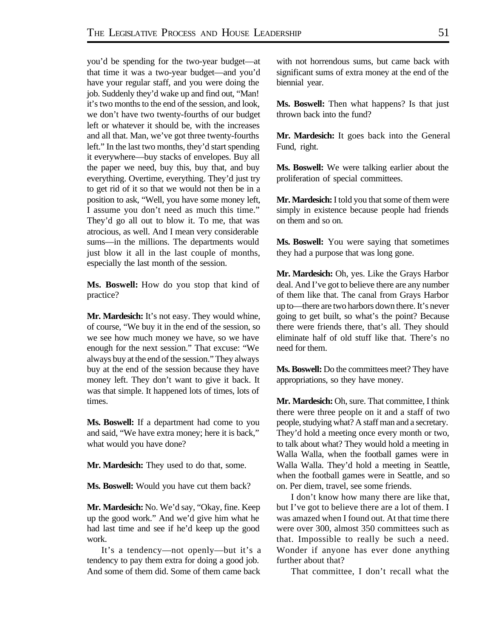you'd be spending for the two-year budget—at that time it was a two-year budget—and you'd have your regular staff, and you were doing the job. Suddenly they'd wake up and find out, "Man! it's two months to the end of the session, and look, we don't have two twenty-fourths of our budget left or whatever it should be, with the increases and all that. Man, we've got three twenty-fourths left." In the last two months, they'd start spending it everywhere—buy stacks of envelopes. Buy all the paper we need, buy this, buy that, and buy everything. Overtime, everything. They'd just try to get rid of it so that we would not then be in a position to ask, "Well, you have some money left, I assume you don't need as much this time." They'd go all out to blow it. To me, that was atrocious, as well. And I mean very considerable sums—in the millions. The departments would just blow it all in the last couple of months, especially the last month of the session.

**Ms. Boswell:** How do you stop that kind of practice?

Mr. Mardesich: It's not easy. They would whine, of course, "We buy it in the end of the session, so we see how much money we have, so we have enough for the next session." That excuse: "We always buy at the end of the session." They always buy at the end of the session because they have money left. They don't want to give it back. It was that simple. It happened lots of times, lots of times.

**Ms. Boswell:** If a department had come to you and said, "We have extra money; here it is back," what would you have done?

**Mr. Mardesich:** They used to do that, some.

**Ms. Boswell:** Would you have cut them back?

**Mr. Mardesich:** No. We'd say, "Okay, fine. Keep up the good work." And we'd give him what he had last time and see if he'd keep up the good work.

It's a tendency—not openly—but it's a tendency to pay them extra for doing a good job. And some of them did. Some of them came back

with not horrendous sums, but came back with significant sums of extra money at the end of the biennial year.

**Ms. Boswell:** Then what happens? Is that just thrown back into the fund?

**Mr. Mardesich:** It goes back into the General Fund, right.

**Ms. Boswell:** We were talking earlier about the proliferation of special committees.

**Mr. Mardesich:** I told you that some of them were simply in existence because people had friends on them and so on.

**Ms. Boswell:** You were saying that sometimes they had a purpose that was long gone.

**Mr. Mardesich:** Oh, yes. Like the Grays Harbor deal. And I've got to believe there are any number of them like that. The canal from Grays Harbor up to—there are two harbors down there. It's never going to get built, so what's the point? Because there were friends there, that's all. They should eliminate half of old stuff like that. There's no need for them.

**Ms. Boswell:** Do the committees meet? They have appropriations, so they have money.

**Mr. Mardesich:** Oh, sure. That committee, I think there were three people on it and a staff of two people, studying what? A staff man and a secretary. They'd hold a meeting once every month or two, to talk about what? They would hold a meeting in Walla Walla, when the football games were in Walla Walla. They'd hold a meeting in Seattle, when the football games were in Seattle, and so on. Per diem, travel, see some friends.

I don't know how many there are like that, but I've got to believe there are a lot of them. I was amazed when I found out. At that time there were over 300, almost 350 committees such as that. Impossible to really be such a need. Wonder if anyone has ever done anything further about that?

That committee, I don't recall what the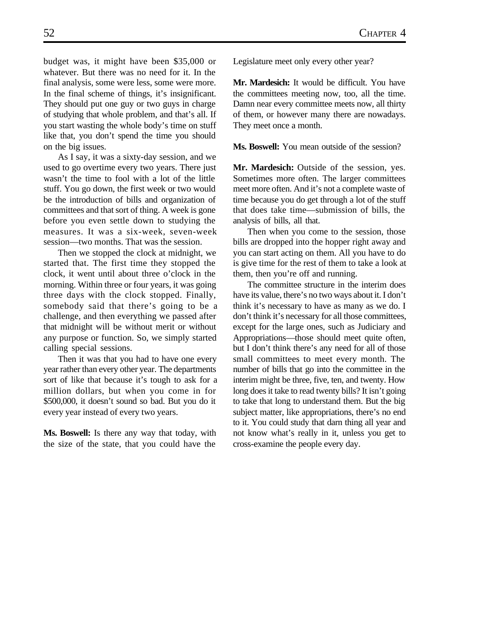budget was, it might have been \$35,000 or whatever. But there was no need for it. In the final analysis, some were less, some were more. In the final scheme of things, it's insignificant. They should put one guy or two guys in charge of studying that whole problem, and that's all. If you start wasting the whole body's time on stuff like that, you don't spend the time you should on the big issues.

As I say, it was a sixty-day session, and we used to go overtime every two years. There just wasn't the time to fool with a lot of the little stuff. You go down, the first week or two would be the introduction of bills and organization of committees and that sort of thing. A week is gone before you even settle down to studying the measures. It was a six-week, seven-week session—two months. That was the session.

Then we stopped the clock at midnight, we started that. The first time they stopped the clock, it went until about three o'clock in the morning. Within three or four years, it was going three days with the clock stopped. Finally, somebody said that there's going to be a challenge, and then everything we passed after that midnight will be without merit or without any purpose or function. So, we simply started calling special sessions.

Then it was that you had to have one every year rather than every other year. The departments sort of like that because it's tough to ask for a million dollars, but when you come in for \$500,000, it doesn't sound so bad. But you do it every year instead of every two years.

**Ms. Boswell:** Is there any way that today, with the size of the state, that you could have the Legislature meet only every other year?

**Mr. Mardesich:** It would be difficult. You have the committees meeting now, too, all the time. Damn near every committee meets now, all thirty of them, or however many there are nowadays. They meet once a month.

**Ms. Boswell:** You mean outside of the session?

**Mr. Mardesich:** Outside of the session, yes. Sometimes more often. The larger committees meet more often. And it's not a complete waste of time because you do get through a lot of the stuff that does take time—submission of bills, the analysis of bills, all that.

Then when you come to the session, those bills are dropped into the hopper right away and you can start acting on them. All you have to do is give time for the rest of them to take a look at them, then you're off and running.

The committee structure in the interim does have its value, there's no two ways about it. I don't think it's necessary to have as many as we do. I don't think it's necessary for all those committees, except for the large ones, such as Judiciary and Appropriations—those should meet quite often, but I don't think there's any need for all of those small committees to meet every month. The number of bills that go into the committee in the interim might be three, five, ten, and twenty. How long does it take to read twenty bills? It isn't going to take that long to understand them. But the big subject matter, like appropriations, there's no end to it. You could study that darn thing all year and not know what's really in it, unless you get to cross-examine the people every day.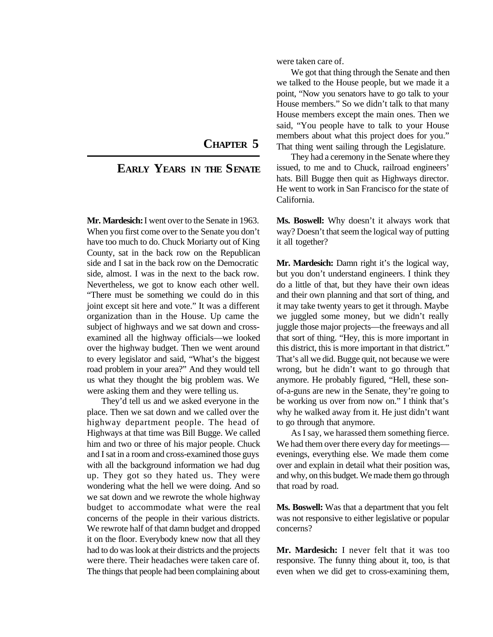## **CHAPTER 5**

### **EARLY YEARS IN THE SENATE**

**Mr. Mardesich:** I went over to the Senate in 1963. When you first come over to the Senate you don't have too much to do. Chuck Moriarty out of King County, sat in the back row on the Republican side and I sat in the back row on the Democratic side, almost. I was in the next to the back row. Nevertheless, we got to know each other well. "There must be something we could do in this joint except sit here and vote." It was a different organization than in the House. Up came the subject of highways and we sat down and crossexamined all the highway officials—we looked over the highway budget. Then we went around to every legislator and said, "What's the biggest road problem in your area?" And they would tell us what they thought the big problem was. We were asking them and they were telling us.

They'd tell us and we asked everyone in the place. Then we sat down and we called over the highway department people. The head of Highways at that time was Bill Bugge. We called him and two or three of his major people. Chuck and I sat in a room and cross-examined those guys with all the background information we had dug up. They got so they hated us. They were wondering what the hell we were doing. And so we sat down and we rewrote the whole highway budget to accommodate what were the real concerns of the people in their various districts. We rewrote half of that damn budget and dropped it on the floor. Everybody knew now that all they had to do was look at their districts and the projects were there. Their headaches were taken care of. The things that people had been complaining about were taken care of.

We got that thing through the Senate and then we talked to the House people, but we made it a point, "Now you senators have to go talk to your House members." So we didn't talk to that many House members except the main ones. Then we said, "You people have to talk to your House members about what this project does for you." That thing went sailing through the Legislature.

They had a ceremony in the Senate where they issued, to me and to Chuck, railroad engineers' hats. Bill Bugge then quit as Highways director. He went to work in San Francisco for the state of California.

**Ms. Boswell:** Why doesn't it always work that way? Doesn't that seem the logical way of putting it all together?

**Mr. Mardesich:** Damn right it's the logical way, but you don't understand engineers. I think they do a little of that, but they have their own ideas and their own planning and that sort of thing, and it may take twenty years to get it through. Maybe we juggled some money, but we didn't really juggle those major projects—the freeways and all that sort of thing. "Hey, this is more important in this district, this is more important in that district." That's all we did. Bugge quit, not because we were wrong, but he didn't want to go through that anymore. He probably figured, "Hell, these sonof-a-guns are new in the Senate, they're going to be working us over from now on." I think that's why he walked away from it. He just didn't want to go through that anymore.

As I say, we harassed them something fierce. We had them over there every day for meetings evenings, everything else. We made them come over and explain in detail what their position was, and why, on this budget. We made them go through that road by road.

**Ms. Boswell:** Was that a department that you felt was not responsive to either legislative or popular concerns?

**Mr. Mardesich:** I never felt that it was too responsive. The funny thing about it, too, is that even when we did get to cross-examining them,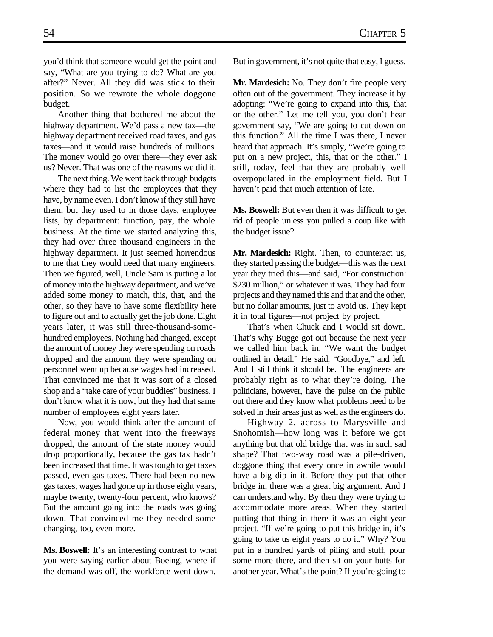you'd think that someone would get the point and say, "What are you trying to do? What are you after?" Never. All they did was stick to their position. So we rewrote the whole doggone budget.

Another thing that bothered me about the highway department. We'd pass a new tax—the highway department received road taxes, and gas taxes—and it would raise hundreds of millions. The money would go over there—they ever ask us? Never. That was one of the reasons we did it.

The next thing. We went back through budgets where they had to list the employees that they have, by name even. I don't know if they still have them, but they used to in those days, employee lists, by department: function, pay, the whole business. At the time we started analyzing this, they had over three thousand engineers in the highway department. It just seemed horrendous to me that they would need that many engineers. Then we figured, well, Uncle Sam is putting a lot of money into the highway department, and we've added some money to match, this, that, and the other, so they have to have some flexibility here to figure out and to actually get the job done. Eight years later, it was still three-thousand-somehundred employees. Nothing had changed, except the amount of money they were spending on roads dropped and the amount they were spending on personnel went up because wages had increased. That convinced me that it was sort of a closed shop and a "take care of your buddies" business. I don't know what it is now, but they had that same number of employees eight years later.

Now, you would think after the amount of federal money that went into the freeways dropped, the amount of the state money would drop proportionally, because the gas tax hadn't been increased that time. It was tough to get taxes passed, even gas taxes. There had been no new gas taxes, wages had gone up in those eight years, maybe twenty, twenty-four percent, who knows? But the amount going into the roads was going down. That convinced me they needed some changing, too, even more.

**Ms. Boswell:** It's an interesting contrast to what you were saying earlier about Boeing, where if the demand was off, the workforce went down.

But in government, it's not quite that easy, I guess.

**Mr. Mardesich:** No. They don't fire people very often out of the government. They increase it by adopting: "We're going to expand into this, that or the other." Let me tell you, you don't hear government say, "We are going to cut down on this function." All the time I was there, I never heard that approach. It's simply, "We're going to put on a new project, this, that or the other." I still, today, feel that they are probably well overpopulated in the employment field. But I haven't paid that much attention of late.

**Ms. Boswell:** But even then it was difficult to get rid of people unless you pulled a coup like with the budget issue?

**Mr. Mardesich:** Right. Then, to counteract us, they started passing the budget—this was the next year they tried this—and said, "For construction: \$230 million," or whatever it was. They had four projects and they named this and that and the other, but no dollar amounts, just to avoid us. They kept it in total figures—not project by project.

That's when Chuck and I would sit down. That's why Bugge got out because the next year we called him back in, "We want the budget outlined in detail." He said, "Goodbye," and left. And I still think it should be. The engineers are probably right as to what they're doing. The politicians, however, have the pulse on the public out there and they know what problems need to be solved in their areas just as well as the engineers do.

Highway 2, across to Marysville and Snohomish—how long was it before we got anything but that old bridge that was in such sad shape? That two-way road was a pile-driven, doggone thing that every once in awhile would have a big dip in it. Before they put that other bridge in, there was a great big argument. And I can understand why. By then they were trying to accommodate more areas. When they started putting that thing in there it was an eight-year project. "If we're going to put this bridge in, it's going to take us eight years to do it." Why? You put in a hundred yards of piling and stuff, pour some more there, and then sit on your butts for another year. What's the point? If you're going to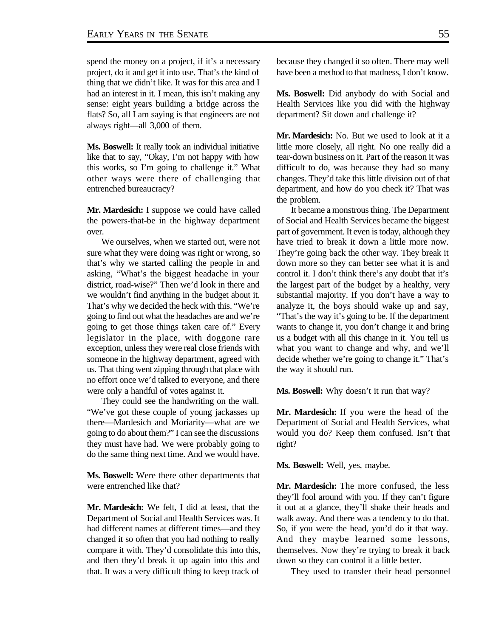spend the money on a project, if it's a necessary project, do it and get it into use. That's the kind of thing that we didn't like. It was for this area and I had an interest in it. I mean, this isn't making any sense: eight years building a bridge across the flats? So, all I am saying is that engineers are not always right—all 3,000 of them.

**Ms. Boswell:** It really took an individual initiative like that to say, "Okay, I'm not happy with how this works, so I'm going to challenge it." What other ways were there of challenging that entrenched bureaucracy?

**Mr. Mardesich:** I suppose we could have called the powers-that-be in the highway department over.

We ourselves, when we started out, were not sure what they were doing was right or wrong, so that's why we started calling the people in and asking, "What's the biggest headache in your district, road-wise?" Then we'd look in there and we wouldn't find anything in the budget about it. That's why we decided the heck with this. "We're going to find out what the headaches are and we're going to get those things taken care of." Every legislator in the place, with doggone rare exception, unless they were real close friends with someone in the highway department, agreed with us. That thing went zipping through that place with no effort once we'd talked to everyone, and there were only a handful of votes against it.

They could see the handwriting on the wall. "We've got these couple of young jackasses up there—Mardesich and Moriarity—what are we going to do about them?" I can see the discussions they must have had. We were probably going to do the same thing next time. And we would have.

**Ms. Boswell:** Were there other departments that were entrenched like that?

**Mr. Mardesich:** We felt, I did at least, that the Department of Social and Health Services was. It had different names at different times—and they changed it so often that you had nothing to really compare it with. They'd consolidate this into this, and then they'd break it up again into this and that. It was a very difficult thing to keep track of because they changed it so often. There may well have been a method to that madness, I don't know.

**Ms. Boswell:** Did anybody do with Social and Health Services like you did with the highway department? Sit down and challenge it?

**Mr. Mardesich:** No. But we used to look at it a little more closely, all right. No one really did a tear-down business on it. Part of the reason it was difficult to do, was because they had so many changes. They'd take this little division out of that department, and how do you check it? That was the problem.

It became a monstrous thing. The Department of Social and Health Services became the biggest part of government. It even is today, although they have tried to break it down a little more now. They're going back the other way. They break it down more so they can better see what it is and control it. I don't think there's any doubt that it's the largest part of the budget by a healthy, very substantial majority. If you don't have a way to analyze it, the boys should wake up and say, "That's the way it's going to be. If the department wants to change it, you don't change it and bring us a budget with all this change in it. You tell us what you want to change and why, and we'll decide whether we're going to change it." That's the way it should run.

**Ms. Boswell:** Why doesn't it run that way?

**Mr. Mardesich:** If you were the head of the Department of Social and Health Services, what would you do? Keep them confused. Isn't that right?

**Ms. Boswell:** Well, yes, maybe.

**Mr. Mardesich:** The more confused, the less they'll fool around with you. If they can't figure it out at a glance, they'll shake their heads and walk away. And there was a tendency to do that. So, if you were the head, you'd do it that way. And they maybe learned some lessons, themselves. Now they're trying to break it back down so they can control it a little better.

They used to transfer their head personnel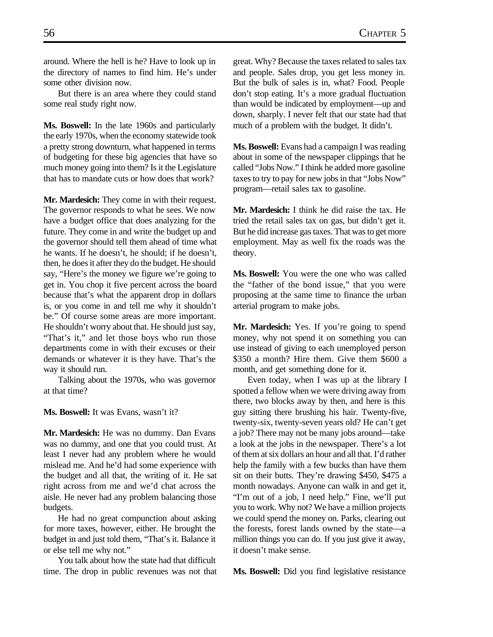around. Where the hell is he? Have to look up in the directory of names to find him. He's under some other division now.

But there is an area where they could stand some real study right now.

**Ms. Boswell:** In the late 1960s and particularly the early 1970s, when the economy statewide took a pretty strong downturn, what happened in terms of budgeting for these big agencies that have so much money going into them? Is it the Legislature that has to mandate cuts or how does that work?

**Mr. Mardesich:** They come in with their request. The governor responds to what he sees. We now have a budget office that does analyzing for the future. They come in and write the budget up and the governor should tell them ahead of time what he wants. If he doesn't, he should; if he doesn't, then, he does it after they do the budget. He should say, "Here's the money we figure we're going to get in. You chop it five percent across the board because that's what the apparent drop in dollars is, or you come in and tell me why it shouldn't be." Of course some areas are more important. He shouldn't worry about that. He should just say, "That's it," and let those boys who run those departments come in with their excuses or their demands or whatever it is they have. That's the way it should run.

Talking about the 1970s, who was governor at that time?

**Ms. Boswell:** It was Evans, wasn't it?

**Mr. Mardesich:** He was no dummy. Dan Evans was no dummy, and one that you could trust. At least I never had any problem where he would mislead me. And he'd had some experience with the budget and all that, the writing of it. He sat right across from me and we'd chat across the aisle. He never had any problem balancing those budgets.

He had no great compunction about asking for more taxes, however, either. He brought the budget in and just told them, "That's it. Balance it or else tell me why not."

You talk about how the state had that difficult time. The drop in public revenues was not that great. Why? Because the taxes related to sales tax and people. Sales drop, you get less money in. But the bulk of sales is in, what? Food. People don't stop eating. It's a more gradual fluctuation than would be indicated by employment—up and down, sharply. I never felt that our state had that much of a problem with the budget. It didn't.

**Ms. Boswell:** Evans had a campaign I was reading about in some of the newspaper clippings that he called "Jobs Now." I think he added more gasoline taxes to try to pay for new jobs in that "Jobs Now" program—retail sales tax to gasoline.

**Mr. Mardesich:** I think he did raise the tax. He tried the retail sales tax on gas, but didn't get it. But he did increase gas taxes. That was to get more employment. May as well fix the roads was the theory.

**Ms. Boswell:** You were the one who was called the "father of the bond issue," that you were proposing at the same time to finance the urban arterial program to make jobs.

**Mr. Mardesich:** Yes. If you're going to spend money, why not spend it on something you can use instead of giving to each unemployed person \$350 a month? Hire them. Give them \$600 a month, and get something done for it.

Even today, when I was up at the library I spotted a fellow when we were driving away from there, two blocks away by then, and here is this guy sitting there brushing his hair. Twenty-five, twenty-six, twenty-seven years old? He can't get a job? There may not be many jobs around—take a look at the jobs in the newspaper. There's a lot of them at six dollars an hour and all that. I'd rather help the family with a few bucks than have them sit on their butts. They're drawing \$450, \$475 a month nowadays. Anyone can walk in and get it, "I'm out of a job, I need help." Fine, we'll put you to work. Why not? We have a million projects we could spend the money on. Parks, clearing out the forests, forest lands owned by the state—a million things you can do. If you just give it away, it doesn't make sense.

**Ms. Boswell:** Did you find legislative resistance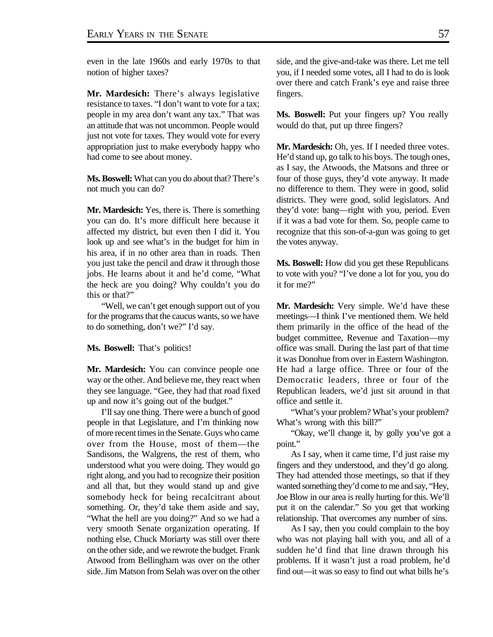even in the late 1960s and early 1970s to that notion of higher taxes?

**Mr. Mardesich:** There's always legislative resistance to taxes. "I don't want to vote for a tax; people in my area don't want any tax." That was an attitude that was not uncommon. People would just not vote for taxes. They would vote for every appropriation just to make everybody happy who had come to see about money.

**Ms. Boswell:** What can you do about that? There's not much you can do?

**Mr. Mardesich:** Yes, there is. There is something you can do. It's more difficult here because it affected my district, but even then I did it. You look up and see what's in the budget for him in his area, if in no other area than in roads. Then you just take the pencil and draw it through those jobs. He learns about it and he'd come, "What the heck are you doing? Why couldn't you do this or that?"

"Well, we can't get enough support out of you for the programs that the caucus wants, so we have to do something, don't we?" I'd say.

#### **Ms. Boswell:** That's politics!

**Mr. Mardesich:** You can convince people one way or the other. And believe me, they react when they see language. "Gee, they had that road fixed up and now it's going out of the budget."

I'll say one thing. There were a bunch of good people in that Legislature, and I'm thinking now of more recent times in the Senate. Guys who came over from the House, most of them—the Sandisons, the Walgrens, the rest of them, who understood what you were doing. They would go right along, and you had to recognize their position and all that, but they would stand up and give somebody heck for being recalcitrant about something. Or, they'd take them aside and say, "What the hell are you doing?" And so we had a very smooth Senate organization operating. If nothing else, Chuck Moriarty was still over there on the other side, and we rewrote the budget. Frank Atwood from Bellingham was over on the other side. Jim Matson from Selah was over on the other side, and the give-and-take was there. Let me tell you, if I needed some votes, all I had to do is look over there and catch Frank's eye and raise three fingers.

**Ms. Boswell:** Put your fingers up? You really would do that, put up three fingers?

**Mr. Mardesich:** Oh, yes. If I needed three votes. He'd stand up, go talk to his boys. The tough ones, as I say, the Atwoods, the Matsons and three or four of those guys, they'd vote anyway. It made no difference to them. They were in good, solid districts. They were good, solid legislators. And they'd vote: bang—right with you, period. Even if it was a bad vote for them. So, people came to recognize that this son-of-a-gun was going to get the votes anyway.

**Ms. Boswell:** How did you get these Republicans to vote with you? "I've done a lot for you, you do it for me?"

**Mr. Mardesich:** Very simple. We'd have these meetings—I think I've mentioned them. We held them primarily in the office of the head of the budget committee, Revenue and Taxation—my office was small. During the last part of that time it was Donohue from over in Eastern Washington. He had a large office. Three or four of the Democratic leaders, three or four of the Republican leaders, we'd just sit around in that office and settle it.

"What's your problem? What's your problem? What's wrong with this bill?"

"Okay, we'll change it, by golly you've got a point."

As I say, when it came time, I'd just raise my fingers and they understood, and they'd go along. They had attended those meetings, so that if they wanted something they'd come to me and say, "Hey, Joe Blow in our area is really hurting for this. We'll put it on the calendar." So you get that working relationship. That overcomes any number of sins.

As I say, then you could complain to the boy who was not playing ball with you, and all of a sudden he'd find that line drawn through his problems. If it wasn't just a road problem, he'd find out—it was so easy to find out what bills he's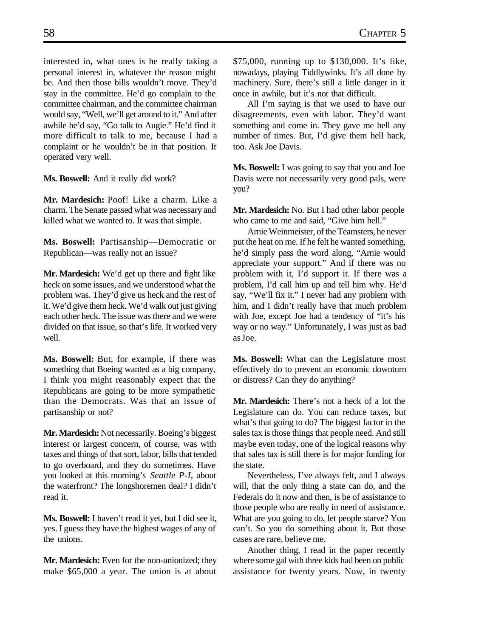interested in, what ones is he really taking a personal interest in, whatever the reason might be. And then those bills wouldn't move. They'd stay in the committee. He'd go complain to the committee chairman, and the committee chairman would say, "Well, we'll get around to it." And after awhile he'd say, "Go talk to Augie." He'd find it more difficult to talk to me, because I had a complaint or he wouldn't be in that position. It operated very well.

**Ms. Boswell:** And it really did work?

**Mr. Mardesich:** Poof! Like a charm. Like a charm. The Senate passed what was necessary and killed what we wanted to. It was that simple.

**Ms. Boswell:** Partisanship—Democratic or Republican—was really not an issue?

**Mr. Mardesich:** We'd get up there and fight like heck on some issues, and we understood what the problem was. They'd give us heck and the rest of it. We'd give them heck. We'd walk out just giving each other heck. The issue was there and we were divided on that issue, so that's life. It worked very well.

**Ms. Boswell:** But, for example, if there was something that Boeing wanted as a big company, I think you might reasonably expect that the Republicans are going to be more sympathetic than the Democrats. Was that an issue of partisanship or not?

**Mr. Mardesich:** Not necessarily. Boeing's biggest interest or largest concern, of course, was with taxes and things of that sort, labor, bills that tended to go overboard, and they do sometimes. Have you looked at this morning's *Seattle P-I*, about the waterfront? The longshoremen deal? I didn't read it.

**Ms. Boswell:** I haven't read it yet, but I did see it, yes. I guess they have the highest wages of any of the unions.

**Mr. Mardesich:** Even for the non-unionized; they make \$65,000 a year. The union is at about \$75,000, running up to \$130,000. It's like, nowadays, playing Tiddlywinks. It's all done by machinery. Sure, there's still a little danger in it once in awhile, but it's not that difficult.

All I'm saying is that we used to have our disagreements, even with labor. They'd want something and come in. They gave me hell any number of times. But, I'd give them hell back, too. Ask Joe Davis.

**Ms. Boswell:** I was going to say that you and Joe Davis were not necessarily very good pals, were you?

**Mr. Mardesich:** No. But I had other labor people who came to me and said, "Give him hell."

Arnie Weinmeister, of the Teamsters, he never put the heat on me. If he felt he wanted something, he'd simply pass the word along, "Arnie would appreciate your support." And if there was no problem with it, I'd support it. If there was a problem, I'd call him up and tell him why. He'd say, "We'll fix it." I never had any problem with him, and I didn't really have that much problem with Joe, except Joe had a tendency of "it's his way or no way." Unfortunately, I was just as bad as Joe.

**Ms. Boswell:** What can the Legislature most effectively do to prevent an economic downturn or distress? Can they do anything?

**Mr. Mardesich:** There's not a heck of a lot the Legislature can do. You can reduce taxes, but what's that going to do? The biggest factor in the sales tax is those things that people need. And still maybe even today, one of the logical reasons why that sales tax is still there is for major funding for the state.

Nevertheless, I've always felt, and I always will, that the only thing a state can do, and the Federals do it now and then, is be of assistance to those people who are really in need of assistance. What are you going to do, let people starve? You can't. So you do something about it. But those cases are rare, believe me.

Another thing, I read in the paper recently where some gal with three kids had been on public assistance for twenty years. Now, in twenty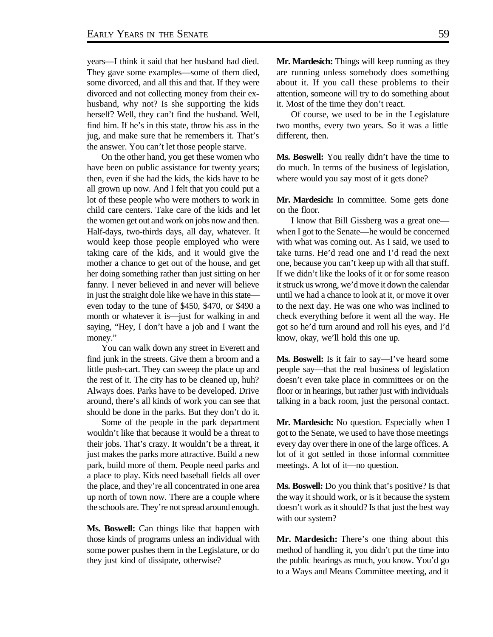years—I think it said that her husband had died. They gave some examples—some of them died, some divorced, and all this and that. If they were divorced and not collecting money from their exhusband, why not? Is she supporting the kids herself? Well, they can't find the husband. Well, find him. If he's in this state, throw his ass in the jug, and make sure that he remembers it. That's the answer. You can't let those people starve.

On the other hand, you get these women who have been on public assistance for twenty years; then, even if she had the kids, the kids have to be all grown up now. And I felt that you could put a lot of these people who were mothers to work in child care centers. Take care of the kids and let the women get out and work on jobs now and then. Half-days, two-thirds days, all day, whatever. It would keep those people employed who were taking care of the kids, and it would give the mother a chance to get out of the house, and get her doing something rather than just sitting on her fanny. I never believed in and never will believe in just the straight dole like we have in this state even today to the tune of \$450, \$470, or \$490 a month or whatever it is—just for walking in and saying, "Hey, I don't have a job and I want the money."

You can walk down any street in Everett and find junk in the streets. Give them a broom and a little push-cart. They can sweep the place up and the rest of it. The city has to be cleaned up, huh? Always does. Parks have to be developed. Drive around, there's all kinds of work you can see that should be done in the parks. But they don't do it.

Some of the people in the park department wouldn't like that because it would be a threat to their jobs. That's crazy. It wouldn't be a threat, it just makes the parks more attractive. Build a new park, build more of them. People need parks and a place to play. Kids need baseball fields all over the place, and they're all concentrated in one area up north of town now. There are a couple where the schools are. They're not spread around enough.

**Ms. Boswell:** Can things like that happen with those kinds of programs unless an individual with some power pushes them in the Legislature, or do they just kind of dissipate, otherwise?

**Mr. Mardesich:** Things will keep running as they are running unless somebody does something about it. If you call these problems to their attention, someone will try to do something about it. Most of the time they don't react.

Of course, we used to be in the Legislature two months, every two years. So it was a little different, then.

**Ms. Boswell:** You really didn't have the time to do much. In terms of the business of legislation, where would you say most of it gets done?

**Mr. Mardesich:** In committee. Some gets done on the floor.

I know that Bill Gissberg was a great one when I got to the Senate—he would be concerned with what was coming out. As I said, we used to take turns. He'd read one and I'd read the next one, because you can't keep up with all that stuff. If we didn't like the looks of it or for some reason it struck us wrong, we'd move it down the calendar until we had a chance to look at it, or move it over to the next day. He was one who was inclined to check everything before it went all the way. He got so he'd turn around and roll his eyes, and I'd know, okay, we'll hold this one up.

**Ms. Boswell:** Is it fair to say—I've heard some people say—that the real business of legislation doesn't even take place in committees or on the floor or in hearings, but rather just with individuals talking in a back room, just the personal contact.

**Mr. Mardesich:** No question. Especially when I got to the Senate, we used to have those meetings every day over there in one of the large offices. A lot of it got settled in those informal committee meetings. A lot of it—no question.

**Ms. Boswell:** Do you think that's positive? Is that the way it should work, or is it because the system doesn't work as it should? Is that just the best way with our system?

**Mr. Mardesich:** There's one thing about this method of handling it, you didn't put the time into the public hearings as much, you know. You'd go to a Ways and Means Committee meeting, and it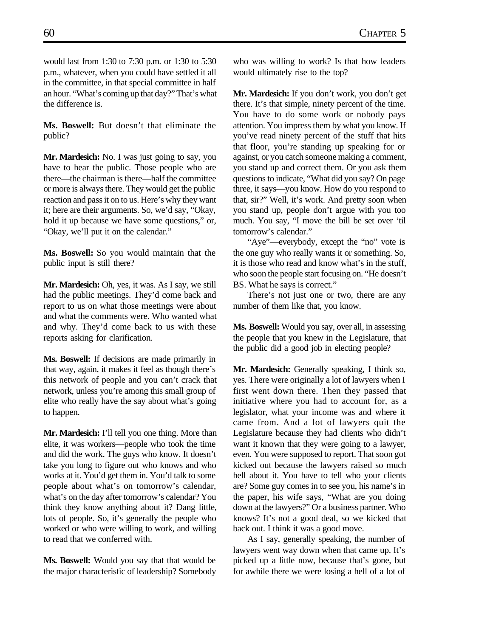would last from 1:30 to 7:30 p.m. or 1:30 to 5:30 p.m., whatever, when you could have settled it all in the committee, in that special committee in half an hour. "What's coming up that day?" That's what the difference is.

**Ms. Boswell:** But doesn't that eliminate the public?

**Mr. Mardesich:** No. I was just going to say, you have to hear the public. Those people who are there—the chairman is there—half the committee or more is always there. They would get the public reaction and pass it on to us. Here's why they want it; here are their arguments. So, we'd say, "Okay, hold it up because we have some questions," or, "Okay, we'll put it on the calendar."

**Ms. Boswell:** So you would maintain that the public input is still there?

**Mr. Mardesich:** Oh, yes, it was. As I say, we still had the public meetings. They'd come back and report to us on what those meetings were about and what the comments were. Who wanted what and why. They'd come back to us with these reports asking for clarification.

**Ms. Boswell:** If decisions are made primarily in that way, again, it makes it feel as though there's this network of people and you can't crack that network, unless you're among this small group of elite who really have the say about what's going to happen.

**Mr. Mardesich:** I'll tell you one thing. More than elite, it was workers—people who took the time and did the work. The guys who know. It doesn't take you long to figure out who knows and who works at it. You'd get them in. You'd talk to some people about what's on tomorrow's calendar, what's on the day after tomorrow's calendar? You think they know anything about it? Dang little, lots of people. So, it's generally the people who worked or who were willing to work, and willing to read that we conferred with.

**Ms. Boswell:** Would you say that that would be the major characteristic of leadership? Somebody who was willing to work? Is that how leaders would ultimately rise to the top?

**Mr. Mardesich:** If you don't work, you don't get there. It's that simple, ninety percent of the time. You have to do some work or nobody pays attention. You impress them by what you know. If you've read ninety percent of the stuff that hits that floor, you're standing up speaking for or against, or you catch someone making a comment, you stand up and correct them. Or you ask them questions to indicate, "What did you say? On page three, it says—you know. How do you respond to that, sir?" Well, it's work. And pretty soon when you stand up, people don't argue with you too much. You say, "I move the bill be set over 'til tomorrow's calendar."

"Aye"—everybody, except the "no" vote is the one guy who really wants it or something. So, it is those who read and know what's in the stuff, who soon the people start focusing on. "He doesn't BS. What he says is correct."

There's not just one or two, there are any number of them like that, you know.

**Ms. Boswell:** Would you say, over all, in assessing the people that you knew in the Legislature, that the public did a good job in electing people?

**Mr. Mardesich:** Generally speaking, I think so, yes. There were originally a lot of lawyers when I first went down there. Then they passed that initiative where you had to account for, as a legislator, what your income was and where it came from. And a lot of lawyers quit the Legislature because they had clients who didn't want it known that they were going to a lawyer, even. You were supposed to report. That soon got kicked out because the lawyers raised so much hell about it. You have to tell who your clients are? Some guy comes in to see you, his name's in the paper, his wife says, "What are you doing down at the lawyers?" Or a business partner. Who knows? It's not a good deal, so we kicked that back out. I think it was a good move.

As I say, generally speaking, the number of lawyers went way down when that came up. It's picked up a little now, because that's gone, but for awhile there we were losing a hell of a lot of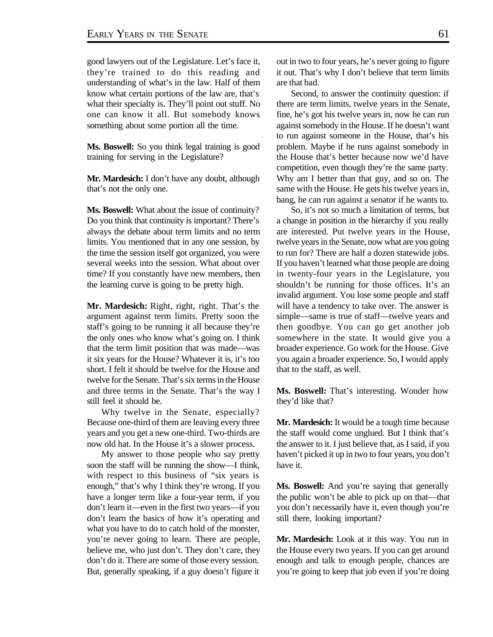good lawyers out of the Legislature. Let's face it, they're trained to do this reading and understanding of what's in the law. Half of them know what certain portions of the law are, that's what their specialty is. They'll point out stuff. No one can know it all. But somebody knows something about some portion all the time.

**Ms. Boswell:** So you think legal training is good training for serving in the Legislature?

**Mr. Mardesich:** I don't have any doubt, although that's not the only one.

**Ms. Boswell:** What about the issue of continuity? Do you think that continuity is important? There's always the debate about term limits and no term limits. You mentioned that in any one session, by the time the session itself got organized, you were several weeks into the session. What about over time? If you constantly have new members, then the learning curve is going to be pretty high.

**Mr. Mardesich:** Right, right, right. That's the argument against term limits. Pretty soon the staff's going to be running it all because they're the only ones who know what's going on. I think that the term limit position that was made—was it six years for the House? Whatever it is, it's too short. I felt it should be twelve for the House and twelve for the Senate. That's six terms in the House and three terms in the Senate. That's the way I still feel it should be.

Why twelve in the Senate, especially? Because one-third of them are leaving every three years and you get a new one-third. Two-thirds are now old hat. In the House it's a slower process.

My answer to those people who say pretty soon the staff will be running the show—I think, with respect to this business of "six years is enough," that's why I think they're wrong. If you have a longer term like a four-year term, if you don't learn it—even in the first two years—if you don't learn the basics of how it's operating and what you have to do to catch hold of the monster, you're never going to learn. There are people, believe me, who just don't. They don't care, they don't do it. There are some of those every session. But, generally speaking, if a guy doesn't figure it

out in two to four years, he's never going to figure it out. That's why I don't believe that term limits are that bad.

Second, to answer the continuity question: if there are term limits, twelve years in the Senate, fine, he's got his twelve years in, now he can run against somebody in the House. If he doesn't want to run against someone in the House, that's his problem. Maybe if he runs against somebody in the House that's better because now we'd have competition, even though they're the same party. Why am I better than that guy, and so on. The same with the House. He gets his twelve years in, bang, he can run against a senator if he wants to.

So, it's not so much a limitation of terms, but a change in position in the hierarchy if you really are interested. Put twelve years in the House, twelve years in the Senate, now what are you going to run for? There are half a dozen statewide jobs. If you haven't learned what those people are doing in twenty-four years in the Legislature, you shouldn't be running for those offices. It's an invalid argument. You lose some people and staff will have a tendency to take over. The answer is simple—same is true of staff—twelve years and then goodbye. You can go get another job somewhere in the state. It would give you a broader experience. Go work for the House. Give you again a broader experience. So, I would apply that to the staff, as well.

**Ms. Boswell:** That's interesting. Wonder how they'd like that?

**Mr. Mardesich:** It would be a tough time because the staff would come unglued. But I think that's the answer to it. I just believe that, as I said, if you haven't picked it up in two to four years, you don't have it.

**Ms. Boswell:** And you're saying that generally the public won't be able to pick up on that—that you don't necessarily have it, even though you're still there, looking important?

**Mr. Mardesich:** Look at it this way. You run in the House every two years. If you can get around enough and talk to enough people, chances are you're going to keep that job even if you're doing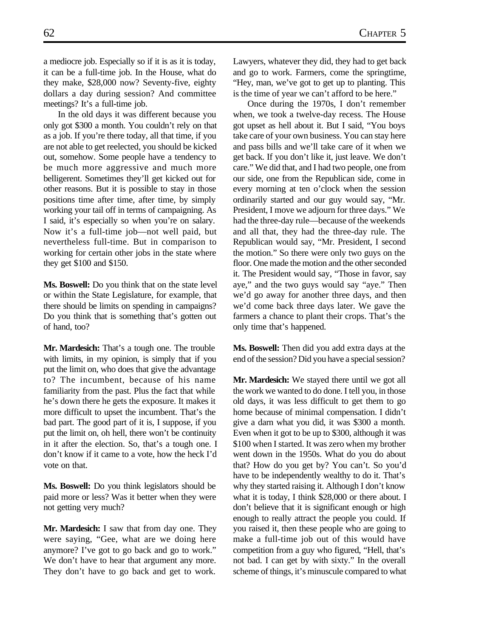a mediocre job. Especially so if it is as it is today, it can be a full-time job. In the House, what do they make, \$28,000 now? Seventy-five, eighty dollars a day during session? And committee meetings? It's a full-time job.

In the old days it was different because you only got \$300 a month. You couldn't rely on that as a job. If you're there today, all that time, if you are not able to get reelected, you should be kicked out, somehow. Some people have a tendency to be much more aggressive and much more belligerent. Sometimes they'll get kicked out for other reasons. But it is possible to stay in those positions time after time, after time, by simply working your tail off in terms of campaigning. As I said, it's especially so when you're on salary. Now it's a full-time job—not well paid, but nevertheless full-time. But in comparison to working for certain other jobs in the state where they get \$100 and \$150.

**Ms. Boswell:** Do you think that on the state level or within the State Legislature, for example, that there should be limits on spending in campaigns? Do you think that is something that's gotten out of hand, too?

**Mr. Mardesich:** That's a tough one. The trouble with limits, in my opinion, is simply that if you put the limit on, who does that give the advantage to? The incumbent, because of his name familiarity from the past. Plus the fact that while he's down there he gets the exposure. It makes it more difficult to upset the incumbent. That's the bad part. The good part of it is, I suppose, if you put the limit on, oh hell, there won't be continuity in it after the election. So, that's a tough one. I don't know if it came to a vote, how the heck I'd vote on that.

**Ms. Boswell:** Do you think legislators should be paid more or less? Was it better when they were not getting very much?

**Mr. Mardesich:** I saw that from day one. They were saying, "Gee, what are we doing here anymore? I've got to go back and go to work." We don't have to hear that argument any more. They don't have to go back and get to work. Lawyers, whatever they did, they had to get back and go to work. Farmers, come the springtime, "Hey, man, we've got to get up to planting. This is the time of year we can't afford to be here."

Once during the 1970s, I don't remember when, we took a twelve-day recess. The House got upset as hell about it. But I said, "You boys take care of your own business. You can stay here and pass bills and we'll take care of it when we get back. If you don't like it, just leave. We don't care." We did that, and I had two people, one from our side, one from the Republican side, come in every morning at ten o'clock when the session ordinarily started and our guy would say, "Mr. President, I move we adjourn for three days." We had the three-day rule—because of the weekends and all that, they had the three-day rule. The Republican would say, "Mr. President, I second the motion." So there were only two guys on the floor. One made the motion and the other seconded it. The President would say, "Those in favor, say aye," and the two guys would say "aye." Then we'd go away for another three days, and then we'd come back three days later. We gave the farmers a chance to plant their crops. That's the only time that's happened.

**Ms. Boswell:** Then did you add extra days at the end of the session? Did you have a special session?

**Mr. Mardesich:** We stayed there until we got all the work we wanted to do done. I tell you, in those old days, it was less difficult to get them to go home because of minimal compensation. I didn't give a darn what you did, it was \$300 a month. Even when it got to be up to \$300, although it was \$100 when I started. It was zero when my brother went down in the 1950s. What do you do about that? How do you get by? You can't. So you'd have to be independently wealthy to do it. That's why they started raising it. Although I don't know what it is today, I think \$28,000 or there about. I don't believe that it is significant enough or high enough to really attract the people you could. If you raised it, then these people who are going to make a full-time job out of this would have competition from a guy who figured, "Hell, that's not bad. I can get by with sixty." In the overall scheme of things, it's minuscule compared to what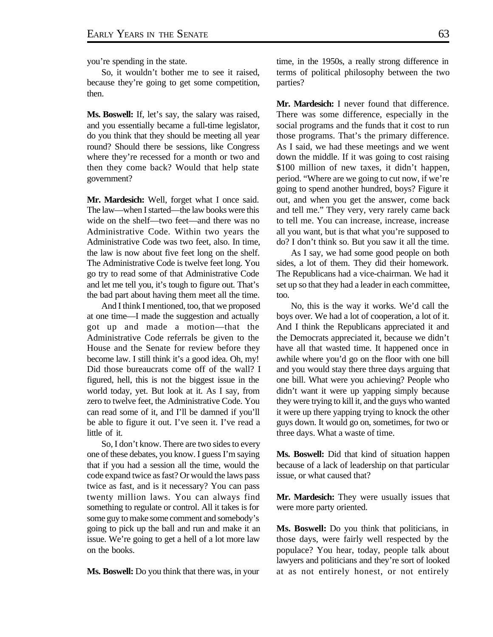you're spending in the state.

So, it wouldn't bother me to see it raised, because they're going to get some competition, then.

**Ms. Boswell:** If, let's say, the salary was raised, and you essentially became a full-time legislator, do you think that they should be meeting all year round? Should there be sessions, like Congress where they're recessed for a month or two and then they come back? Would that help state government?

**Mr. Mardesich:** Well, forget what I once said. The law—when I started—the law books were this wide on the shelf—two feet—and there was no Administrative Code. Within two years the Administrative Code was two feet, also. In time, the law is now about five feet long on the shelf. The Administrative Code is twelve feet long. You go try to read some of that Administrative Code and let me tell you, it's tough to figure out. That's the bad part about having them meet all the time.

And I think I mentioned, too, that we proposed at one time—I made the suggestion and actually got up and made a motion—that the Administrative Code referrals be given to the House and the Senate for review before they become law. I still think it's a good idea. Oh, my! Did those bureaucrats come off of the wall? I figured, hell, this is not the biggest issue in the world today, yet. But look at it. As I say, from zero to twelve feet, the Administrative Code. You can read some of it, and I'll be damned if you'll be able to figure it out. I've seen it. I've read a little of it.

So, I don't know. There are two sides to every one of these debates, you know. I guess I'm saying that if you had a session all the time, would the code expand twice as fast? Or would the laws pass twice as fast, and is it necessary? You can pass twenty million laws. You can always find something to regulate or control. All it takes is for some guy to make some comment and somebody's going to pick up the ball and run and make it an issue. We're going to get a hell of a lot more law on the books.

**Ms. Boswell:** Do you think that there was, in your

time, in the 1950s, a really strong difference in terms of political philosophy between the two parties?

**Mr. Mardesich:** I never found that difference. There was some difference, especially in the social programs and the funds that it cost to run those programs. That's the primary difference. As I said, we had these meetings and we went down the middle. If it was going to cost raising \$100 million of new taxes, it didn't happen, period. "Where are we going to cut now, if we're going to spend another hundred, boys? Figure it out, and when you get the answer, come back and tell me." They very, very rarely came back to tell me. You can increase, increase, increase all you want, but is that what you're supposed to do? I don't think so. But you saw it all the time.

As I say, we had some good people on both sides, a lot of them. They did their homework. The Republicans had a vice-chairman. We had it set up so that they had a leader in each committee, too.

No, this is the way it works. We'd call the boys over. We had a lot of cooperation, a lot of it. And I think the Republicans appreciated it and the Democrats appreciated it, because we didn't have all that wasted time. It happened once in awhile where you'd go on the floor with one bill and you would stay there three days arguing that one bill. What were you achieving? People who didn't want it were up yapping simply because they were trying to kill it, and the guys who wanted it were up there yapping trying to knock the other guys down. It would go on, sometimes, for two or three days. What a waste of time.

**Ms. Boswell:** Did that kind of situation happen because of a lack of leadership on that particular issue, or what caused that?

**Mr. Mardesich:** They were usually issues that were more party oriented.

**Ms. Boswell:** Do you think that politicians, in those days, were fairly well respected by the populace? You hear, today, people talk about lawyers and politicians and they're sort of looked at as not entirely honest, or not entirely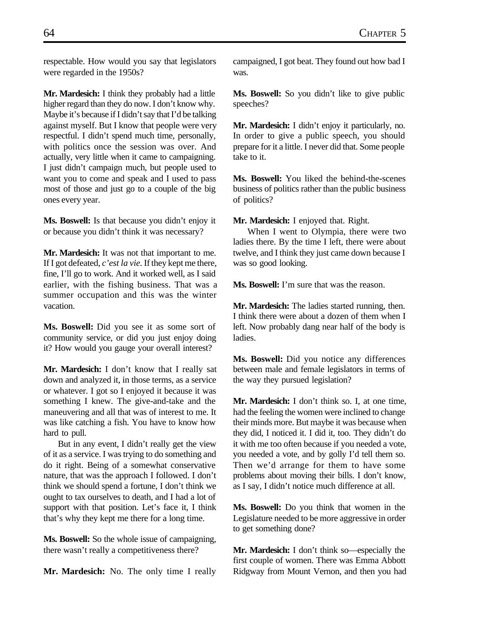respectable. How would you say that legislators were regarded in the 1950s?

**Mr. Mardesich:** I think they probably had a little higher regard than they do now. I don't know why. Maybe it's because if I didn't say that I'd be talking against myself. But I know that people were very respectful. I didn't spend much time, personally, with politics once the session was over. And actually, very little when it came to campaigning. I just didn't campaign much, but people used to want you to come and speak and I used to pass most of those and just go to a couple of the big ones every year.

**Ms. Boswell:** Is that because you didn't enjoy it or because you didn't think it was necessary?

**Mr. Mardesich:** It was not that important to me. If I got defeated, *c'est la vie.* If they kept me there, fine, I'll go to work. And it worked well, as I said earlier, with the fishing business. That was a summer occupation and this was the winter vacation.

**Ms. Boswell:** Did you see it as some sort of community service, or did you just enjoy doing it? How would you gauge your overall interest?

**Mr. Mardesich:** I don't know that I really sat down and analyzed it, in those terms, as a service or whatever. I got so I enjoyed it because it was something I knew. The give-and-take and the maneuvering and all that was of interest to me. It was like catching a fish. You have to know how hard to pull.

But in any event, I didn't really get the view of it as a service. I was trying to do something and do it right. Being of a somewhat conservative nature, that was the approach I followed. I don't think we should spend a fortune, I don't think we ought to tax ourselves to death, and I had a lot of support with that position. Let's face it, I think that's why they kept me there for a long time.

**Ms. Boswell:** So the whole issue of campaigning, there wasn't really a competitiveness there?

**Mr. Mardesich:** No. The only time I really

campaigned, I got beat. They found out how bad I was.

**Ms. Boswell:** So you didn't like to give public speeches?

**Mr. Mardesich:** I didn't enjoy it particularly, no. In order to give a public speech, you should prepare for it a little. I never did that. Some people take to it.

**Ms. Boswell:** You liked the behind-the-scenes business of politics rather than the public business of politics?

**Mr. Mardesich:** I enjoyed that. Right.

When I went to Olympia, there were two ladies there. By the time I left, there were about twelve, and I think they just came down because I was so good looking.

**Ms. Boswell:** I'm sure that was the reason.

**Mr. Mardesich:** The ladies started running, then. I think there were about a dozen of them when I left. Now probably dang near half of the body is ladies.

**Ms. Boswell:** Did you notice any differences between male and female legislators in terms of the way they pursued legislation?

**Mr. Mardesich:** I don't think so. I, at one time, had the feeling the women were inclined to change their minds more. But maybe it was because when they did, I noticed it. I did it, too. They didn't do it with me too often because if you needed a vote, you needed a vote, and by golly I'd tell them so. Then we'd arrange for them to have some problems about moving their bills. I don't know, as I say, I didn't notice much difference at all.

**Ms. Boswell:** Do you think that women in the Legislature needed to be more aggressive in order to get something done?

**Mr. Mardesich:** I don't think so—especially the first couple of women. There was Emma Abbott Ridgway from Mount Vernon, and then you had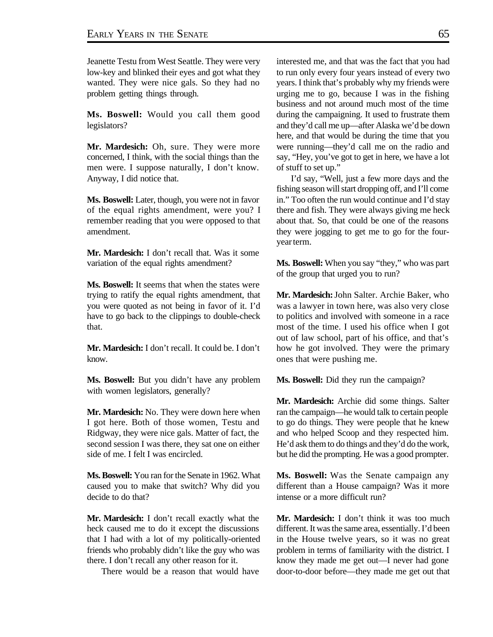Jeanette Testu from West Seattle. They were very low-key and blinked their eyes and got what they wanted. They were nice gals. So they had no problem getting things through.

**Ms. Boswell:** Would you call them good legislators?

**Mr. Mardesich:** Oh, sure. They were more concerned, I think, with the social things than the men were. I suppose naturally, I don't know. Anyway, I did notice that.

**Ms. Boswell:** Later, though, you were not in favor of the equal rights amendment, were you? I remember reading that you were opposed to that amendment.

**Mr. Mardesich:** I don't recall that. Was it some variation of the equal rights amendment?

**Ms. Boswell:** It seems that when the states were trying to ratify the equal rights amendment, that you were quoted as not being in favor of it. I'd have to go back to the clippings to double-check that.

**Mr. Mardesich:** I don't recall. It could be. I don't know.

**Ms. Boswell:** But you didn't have any problem with women legislators, generally?

**Mr. Mardesich:** No. They were down here when I got here. Both of those women, Testu and Ridgway, they were nice gals. Matter of fact, the second session I was there, they sat one on either side of me. I felt I was encircled.

**Ms. Boswell:** You ran for the Senate in 1962. What caused you to make that switch? Why did you decide to do that?

**Mr. Mardesich:** I don't recall exactly what the heck caused me to do it except the discussions that I had with a lot of my politically-oriented friends who probably didn't like the guy who was there. I don't recall any other reason for it.

There would be a reason that would have

interested me, and that was the fact that you had to run only every four years instead of every two years. I think that's probably why my friends were urging me to go, because I was in the fishing business and not around much most of the time during the campaigning. It used to frustrate them and they'd call me up—after Alaska we'd be down here, and that would be during the time that you were running—they'd call me on the radio and say, "Hey, you've got to get in here, we have a lot of stuff to set up."

I'd say, "Well, just a few more days and the fishing season will start dropping off, and I'll come in." Too often the run would continue and I'd stay there and fish. They were always giving me heck about that. So, that could be one of the reasons they were jogging to get me to go for the fouryear term.

**Ms. Boswell:** When you say "they," who was part of the group that urged you to run?

**Mr. Mardesich:**John Salter. Archie Baker, who was a lawyer in town here, was also very close to politics and involved with someone in a race most of the time. I used his office when I got out of law school, part of his office, and that's how he got involved. They were the primary ones that were pushing me.

**Ms. Boswell:** Did they run the campaign?

**Mr. Mardesich:** Archie did some things. Salter ran the campaign—he would talk to certain people to go do things. They were people that he knew and who helped Scoop and they respected him. He'd ask them to do things and they'd do the work, but he did the prompting. He was a good prompter.

**Ms. Boswell:** Was the Senate campaign any different than a House campaign? Was it more intense or a more difficult run?

**Mr. Mardesich:** I don't think it was too much different. It was the same area, essentially. I'd been in the House twelve years, so it was no great problem in terms of familiarity with the district. I know they made me get out—I never had gone door-to-door before—they made me get out that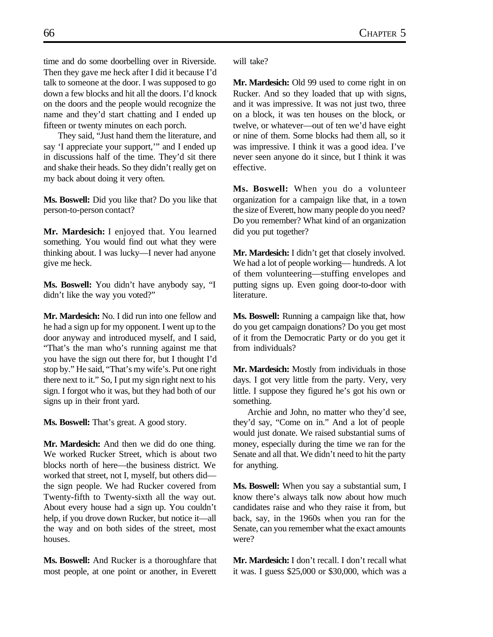time and do some doorbelling over in Riverside. Then they gave me heck after I did it because I'd talk to someone at the door. I was supposed to go down a few blocks and hit all the doors. I'd knock on the doors and the people would recognize the name and they'd start chatting and I ended up fifteen or twenty minutes on each porch.

They said, "Just hand them the literature, and say 'I appreciate your support,'" and I ended up in discussions half of the time. They'd sit there and shake their heads. So they didn't really get on my back about doing it very often.

**Ms. Boswell:** Did you like that? Do you like that person-to-person contact?

**Mr. Mardesich:** I enjoyed that. You learned something. You would find out what they were thinking about. I was lucky—I never had anyone give me heck.

**Ms. Boswell:** You didn't have anybody say, "I didn't like the way you voted?"

**Mr. Mardesich:** No. I did run into one fellow and he had a sign up for my opponent. I went up to the door anyway and introduced myself, and I said, "That's the man who's running against me that you have the sign out there for, but I thought I'd stop by." He said, "That's my wife's. Put one right there next to it." So, I put my sign right next to his sign. I forgot who it was, but they had both of our signs up in their front yard.

**Ms. Boswell:** That's great. A good story.

**Mr. Mardesich:** And then we did do one thing. We worked Rucker Street, which is about two blocks north of here—the business district. We worked that street, not I, myself, but others did the sign people. We had Rucker covered from Twenty-fifth to Twenty-sixth all the way out. About every house had a sign up. You couldn't help, if you drove down Rucker, but notice it—all the way and on both sides of the street, most houses.

**Ms. Boswell:** And Rucker is a thoroughfare that most people, at one point or another, in Everett will take?

**Mr. Mardesich:** Old 99 used to come right in on Rucker. And so they loaded that up with signs, and it was impressive. It was not just two, three on a block, it was ten houses on the block, or twelve, or whatever—out of ten we'd have eight or nine of them. Some blocks had them all, so it was impressive. I think it was a good idea. I've never seen anyone do it since, but I think it was effective.

**Ms. Boswell:** When you do a volunteer organization for a campaign like that, in a town the size of Everett, how many people do you need? Do you remember? What kind of an organization did you put together?

**Mr. Mardesich:** I didn't get that closely involved. We had a lot of people working— hundreds. A lot of them volunteering—stuffing envelopes and putting signs up. Even going door-to-door with literature.

**Ms. Boswell:** Running a campaign like that, how do you get campaign donations? Do you get most of it from the Democratic Party or do you get it from individuals?

**Mr. Mardesich:** Mostly from individuals in those days. I got very little from the party. Very, very little. I suppose they figured he's got his own or something.

Archie and John, no matter who they'd see, they'd say, "Come on in." And a lot of people would just donate. We raised substantial sums of money, especially during the time we ran for the Senate and all that. We didn't need to hit the party for anything.

**Ms. Boswell:** When you say a substantial sum, I know there's always talk now about how much candidates raise and who they raise it from, but back, say, in the 1960s when you ran for the Senate, can you remember what the exact amounts were?

**Mr. Mardesich:** I don't recall. I don't recall what it was. I guess \$25,000 or \$30,000, which was a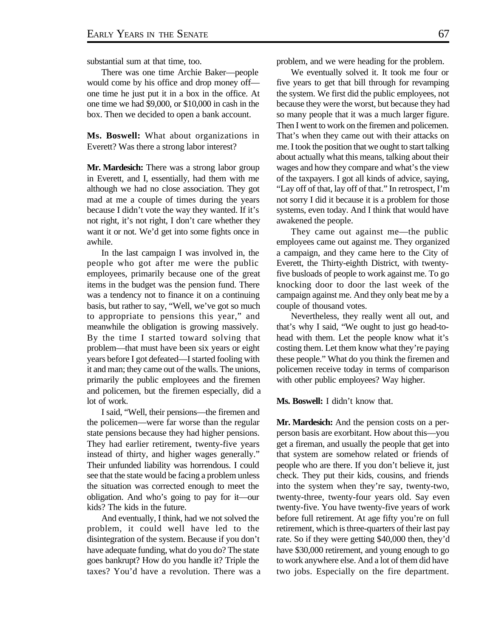substantial sum at that time, too.

There was one time Archie Baker—people would come by his office and drop money off one time he just put it in a box in the office. At one time we had \$9,000, or \$10,000 in cash in the box. Then we decided to open a bank account.

**Ms. Boswell:** What about organizations in Everett? Was there a strong labor interest?

**Mr. Mardesich:** There was a strong labor group in Everett, and I, essentially, had them with me although we had no close association. They got mad at me a couple of times during the years because I didn't vote the way they wanted. If it's not right, it's not right, I don't care whether they want it or not. We'd get into some fights once in awhile.

In the last campaign I was involved in, the people who got after me were the public employees, primarily because one of the great items in the budget was the pension fund. There was a tendency not to finance it on a continuing basis, but rather to say, "Well, we've got so much to appropriate to pensions this year," and meanwhile the obligation is growing massively. By the time I started toward solving that problem—that must have been six years or eight years before I got defeated—I started fooling with it and man; they came out of the walls. The unions, primarily the public employees and the firemen and policemen, but the firemen especially, did a lot of work.

I said, "Well, their pensions—the firemen and the policemen—were far worse than the regular state pensions because they had higher pensions. They had earlier retirement, twenty-five years instead of thirty, and higher wages generally." Their unfunded liability was horrendous. I could see that the state would be facing a problem unless the situation was corrected enough to meet the obligation. And who's going to pay for it—our kids? The kids in the future.

And eventually, I think, had we not solved the problem, it could well have led to the disintegration of the system. Because if you don't have adequate funding, what do you do? The state goes bankrupt? How do you handle it? Triple the taxes? You'd have a revolution. There was a problem, and we were heading for the problem.

We eventually solved it. It took me four or five years to get that bill through for revamping the system. We first did the public employees, not because they were the worst, but because they had so many people that it was a much larger figure. Then I went to work on the firemen and policemen. That's when they came out with their attacks on me. I took the position that we ought to start talking about actually what this means, talking about their wages and how they compare and what's the view of the taxpayers. I got all kinds of advice, saying, "Lay off of that, lay off of that." In retrospect, I'm not sorry I did it because it is a problem for those systems, even today. And I think that would have awakened the people.

They came out against me—the public employees came out against me. They organized a campaign, and they came here to the City of Everett, the Thirty-eighth District, with twentyfive busloads of people to work against me. To go knocking door to door the last week of the campaign against me. And they only beat me by a couple of thousand votes.

Nevertheless, they really went all out, and that's why I said, "We ought to just go head-tohead with them. Let the people know what it's costing them. Let them know what they're paying these people." What do you think the firemen and policemen receive today in terms of comparison with other public employees? Way higher.

**Ms. Boswell:** I didn't know that.

**Mr. Mardesich:** And the pension costs on a perperson basis are exorbitant. How about this—you get a fireman, and usually the people that get into that system are somehow related or friends of people who are there. If you don't believe it, just check. They put their kids, cousins, and friends into the system when they're say, twenty-two, twenty-three, twenty-four years old. Say even twenty-five. You have twenty-five years of work before full retirement. At age fifty you're on full retirement, which is three-quarters of their last pay rate. So if they were getting \$40,000 then, they'd have \$30,000 retirement, and young enough to go to work anywhere else. And a lot of them did have two jobs. Especially on the fire department.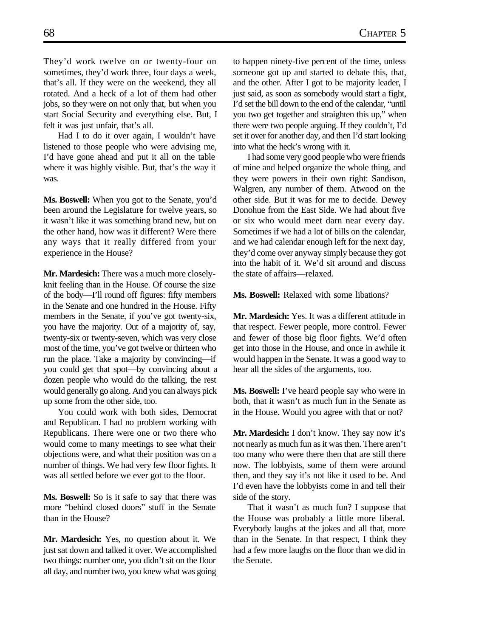They'd work twelve on or twenty-four on sometimes, they'd work three, four days a week, that's all. If they were on the weekend, they all rotated. And a heck of a lot of them had other jobs, so they were on not only that, but when you start Social Security and everything else. But, I felt it was just unfair, that's all.

Had I to do it over again, I wouldn't have listened to those people who were advising me, I'd have gone ahead and put it all on the table where it was highly visible. But, that's the way it was.

**Ms. Boswell:** When you got to the Senate, you'd been around the Legislature for twelve years, so it wasn't like it was something brand new, but on the other hand, how was it different? Were there any ways that it really differed from your experience in the House?

**Mr. Mardesich:** There was a much more closelyknit feeling than in the House. Of course the size of the body—I'll round off figures: fifty members in the Senate and one hundred in the House. Fifty members in the Senate, if you've got twenty-six, you have the majority. Out of a majority of, say, twenty-six or twenty-seven, which was very close most of the time, you've got twelve or thirteen who run the place. Take a majority by convincing—if you could get that spot—by convincing about a dozen people who would do the talking, the rest would generally go along. And you can always pick up some from the other side, too.

You could work with both sides, Democrat and Republican. I had no problem working with Republicans. There were one or two there who would come to many meetings to see what their objections were, and what their position was on a number of things. We had very few floor fights. It was all settled before we ever got to the floor.

**Ms. Boswell:** So is it safe to say that there was more "behind closed doors" stuff in the Senate than in the House?

**Mr. Mardesich:** Yes, no question about it. We just sat down and talked it over. We accomplished two things: number one, you didn't sit on the floor all day, and number two, you knew what was going

to happen ninety-five percent of the time, unless someone got up and started to debate this, that, and the other. After I got to be majority leader, I just said, as soon as somebody would start a fight, I'd set the bill down to the end of the calendar, "until you two get together and straighten this up," when there were two people arguing. If they couldn't, I'd set it over for another day, and then I'd start looking into what the heck's wrong with it.

I had some very good people who were friends of mine and helped organize the whole thing, and they were powers in their own right: Sandison, Walgren, any number of them. Atwood on the other side. But it was for me to decide. Dewey Donohue from the East Side. We had about five or six who would meet darn near every day. Sometimes if we had a lot of bills on the calendar, and we had calendar enough left for the next day, they'd come over anyway simply because they got into the habit of it. We'd sit around and discuss the state of affairs—relaxed.

**Ms. Boswell:** Relaxed with some libations?

**Mr. Mardesich:** Yes. It was a different attitude in that respect. Fewer people, more control. Fewer and fewer of those big floor fights. We'd often get into those in the House, and once in awhile it would happen in the Senate. It was a good way to hear all the sides of the arguments, too.

**Ms. Boswell:** I've heard people say who were in both, that it wasn't as much fun in the Senate as in the House. Would you agree with that or not?

**Mr. Mardesich:** I don't know. They say now it's not nearly as much fun as it was then. There aren't too many who were there then that are still there now. The lobbyists, some of them were around then, and they say it's not like it used to be. And I'd even have the lobbyists come in and tell their side of the story.

That it wasn't as much fun? I suppose that the House was probably a little more liberal. Everybody laughs at the jokes and all that, more than in the Senate. In that respect, I think they had a few more laughs on the floor than we did in the Senate.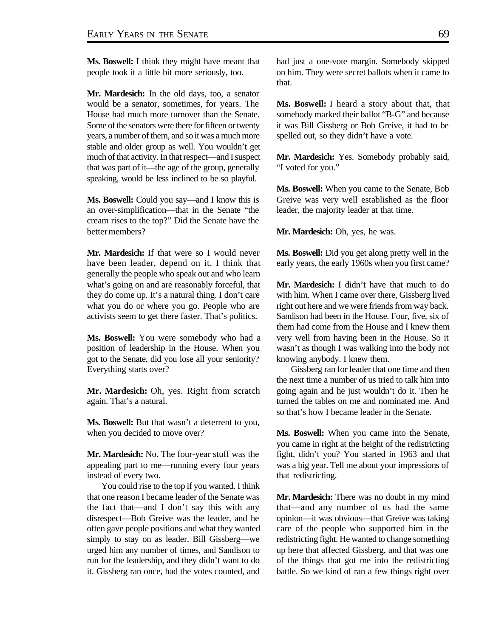**Ms. Boswell:** I think they might have meant that people took it a little bit more seriously, too.

**Mr. Mardesich:** In the old days, too, a senator would be a senator, sometimes, for years. The House had much more turnover than the Senate. Some of the senators were there for fifteen or twenty years, a number of them, and so it was a much more stable and older group as well. You wouldn't get much of that activity. In that respect—and I suspect that was part of it—the age of the group, generally speaking, would be less inclined to be so playful.

**Ms. Boswell:** Could you say—and I know this is an over-simplification—that in the Senate "the cream rises to the top?" Did the Senate have the better members?

**Mr. Mardesich:** If that were so I would never have been leader, depend on it. I think that generally the people who speak out and who learn what's going on and are reasonably forceful, that they do come up. It's a natural thing. I don't care what you do or where you go. People who are activists seem to get there faster. That's politics.

**Ms. Boswell:** You were somebody who had a position of leadership in the House. When you got to the Senate, did you lose all your seniority? Everything starts over?

**Mr. Mardesich:** Oh, yes. Right from scratch again. That's a natural.

**Ms. Boswell:** But that wasn't a deterrent to you, when you decided to move over?

**Mr. Mardesich:** No. The four-year stuff was the appealing part to me—running every four years instead of every two.

You could rise to the top if you wanted. I think that one reason I became leader of the Senate was the fact that—and I don't say this with any disrespect—Bob Greive was the leader, and he often gave people positions and what they wanted simply to stay on as leader. Bill Gissberg—we urged him any number of times, and Sandison to run for the leadership, and they didn't want to do it. Gissberg ran once, had the votes counted, and had just a one-vote margin. Somebody skipped on him. They were secret ballots when it came to that.

**Ms. Boswell:** I heard a story about that, that somebody marked their ballot "B-G" and because it was Bill Gissberg or Bob Greive, it had to be spelled out, so they didn't have a vote.

**Mr. Mardesich:** Yes. Somebody probably said, "I voted for you."

**Ms. Boswell:** When you came to the Senate, Bob Greive was very well established as the floor leader, the majority leader at that time.

**Mr. Mardesich:** Oh, yes, he was.

**Ms. Boswell:** Did you get along pretty well in the early years, the early 1960s when you first came?

**Mr. Mardesich:** I didn't have that much to do with him. When I came over there, Gissberg lived right out here and we were friends from way back. Sandison had been in the House. Four, five, six of them had come from the House and I knew them very well from having been in the House. So it wasn't as though I was walking into the body not knowing anybody. I knew them.

Gissberg ran for leader that one time and then the next time a number of us tried to talk him into going again and he just wouldn't do it. Then he turned the tables on me and nominated me. And so that's how I became leader in the Senate.

**Ms. Boswell:** When you came into the Senate, you came in right at the height of the redistricting fight, didn't you? You started in 1963 and that was a big year. Tell me about your impressions of that redistricting.

**Mr. Mardesich:** There was no doubt in my mind that—and any number of us had the same opinion—it was obvious—that Greive was taking care of the people who supported him in the redistricting fight. He wanted to change something up here that affected Gissberg, and that was one of the things that got me into the redistricting battle. So we kind of ran a few things right over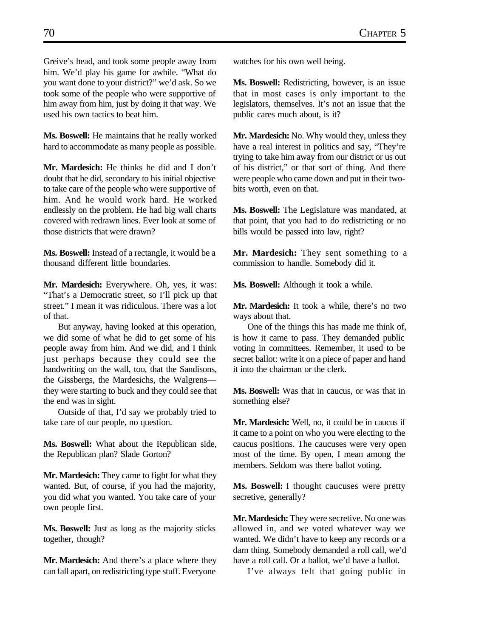Greive's head, and took some people away from him. We'd play his game for awhile. "What do you want done to your district?" we'd ask. So we took some of the people who were supportive of him away from him, just by doing it that way. We used his own tactics to beat him.

**Ms. Boswell:** He maintains that he really worked hard to accommodate as many people as possible.

**Mr. Mardesich:** He thinks he did and I don't doubt that he did, secondary to his initial objective to take care of the people who were supportive of him. And he would work hard. He worked endlessly on the problem. He had big wall charts covered with redrawn lines. Ever look at some of those districts that were drawn?

**Ms. Boswell:** Instead of a rectangle, it would be a thousand different little boundaries.

**Mr. Mardesich:** Everywhere. Oh, yes, it was: "That's a Democratic street, so I'll pick up that street." I mean it was ridiculous. There was a lot of that.

But anyway, having looked at this operation, we did some of what he did to get some of his people away from him. And we did, and I think just perhaps because they could see the handwriting on the wall, too, that the Sandisons, the Gissbergs, the Mardesichs, the Walgrens they were starting to buck and they could see that the end was in sight.

Outside of that, I'd say we probably tried to take care of our people, no question.

**Ms. Boswell:** What about the Republican side, the Republican plan? Slade Gorton?

**Mr. Mardesich:** They came to fight for what they wanted. But, of course, if you had the majority, you did what you wanted. You take care of your own people first.

**Ms. Boswell:** Just as long as the majority sticks together, though?

**Mr. Mardesich:** And there's a place where they can fall apart, on redistricting type stuff. Everyone

watches for his own well being.

**Ms. Boswell:** Redistricting, however, is an issue that in most cases is only important to the legislators, themselves. It's not an issue that the public cares much about, is it?

**Mr. Mardesich:** No. Why would they, unless they have a real interest in politics and say, "They're trying to take him away from our district or us out of his district," or that sort of thing. And there were people who came down and put in their twobits worth, even on that.

**Ms. Boswell:** The Legislature was mandated, at that point, that you had to do redistricting or no bills would be passed into law, right?

**Mr. Mardesich:** They sent something to a commission to handle. Somebody did it.

**Ms. Boswell:** Although it took a while.

**Mr. Mardesich:** It took a while, there's no two ways about that.

One of the things this has made me think of, is how it came to pass. They demanded public voting in committees. Remember, it used to be secret ballot: write it on a piece of paper and hand it into the chairman or the clerk.

**Ms. Boswell:** Was that in caucus, or was that in something else?

**Mr. Mardesich:** Well, no, it could be in caucus if it came to a point on who you were electing to the caucus positions. The caucuses were very open most of the time. By open, I mean among the members. Seldom was there ballot voting.

**Ms. Boswell:** I thought caucuses were pretty secretive, generally?

**Mr. Mardesich:** They were secretive. No one was allowed in, and we voted whatever way we wanted. We didn't have to keep any records or a darn thing. Somebody demanded a roll call, we'd have a roll call. Or a ballot, we'd have a ballot.

I've always felt that going public in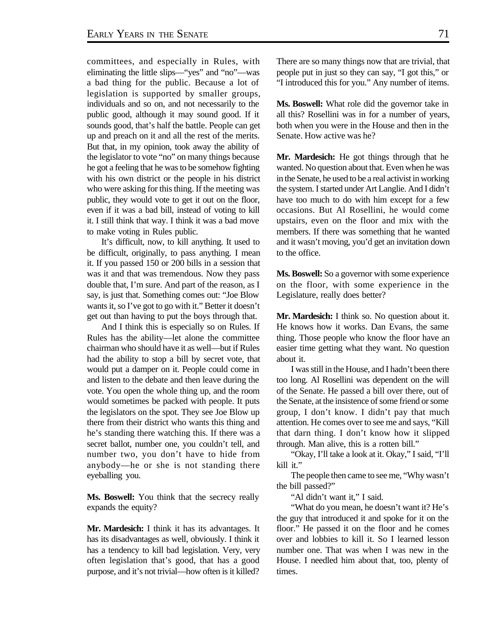committees, and especially in Rules, with eliminating the little slips—"yes" and "no"—was a bad thing for the public. Because a lot of legislation is supported by smaller groups, individuals and so on, and not necessarily to the public good, although it may sound good. If it sounds good, that's half the battle. People can get up and preach on it and all the rest of the merits. But that, in my opinion, took away the ability of the legislator to vote "no" on many things because he got a feeling that he was to be somehow fighting with his own district or the people in his district who were asking for this thing. If the meeting was public, they would vote to get it out on the floor, even if it was a bad bill, instead of voting to kill it. I still think that way. I think it was a bad move to make voting in Rules public.

It's difficult, now, to kill anything. It used to be difficult, originally, to pass anything. I mean it. If you passed 150 or 200 bills in a session that was it and that was tremendous. Now they pass double that, I'm sure. And part of the reason, as I say, is just that. Something comes out: "Joe Blow wants it, so I've got to go with it." Better it doesn't get out than having to put the boys through that.

And I think this is especially so on Rules. If Rules has the ability—let alone the committee chairman who should have it as well—but if Rules had the ability to stop a bill by secret vote, that would put a damper on it. People could come in and listen to the debate and then leave during the vote. You open the whole thing up, and the room would sometimes be packed with people. It puts the legislators on the spot. They see Joe Blow up there from their district who wants this thing and he's standing there watching this. If there was a secret ballot, number one, you couldn't tell, and number two, you don't have to hide from anybody—he or she is not standing there eyeballing you.

**Ms. Boswell:** You think that the secrecy really expands the equity?

**Mr. Mardesich:** I think it has its advantages. It has its disadvantages as well, obviously. I think it has a tendency to kill bad legislation. Very, very often legislation that's good, that has a good purpose, and it's not trivial—how often is it killed?

There are so many things now that are trivial, that people put in just so they can say, "I got this," or "I introduced this for you." Any number of items.

**Ms. Boswell:** What role did the governor take in all this? Rosellini was in for a number of years, both when you were in the House and then in the Senate. How active was he?

**Mr. Mardesich:** He got things through that he wanted. No question about that. Even when he was in the Senate, he used to be a real activist in working the system. I started under Art Langlie. And I didn't have too much to do with him except for a few occasions. But Al Rosellini, he would come upstairs, even on the floor and mix with the members. If there was something that he wanted and it wasn't moving, you'd get an invitation down to the office.

**Ms. Boswell:** So a governor with some experience on the floor, with some experience in the Legislature, really does better?

**Mr. Mardesich:** I think so. No question about it. He knows how it works. Dan Evans, the same thing. Those people who know the floor have an easier time getting what they want. No question about it.

I was still in the House, and I hadn't been there too long. Al Rosellini was dependent on the will of the Senate. He passed a bill over there, out of the Senate, at the insistence of some friend or some group, I don't know. I didn't pay that much attention. He comes over to see me and says, "Kill that darn thing. I don't know how it slipped through. Man alive, this is a rotten bill."

"Okay, I'll take a look at it. Okay," I said, "I'll kill it."

The people then came to see me, "Why wasn't the bill passed?"

"Al didn't want it," I said.

"What do you mean, he doesn't want it? He's the guy that introduced it and spoke for it on the floor." He passed it on the floor and he comes over and lobbies to kill it. So I learned lesson number one. That was when I was new in the House. I needled him about that, too, plenty of times.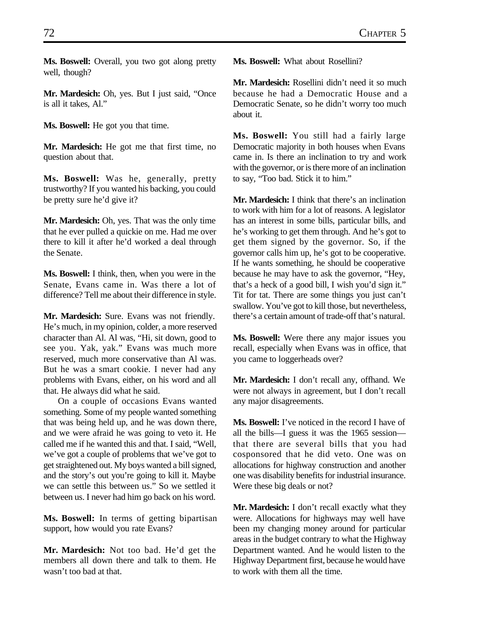**Ms. Boswell:** Overall, you two got along pretty well, though?

**Mr. Mardesich:** Oh, yes. But I just said, "Once is all it takes, Al."

**Ms. Boswell:** He got you that time.

**Mr. Mardesich:** He got me that first time, no question about that.

**Ms. Boswell:** Was he, generally, pretty trustworthy? If you wanted his backing, you could be pretty sure he'd give it?

**Mr. Mardesich:** Oh, yes. That was the only time that he ever pulled a quickie on me. Had me over there to kill it after he'd worked a deal through the Senate.

**Ms. Boswell:** I think, then, when you were in the Senate, Evans came in. Was there a lot of difference? Tell me about their difference in style.

**Mr. Mardesich:** Sure. Evans was not friendly. He's much, in my opinion, colder, a more reserved character than Al. Al was, "Hi, sit down, good to see you. Yak, yak." Evans was much more reserved, much more conservative than Al was. But he was a smart cookie. I never had any problems with Evans, either, on his word and all that. He always did what he said.

On a couple of occasions Evans wanted something. Some of my people wanted something that was being held up, and he was down there, and we were afraid he was going to veto it. He called me if he wanted this and that. I said, "Well, we've got a couple of problems that we've got to get straightened out. My boys wanted a bill signed, and the story's out you're going to kill it. Maybe we can settle this between us." So we settled it between us. I never had him go back on his word.

**Ms. Boswell:** In terms of getting bipartisan support, how would you rate Evans?

**Mr. Mardesich:** Not too bad. He'd get the members all down there and talk to them. He wasn't too bad at that.

**Ms. Boswell:** What about Rosellini?

**Mr. Mardesich:** Rosellini didn't need it so much because he had a Democratic House and a Democratic Senate, so he didn't worry too much about it.

**Ms. Boswell:** You still had a fairly large Democratic majority in both houses when Evans came in. Is there an inclination to try and work with the governor, or is there more of an inclination to say, "Too bad. Stick it to him."

**Mr. Mardesich:** I think that there's an inclination to work with him for a lot of reasons. A legislator has an interest in some bills, particular bills, and he's working to get them through. And he's got to get them signed by the governor. So, if the governor calls him up, he's got to be cooperative. If he wants something, he should be cooperative because he may have to ask the governor, "Hey, that's a heck of a good bill, I wish you'd sign it." Tit for tat. There are some things you just can't swallow. You've got to kill those, but nevertheless, there's a certain amount of trade-off that's natural.

**Ms. Boswell:** Were there any major issues you recall, especially when Evans was in office, that you came to loggerheads over?

**Mr. Mardesich:** I don't recall any, offhand. We were not always in agreement, but I don't recall any major disagreements.

**Ms. Boswell:** I've noticed in the record I have of all the bills—I guess it was the 1965 session that there are several bills that you had cosponsored that he did veto. One was on allocations for highway construction and another one was disability benefits for industrial insurance. Were these big deals or not?

**Mr. Mardesich:** I don't recall exactly what they were. Allocations for highways may well have been my changing money around for particular areas in the budget contrary to what the Highway Department wanted. And he would listen to the Highway Department first, because he would have to work with them all the time.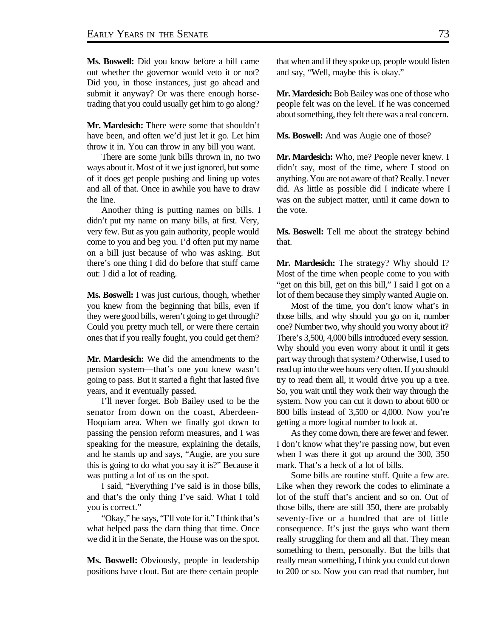**Ms. Boswell:** Did you know before a bill came out whether the governor would veto it or not? Did you, in those instances, just go ahead and submit it anyway? Or was there enough horsetrading that you could usually get him to go along?

**Mr. Mardesich:** There were some that shouldn't have been, and often we'd just let it go. Let him throw it in. You can throw in any bill you want.

There are some junk bills thrown in, no two ways about it. Most of it we just ignored, but some of it does get people pushing and lining up votes and all of that. Once in awhile you have to draw the line.

Another thing is putting names on bills. I didn't put my name on many bills, at first. Very, very few. But as you gain authority, people would come to you and beg you. I'd often put my name on a bill just because of who was asking. But there's one thing I did do before that stuff came out: I did a lot of reading.

**Ms. Boswell:** I was just curious, though, whether you knew from the beginning that bills, even if they were good bills, weren't going to get through? Could you pretty much tell, or were there certain ones that if you really fought, you could get them?

**Mr. Mardesich:** We did the amendments to the pension system—that's one you knew wasn't going to pass. But it started a fight that lasted five years, and it eventually passed.

I'll never forget. Bob Bailey used to be the senator from down on the coast, Aberdeen-Hoquiam area. When we finally got down to passing the pension reform measures, and I was speaking for the measure, explaining the details, and he stands up and says, "Augie, are you sure this is going to do what you say it is?" Because it was putting a lot of us on the spot.

I said, "Everything I've said is in those bills, and that's the only thing I've said. What I told you is correct."

"Okay," he says, "I'll vote for it." I think that's what helped pass the darn thing that time. Once we did it in the Senate, the House was on the spot.

**Ms. Boswell:** Obviously, people in leadership positions have clout. But are there certain people that when and if they spoke up, people would listen and say, "Well, maybe this is okay."

**Mr. Mardesich:** Bob Bailey was one of those who people felt was on the level. If he was concerned about something, they felt there was a real concern.

**Ms. Boswell:** And was Augie one of those?

**Mr. Mardesich:** Who, me? People never knew. I didn't say, most of the time, where I stood on anything. You are not aware of that? Really. I never did. As little as possible did I indicate where I was on the subject matter, until it came down to the vote.

**Ms. Boswell:** Tell me about the strategy behind that.

**Mr. Mardesich:** The strategy? Why should I? Most of the time when people come to you with "get on this bill, get on this bill," I said I got on a lot of them because they simply wanted Augie on.

Most of the time, you don't know what's in those bills, and why should you go on it, number one? Number two, why should you worry about it? There's 3,500, 4,000 bills introduced every session. Why should you even worry about it until it gets part way through that system? Otherwise, I used to read up into the wee hours very often. If you should try to read them all, it would drive you up a tree. So, you wait until they work their way through the system. Now you can cut it down to about 600 or 800 bills instead of 3,500 or 4,000. Now you're getting a more logical number to look at.

As they come down, there are fewer and fewer. I don't know what they're passing now, but even when I was there it got up around the 300, 350 mark. That's a heck of a lot of bills.

Some bills are routine stuff. Quite a few are. Like when they rework the codes to eliminate a lot of the stuff that's ancient and so on. Out of those bills, there are still 350, there are probably seventy-five or a hundred that are of little consequence. It's just the guys who want them really struggling for them and all that. They mean something to them, personally. But the bills that really mean something, I think you could cut down to 200 or so. Now you can read that number, but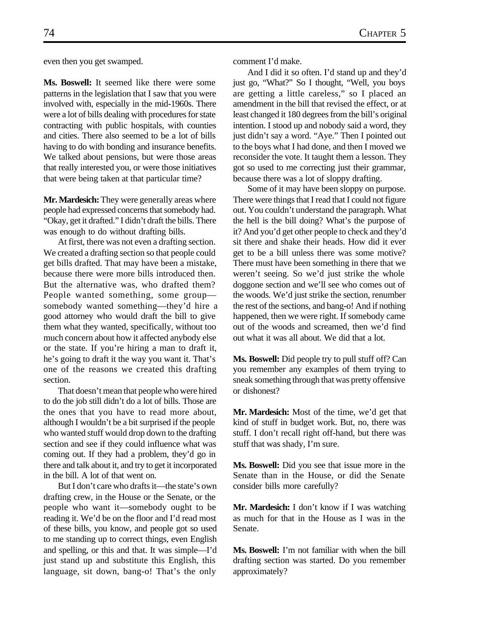**Ms. Boswell:** It seemed like there were some patterns in the legislation that I saw that you were involved with, especially in the mid-1960s. There were a lot of bills dealing with procedures for state contracting with public hospitals, with counties and cities. There also seemed to be a lot of bills having to do with bonding and insurance benefits. We talked about pensions, but were those areas that really interested you, or were those initiatives that were being taken at that particular time?

**Mr. Mardesich:** They were generally areas where people had expressed concerns that somebody had. "Okay, get it drafted." I didn't draft the bills. There was enough to do without drafting bills.

At first, there was not even a drafting section. We created a drafting section so that people could get bills drafted. That may have been a mistake, because there were more bills introduced then. But the alternative was, who drafted them? People wanted something, some group somebody wanted something—they'd hire a good attorney who would draft the bill to give them what they wanted, specifically, without too much concern about how it affected anybody else or the state. If you're hiring a man to draft it, he's going to draft it the way you want it. That's one of the reasons we created this drafting section.

That doesn't mean that people who were hired to do the job still didn't do a lot of bills. Those are the ones that you have to read more about, although I wouldn't be a bit surprised if the people who wanted stuff would drop down to the drafting section and see if they could influence what was coming out. If they had a problem, they'd go in there and talk about it, and try to get it incorporated in the bill. A lot of that went on.

But I don't care who drafts it—the state's own drafting crew, in the House or the Senate, or the people who want it—somebody ought to be reading it. We'd be on the floor and I'd read most of these bills, you know, and people got so used to me standing up to correct things, even English and spelling, or this and that. It was simple—I'd just stand up and substitute this English, this language, sit down, bang-o! That's the only

comment I'd make.

And I did it so often. I'd stand up and they'd just go, "What?" So I thought, "Well, you boys are getting a little careless," so I placed an amendment in the bill that revised the effect, or at least changed it 180 degrees from the bill's original intention. I stood up and nobody said a word, they just didn't say a word. "Aye." Then I pointed out to the boys what I had done, and then I moved we reconsider the vote. It taught them a lesson. They got so used to me correcting just their grammar, because there was a lot of sloppy drafting.

Some of it may have been sloppy on purpose. There were things that I read that I could not figure out. You couldn't understand the paragraph. What the hell is the bill doing? What's the purpose of it? And you'd get other people to check and they'd sit there and shake their heads. How did it ever get to be a bill unless there was some motive? There must have been something in there that we weren't seeing. So we'd just strike the whole doggone section and we'll see who comes out of the woods. We'd just strike the section, renumber the rest of the sections, and bang-o! And if nothing happened, then we were right. If somebody came out of the woods and screamed, then we'd find out what it was all about. We did that a lot.

**Ms. Boswell:** Did people try to pull stuff off? Can you remember any examples of them trying to sneak something through that was pretty offensive or dishonest?

**Mr. Mardesich:** Most of the time, we'd get that kind of stuff in budget work. But, no, there was stuff. I don't recall right off-hand, but there was stuff that was shady, I'm sure.

**Ms. Boswell:** Did you see that issue more in the Senate than in the House, or did the Senate consider bills more carefully?

**Mr. Mardesich:** I don't know if I was watching as much for that in the House as I was in the Senate.

**Ms. Boswell:** I'm not familiar with when the bill drafting section was started. Do you remember approximately?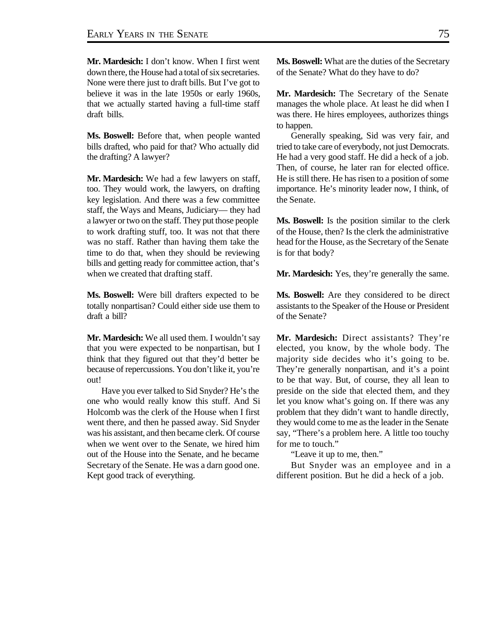**Mr. Mardesich:** I don't know. When I first went down there, the House had a total of six secretaries. None were there just to draft bills. But I've got to believe it was in the late 1950s or early 1960s, that we actually started having a full-time staff draft bills.

**Ms. Boswell:** Before that, when people wanted bills drafted, who paid for that? Who actually did the drafting? A lawyer?

**Mr. Mardesich:** We had a few lawyers on staff, too. They would work, the lawyers, on drafting key legislation. And there was a few committee staff, the Ways and Means, Judiciary— they had a lawyer or two on the staff. They put those people to work drafting stuff, too. It was not that there was no staff. Rather than having them take the time to do that, when they should be reviewing bills and getting ready for committee action, that's when we created that drafting staff.

**Ms. Boswell:** Were bill drafters expected to be totally nonpartisan? Could either side use them to draft a bill?

Mr. Mardesich: We all used them. I wouldn't say that you were expected to be nonpartisan, but I think that they figured out that they'd better be because of repercussions. You don't like it, you're out!

Have you ever talked to Sid Snyder? He's the one who would really know this stuff. And Si Holcomb was the clerk of the House when I first went there, and then he passed away. Sid Snyder was his assistant, and then became clerk. Of course when we went over to the Senate, we hired him out of the House into the Senate, and he became Secretary of the Senate. He was a darn good one. Kept good track of everything.

**Ms. Boswell:** What are the duties of the Secretary of the Senate? What do they have to do?

**Mr. Mardesich:** The Secretary of the Senate manages the whole place. At least he did when I was there. He hires employees, authorizes things to happen.

Generally speaking, Sid was very fair, and tried to take care of everybody, not just Democrats. He had a very good staff. He did a heck of a job. Then, of course, he later ran for elected office. He is still there. He has risen to a position of some importance. He's minority leader now, I think, of the Senate.

**Ms. Boswell:** Is the position similar to the clerk of the House, then? Is the clerk the administrative head for the House, as the Secretary of the Senate is for that body?

**Mr. Mardesich:** Yes, they're generally the same.

**Ms. Boswell:** Are they considered to be direct assistants to the Speaker of the House or President of the Senate?

**Mr. Mardesich:** Direct assistants? They're elected, you know, by the whole body. The majority side decides who it's going to be. They're generally nonpartisan, and it's a point to be that way. But, of course, they all lean to preside on the side that elected them, and they let you know what's going on. If there was any problem that they didn't want to handle directly, they would come to me as the leader in the Senate say, "There's a problem here. A little too touchy for me to touch."

"Leave it up to me, then."

But Snyder was an employee and in a different position. But he did a heck of a job.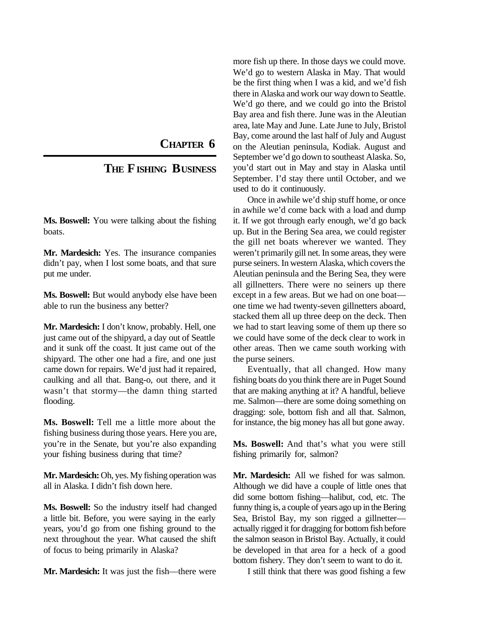**CHAPTER 6**

## **THE FISHING BUSINESS**

**Ms. Boswell:** You were talking about the fishing boats.

**Mr. Mardesich:** Yes. The insurance companies didn't pay, when I lost some boats, and that sure put me under.

**Ms. Boswell:** But would anybody else have been able to run the business any better?

**Mr. Mardesich:** I don't know, probably. Hell, one just came out of the shipyard, a day out of Seattle and it sunk off the coast. It just came out of the shipyard. The other one had a fire, and one just came down for repairs. We'd just had it repaired, caulking and all that. Bang-o, out there, and it wasn't that stormy—the damn thing started flooding.

**Ms. Boswell:** Tell me a little more about the fishing business during those years. Here you are, you're in the Senate, but you're also expanding your fishing business during that time?

**Mr. Mardesich:** Oh, yes. My fishing operation was all in Alaska. I didn't fish down here.

**Ms. Boswell:** So the industry itself had changed a little bit. Before, you were saying in the early years, you'd go from one fishing ground to the next throughout the year. What caused the shift of focus to being primarily in Alaska?

**Mr. Mardesich:** It was just the fish—there were

more fish up there. In those days we could move. We'd go to western Alaska in May. That would be the first thing when I was a kid, and we'd fish there in Alaska and work our way down to Seattle. We'd go there, and we could go into the Bristol Bay area and fish there. June was in the Aleutian area, late May and June. Late June to July, Bristol Bay, come around the last half of July and August on the Aleutian peninsula, Kodiak. August and September we'd go down to southeast Alaska. So, you'd start out in May and stay in Alaska until September. I'd stay there until October, and we used to do it continuously.

Once in awhile we'd ship stuff home, or once in awhile we'd come back with a load and dump it. If we got through early enough, we'd go back up. But in the Bering Sea area, we could register the gill net boats wherever we wanted. They weren't primarily gill net. In some areas, they were purse seiners. In western Alaska, which covers the Aleutian peninsula and the Bering Sea, they were all gillnetters. There were no seiners up there except in a few areas. But we had on one boat one time we had twenty-seven gillnetters aboard, stacked them all up three deep on the deck. Then we had to start leaving some of them up there so we could have some of the deck clear to work in other areas. Then we came south working with the purse seiners.

Eventually, that all changed. How many fishing boats do you think there are in Puget Sound that are making anything at it? A handful, believe me. Salmon—there are some doing something on dragging: sole, bottom fish and all that. Salmon, for instance, the big money has all but gone away.

**Ms. Boswell:** And that's what you were still fishing primarily for, salmon?

**Mr. Mardesich:** All we fished for was salmon. Although we did have a couple of little ones that did some bottom fishing—halibut, cod, etc. The funny thing is, a couple of years ago up in the Bering Sea, Bristol Bay, my son rigged a gillnetter actually rigged it for dragging for bottom fish before the salmon season in Bristol Bay. Actually, it could be developed in that area for a heck of a good bottom fishery. They don't seem to want to do it.

I still think that there was good fishing a few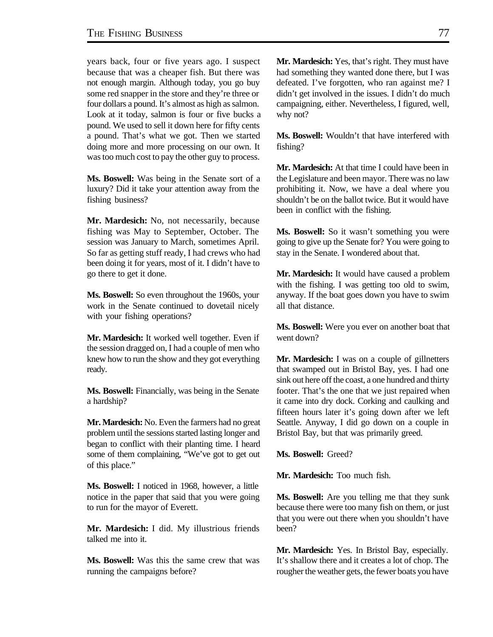years back, four or five years ago. I suspect because that was a cheaper fish. But there was not enough margin. Although today, you go buy some red snapper in the store and they're three or four dollars a pound. It's almost as high as salmon. Look at it today, salmon is four or five bucks a pound. We used to sell it down here for fifty cents a pound. That's what we got. Then we started doing more and more processing on our own. It was too much cost to pay the other guy to process.

**Ms. Boswell:** Was being in the Senate sort of a luxury? Did it take your attention away from the fishing business?

**Mr. Mardesich:** No, not necessarily, because fishing was May to September, October. The session was January to March, sometimes April. So far as getting stuff ready, I had crews who had been doing it for years, most of it. I didn't have to go there to get it done.

**Ms. Boswell:** So even throughout the 1960s, your work in the Senate continued to dovetail nicely with your fishing operations?

**Mr. Mardesich:** It worked well together. Even if the session dragged on, I had a couple of men who knew how to run the show and they got everything ready.

**Ms. Boswell:** Financially, was being in the Senate a hardship?

**Mr. Mardesich:** No. Even the farmers had no great problem until the sessions started lasting longer and began to conflict with their planting time. I heard some of them complaining, "We've got to get out of this place."

**Ms. Boswell:** I noticed in 1968, however, a little notice in the paper that said that you were going to run for the mayor of Everett.

**Mr. Mardesich:** I did. My illustrious friends talked me into it.

**Ms. Boswell:** Was this the same crew that was running the campaigns before?

**Mr. Mardesich:** Yes, that's right. They must have had something they wanted done there, but I was defeated. I've forgotten, who ran against me? I didn't get involved in the issues. I didn't do much campaigning, either. Nevertheless, I figured, well, why not?

**Ms. Boswell:** Wouldn't that have interfered with fishing?

**Mr. Mardesich:** At that time I could have been in the Legislature and been mayor. There was no law prohibiting it. Now, we have a deal where you shouldn't be on the ballot twice. But it would have been in conflict with the fishing.

**Ms. Boswell:** So it wasn't something you were going to give up the Senate for? You were going to stay in the Senate. I wondered about that.

**Mr. Mardesich:** It would have caused a problem with the fishing. I was getting too old to swim, anyway. If the boat goes down you have to swim all that distance.

**Ms. Boswell:** Were you ever on another boat that went down?

**Mr. Mardesich:** I was on a couple of gillnetters that swamped out in Bristol Bay, yes. I had one sink out here off the coast, a one hundred and thirty footer. That's the one that we just repaired when it came into dry dock. Corking and caulking and fifteen hours later it's going down after we left Seattle. Anyway, I did go down on a couple in Bristol Bay, but that was primarily greed.

**Ms. Boswell:** Greed?

**Mr. Mardesich:** Too much fish.

**Ms. Boswell:** Are you telling me that they sunk because there were too many fish on them, or just that you were out there when you shouldn't have been?

**Mr. Mardesich:** Yes. In Bristol Bay, especially. It's shallow there and it creates a lot of chop. The rougher the weather gets, the fewer boats you have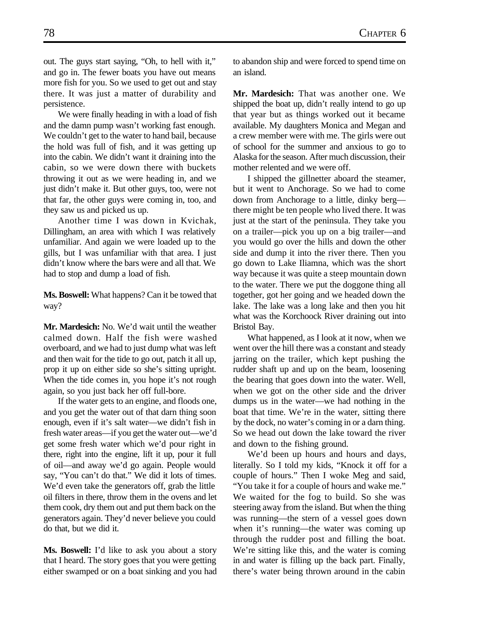out. The guys start saying, "Oh, to hell with it," and go in. The fewer boats you have out means more fish for you. So we used to get out and stay there. It was just a matter of durability and persistence.

We were finally heading in with a load of fish and the damn pump wasn't working fast enough. We couldn't get to the water to hand bail, because the hold was full of fish, and it was getting up into the cabin. We didn't want it draining into the cabin, so we were down there with buckets throwing it out as we were heading in, and we just didn't make it. But other guys, too, were not that far, the other guys were coming in, too, and they saw us and picked us up.

Another time I was down in Kvichak, Dillingham, an area with which I was relatively unfamiliar. And again we were loaded up to the gills, but I was unfamiliar with that area. I just didn't know where the bars were and all that. We had to stop and dump a load of fish.

**Ms. Boswell:** What happens? Can it be towed that way?

**Mr. Mardesich:** No. We'd wait until the weather calmed down. Half the fish were washed overboard, and we had to just dump what was left and then wait for the tide to go out, patch it all up, prop it up on either side so she's sitting upright. When the tide comes in, you hope it's not rough again, so you just back her off full-bore.

If the water gets to an engine, and floods one, and you get the water out of that darn thing soon enough, even if it's salt water—we didn't fish in fresh water areas—if you get the water out—we'd get some fresh water which we'd pour right in there, right into the engine, lift it up, pour it full of oil—and away we'd go again. People would say, "You can't do that." We did it lots of times. We'd even take the generators off, grab the little oil filters in there, throw them in the ovens and let them cook, dry them out and put them back on the generators again. They'd never believe you could do that, but we did it.

**Ms. Boswell:** I'd like to ask you about a story that I heard. The story goes that you were getting either swamped or on a boat sinking and you had to abandon ship and were forced to spend time on an island.

**Mr. Mardesich:** That was another one. We shipped the boat up, didn't really intend to go up that year but as things worked out it became available. My daughters Monica and Megan and a crew member were with me. The girls were out of school for the summer and anxious to go to Alaska for the season. After much discussion, their mother relented and we were off.

I shipped the gillnetter aboard the steamer, but it went to Anchorage. So we had to come down from Anchorage to a little, dinky berg there might be ten people who lived there. It was just at the start of the peninsula. They take you on a trailer—pick you up on a big trailer—and you would go over the hills and down the other side and dump it into the river there. Then you go down to Lake Iliamna, which was the short way because it was quite a steep mountain down to the water. There we put the doggone thing all together, got her going and we headed down the lake. The lake was a long lake and then you hit what was the Korchoock River draining out into Bristol Bay.

What happened, as I look at it now, when we went over the hill there was a constant and steady jarring on the trailer, which kept pushing the rudder shaft up and up on the beam, loosening the bearing that goes down into the water. Well, when we got on the other side and the driver dumps us in the water—we had nothing in the boat that time. We're in the water, sitting there by the dock, no water's coming in or a darn thing. So we head out down the lake toward the river and down to the fishing ground.

We'd been up hours and hours and days, literally. So I told my kids, "Knock it off for a couple of hours." Then I woke Meg and said, "You take it for a couple of hours and wake me." We waited for the fog to build. So she was steering away from the island. But when the thing was running—the stern of a vessel goes down when it's running—the water was coming up through the rudder post and filling the boat. We're sitting like this, and the water is coming in and water is filling up the back part. Finally, there's water being thrown around in the cabin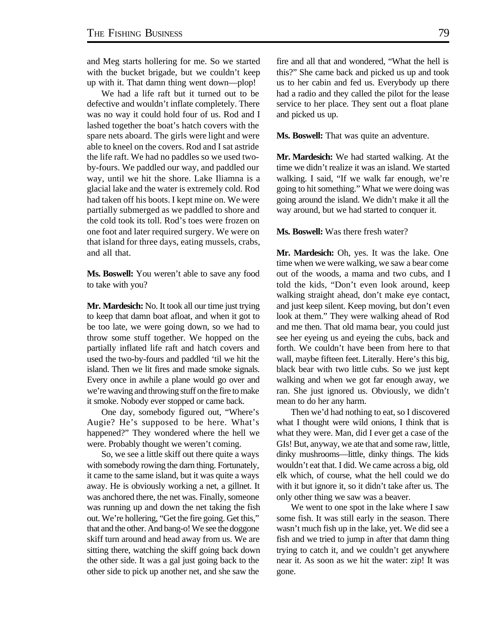and Meg starts hollering for me. So we started with the bucket brigade, but we couldn't keep up with it. That damn thing went down—plop!

We had a life raft but it turned out to be defective and wouldn't inflate completely. There was no way it could hold four of us. Rod and I lashed together the boat's hatch covers with the spare nets aboard. The girls were light and were able to kneel on the covers. Rod and I sat astride the life raft. We had no paddles so we used twoby-fours. We paddled our way, and paddled our way, until we hit the shore. Lake Iliamna is a glacial lake and the water is extremely cold. Rod had taken off his boots. I kept mine on. We were partially submerged as we paddled to shore and the cold took its toll. Rod's toes were frozen on one foot and later required surgery. We were on that island for three days, eating mussels, crabs, and all that.

**Ms. Boswell:** You weren't able to save any food to take with you?

**Mr. Mardesich:** No. It took all our time just trying to keep that damn boat afloat, and when it got to be too late, we were going down, so we had to throw some stuff together. We hopped on the partially inflated life raft and hatch covers and used the two-by-fours and paddled 'til we hit the island. Then we lit fires and made smoke signals. Every once in awhile a plane would go over and we're waving and throwing stuff on the fire to make it smoke. Nobody ever stopped or came back.

One day, somebody figured out, "Where's Augie? He's supposed to be here. What's happened?" They wondered where the hell we were. Probably thought we weren't coming.

So, we see a little skiff out there quite a ways with somebody rowing the darn thing. Fortunately, it came to the same island, but it was quite a ways away. He is obviously working a net, a gillnet. It was anchored there, the net was. Finally, someone was running up and down the net taking the fish out. We're hollering, "Get the fire going. Get this," that and the other. And bang-o! We see the doggone skiff turn around and head away from us. We are sitting there, watching the skiff going back down the other side. It was a gal just going back to the other side to pick up another net, and she saw the

fire and all that and wondered, "What the hell is this?" She came back and picked us up and took us to her cabin and fed us. Everybody up there had a radio and they called the pilot for the lease service to her place. They sent out a float plane and picked us up.

**Ms. Boswell:** That was quite an adventure.

**Mr. Mardesich:** We had started walking. At the time we didn't realize it was an island. We started walking. I said, "If we walk far enough, we're going to hit something." What we were doing was going around the island. We didn't make it all the way around, but we had started to conquer it.

**Ms. Boswell:** Was there fresh water?

**Mr. Mardesich:** Oh, yes. It was the lake. One time when we were walking, we saw a bear come out of the woods, a mama and two cubs, and I told the kids, "Don't even look around, keep walking straight ahead, don't make eye contact, and just keep silent. Keep moving, but don't even look at them." They were walking ahead of Rod and me then. That old mama bear, you could just see her eyeing us and eyeing the cubs, back and forth. We couldn't have been from here to that wall, maybe fifteen feet. Literally. Here's this big, black bear with two little cubs. So we just kept walking and when we got far enough away, we ran. She just ignored us. Obviously, we didn't mean to do her any harm.

Then we'd had nothing to eat, so I discovered what I thought were wild onions, I think that is what they were. Man, did I ever get a case of the GIs! But, anyway, we ate that and some raw, little, dinky mushrooms—little, dinky things. The kids wouldn't eat that. I did. We came across a big, old elk which, of course, what the hell could we do with it but ignore it, so it didn't take after us. The only other thing we saw was a beaver.

We went to one spot in the lake where I saw some fish. It was still early in the season. There wasn't much fish up in the lake, yet. We did see a fish and we tried to jump in after that damn thing trying to catch it, and we couldn't get anywhere near it. As soon as we hit the water: zip! It was gone.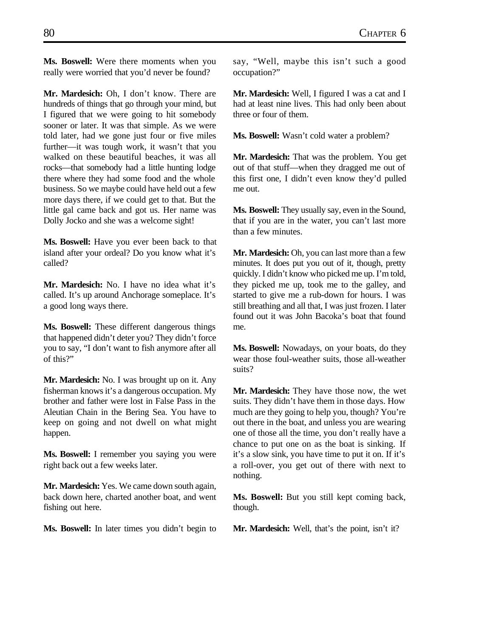**Ms. Boswell:** Were there moments when you really were worried that you'd never be found?

**Mr. Mardesich:** Oh, I don't know. There are hundreds of things that go through your mind, but I figured that we were going to hit somebody sooner or later. It was that simple. As we were told later, had we gone just four or five miles further—it was tough work, it wasn't that you walked on these beautiful beaches, it was all rocks—that somebody had a little hunting lodge there where they had some food and the whole business. So we maybe could have held out a few more days there, if we could get to that. But the little gal came back and got us. Her name was Dolly Jocko and she was a welcome sight!

**Ms. Boswell:** Have you ever been back to that island after your ordeal? Do you know what it's called?

**Mr. Mardesich:** No. I have no idea what it's called. It's up around Anchorage someplace. It's a good long ways there.

**Ms. Boswell:** These different dangerous things that happened didn't deter you? They didn't force you to say, "I don't want to fish anymore after all of this?"

**Mr. Mardesich:** No. I was brought up on it. Any fisherman knows it's a dangerous occupation. My brother and father were lost in False Pass in the Aleutian Chain in the Bering Sea. You have to keep on going and not dwell on what might happen.

**Ms. Boswell:** I remember you saying you were right back out a few weeks later.

**Mr. Mardesich:** Yes. We came down south again, back down here, charted another boat, and went fishing out here.

**Ms. Boswell:** In later times you didn't begin to

say, "Well, maybe this isn't such a good occupation?"

**Mr. Mardesich:** Well, I figured I was a cat and I had at least nine lives. This had only been about three or four of them.

**Ms. Boswell:** Wasn't cold water a problem?

**Mr. Mardesich:** That was the problem. You get out of that stuff—when they dragged me out of this first one, I didn't even know they'd pulled me out.

**Ms. Boswell:** They usually say, even in the Sound, that if you are in the water, you can't last more than a few minutes.

**Mr. Mardesich:** Oh, you can last more than a few minutes. It does put you out of it, though, pretty quickly. I didn't know who picked me up. I'm told, they picked me up, took me to the galley, and started to give me a rub-down for hours. I was still breathing and all that, I was just frozen. I later found out it was John Bacoka's boat that found me.

**Ms. Boswell:** Nowadays, on your boats, do they wear those foul-weather suits, those all-weather suits?

**Mr. Mardesich:** They have those now, the wet suits. They didn't have them in those days. How much are they going to help you, though? You're out there in the boat, and unless you are wearing one of those all the time, you don't really have a chance to put one on as the boat is sinking. If it's a slow sink, you have time to put it on. If it's a roll-over, you get out of there with next to nothing.

**Ms. Boswell:** But you still kept coming back, though.

**Mr. Mardesich:** Well, that's the point, isn't it?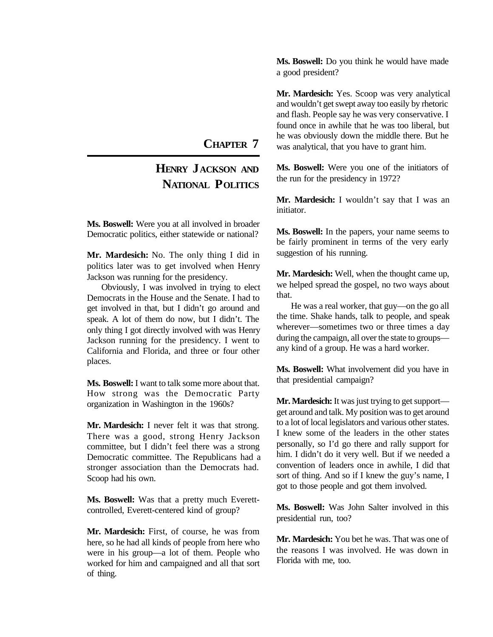## **CHAPTER 7**

## **HENRY JACKSON AND NATIONAL POLITICS**

**Ms. Boswell:** Were you at all involved in broader Democratic politics, either statewide or national?

**Mr. Mardesich:** No. The only thing I did in politics later was to get involved when Henry Jackson was running for the presidency.

Obviously, I was involved in trying to elect Democrats in the House and the Senate. I had to get involved in that, but I didn't go around and speak. A lot of them do now, but I didn't. The only thing I got directly involved with was Henry Jackson running for the presidency. I went to California and Florida, and three or four other places.

**Ms. Boswell:** I want to talk some more about that. How strong was the Democratic Party organization in Washington in the 1960s?

**Mr. Mardesich:** I never felt it was that strong. There was a good, strong Henry Jackson committee, but I didn't feel there was a strong Democratic committee. The Republicans had a stronger association than the Democrats had. Scoop had his own.

**Ms. Boswell:** Was that a pretty much Everettcontrolled, Everett-centered kind of group?

**Mr. Mardesich:** First, of course, he was from here, so he had all kinds of people from here who were in his group—a lot of them. People who worked for him and campaigned and all that sort of thing.

**Ms. Boswell:** Do you think he would have made a good president?

**Mr. Mardesich:** Yes. Scoop was very analytical and wouldn't get swept away too easily by rhetoric and flash. People say he was very conservative. I found once in awhile that he was too liberal, but he was obviously down the middle there. But he was analytical, that you have to grant him.

**Ms. Boswell:** Were you one of the initiators of the run for the presidency in 1972?

**Mr. Mardesich:** I wouldn't say that I was an initiator.

**Ms. Boswell:** In the papers, your name seems to be fairly prominent in terms of the very early suggestion of his running.

**Mr. Mardesich:** Well, when the thought came up, we helped spread the gospel, no two ways about that.

He was a real worker, that guy—on the go all the time. Shake hands, talk to people, and speak wherever—sometimes two or three times a day during the campaign, all over the state to groups any kind of a group. He was a hard worker.

**Ms. Boswell:** What involvement did you have in that presidential campaign?

**Mr. Mardesich:** It was just trying to get support get around and talk. My position was to get around to a lot of local legislators and various other states. I knew some of the leaders in the other states personally, so I'd go there and rally support for him. I didn't do it very well. But if we needed a convention of leaders once in awhile, I did that sort of thing. And so if I knew the guy's name, I got to those people and got them involved.

**Ms. Boswell:** Was John Salter involved in this presidential run, too?

**Mr. Mardesich:** You bet he was. That was one of the reasons I was involved. He was down in Florida with me, too.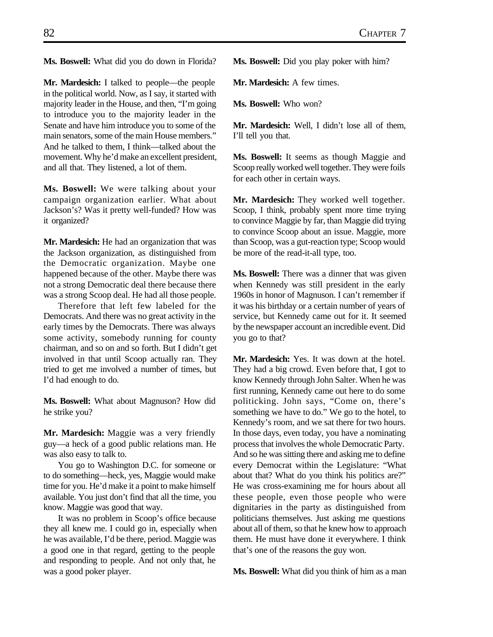**Ms. Boswell:** What did you do down in Florida?

**Mr. Mardesich:** I talked to people—the people in the political world. Now, as I say, it started with majority leader in the House, and then, "I'm going to introduce you to the majority leader in the Senate and have him introduce you to some of the main senators, some of the main House members." And he talked to them, I think—talked about the movement. Why he'd make an excellent president, and all that. They listened, a lot of them.

**Ms. Boswell:** We were talking about your campaign organization earlier. What about Jackson's? Was it pretty well-funded? How was it organized?

**Mr. Mardesich:** He had an organization that was the Jackson organization, as distinguished from the Democratic organization. Maybe one happened because of the other. Maybe there was not a strong Democratic deal there because there was a strong Scoop deal. He had all those people.

Therefore that left few labeled for the Democrats. And there was no great activity in the early times by the Democrats. There was always some activity, somebody running for county chairman, and so on and so forth. But I didn't get involved in that until Scoop actually ran. They tried to get me involved a number of times, but I'd had enough to do.

**Ms. Boswell:** What about Magnuson? How did he strike you?

**Mr. Mardesich:** Maggie was a very friendly guy—a heck of a good public relations man. He was also easy to talk to.

You go to Washington D.C. for someone or to do something—heck, yes, Maggie would make time for you. He'd make it a point to make himself available. You just don't find that all the time, you know. Maggie was good that way.

It was no problem in Scoop's office because they all knew me. I could go in, especially when he was available, I'd be there, period. Maggie was a good one in that regard, getting to the people and responding to people. And not only that, he was a good poker player.

**Ms. Boswell:** Did you play poker with him?

**Mr. Mardesich:** A few times.

**Ms. Boswell:** Who won?

**Mr. Mardesich:** Well, I didn't lose all of them, I'll tell you that.

**Ms. Boswell:** It seems as though Maggie and Scoop really worked well together. They were foils for each other in certain ways.

**Mr. Mardesich:** They worked well together. Scoop, I think, probably spent more time trying to convince Maggie by far, than Maggie did trying to convince Scoop about an issue. Maggie, more than Scoop, was a gut-reaction type; Scoop would be more of the read-it-all type, too.

**Ms. Boswell:** There was a dinner that was given when Kennedy was still president in the early 1960s in honor of Magnuson. I can't remember if it was his birthday or a certain number of years of service, but Kennedy came out for it. It seemed by the newspaper account an incredible event. Did you go to that?

**Mr. Mardesich:** Yes. It was down at the hotel. They had a big crowd. Even before that, I got to know Kennedy through John Salter. When he was first running, Kennedy came out here to do some politicking. John says, "Come on, there's something we have to do." We go to the hotel, to Kennedy's room, and we sat there for two hours. In those days, even today, you have a nominating process that involves the whole Democratic Party. And so he was sitting there and asking me to define every Democrat within the Legislature: "What about that? What do you think his politics are?" He was cross-examining me for hours about all these people, even those people who were dignitaries in the party as distinguished from politicians themselves. Just asking me questions about all of them, so that he knew how to approach them. He must have done it everywhere. I think that's one of the reasons the guy won.

**Ms. Boswell:** What did you think of him as a man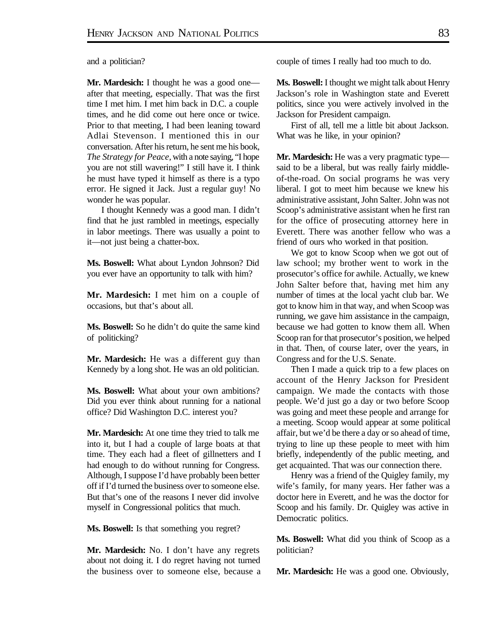and a politician?

**Mr. Mardesich:** I thought he was a good one after that meeting, especially. That was the first time I met him. I met him back in D.C. a couple times, and he did come out here once or twice. Prior to that meeting, I had been leaning toward Adlai Stevenson. I mentioned this in our conversation. After his return, he sent me his book, *The Strategy for Peace,* with a note saying, "I hope you are not still wavering!" I still have it. I think he must have typed it himself as there is a typo error. He signed it Jack. Just a regular guy! No wonder he was popular.

I thought Kennedy was a good man. I didn't find that he just rambled in meetings, especially in labor meetings. There was usually a point to it—not just being a chatter-box.

**Ms. Boswell:** What about Lyndon Johnson? Did you ever have an opportunity to talk with him?

**Mr. Mardesich:** I met him on a couple of occasions, but that's about all.

**Ms. Boswell:** So he didn't do quite the same kind of politicking?

**Mr. Mardesich:** He was a different guy than Kennedy by a long shot. He was an old politician.

**Ms. Boswell:** What about your own ambitions? Did you ever think about running for a national office? Did Washington D.C. interest you?

**Mr. Mardesich:** At one time they tried to talk me into it, but I had a couple of large boats at that time. They each had a fleet of gillnetters and I had enough to do without running for Congress. Although, I suppose I'd have probably been better off if I'd turned the business over to someone else. But that's one of the reasons I never did involve myself in Congressional politics that much.

**Ms. Boswell:** Is that something you regret?

**Mr. Mardesich:** No. I don't have any regrets about not doing it. I do regret having not turned the business over to someone else, because a couple of times I really had too much to do.

**Ms. Boswell:** I thought we might talk about Henry Jackson's role in Washington state and Everett politics, since you were actively involved in the Jackson for President campaign.

First of all, tell me a little bit about Jackson. What was he like, in your opinion?

**Mr. Mardesich:** He was a very pragmatic type said to be a liberal, but was really fairly middleof-the-road. On social programs he was very liberal. I got to meet him because we knew his administrative assistant, John Salter. John was not Scoop's administrative assistant when he first ran for the office of prosecuting attorney here in Everett. There was another fellow who was a friend of ours who worked in that position.

We got to know Scoop when we got out of law school; my brother went to work in the prosecutor's office for awhile. Actually, we knew John Salter before that, having met him any number of times at the local yacht club bar. We got to know him in that way, and when Scoop was running, we gave him assistance in the campaign, because we had gotten to know them all. When Scoop ran for that prosecutor's position, we helped in that. Then, of course later, over the years, in Congress and for the U.S. Senate.

Then I made a quick trip to a few places on account of the Henry Jackson for President campaign. We made the contacts with those people. We'd just go a day or two before Scoop was going and meet these people and arrange for a meeting. Scoop would appear at some political affair, but we'd be there a day or so ahead of time, trying to line up these people to meet with him briefly, independently of the public meeting, and get acquainted. That was our connection there.

Henry was a friend of the Quigley family, my wife's family, for many years. Her father was a doctor here in Everett, and he was the doctor for Scoop and his family. Dr. Quigley was active in Democratic politics.

**Ms. Boswell:** What did you think of Scoop as a politician?

**Mr. Mardesich:** He was a good one. Obviously,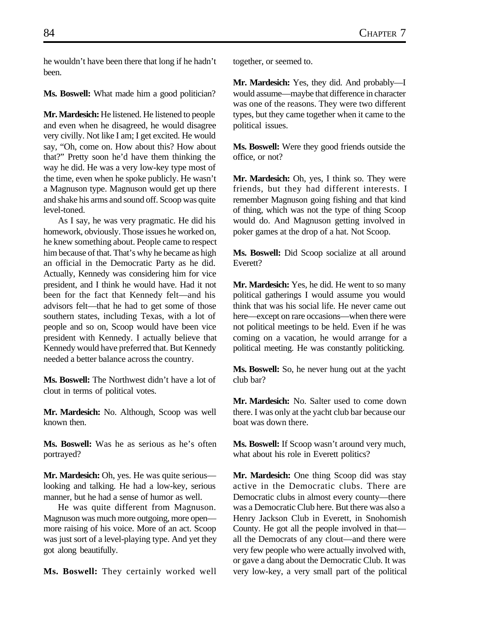he wouldn't have been there that long if he hadn't been.

**Ms. Boswell:** What made him a good politician?

**Mr. Mardesich:** He listened. He listened to people and even when he disagreed, he would disagree very civilly. Not like I am; I get excited. He would say, "Oh, come on. How about this? How about that?" Pretty soon he'd have them thinking the way he did. He was a very low-key type most of the time, even when he spoke publicly. He wasn't a Magnuson type. Magnuson would get up there and shake his arms and sound off. Scoop was quite level-toned.

As I say, he was very pragmatic. He did his homework, obviously. Those issues he worked on, he knew something about. People came to respect him because of that. That's why he became as high an official in the Democratic Party as he did. Actually, Kennedy was considering him for vice president, and I think he would have. Had it not been for the fact that Kennedy felt—and his advisors felt—that he had to get some of those southern states, including Texas, with a lot of people and so on, Scoop would have been vice president with Kennedy. I actually believe that Kennedy would have preferred that. But Kennedy needed a better balance across the country.

**Ms. Boswell:** The Northwest didn't have a lot of clout in terms of political votes.

**Mr. Mardesich:** No. Although, Scoop was well known then.

**Ms. Boswell:** Was he as serious as he's often portrayed?

**Mr. Mardesich:** Oh, yes. He was quite serious looking and talking. He had a low-key, serious manner, but he had a sense of humor as well.

He was quite different from Magnuson. Magnuson was much more outgoing, more open more raising of his voice. More of an act. Scoop was just sort of a level-playing type. And yet they got along beautifully.

**Ms. Boswell:** They certainly worked well

together, or seemed to.

**Mr. Mardesich:** Yes, they did. And probably—I would assume—maybe that difference in character was one of the reasons. They were two different types, but they came together when it came to the political issues.

**Ms. Boswell:** Were they good friends outside the office, or not?

**Mr. Mardesich:** Oh, yes, I think so. They were friends, but they had different interests. I remember Magnuson going fishing and that kind of thing, which was not the type of thing Scoop would do. And Magnuson getting involved in poker games at the drop of a hat. Not Scoop.

**Ms. Boswell:** Did Scoop socialize at all around Everett?

**Mr. Mardesich:** Yes, he did. He went to so many political gatherings I would assume you would think that was his social life. He never came out here—except on rare occasions—when there were not political meetings to be held. Even if he was coming on a vacation, he would arrange for a political meeting. He was constantly politicking.

**Ms. Boswell:** So, he never hung out at the yacht club bar?

**Mr. Mardesich:** No. Salter used to come down there. I was only at the yacht club bar because our boat was down there.

**Ms. Boswell:** If Scoop wasn't around very much, what about his role in Everett politics?

**Mr. Mardesich:** One thing Scoop did was stay active in the Democratic clubs. There are Democratic clubs in almost every county—there was a Democratic Club here. But there was also a Henry Jackson Club in Everett, in Snohomish County. He got all the people involved in that all the Democrats of any clout—and there were very few people who were actually involved with, or gave a dang about the Democratic Club. It was very low-key, a very small part of the political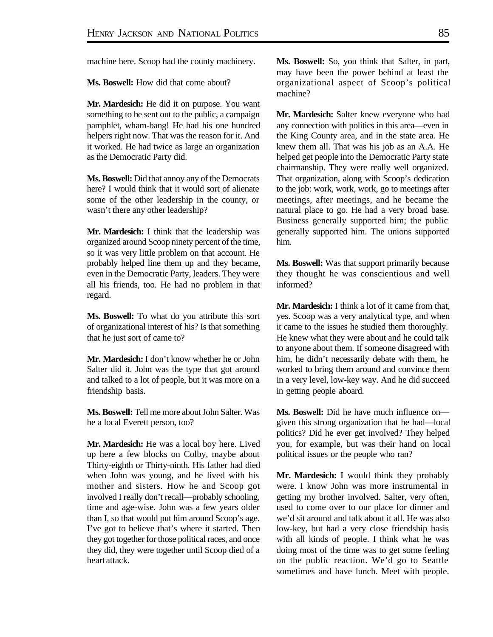machine here. Scoop had the county machinery.

**Ms. Boswell:** How did that come about?

**Mr. Mardesich:** He did it on purpose. You want something to be sent out to the public, a campaign pamphlet, wham-bang! He had his one hundred helpers right now. That was the reason for it. And it worked. He had twice as large an organization as the Democratic Party did.

**Ms. Boswell:** Did that annoy any of the Democrats here? I would think that it would sort of alienate some of the other leadership in the county, or wasn't there any other leadership?

**Mr. Mardesich:** I think that the leadership was organized around Scoop ninety percent of the time, so it was very little problem on that account. He probably helped line them up and they became, even in the Democratic Party, leaders. They were all his friends, too. He had no problem in that regard.

**Ms. Boswell:** To what do you attribute this sort of organizational interest of his? Is that something that he just sort of came to?

**Mr. Mardesich:** I don't know whether he or John Salter did it. John was the type that got around and talked to a lot of people, but it was more on a friendship basis.

**Ms. Boswell:** Tell me more about John Salter. Was he a local Everett person, too?

**Mr. Mardesich:** He was a local boy here. Lived up here a few blocks on Colby, maybe about Thirty-eighth or Thirty-ninth. His father had died when John was young, and he lived with his mother and sisters. How he and Scoop got involved I really don't recall—probably schooling, time and age-wise. John was a few years older than I, so that would put him around Scoop's age. I've got to believe that's where it started. Then they got together for those political races, and once they did, they were together until Scoop died of a heart attack.

**Ms. Boswell:** So, you think that Salter, in part, may have been the power behind at least the organizational aspect of Scoop's political machine?

**Mr. Mardesich:** Salter knew everyone who had any connection with politics in this area—even in the King County area, and in the state area. He knew them all. That was his job as an A.A. He helped get people into the Democratic Party state chairmanship. They were really well organized. That organization, along with Scoop's dedication to the job: work, work, work, go to meetings after meetings, after meetings, and he became the natural place to go. He had a very broad base. Business generally supported him; the public generally supported him. The unions supported him.

**Ms. Boswell:** Was that support primarily because they thought he was conscientious and well informed?

**Mr. Mardesich:** I think a lot of it came from that, yes. Scoop was a very analytical type, and when it came to the issues he studied them thoroughly. He knew what they were about and he could talk to anyone about them. If someone disagreed with him, he didn't necessarily debate with them, he worked to bring them around and convince them in a very level, low-key way. And he did succeed in getting people aboard.

**Ms. Boswell:** Did he have much influence on given this strong organization that he had—local politics? Did he ever get involved? They helped you, for example, but was their hand on local political issues or the people who ran?

**Mr. Mardesich:** I would think they probably were. I know John was more instrumental in getting my brother involved. Salter, very often, used to come over to our place for dinner and we'd sit around and talk about it all. He was also low-key, but had a very close friendship basis with all kinds of people. I think what he was doing most of the time was to get some feeling on the public reaction. We'd go to Seattle sometimes and have lunch. Meet with people.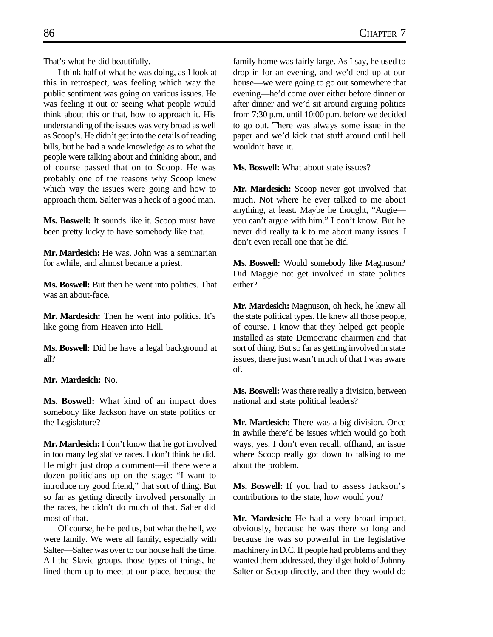That's what he did beautifully.

I think half of what he was doing, as I look at this in retrospect, was feeling which way the public sentiment was going on various issues. He was feeling it out or seeing what people would think about this or that, how to approach it. His understanding of the issues was very broad as well as Scoop's. He didn't get into the details of reading bills, but he had a wide knowledge as to what the people were talking about and thinking about, and of course passed that on to Scoop. He was probably one of the reasons why Scoop knew which way the issues were going and how to approach them. Salter was a heck of a good man.

**Ms. Boswell:** It sounds like it. Scoop must have been pretty lucky to have somebody like that.

**Mr. Mardesich:** He was. John was a seminarian for awhile, and almost became a priest.

**Ms. Boswell:** But then he went into politics. That was an about-face.

**Mr. Mardesich:** Then he went into politics. It's like going from Heaven into Hell.

**Ms. Boswell:** Did he have a legal background at all?

**Mr. Mardesich:** No.

**Ms. Boswell:** What kind of an impact does somebody like Jackson have on state politics or the Legislature?

**Mr. Mardesich:** I don't know that he got involved in too many legislative races. I don't think he did. He might just drop a comment—if there were a dozen politicians up on the stage: "I want to introduce my good friend," that sort of thing. But so far as getting directly involved personally in the races, he didn't do much of that. Salter did most of that.

Of course, he helped us, but what the hell, we were family. We were all family, especially with Salter—Salter was over to our house half the time. All the Slavic groups, those types of things, he lined them up to meet at our place, because the

family home was fairly large. As I say, he used to drop in for an evening, and we'd end up at our house—we were going to go out somewhere that evening—he'd come over either before dinner or after dinner and we'd sit around arguing politics from 7:30 p.m. until 10:00 p.m. before we decided to go out. There was always some issue in the paper and we'd kick that stuff around until hell wouldn't have it.

**Ms. Boswell:** What about state issues?

**Mr. Mardesich:** Scoop never got involved that much. Not where he ever talked to me about anything, at least. Maybe he thought, "Augie you can't argue with him." I don't know. But he never did really talk to me about many issues. I don't even recall one that he did.

**Ms. Boswell:** Would somebody like Magnuson? Did Maggie not get involved in state politics either?

**Mr. Mardesich:** Magnuson, oh heck, he knew all the state political types. He knew all those people, of course. I know that they helped get people installed as state Democratic chairmen and that sort of thing. But so far as getting involved in state issues, there just wasn't much of that I was aware of.

**Ms. Boswell:** Was there really a division, between national and state political leaders?

**Mr. Mardesich:** There was a big division. Once in awhile there'd be issues which would go both ways, yes. I don't even recall, offhand, an issue where Scoop really got down to talking to me about the problem.

**Ms. Boswell:** If you had to assess Jackson's contributions to the state, how would you?

**Mr. Mardesich:** He had a very broad impact, obviously, because he was there so long and because he was so powerful in the legislative machinery in D.C. If people had problems and they wanted them addressed, they'd get hold of Johnny Salter or Scoop directly, and then they would do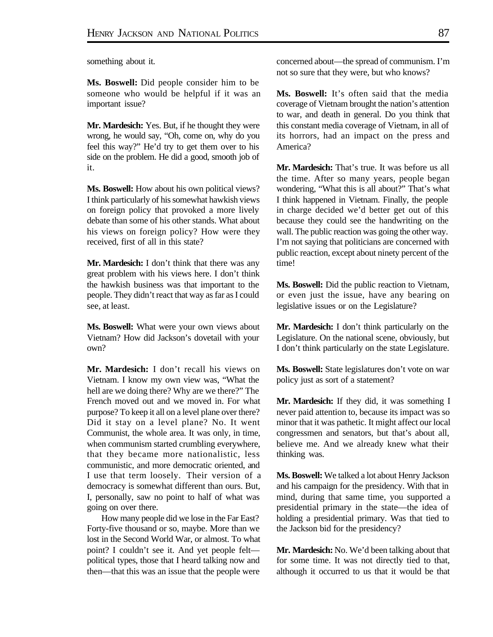something about it.

**Ms. Boswell:** Did people consider him to be someone who would be helpful if it was an important issue?

**Mr. Mardesich:** Yes. But, if he thought they were wrong, he would say, "Oh, come on, why do you feel this way?" He'd try to get them over to his side on the problem. He did a good, smooth job of it.

**Ms. Boswell:** How about his own political views? I think particularly of his somewhat hawkish views on foreign policy that provoked a more lively debate than some of his other stands. What about his views on foreign policy? How were they received, first of all in this state?

**Mr. Mardesich:** I don't think that there was any great problem with his views here. I don't think the hawkish business was that important to the people. They didn't react that way as far as I could see, at least.

**Ms. Boswell:** What were your own views about Vietnam? How did Jackson's dovetail with your own?

**Mr. Mardesich:** I don't recall his views on Vietnam. I know my own view was, "What the hell are we doing there? Why are we there?" The French moved out and we moved in. For what purpose? To keep it all on a level plane over there? Did it stay on a level plane? No. It went Communist, the whole area. It was only, in time, when communism started crumbling everywhere, that they became more nationalistic, less communistic, and more democratic oriented, and I use that term loosely. Their version of a democracy is somewhat different than ours. But, I, personally, saw no point to half of what was going on over there.

How many people did we lose in the Far East? Forty-five thousand or so, maybe. More than we lost in the Second World War, or almost. To what point? I couldn't see it. And yet people felt political types, those that I heard talking now and then—that this was an issue that the people were

concerned about—the spread of communism. I'm not so sure that they were, but who knows?

**Ms. Boswell:** It's often said that the media coverage of Vietnam brought the nation's attention to war, and death in general. Do you think that this constant media coverage of Vietnam, in all of its horrors, had an impact on the press and America?

**Mr. Mardesich:** That's true. It was before us all the time. After so many years, people began wondering, "What this is all about?" That's what I think happened in Vietnam. Finally, the people in charge decided we'd better get out of this because they could see the handwriting on the wall. The public reaction was going the other way. I'm not saying that politicians are concerned with public reaction, except about ninety percent of the time!

**Ms. Boswell:** Did the public reaction to Vietnam, or even just the issue, have any bearing on legislative issues or on the Legislature?

**Mr. Mardesich:** I don't think particularly on the Legislature. On the national scene, obviously, but I don't think particularly on the state Legislature.

**Ms. Boswell:** State legislatures don't vote on war policy just as sort of a statement?

**Mr. Mardesich:** If they did, it was something I never paid attention to, because its impact was so minor that it was pathetic. It might affect our local congressmen and senators, but that's about all, believe me. And we already knew what their thinking was.

**Ms. Boswell:** We talked a lot about Henry Jackson and his campaign for the presidency. With that in mind, during that same time, you supported a presidential primary in the state—the idea of holding a presidential primary. Was that tied to the Jackson bid for the presidency?

**Mr. Mardesich:** No. We'd been talking about that for some time. It was not directly tied to that, although it occurred to us that it would be that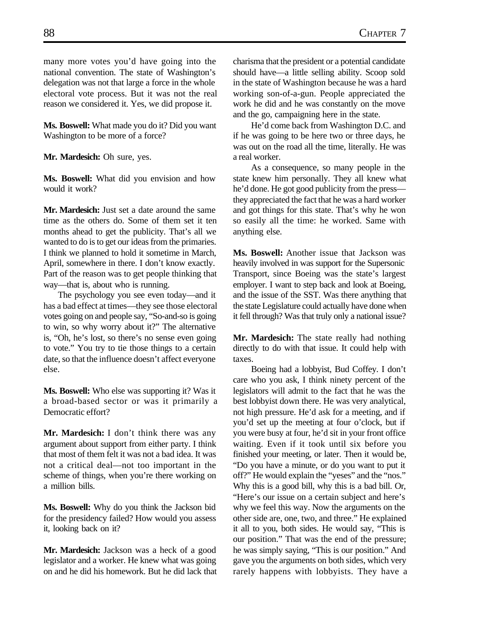many more votes you'd have going into the national convention. The state of Washington's delegation was not that large a force in the whole electoral vote process. But it was not the real reason we considered it. Yes, we did propose it.

**Ms. Boswell:** What made you do it? Did you want Washington to be more of a force?

**Mr. Mardesich:** Oh sure, yes.

**Ms. Boswell:** What did you envision and how would it work?

**Mr. Mardesich:** Just set a date around the same time as the others do. Some of them set it ten months ahead to get the publicity. That's all we wanted to do is to get our ideas from the primaries. I think we planned to hold it sometime in March, April, somewhere in there. I don't know exactly. Part of the reason was to get people thinking that way—that is, about who is running.

The psychology you see even today—and it has a bad effect at times—they see those electoral votes going on and people say, "So-and-so is going to win, so why worry about it?" The alternative is, "Oh, he's lost, so there's no sense even going to vote." You try to tie those things to a certain date, so that the influence doesn't affect everyone else.

**Ms. Boswell:** Who else was supporting it? Was it a broad-based sector or was it primarily a Democratic effort?

**Mr. Mardesich:** I don't think there was any argument about support from either party. I think that most of them felt it was not a bad idea. It was not a critical deal—not too important in the scheme of things, when you're there working on a million bills.

**Ms. Boswell:** Why do you think the Jackson bid for the presidency failed? How would you assess it, looking back on it?

**Mr. Mardesich:** Jackson was a heck of a good legislator and a worker. He knew what was going on and he did his homework. But he did lack that charisma that the president or a potential candidate should have—a little selling ability. Scoop sold in the state of Washington because he was a hard working son-of-a-gun. People appreciated the work he did and he was constantly on the move and the go, campaigning here in the state.

He'd come back from Washington D.C. and if he was going to be here two or three days, he was out on the road all the time, literally. He was a real worker.

As a consequence, so many people in the state knew him personally. They all knew what he'd done. He got good publicity from the press they appreciated the fact that he was a hard worker and got things for this state. That's why he won so easily all the time: he worked. Same with anything else.

**Ms. Boswell:** Another issue that Jackson was heavily involved in was support for the Supersonic Transport, since Boeing was the state's largest employer. I want to step back and look at Boeing, and the issue of the SST. Was there anything that the state Legislature could actually have done when it fell through? Was that truly only a national issue?

**Mr. Mardesich:** The state really had nothing directly to do with that issue. It could help with taxes.

Boeing had a lobbyist, Bud Coffey. I don't care who you ask, I think ninety percent of the legislators will admit to the fact that he was the best lobbyist down there. He was very analytical, not high pressure. He'd ask for a meeting, and if you'd set up the meeting at four o'clock, but if you were busy at four, he'd sit in your front office waiting. Even if it took until six before you finished your meeting, or later. Then it would be, "Do you have a minute, or do you want to put it off?" He would explain the "yeses" and the "nos." Why this is a good bill, why this is a bad bill. Or, "Here's our issue on a certain subject and here's why we feel this way. Now the arguments on the other side are, one, two, and three." He explained it all to you, both sides. He would say, "This is our position." That was the end of the pressure; he was simply saying, "This is our position." And gave you the arguments on both sides, which very rarely happens with lobbyists. They have a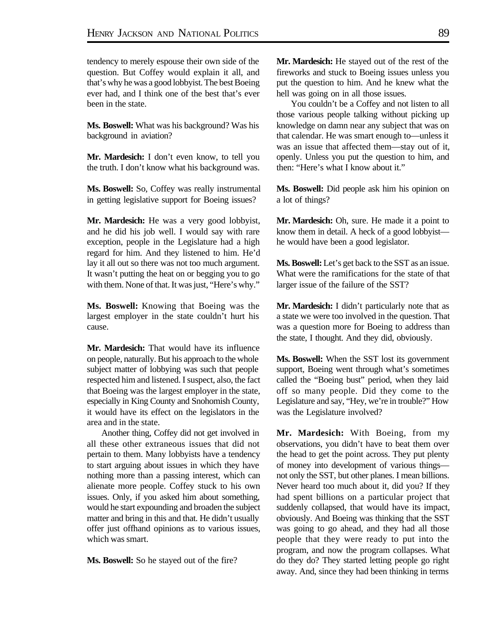tendency to merely espouse their own side of the question. But Coffey would explain it all, and that's why he was a good lobbyist. The best Boeing ever had, and I think one of the best that's ever been in the state.

**Ms. Boswell:** What was his background? Was his background in aviation?

**Mr. Mardesich:** I don't even know, to tell you the truth. I don't know what his background was.

**Ms. Boswell:** So, Coffey was really instrumental in getting legislative support for Boeing issues?

**Mr. Mardesich:** He was a very good lobbyist, and he did his job well. I would say with rare exception, people in the Legislature had a high regard for him. And they listened to him. He'd lay it all out so there was not too much argument. It wasn't putting the heat on or begging you to go with them. None of that. It was just, "Here's why."

**Ms. Boswell:** Knowing that Boeing was the largest employer in the state couldn't hurt his cause.

**Mr. Mardesich:** That would have its influence on people, naturally. But his approach to the whole subject matter of lobbying was such that people respected him and listened. I suspect, also, the fact that Boeing was the largest employer in the state, especially in King County and Snohomish County, it would have its effect on the legislators in the area and in the state.

Another thing, Coffey did not get involved in all these other extraneous issues that did not pertain to them. Many lobbyists have a tendency to start arguing about issues in which they have nothing more than a passing interest, which can alienate more people. Coffey stuck to his own issues. Only, if you asked him about something, would he start expounding and broaden the subject matter and bring in this and that. He didn't usually offer just offhand opinions as to various issues, which was smart.

**Ms. Boswell:** So he stayed out of the fire?

**Mr. Mardesich:** He stayed out of the rest of the fireworks and stuck to Boeing issues unless you put the question to him. And he knew what the hell was going on in all those issues.

You couldn't be a Coffey and not listen to all those various people talking without picking up knowledge on damn near any subject that was on that calendar. He was smart enough to—unless it was an issue that affected them—stay out of it, openly. Unless you put the question to him, and then: "Here's what I know about it."

**Ms. Boswell:** Did people ask him his opinion on a lot of things?

**Mr. Mardesich:** Oh, sure. He made it a point to know them in detail. A heck of a good lobbyist he would have been a good legislator.

**Ms. Boswell:** Let's get back to the SST as an issue. What were the ramifications for the state of that larger issue of the failure of the SST?

**Mr. Mardesich:** I didn't particularly note that as a state we were too involved in the question. That was a question more for Boeing to address than the state, I thought. And they did, obviously.

**Ms. Boswell:** When the SST lost its government support, Boeing went through what's sometimes called the "Boeing bust" period, when they laid off so many people. Did they come to the Legislature and say, "Hey, we're in trouble?" How was the Legislature involved?

**Mr. Mardesich:** With Boeing, from my observations, you didn't have to beat them over the head to get the point across. They put plenty of money into development of various things not only the SST, but other planes. I mean billions. Never heard too much about it, did you? If they had spent billions on a particular project that suddenly collapsed, that would have its impact, obviously. And Boeing was thinking that the SST was going to go ahead, and they had all those people that they were ready to put into the program, and now the program collapses. What do they do? They started letting people go right away. And, since they had been thinking in terms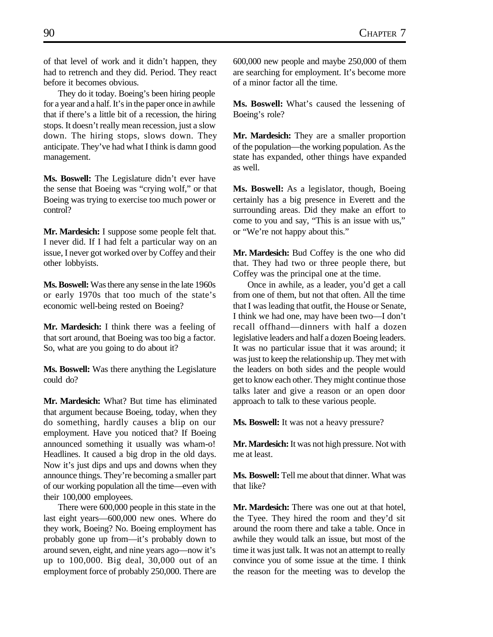of that level of work and it didn't happen, they had to retrench and they did. Period. They react before it becomes obvious.

They do it today. Boeing's been hiring people for a year and a half. It's in the paper once in awhile that if there's a little bit of a recession, the hiring stops. It doesn't really mean recession, just a slow down. The hiring stops, slows down. They anticipate. They've had what I think is damn good management.

**Ms. Boswell:** The Legislature didn't ever have the sense that Boeing was "crying wolf," or that Boeing was trying to exercise too much power or control?

**Mr. Mardesich:** I suppose some people felt that. I never did. If I had felt a particular way on an issue, I never got worked over by Coffey and their other lobbyists.

**Ms. Boswell:** Was there any sense in the late 1960s or early 1970s that too much of the state's economic well-being rested on Boeing?

**Mr. Mardesich:** I think there was a feeling of that sort around, that Boeing was too big a factor. So, what are you going to do about it?

**Ms. Boswell:** Was there anything the Legislature could do?

**Mr. Mardesich:** What? But time has eliminated that argument because Boeing, today, when they do something, hardly causes a blip on our employment. Have you noticed that? If Boeing announced something it usually was wham-o! Headlines. It caused a big drop in the old days. Now it's just dips and ups and downs when they announce things. They're becoming a smaller part of our working population all the time—even with their 100,000 employees.

There were 600,000 people in this state in the last eight years—600,000 new ones. Where do they work, Boeing? No. Boeing employment has probably gone up from—it's probably down to around seven, eight, and nine years ago—now it's up to 100,000. Big deal, 30,000 out of an employment force of probably 250,000. There are

600,000 new people and maybe 250,000 of them are searching for employment. It's become more of a minor factor all the time.

**Ms. Boswell:** What's caused the lessening of Boeing's role?

**Mr. Mardesich:** They are a smaller proportion of the population—the working population. As the state has expanded, other things have expanded as well.

**Ms. Boswell:** As a legislator, though, Boeing certainly has a big presence in Everett and the surrounding areas. Did they make an effort to come to you and say, "This is an issue with us," or "We're not happy about this."

**Mr. Mardesich:** Bud Coffey is the one who did that. They had two or three people there, but Coffey was the principal one at the time.

Once in awhile, as a leader, you'd get a call from one of them, but not that often. All the time that I was leading that outfit, the House or Senate, I think we had one, may have been two—I don't recall offhand—dinners with half a dozen legislative leaders and half a dozen Boeing leaders. It was no particular issue that it was around; it was just to keep the relationship up. They met with the leaders on both sides and the people would get to know each other. They might continue those talks later and give a reason or an open door approach to talk to these various people.

**Ms. Boswell:** It was not a heavy pressure?

**Mr. Mardesich:** It was not high pressure. Not with me at least.

**Ms. Boswell:** Tell me about that dinner. What was that like?

**Mr. Mardesich:** There was one out at that hotel, the Tyee. They hired the room and they'd sit around the room there and take a table. Once in awhile they would talk an issue, but most of the time it was just talk. It was not an attempt to really convince you of some issue at the time. I think the reason for the meeting was to develop the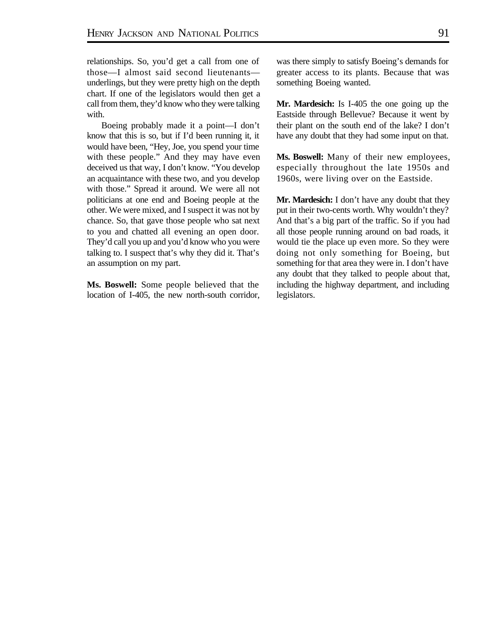relationships. So, you'd get a call from one of those—I almost said second lieutenants underlings, but they were pretty high on the depth chart. If one of the legislators would then get a call from them, they'd know who they were talking with.

Boeing probably made it a point—I don't know that this is so, but if I'd been running it, it would have been, "Hey, Joe, you spend your time with these people." And they may have even deceived us that way, I don't know. "You develop an acquaintance with these two, and you develop with those." Spread it around. We were all not politicians at one end and Boeing people at the other. We were mixed, and I suspect it was not by chance. So, that gave those people who sat next to you and chatted all evening an open door. They'd call you up and you'd know who you were talking to. I suspect that's why they did it. That's an assumption on my part.

**Ms. Boswell:** Some people believed that the location of I-405, the new north-south corridor, was there simply to satisfy Boeing's demands for greater access to its plants. Because that was something Boeing wanted.

**Mr. Mardesich:** Is I-405 the one going up the Eastside through Bellevue? Because it went by their plant on the south end of the lake? I don't have any doubt that they had some input on that.

**Ms. Boswell:** Many of their new employees, especially throughout the late 1950s and 1960s, were living over on the Eastside.

**Mr. Mardesich:** I don't have any doubt that they put in their two-cents worth. Why wouldn't they? And that's a big part of the traffic. So if you had all those people running around on bad roads, it would tie the place up even more. So they were doing not only something for Boeing, but something for that area they were in. I don't have any doubt that they talked to people about that, including the highway department, and including legislators.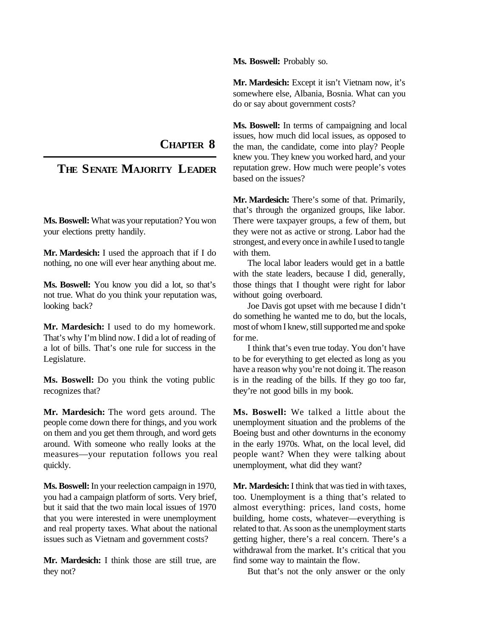**Ms. Boswell:** Probably so.

**Mr. Mardesich:** Except it isn't Vietnam now, it's somewhere else, Albania, Bosnia. What can you do or say about government costs?

**Ms. Boswell:** In terms of campaigning and local issues, how much did local issues, as opposed to the man, the candidate, come into play? People knew you. They knew you worked hard, and your reputation grew. How much were people's votes based on the issues?

**Mr. Mardesich:** There's some of that. Primarily, that's through the organized groups, like labor. There were taxpayer groups, a few of them, but they were not as active or strong. Labor had the strongest, and every once in awhile I used to tangle with them.

The local labor leaders would get in a battle with the state leaders, because I did, generally, those things that I thought were right for labor without going overboard.

Joe Davis got upset with me because I didn't do something he wanted me to do, but the locals, most of whom I knew, still supported me and spoke for me.

I think that's even true today. You don't have to be for everything to get elected as long as you have a reason why you're not doing it. The reason is in the reading of the bills. If they go too far, they're not good bills in my book.

**Ms. Boswell:** We talked a little about the unemployment situation and the problems of the Boeing bust and other downturns in the economy in the early 1970s. What, on the local level, did people want? When they were talking about unemployment, what did they want?

**Mr. Mardesich:** I think that was tied in with taxes, too. Unemployment is a thing that's related to almost everything: prices, land costs, home building, home costs, whatever—everything is related to that. As soon as the unemployment starts getting higher, there's a real concern. There's a withdrawal from the market. It's critical that you find some way to maintain the flow.

But that's not the only answer or the only

**CHAPTER 8**

## **THE SENATE MAJORITY LEADER**

**Ms. Boswell:** What was your reputation? You won your elections pretty handily.

**Mr. Mardesich:** I used the approach that if I do nothing, no one will ever hear anything about me.

**Ms. Boswell:** You know you did a lot, so that's not true. What do you think your reputation was, looking back?

**Mr. Mardesich:** I used to do my homework. That's why I'm blind now. I did a lot of reading of a lot of bills. That's one rule for success in the Legislature.

**Ms. Boswell:** Do you think the voting public recognizes that?

**Mr. Mardesich:** The word gets around. The people come down there for things, and you work on them and you get them through, and word gets around. With someone who really looks at the measures—your reputation follows you real quickly.

**Ms. Boswell:** In your reelection campaign in 1970, you had a campaign platform of sorts. Very brief, but it said that the two main local issues of 1970 that you were interested in were unemployment and real property taxes. What about the national issues such as Vietnam and government costs?

**Mr. Mardesich:** I think those are still true, are they not?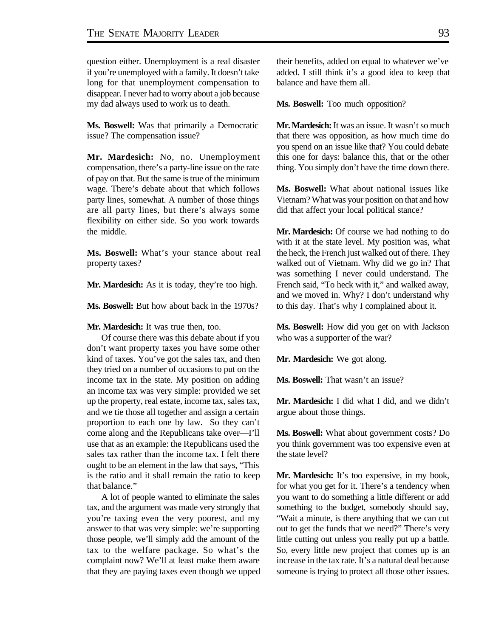question either. Unemployment is a real disaster if you're unemployed with a family. It doesn't take long for that unemployment compensation to disappear. I never had to worry about a job because my dad always used to work us to death.

**Ms. Boswell:** Was that primarily a Democratic issue? The compensation issue?

**Mr. Mardesich:** No, no. Unemployment compensation, there's a party-line issue on the rate of pay on that. But the same is true of the minimum wage. There's debate about that which follows party lines, somewhat. A number of those things are all party lines, but there's always some flexibility on either side. So you work towards the middle.

**Ms. Boswell:** What's your stance about real property taxes?

**Mr. Mardesich:** As it is today, they're too high.

**Ms. Boswell:** But how about back in the 1970s?

**Mr. Mardesich:** It was true then, too.

Of course there was this debate about if you don't want property taxes you have some other kind of taxes. You've got the sales tax, and then they tried on a number of occasions to put on the income tax in the state. My position on adding an income tax was very simple: provided we set up the property, real estate, income tax, sales tax, and we tie those all together and assign a certain proportion to each one by law. So they can't come along and the Republicans take over—I'll use that as an example: the Republicans used the sales tax rather than the income tax. I felt there ought to be an element in the law that says, "This is the ratio and it shall remain the ratio to keep that balance."

A lot of people wanted to eliminate the sales tax, and the argument was made very strongly that you're taxing even the very poorest, and my answer to that was very simple: we're supporting those people, we'll simply add the amount of the tax to the welfare package. So what's the complaint now? We'll at least make them aware that they are paying taxes even though we upped their benefits, added on equal to whatever we've added. I still think it's a good idea to keep that balance and have them all.

**Ms. Boswell:** Too much opposition?

**Mr. Mardesich:** It was an issue. It wasn't so much that there was opposition, as how much time do you spend on an issue like that? You could debate this one for days: balance this, that or the other thing. You simply don't have the time down there.

**Ms. Boswell:** What about national issues like Vietnam? What was your position on that and how did that affect your local political stance?

**Mr. Mardesich:** Of course we had nothing to do with it at the state level. My position was, what the heck, the French just walked out of there. They walked out of Vietnam. Why did we go in? That was something I never could understand. The French said, "To heck with it," and walked away, and we moved in. Why? I don't understand why to this day. That's why I complained about it.

**Ms. Boswell:** How did you get on with Jackson who was a supporter of the war?

**Mr. Mardesich:** We got along.

**Ms. Boswell:** That wasn't an issue?

**Mr. Mardesich:** I did what I did, and we didn't argue about those things.

**Ms. Boswell:** What about government costs? Do you think government was too expensive even at the state level?

**Mr. Mardesich:** It's too expensive, in my book, for what you get for it. There's a tendency when you want to do something a little different or add something to the budget, somebody should say, "Wait a minute, is there anything that we can cut out to get the funds that we need?" There's very little cutting out unless you really put up a battle. So, every little new project that comes up is an increase in the tax rate. It's a natural deal because someone is trying to protect all those other issues.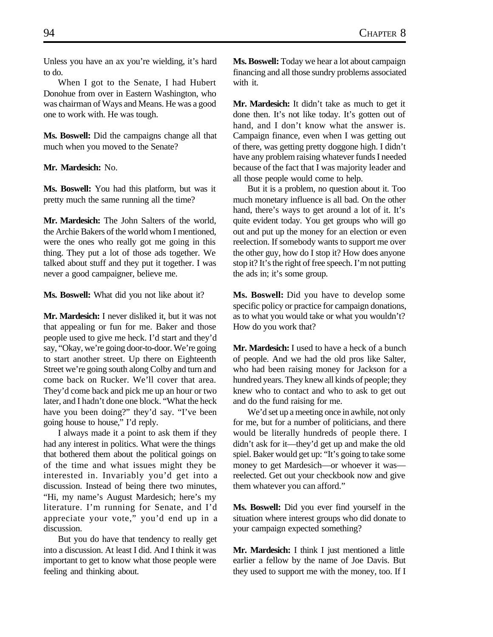Unless you have an ax you're wielding, it's hard to do.

When I got to the Senate, I had Hubert Donohue from over in Eastern Washington, who was chairman of Ways and Means. He was a good one to work with. He was tough.

**Ms. Boswell:** Did the campaigns change all that much when you moved to the Senate?

**Mr. Mardesich:** No.

**Ms. Boswell:** You had this platform, but was it pretty much the same running all the time?

**Mr. Mardesich:** The John Salters of the world, the Archie Bakers of the world whom I mentioned, were the ones who really got me going in this thing. They put a lot of those ads together. We talked about stuff and they put it together. I was never a good campaigner, believe me.

**Ms. Boswell:** What did you not like about it?

**Mr. Mardesich:** I never disliked it, but it was not that appealing or fun for me. Baker and those people used to give me heck. I'd start and they'd say, "Okay, we're going door-to-door. We're going to start another street. Up there on Eighteenth Street we're going south along Colby and turn and come back on Rucker. We'll cover that area. They'd come back and pick me up an hour or two later, and I hadn't done one block. "What the heck have you been doing?" they'd say. "I've been going house to house," I'd reply.

I always made it a point to ask them if they had any interest in politics. What were the things that bothered them about the political goings on of the time and what issues might they be interested in. Invariably you'd get into a discussion. Instead of being there two minutes, "Hi, my name's August Mardesich; here's my literature. I'm running for Senate, and I'd appreciate your vote," you'd end up in a discussion.

But you do have that tendency to really get into a discussion. At least I did. And I think it was important to get to know what those people were feeling and thinking about.

**Ms. Boswell:** Today we hear a lot about campaign financing and all those sundry problems associated with it.

**Mr. Mardesich:** It didn't take as much to get it done then. It's not like today. It's gotten out of hand, and I don't know what the answer is. Campaign finance, even when I was getting out of there, was getting pretty doggone high. I didn't have any problem raising whatever funds I needed because of the fact that I was majority leader and all those people would come to help.

But it is a problem, no question about it. Too much monetary influence is all bad. On the other hand, there's ways to get around a lot of it. It's quite evident today. You get groups who will go out and put up the money for an election or even reelection. If somebody wants to support me over the other guy, how do I stop it? How does anyone stop it? It's the right of free speech. I'm not putting the ads in; it's some group.

**Ms. Boswell:** Did you have to develop some specific policy or practice for campaign donations, as to what you would take or what you wouldn't? How do you work that?

**Mr. Mardesich:** I used to have a heck of a bunch of people. And we had the old pros like Salter, who had been raising money for Jackson for a hundred years. They knew all kinds of people; they knew who to contact and who to ask to get out and do the fund raising for me.

We'd set up a meeting once in awhile, not only for me, but for a number of politicians, and there would be literally hundreds of people there. I didn't ask for it—they'd get up and make the old spiel. Baker would get up: "It's going to take some money to get Mardesich—or whoever it was reelected. Get out your checkbook now and give them whatever you can afford."

**Ms. Boswell:** Did you ever find yourself in the situation where interest groups who did donate to your campaign expected something?

**Mr. Mardesich:** I think I just mentioned a little earlier a fellow by the name of Joe Davis. But they used to support me with the money, too. If I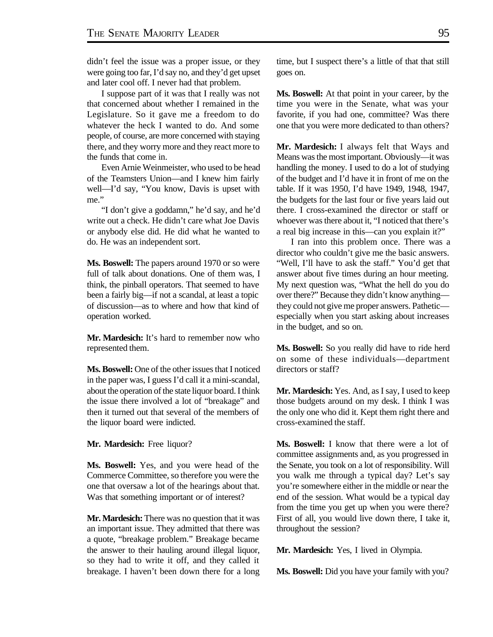didn't feel the issue was a proper issue, or they were going too far, I'd say no, and they'd get upset and later cool off. I never had that problem.

I suppose part of it was that I really was not that concerned about whether I remained in the Legislature. So it gave me a freedom to do whatever the heck I wanted to do. And some people, of course, are more concerned with staying there, and they worry more and they react more to the funds that come in.

Even Arnie Weinmeister, who used to be head of the Teamsters Union—and I knew him fairly well—I'd say, "You know, Davis is upset with me."

"I don't give a goddamn," he'd say, and he'd write out a check. He didn't care what Joe Davis or anybody else did. He did what he wanted to do. He was an independent sort.

**Ms. Boswell:** The papers around 1970 or so were full of talk about donations. One of them was, I think, the pinball operators. That seemed to have been a fairly big—if not a scandal, at least a topic of discussion—as to where and how that kind of operation worked.

**Mr. Mardesich:** It's hard to remember now who represented them.

**Ms. Boswell:** One of the other issues that I noticed in the paper was, I guess I'd call it a mini-scandal, about the operation of the state liquor board. I think the issue there involved a lot of "breakage" and then it turned out that several of the members of the liquor board were indicted.

**Mr. Mardesich:** Free liquor?

**Ms. Boswell:** Yes, and you were head of the Commerce Committee, so therefore you were the one that oversaw a lot of the hearings about that. Was that something important or of interest?

**Mr. Mardesich:** There was no question that it was an important issue. They admitted that there was a quote, "breakage problem." Breakage became the answer to their hauling around illegal liquor, so they had to write it off, and they called it breakage. I haven't been down there for a long time, but I suspect there's a little of that that still goes on.

**Ms. Boswell:** At that point in your career, by the time you were in the Senate, what was your favorite, if you had one, committee? Was there one that you were more dedicated to than others?

**Mr. Mardesich:** I always felt that Ways and Means was the most important. Obviously—it was handling the money. I used to do a lot of studying of the budget and I'd have it in front of me on the table. If it was 1950, I'd have 1949, 1948, 1947, the budgets for the last four or five years laid out there. I cross-examined the director or staff or whoever was there about it, "I noticed that there's a real big increase in this—can you explain it?"

I ran into this problem once. There was a director who couldn't give me the basic answers. "Well, I'll have to ask the staff." You'd get that answer about five times during an hour meeting. My next question was, "What the hell do you do over there?" Because they didn't know anything they could not give me proper answers. Pathetic especially when you start asking about increases in the budget, and so on.

**Ms. Boswell:** So you really did have to ride herd on some of these individuals—department directors or staff?

**Mr. Mardesich:** Yes. And, as I say, I used to keep those budgets around on my desk. I think I was the only one who did it. Kept them right there and cross-examined the staff.

**Ms. Boswell:** I know that there were a lot of committee assignments and, as you progressed in the Senate, you took on a lot of responsibility. Will you walk me through a typical day? Let's say you're somewhere either in the middle or near the end of the session. What would be a typical day from the time you get up when you were there? First of all, you would live down there, I take it, throughout the session?

**Mr. Mardesich:** Yes, I lived in Olympia.

**Ms. Boswell:** Did you have your family with you?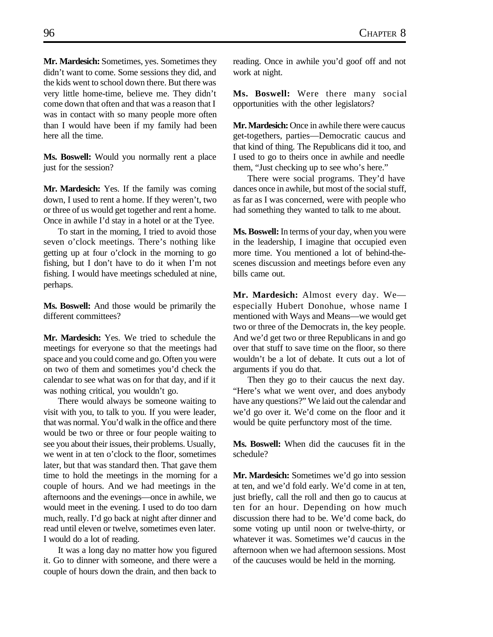**Mr. Mardesich:** Sometimes, yes. Sometimes they didn't want to come. Some sessions they did, and the kids went to school down there. But there was very little home-time, believe me. They didn't come down that often and that was a reason that I was in contact with so many people more often than I would have been if my family had been here all the time.

**Ms. Boswell:** Would you normally rent a place just for the session?

**Mr. Mardesich:** Yes. If the family was coming down, I used to rent a home. If they weren't, two or three of us would get together and rent a home. Once in awhile I'd stay in a hotel or at the Tyee.

To start in the morning, I tried to avoid those seven o'clock meetings. There's nothing like getting up at four o'clock in the morning to go fishing, but I don't have to do it when I'm not fishing. I would have meetings scheduled at nine, perhaps.

**Ms. Boswell:** And those would be primarily the different committees?

**Mr. Mardesich:** Yes. We tried to schedule the meetings for everyone so that the meetings had space and you could come and go. Often you were on two of them and sometimes you'd check the calendar to see what was on for that day, and if it was nothing critical, you wouldn't go.

There would always be someone waiting to visit with you, to talk to you. If you were leader, that was normal. You'd walk in the office and there would be two or three or four people waiting to see you about their issues, their problems. Usually, we went in at ten o'clock to the floor, sometimes later, but that was standard then. That gave them time to hold the meetings in the morning for a couple of hours. And we had meetings in the afternoons and the evenings—once in awhile, we would meet in the evening. I used to do too darn much, really. I'd go back at night after dinner and read until eleven or twelve, sometimes even later. I would do a lot of reading.

It was a long day no matter how you figured it. Go to dinner with someone, and there were a couple of hours down the drain, and then back to

reading. Once in awhile you'd goof off and not work at night.

**Ms. Boswell:** Were there many social opportunities with the other legislators?

**Mr. Mardesich:** Once in awhile there were caucus get-togethers, parties—Democratic caucus and that kind of thing. The Republicans did it too, and I used to go to theirs once in awhile and needle them, "Just checking up to see who's here."

There were social programs. They'd have dances once in awhile, but most of the social stuff, as far as I was concerned, were with people who had something they wanted to talk to me about.

**Ms. Boswell:** In terms of your day, when you were in the leadership, I imagine that occupied even more time. You mentioned a lot of behind-thescenes discussion and meetings before even any bills came out.

**Mr. Mardesich:** Almost every day. We especially Hubert Donohue, whose name I mentioned with Ways and Means—we would get two or three of the Democrats in, the key people. And we'd get two or three Republicans in and go over that stuff to save time on the floor, so there wouldn't be a lot of debate. It cuts out a lot of arguments if you do that.

Then they go to their caucus the next day. "Here's what we went over, and does anybody have any questions?" We laid out the calendar and we'd go over it. We'd come on the floor and it would be quite perfunctory most of the time.

**Ms. Boswell:** When did the caucuses fit in the schedule?

**Mr. Mardesich:** Sometimes we'd go into session at ten, and we'd fold early. We'd come in at ten, just briefly, call the roll and then go to caucus at ten for an hour. Depending on how much discussion there had to be. We'd come back, do some voting up until noon or twelve-thirty, or whatever it was. Sometimes we'd caucus in the afternoon when we had afternoon sessions. Most of the caucuses would be held in the morning.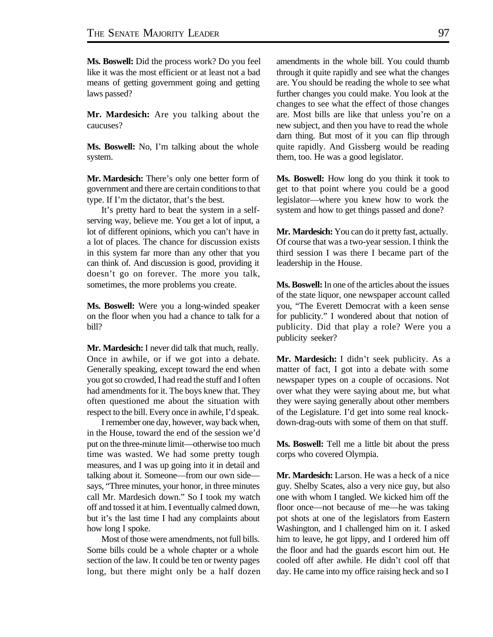**Ms. Boswell:** Did the process work? Do you feel like it was the most efficient or at least not a bad means of getting government going and getting laws passed?

**Mr. Mardesich:** Are you talking about the caucuses?

**Ms. Boswell:** No, I'm talking about the whole system.

**Mr. Mardesich:** There's only one better form of government and there are certain conditions to that type. If I'm the dictator, that's the best.

It's pretty hard to beat the system in a selfserving way, believe me. You get a lot of input, a lot of different opinions, which you can't have in a lot of places. The chance for discussion exists in this system far more than any other that you can think of. And discussion is good, providing it doesn't go on forever. The more you talk, sometimes, the more problems you create.

**Ms. Boswell:** Were you a long-winded speaker on the floor when you had a chance to talk for a bill?

**Mr. Mardesich:** I never did talk that much, really. Once in awhile, or if we got into a debate. Generally speaking, except toward the end when you got so crowded, I had read the stuff and I often had amendments for it. The boys knew that. They often questioned me about the situation with respect to the bill. Every once in awhile, I'd speak.

I remember one day, however, way back when, in the House, toward the end of the session we'd put on the three-minute limit—otherwise too much time was wasted. We had some pretty tough measures, and I was up going into it in detail and talking about it. Someone—from our own side says, "Three minutes, your honor, in three minutes call Mr. Mardesich down." So I took my watch off and tossed it at him. I eventually calmed down, but it's the last time I had any complaints about how long I spoke.

Most of those were amendments, not full bills. Some bills could be a whole chapter or a whole section of the law. It could be ten or twenty pages long, but there might only be a half dozen amendments in the whole bill. You could thumb through it quite rapidly and see what the changes are. You should be reading the whole to see what further changes you could make. You look at the changes to see what the effect of those changes are. Most bills are like that unless you're on a new subject, and then you have to read the whole darn thing. But most of it you can flip through quite rapidly. And Gissberg would be reading them, too. He was a good legislator.

**Ms. Boswell:** How long do you think it took to get to that point where you could be a good legislator—where you knew how to work the system and how to get things passed and done?

**Mr. Mardesich:** You can do it pretty fast, actually. Of course that was a two-year session. I think the third session I was there I became part of the leadership in the House.

**Ms. Boswell:** In one of the articles about the issues of the state liquor, one newspaper account called you, "The Everett Democrat with a keen sense for publicity." I wondered about that notion of publicity. Did that play a role? Were you a publicity seeker?

**Mr. Mardesich:** I didn't seek publicity. As a matter of fact, I got into a debate with some newspaper types on a couple of occasions. Not over what they were saying about me, but what they were saying generally about other members of the Legislature. I'd get into some real knockdown-drag-outs with some of them on that stuff.

**Ms. Boswell:** Tell me a little bit about the press corps who covered Olympia.

**Mr. Mardesich:** Larson. He was a heck of a nice guy. Shelby Scates, also a very nice guy, but also one with whom I tangled. We kicked him off the floor once—not because of me—he was taking pot shots at one of the legislators from Eastern Washington, and I challenged him on it. I asked him to leave, he got lippy, and I ordered him off the floor and had the guards escort him out. He cooled off after awhile. He didn't cool off that day. He came into my office raising heck and so I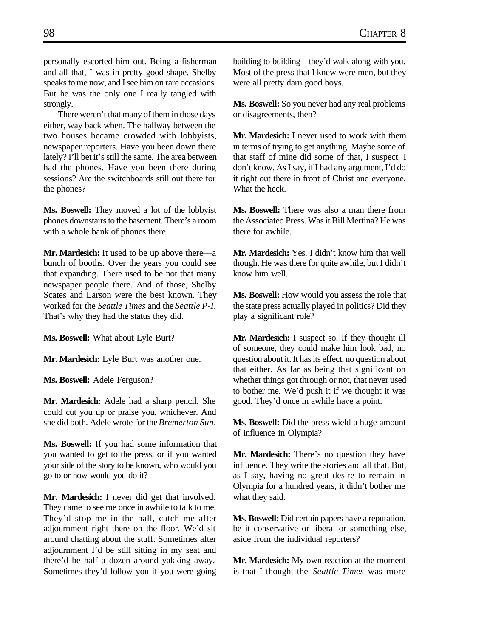personally escorted him out. Being a fisherman and all that, I was in pretty good shape. Shelby speaks to me now, and I see him on rare occasions. But he was the only one I really tangled with strongly.

There weren't that many of them in those days either, way back when. The hallway between the two houses became crowded with lobbyists, newspaper reporters. Have you been down there lately? I'll bet it's still the same. The area between had the phones. Have you been there during sessions? Are the switchboards still out there for the phones?

**Ms. Boswell:** They moved a lot of the lobbyist phones downstairs to the basement. There's a room with a whole bank of phones there.

**Mr. Mardesich:** It used to be up above there—a bunch of booths. Over the years you could see that expanding. There used to be not that many newspaper people there. And of those, Shelby Scates and Larson were the best known. They worked for the *Seattle Times* and the *Seattle P-I*. That's why they had the status they did.

**Ms. Boswell:** What about Lyle Burt?

**Mr. Mardesich:** Lyle Burt was another one.

**Ms. Boswell:** Adele Ferguson?

**Mr. Mardesich:** Adele had a sharp pencil. She could cut you up or praise you, whichever. And she did both. Adele wrote for the *Bremerton Sun*.

**Ms. Boswell:** If you had some information that you wanted to get to the press, or if you wanted your side of the story to be known, who would you go to or how would you do it?

**Mr. Mardesich:** I never did get that involved. They came to see me once in awhile to talk to me. They'd stop me in the hall, catch me after adjournment right there on the floor. We'd sit around chatting about the stuff. Sometimes after adjournment I'd be still sitting in my seat and there'd be half a dozen around yakking away. Sometimes they'd follow you if you were going building to building—they'd walk along with you. Most of the press that I knew were men, but they were all pretty darn good boys.

**Ms. Boswell:** So you never had any real problems or disagreements, then?

**Mr. Mardesich:** I never used to work with them in terms of trying to get anything. Maybe some of that staff of mine did some of that, I suspect. I don't know. As I say, if I had any argument, I'd do it right out there in front of Christ and everyone. What the heck.

**Ms. Boswell:** There was also a man there from the Associated Press. Was it Bill Mertina? He was there for awhile.

**Mr. Mardesich:** Yes. I didn't know him that well though. He was there for quite awhile, but I didn't know him well.

**Ms. Boswell:** How would you assess the role that the state press actually played in politics? Did they play a significant role?

**Mr. Mardesich:** I suspect so. If they thought ill of someone, they could make him look bad, no question about it. It has its effect, no question about that either. As far as being that significant on whether things got through or not, that never used to bother me. We'd push it if we thought it was good. They'd once in awhile have a point.

**Ms. Boswell:** Did the press wield a huge amount of influence in Olympia?

**Mr. Mardesich:** There's no question they have influence. They write the stories and all that. But, as I say, having no great desire to remain in Olympia for a hundred years, it didn't bother me what they said.

**Ms. Boswell:** Did certain papers have a reputation, be it conservative or liberal or something else, aside from the individual reporters?

**Mr. Mardesich:** My own reaction at the moment is that I thought the *Seattle Times* was more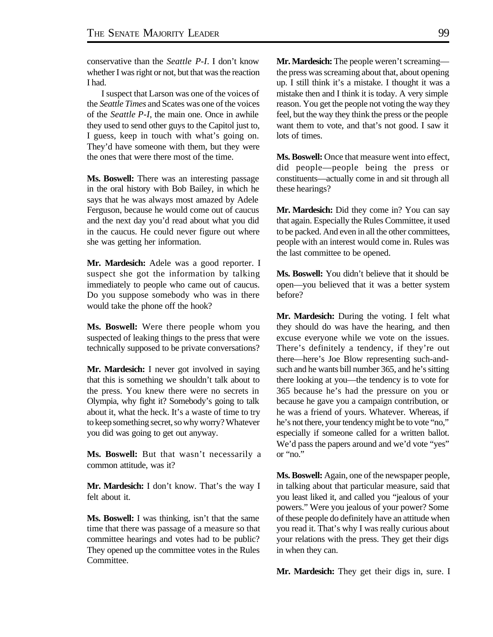conservative than the *Seattle P-I*. I don't know whether I was right or not, but that was the reaction I had.

I suspect that Larson was one of the voices of the *Seattle Times* and Scates was one of the voices of the *Seattle P-I*, the main one. Once in awhile they used to send other guys to the Capitol just to, I guess, keep in touch with what's going on. They'd have someone with them, but they were the ones that were there most of the time.

**Ms. Boswell:** There was an interesting passage in the oral history with Bob Bailey, in which he says that he was always most amazed by Adele Ferguson, because he would come out of caucus and the next day you'd read about what you did in the caucus. He could never figure out where she was getting her information.

**Mr. Mardesich:** Adele was a good reporter. I suspect she got the information by talking immediately to people who came out of caucus. Do you suppose somebody who was in there would take the phone off the hook?

**Ms. Boswell:** Were there people whom you suspected of leaking things to the press that were technically supposed to be private conversations?

**Mr. Mardesich:** I never got involved in saying that this is something we shouldn't talk about to the press. You knew there were no secrets in Olympia, why fight it? Somebody's going to talk about it, what the heck. It's a waste of time to try to keep something secret, so why worry? Whatever you did was going to get out anyway.

**Ms. Boswell:** But that wasn't necessarily a common attitude, was it?

**Mr. Mardesich:** I don't know. That's the way I felt about it.

**Ms. Boswell:** I was thinking, isn't that the same time that there was passage of a measure so that committee hearings and votes had to be public? They opened up the committee votes in the Rules Committee.

**Mr. Mardesich:** The people weren't screaming the press was screaming about that, about opening up. I still think it's a mistake. I thought it was a mistake then and I think it is today. A very simple reason. You get the people not voting the way they feel, but the way they think the press or the people want them to vote, and that's not good. I saw it lots of times.

**Ms. Boswell:** Once that measure went into effect, did people—people being the press or constituents—actually come in and sit through all these hearings?

**Mr. Mardesich:** Did they come in? You can say that again. Especially the Rules Committee, it used to be packed. And even in all the other committees, people with an interest would come in. Rules was the last committee to be opened.

**Ms. Boswell:** You didn't believe that it should be open—you believed that it was a better system before?

**Mr. Mardesich:** During the voting. I felt what they should do was have the hearing, and then excuse everyone while we vote on the issues. There's definitely a tendency, if they're out there—here's Joe Blow representing such-andsuch and he wants bill number 365, and he's sitting there looking at you—the tendency is to vote for 365 because he's had the pressure on you or because he gave you a campaign contribution, or he was a friend of yours. Whatever. Whereas, if he's not there, your tendency might be to vote "no," especially if someone called for a written ballot. We'd pass the papers around and we'd vote "yes" or "no."

**Ms. Boswell:** Again, one of the newspaper people, in talking about that particular measure, said that you least liked it, and called you "jealous of your powers." Were you jealous of your power? Some of these people do definitely have an attitude when you read it. That's why I was really curious about your relations with the press. They get their digs in when they can.

**Mr. Mardesich:** They get their digs in, sure. I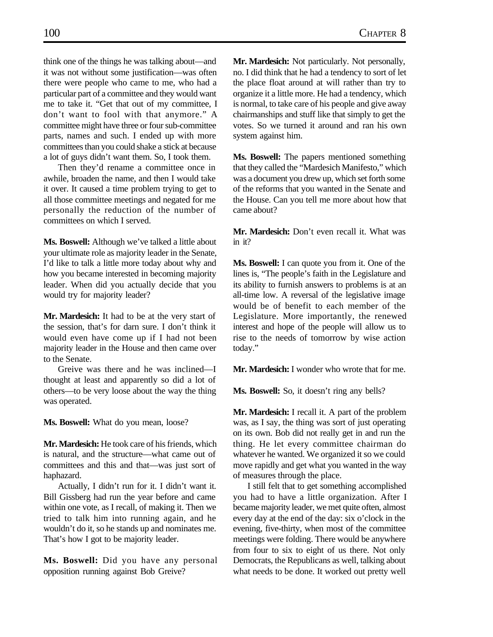think one of the things he was talking about—and it was not without some justification—was often there were people who came to me, who had a particular part of a committee and they would want me to take it. "Get that out of my committee, I don't want to fool with that anymore." A committee might have three or four sub-committee parts, names and such. I ended up with more committees than you could shake a stick at because a lot of guys didn't want them. So, I took them.

Then they'd rename a committee once in awhile, broaden the name, and then I would take it over. It caused a time problem trying to get to all those committee meetings and negated for me personally the reduction of the number of committees on which I served.

**Ms. Boswell:** Although we've talked a little about your ultimate role as majority leader in the Senate, I'd like to talk a little more today about why and how you became interested in becoming majority leader. When did you actually decide that you would try for majority leader?

**Mr. Mardesich:** It had to be at the very start of the session, that's for darn sure. I don't think it would even have come up if I had not been majority leader in the House and then came over to the Senate.

Greive was there and he was inclined—I thought at least and apparently so did a lot of others—to be very loose about the way the thing was operated.

**Ms. Boswell:** What do you mean, loose?

**Mr. Mardesich:** He took care of his friends, which is natural, and the structure—what came out of committees and this and that—was just sort of haphazard.

Actually, I didn't run for it. I didn't want it. Bill Gissberg had run the year before and came within one vote, as I recall, of making it. Then we tried to talk him into running again, and he wouldn't do it, so he stands up and nominates me. That's how I got to be majority leader.

**Ms. Boswell:** Did you have any personal opposition running against Bob Greive?

**Mr. Mardesich:** Not particularly. Not personally, no. I did think that he had a tendency to sort of let the place float around at will rather than try to organize it a little more. He had a tendency, which is normal, to take care of his people and give away chairmanships and stuff like that simply to get the votes. So we turned it around and ran his own system against him.

**Ms. Boswell:** The papers mentioned something that they called the "Mardesich Manifesto," which was a document you drew up, which set forth some of the reforms that you wanted in the Senate and the House. Can you tell me more about how that came about?

**Mr. Mardesich:** Don't even recall it. What was in it?

**Ms. Boswell:** I can quote you from it. One of the lines is, "The people's faith in the Legislature and its ability to furnish answers to problems is at an all-time low. A reversal of the legislative image would be of benefit to each member of the Legislature. More importantly, the renewed interest and hope of the people will allow us to rise to the needs of tomorrow by wise action today."

**Mr. Mardesich:** I wonder who wrote that for me.

**Ms. Boswell:** So, it doesn't ring any bells?

**Mr. Mardesich:** I recall it. A part of the problem was, as I say, the thing was sort of just operating on its own. Bob did not really get in and run the thing. He let every committee chairman do whatever he wanted. We organized it so we could move rapidly and get what you wanted in the way of measures through the place.

I still felt that to get something accomplished you had to have a little organization. After I became majority leader, we met quite often, almost every day at the end of the day: six o'clock in the evening, five-thirty, when most of the committee meetings were folding. There would be anywhere from four to six to eight of us there. Not only Democrats, the Republicans as well, talking about what needs to be done. It worked out pretty well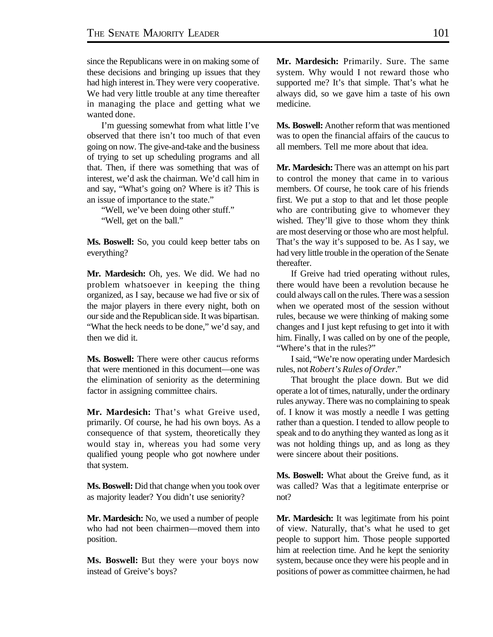since the Republicans were in on making some of these decisions and bringing up issues that they had high interest in. They were very cooperative. We had very little trouble at any time thereafter in managing the place and getting what we wanted done.

I'm guessing somewhat from what little I've observed that there isn't too much of that even going on now. The give-and-take and the business of trying to set up scheduling programs and all that. Then, if there was something that was of interest, we'd ask the chairman. We'd call him in and say, "What's going on? Where is it? This is an issue of importance to the state."

"Well, we've been doing other stuff." "Well, get on the ball."

**Ms. Boswell:** So, you could keep better tabs on everything?

**Mr. Mardesich:** Oh, yes. We did. We had no problem whatsoever in keeping the thing organized, as I say, because we had five or six of the major players in there every night, both on our side and the Republican side. It was bipartisan. "What the heck needs to be done," we'd say, and then we did it.

**Ms. Boswell:** There were other caucus reforms that were mentioned in this document—one was the elimination of seniority as the determining factor in assigning committee chairs.

**Mr. Mardesich:** That's what Greive used, primarily. Of course, he had his own boys. As a consequence of that system, theoretically they would stay in, whereas you had some very qualified young people who got nowhere under that system.

**Ms. Boswell:** Did that change when you took over as majority leader? You didn't use seniority?

**Mr. Mardesich:** No, we used a number of people who had not been chairmen—moved them into position.

**Ms. Boswell:** But they were your boys now instead of Greive's boys?

**Mr. Mardesich:** Primarily. Sure. The same system. Why would I not reward those who supported me? It's that simple. That's what he always did, so we gave him a taste of his own medicine.

**Ms. Boswell:** Another reform that was mentioned was to open the financial affairs of the caucus to all members. Tell me more about that idea.

**Mr. Mardesich:** There was an attempt on his part to control the money that came in to various members. Of course, he took care of his friends first. We put a stop to that and let those people who are contributing give to whomever they wished. They'll give to those whom they think are most deserving or those who are most helpful. That's the way it's supposed to be. As I say, we had very little trouble in the operation of the Senate thereafter.

If Greive had tried operating without rules, there would have been a revolution because he could always call on the rules. There was a session when we operated most of the session without rules, because we were thinking of making some changes and I just kept refusing to get into it with him. Finally, I was called on by one of the people, "Where's that in the rules?"

I said, "We're now operating under Mardesich rules, not *Robert's Rules of Order*."

That brought the place down. But we did operate a lot of times, naturally, under the ordinary rules anyway. There was no complaining to speak of. I know it was mostly a needle I was getting rather than a question. I tended to allow people to speak and to do anything they wanted as long as it was not holding things up, and as long as they were sincere about their positions.

**Ms. Boswell:** What about the Greive fund, as it was called? Was that a legitimate enterprise or not?

**Mr. Mardesich:** It was legitimate from his point of view. Naturally, that's what he used to get people to support him. Those people supported him at reelection time. And he kept the seniority system, because once they were his people and in positions of power as committee chairmen, he had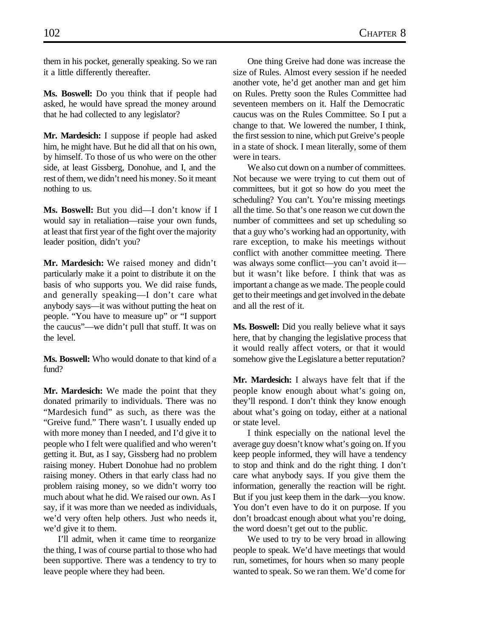them in his pocket, generally speaking. So we ran it a little differently thereafter.

**Ms. Boswell:** Do you think that if people had asked, he would have spread the money around that he had collected to any legislator?

**Mr. Mardesich:** I suppose if people had asked him, he might have. But he did all that on his own, by himself. To those of us who were on the other side, at least Gissberg, Donohue, and I, and the rest of them, we didn't need his money. So it meant nothing to us.

**Ms. Boswell:** But you did—I don't know if I would say in retaliation—raise your own funds, at least that first year of the fight over the majority leader position, didn't you?

**Mr. Mardesich:** We raised money and didn't particularly make it a point to distribute it on the basis of who supports you. We did raise funds, and generally speaking—I don't care what anybody says—it was without putting the heat on people. "You have to measure up" or "I support the caucus"—we didn't pull that stuff. It was on the level.

**Ms. Boswell:** Who would donate to that kind of a fund?

**Mr. Mardesich:** We made the point that they donated primarily to individuals. There was no "Mardesich fund" as such, as there was the "Greive fund." There wasn't. I usually ended up with more money than I needed, and I'd give it to people who I felt were qualified and who weren't getting it. But, as I say, Gissberg had no problem raising money. Hubert Donohue had no problem raising money. Others in that early class had no problem raising money, so we didn't worry too much about what he did. We raised our own. As I say, if it was more than we needed as individuals, we'd very often help others. Just who needs it, we'd give it to them.

I'll admit, when it came time to reorganize the thing, I was of course partial to those who had been supportive. There was a tendency to try to leave people where they had been.

One thing Greive had done was increase the size of Rules. Almost every session if he needed another vote, he'd get another man and get him on Rules. Pretty soon the Rules Committee had seventeen members on it. Half the Democratic caucus was on the Rules Committee. So I put a change to that. We lowered the number, I think, the first session to nine, which put Greive's people in a state of shock. I mean literally, some of them were in tears.

We also cut down on a number of committees. Not because we were trying to cut them out of committees, but it got so how do you meet the scheduling? You can't. You're missing meetings all the time. So that's one reason we cut down the number of committees and set up scheduling so that a guy who's working had an opportunity, with rare exception, to make his meetings without conflict with another committee meeting. There was always some conflict—you can't avoid it but it wasn't like before. I think that was as important a change as we made. The people could get to their meetings and get involved in the debate and all the rest of it.

**Ms. Boswell:** Did you really believe what it says here, that by changing the legislative process that it would really affect voters, or that it would somehow give the Legislature a better reputation?

**Mr. Mardesich:** I always have felt that if the people know enough about what's going on, they'll respond. I don't think they know enough about what's going on today, either at a national or state level.

I think especially on the national level the average guy doesn't know what's going on. If you keep people informed, they will have a tendency to stop and think and do the right thing. I don't care what anybody says. If you give them the information, generally the reaction will be right. But if you just keep them in the dark—you know. You don't even have to do it on purpose. If you don't broadcast enough about what you're doing, the word doesn't get out to the public.

We used to try to be very broad in allowing people to speak. We'd have meetings that would run, sometimes, for hours when so many people wanted to speak. So we ran them. We'd come for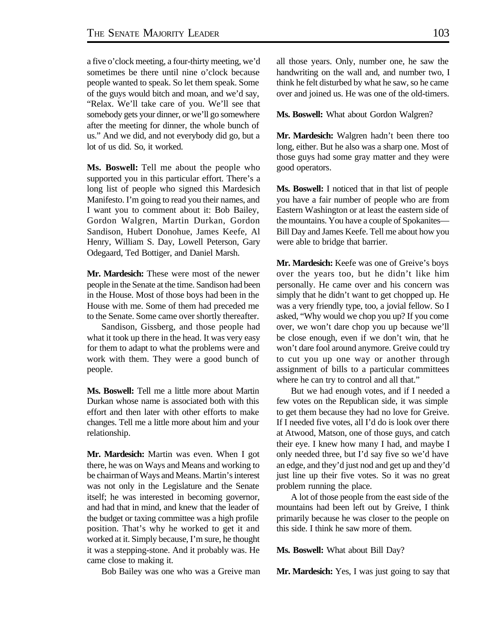a five o'clock meeting, a four-thirty meeting, we'd sometimes be there until nine o'clock because people wanted to speak. So let them speak. Some of the guys would bitch and moan, and we'd say, "Relax. We'll take care of you. We'll see that somebody gets your dinner, or we'll go somewhere after the meeting for dinner, the whole bunch of us." And we did, and not everybody did go, but a lot of us did. So, it worked.

**Ms. Boswell:** Tell me about the people who supported you in this particular effort. There's a long list of people who signed this Mardesich Manifesto. I'm going to read you their names, and I want you to comment about it: Bob Bailey, Gordon Walgren, Martin Durkan, Gordon Sandison, Hubert Donohue, James Keefe, Al Henry, William S. Day, Lowell Peterson, Gary Odegaard, Ted Bottiger, and Daniel Marsh.

**Mr. Mardesich:** These were most of the newer people in the Senate at the time. Sandison had been in the House. Most of those boys had been in the House with me. Some of them had preceded me to the Senate. Some came over shortly thereafter.

Sandison, Gissberg, and those people had what it took up there in the head. It was very easy for them to adapt to what the problems were and work with them. They were a good bunch of people.

**Ms. Boswell:** Tell me a little more about Martin Durkan whose name is associated both with this effort and then later with other efforts to make changes. Tell me a little more about him and your relationship.

**Mr. Mardesich:** Martin was even. When I got there, he was on Ways and Means and working to be chairman of Ways and Means. Martin's interest was not only in the Legislature and the Senate itself; he was interested in becoming governor, and had that in mind, and knew that the leader of the budget or taxing committee was a high profile position. That's why he worked to get it and worked at it. Simply because, I'm sure, he thought it was a stepping-stone. And it probably was. He came close to making it.

Bob Bailey was one who was a Greive man

all those years. Only, number one, he saw the handwriting on the wall and, and number two, I think he felt disturbed by what he saw, so he came over and joined us. He was one of the old-timers.

**Ms. Boswell:** What about Gordon Walgren?

**Mr. Mardesich:** Walgren hadn't been there too long, either. But he also was a sharp one. Most of those guys had some gray matter and they were good operators.

**Ms. Boswell:** I noticed that in that list of people you have a fair number of people who are from Eastern Washington or at least the eastern side of the mountains. You have a couple of Spokanites— Bill Day and James Keefe. Tell me about how you were able to bridge that barrier.

**Mr. Mardesich:** Keefe was one of Greive's boys over the years too, but he didn't like him personally. He came over and his concern was simply that he didn't want to get chopped up. He was a very friendly type, too, a jovial fellow. So I asked, "Why would we chop you up? If you come over, we won't dare chop you up because we'll be close enough, even if we don't win, that he won't dare fool around anymore. Greive could try to cut you up one way or another through assignment of bills to a particular committees where he can try to control and all that."

But we had enough votes, and if I needed a few votes on the Republican side, it was simple to get them because they had no love for Greive. If I needed five votes, all I'd do is look over there at Atwood, Matson, one of those guys, and catch their eye. I knew how many I had, and maybe I only needed three, but I'd say five so we'd have an edge, and they'd just nod and get up and they'd just line up their five votes. So it was no great problem running the place.

A lot of those people from the east side of the mountains had been left out by Greive, I think primarily because he was closer to the people on this side. I think he saw more of them.

**Ms. Boswell:** What about Bill Day?

**Mr. Mardesich:** Yes, I was just going to say that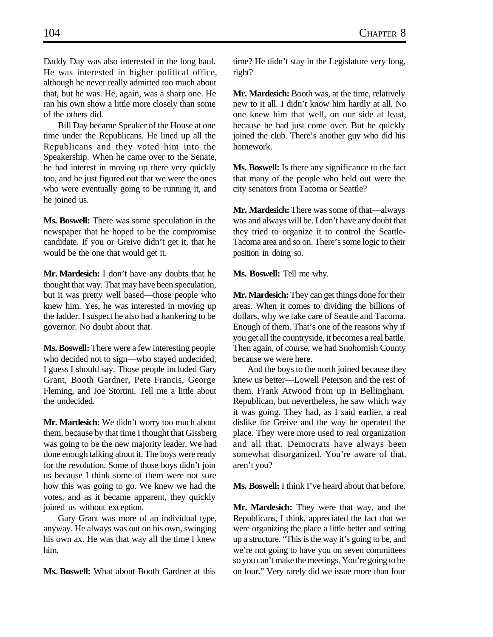Daddy Day was also interested in the long haul. He was interested in higher political office, although he never really admitted too much about that, but he was. He, again, was a sharp one. He ran his own show a little more closely than some of the others did.

Bill Day became Speaker of the House at one time under the Republicans. He lined up all the Republicans and they voted him into the Speakership. When he came over to the Senate, he had interest in moving up there very quickly too, and he just figured out that we were the ones who were eventually going to be running it, and he joined us.

**Ms. Boswell:** There was some speculation in the newspaper that he hoped to be the compromise candidate. If you or Greive didn't get it, that he would be the one that would get it.

**Mr. Mardesich:** I don't have any doubts that he thought that way. That may have been speculation, but it was pretty well based—those people who knew him. Yes, he was interested in moving up the ladder. I suspect he also had a hankering to be governor. No doubt about that.

**Ms. Boswell:** There were a few interesting people who decided not to sign—who stayed undecided, I guess I should say. Those people included Gary Grant, Booth Gardner, Pete Francis, George Fleming, and Joe Stortini. Tell me a little about the undecided.

**Mr. Mardesich:** We didn't worry too much about them, because by that time I thought that Gissberg was going to be the new majority leader. We had done enough talking about it. The boys were ready for the revolution. Some of those boys didn't join us because I think some of them were not sure how this was going to go. We knew we had the votes, and as it became apparent, they quickly joined us without exception.

Gary Grant was more of an individual type, anyway. He always was out on his own, swinging his own ax. He was that way all the time I knew him.

**Ms. Boswell:** What about Booth Gardner at this

time? He didn't stay in the Legislature very long, right?

**Mr. Mardesich:** Booth was, at the time, relatively new to it all. I didn't know him hardly at all. No one knew him that well, on our side at least, because he had just come over. But he quickly joined the club. There's another guy who did his homework.

**Ms. Boswell:** Is there any significance to the fact that many of the people who held out were the city senators from Tacoma or Seattle?

**Mr. Mardesich:** There was some of that—always was and always will be. I don't have any doubt that they tried to organize it to control the Seattle-Tacoma area and so on. There's some logic to their position in doing so.

**Ms. Boswell:** Tell me why.

**Mr. Mardesich:** They can get things done for their areas. When it comes to dividing the billions of dollars, why we take care of Seattle and Tacoma. Enough of them. That's one of the reasons why if you get all the countryside, it becomes a real battle. Then again, of course, we had Snohomish County because we were here.

And the boys to the north joined because they knew us better—Lowell Peterson and the rest of them. Frank Atwood from up in Bellingham. Republican, but nevertheless, he saw which way it was going. They had, as I said earlier, a real dislike for Greive and the way he operated the place. They were more used to real organization and all that. Democrats have always been somewhat disorganized. You're aware of that, aren't you?

**Ms. Boswell:** I think I've heard about that before.

**Mr. Mardesich:** They were that way, and the Republicans, I think, appreciated the fact that we were organizing the place a little better and setting up a structure. "This is the way it's going to be, and we're not going to have you on seven committees so you can't make the meetings. You're going to be on four." Very rarely did we issue more than four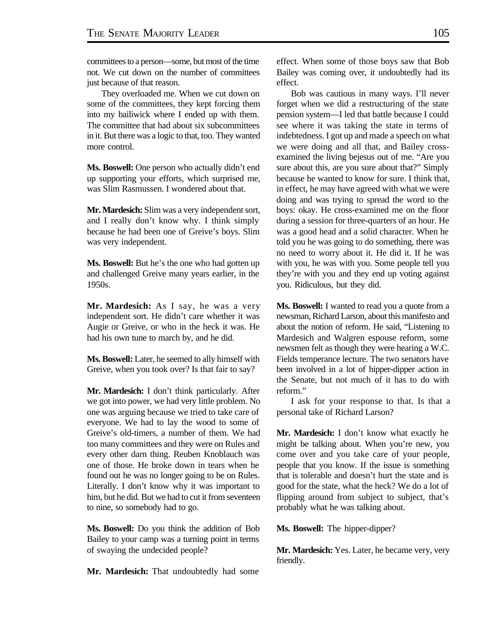committees to a person—some, but most of the time not. We cut down on the number of committees just because of that reason.

They overloaded me. When we cut down on some of the committees, they kept forcing them into my bailiwick where I ended up with them. The committee that had about six subcommittees in it. But there was a logic to that, too. They wanted more control.

**Ms. Boswell:** One person who actually didn't end up supporting your efforts, which surprised me, was Slim Rasmussen. I wondered about that.

**Mr. Mardesich:** Slim was a very independent sort, and I really don't know why. I think simply because he had been one of Greive's boys. Slim was very independent.

**Ms. Boswell:** But he's the one who had gotten up and challenged Greive many years earlier, in the 1950s.

**Mr. Mardesich:** As I say, he was a very independent sort. He didn't care whether it was Augie or Greive, or who in the heck it was. He had his own tune to march by, and he did.

**Ms. Boswell:** Later, he seemed to ally himself with Greive, when you took over? Is that fair to say?

**Mr. Mardesich:** I don't think particularly. After we got into power, we had very little problem. No one was arguing because we tried to take care of everyone. We had to lay the wood to some of Greive's old-timers, a number of them. We had too many committees and they were on Rules and every other darn thing. Reuben Knoblauch was one of those. He broke down in tears when he found out he was no longer going to be on Rules. Literally. I don't know why it was important to him, but he did. But we had to cut it from seventeen to nine, so somebody had to go.

**Ms. Boswell:** Do you think the addition of Bob Bailey to your camp was a turning point in terms of swaying the undecided people?

**Mr. Mardesich:** That undoubtedly had some

effect. When some of those boys saw that Bob Bailey was coming over, it undoubtedly had its effect.

Bob was cautious in many ways. I'll never forget when we did a restructuring of the state pension system—I led that battle because I could see where it was taking the state in terms of indebtedness. I got up and made a speech on what we were doing and all that, and Bailey crossexamined the living bejesus out of me. "Are you sure about this, are you sure about that?" Simply because he wanted to know for sure. I think that, in effect, he may have agreed with what we were doing and was trying to spread the word to the boys: okay. He cross-examined me on the floor during a session for three-quarters of an hour. He was a good head and a solid character. When he told you he was going to do something, there was no need to worry about it. He did it. If he was with you, he was with you. Some people tell you they're with you and they end up voting against you. Ridiculous, but they did.

**Ms. Boswell:** I wanted to read you a quote from a newsman, Richard Larson, about this manifesto and about the notion of reform. He said, "Listening to Mardesich and Walgren espouse reform, some newsmen felt as though they were hearing a W.C. Fields temperance lecture. The two senators have been involved in a lot of hipper-dipper action in the Senate, but not much of it has to do with reform."

I ask for your response to that. Is that a personal take of Richard Larson?

**Mr. Mardesich:** I don't know what exactly he might be talking about. When you're new, you come over and you take care of your people, people that you know. If the issue is something that is tolerable and doesn't hurt the state and is good for the state, what the heck? We do a lot of flipping around from subject to subject, that's probably what he was talking about.

**Ms. Boswell:** The hipper-dipper?

**Mr. Mardesich:** Yes. Later, he became very, very friendly.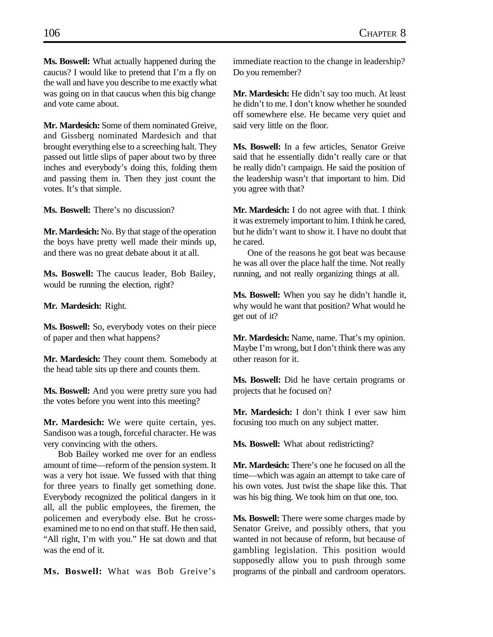**Ms. Boswell:** What actually happened during the caucus? I would like to pretend that I'm a fly on the wall and have you describe to me exactly what was going on in that caucus when this big change and vote came about.

**Mr. Mardesich:** Some of them nominated Greive, and Gissberg nominated Mardesich and that brought everything else to a screeching halt. They passed out little slips of paper about two by three inches and everybody's doing this, folding them and passing them in. Then they just count the votes. It's that simple.

**Ms. Boswell:** There's no discussion?

**Mr. Mardesich:** No. By that stage of the operation the boys have pretty well made their minds up, and there was no great debate about it at all.

**Ms. Boswell:** The caucus leader, Bob Bailey, would be running the election, right?

**Mr. Mardesich:** Right.

**Ms. Boswell:** So, everybody votes on their piece of paper and then what happens?

**Mr. Mardesich:** They count them. Somebody at the head table sits up there and counts them.

**Ms. Boswell:** And you were pretty sure you had the votes before you went into this meeting?

**Mr. Mardesich:** We were quite certain, yes. Sandison was a tough, forceful character. He was very convincing with the others.

Bob Bailey worked me over for an endless amount of time—reform of the pension system. It was a very hot issue. We fussed with that thing for three years to finally get something done. Everybody recognized the political dangers in it all, all the public employees, the firemen, the policemen and everybody else. But he crossexamined me to no end on that stuff. He then said, "All right, I'm with you." He sat down and that was the end of it.

**Ms. Boswell:** What was Bob Greive's

immediate reaction to the change in leadership? Do you remember?

**Mr. Mardesich:** He didn't say too much. At least he didn't to me. I don't know whether he sounded off somewhere else. He became very quiet and said very little on the floor.

**Ms. Boswell:** In a few articles, Senator Greive said that he essentially didn't really care or that he really didn't campaign. He said the position of the leadership wasn't that important to him. Did you agree with that?

**Mr. Mardesich:** I do not agree with that. I think it was extremely important to him. I think he cared, but he didn't want to show it. I have no doubt that he cared.

One of the reasons he got beat was because he was all over the place half the time. Not really running, and not really organizing things at all.

**Ms. Boswell:** When you say he didn't handle it, why would he want that position? What would he get out of it?

**Mr. Mardesich:** Name, name. That's my opinion. Maybe I'm wrong, but I don't think there was any other reason for it.

**Ms. Boswell:** Did he have certain programs or projects that he focused on?

**Mr. Mardesich:** I don't think I ever saw him focusing too much on any subject matter.

**Ms. Boswell:** What about redistricting?

**Mr. Mardesich:** There's one he focused on all the time—which was again an attempt to take care of his own votes. Just twist the shape like this. That was his big thing. We took him on that one, too.

**Ms. Boswell:** There were some charges made by Senator Greive, and possibly others, that you wanted in not because of reform, but because of gambling legislation. This position would supposedly allow you to push through some programs of the pinball and cardroom operators.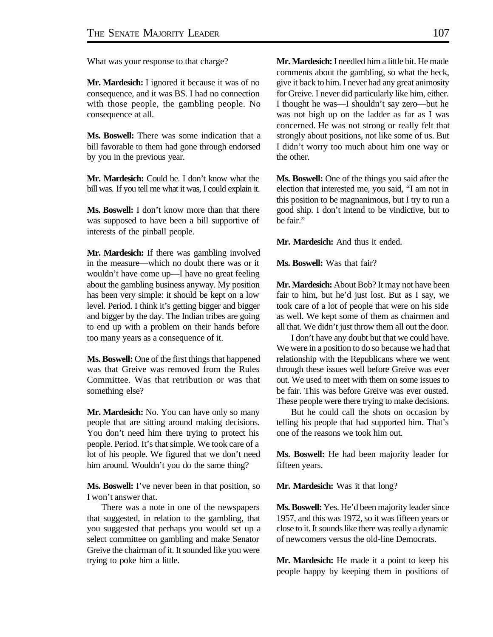What was your response to that charge?

**Mr. Mardesich:** I ignored it because it was of no consequence, and it was BS. I had no connection with those people, the gambling people. No consequence at all.

**Ms. Boswell:** There was some indication that a bill favorable to them had gone through endorsed by you in the previous year.

**Mr. Mardesich:** Could be. I don't know what the bill was. If you tell me what it was, I could explain it.

**Ms. Boswell:** I don't know more than that there was supposed to have been a bill supportive of interests of the pinball people.

**Mr. Mardesich:** If there was gambling involved in the measure—which no doubt there was or it wouldn't have come up—I have no great feeling about the gambling business anyway. My position has been very simple: it should be kept on a low level. Period. I think it's getting bigger and bigger and bigger by the day. The Indian tribes are going to end up with a problem on their hands before too many years as a consequence of it.

**Ms. Boswell:** One of the first things that happened was that Greive was removed from the Rules Committee. Was that retribution or was that something else?

**Mr. Mardesich:** No. You can have only so many people that are sitting around making decisions. You don't need him there trying to protect his people. Period. It's that simple. We took care of a lot of his people. We figured that we don't need him around. Wouldn't you do the same thing?

**Ms. Boswell:** I've never been in that position, so I won't answer that.

There was a note in one of the newspapers that suggested, in relation to the gambling, that you suggested that perhaps you would set up a select committee on gambling and make Senator Greive the chairman of it. It sounded like you were trying to poke him a little.

**Mr. Mardesich:** I needled him a little bit. He made comments about the gambling, so what the heck, give it back to him. I never had any great animosity for Greive. I never did particularly like him, either. I thought he was—I shouldn't say zero—but he was not high up on the ladder as far as I was concerned. He was not strong or really felt that strongly about positions, not like some of us. But I didn't worry too much about him one way or the other.

**Ms. Boswell:** One of the things you said after the election that interested me, you said, "I am not in this position to be magnanimous, but I try to run a good ship. I don't intend to be vindictive, but to be fair."

**Mr. Mardesich:** And thus it ended.

**Ms. Boswell:** Was that fair?

**Mr. Mardesich:** About Bob? It may not have been fair to him, but he'd just lost. But as I say, we took care of a lot of people that were on his side as well. We kept some of them as chairmen and all that. We didn't just throw them all out the door.

I don't have any doubt but that we could have. We were in a position to do so because we had that relationship with the Republicans where we went through these issues well before Greive was ever out. We used to meet with them on some issues to be fair. This was before Greive was ever ousted. These people were there trying to make decisions.

But he could call the shots on occasion by telling his people that had supported him. That's one of the reasons we took him out.

**Ms. Boswell:** He had been majority leader for fifteen years.

**Mr. Mardesich:** Was it that long?

**Ms. Boswell:** Yes. He'd been majority leader since 1957, and this was 1972, so it was fifteen years or close to it. It sounds like there was really a dynamic of newcomers versus the old-line Democrats.

**Mr. Mardesich:** He made it a point to keep his people happy by keeping them in positions of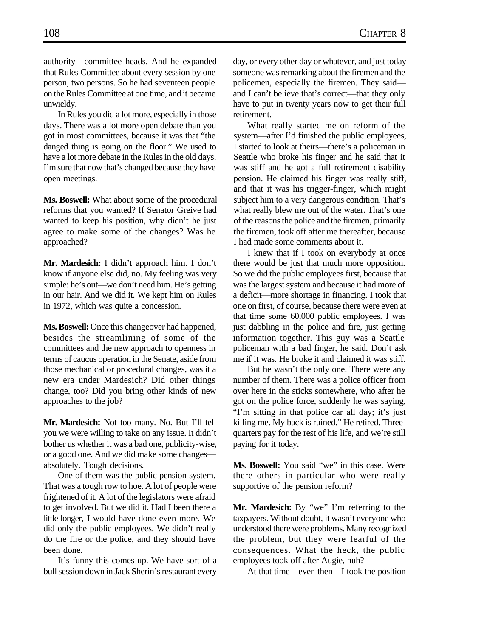authority—committee heads. And he expanded that Rules Committee about every session by one person, two persons. So he had seventeen people on the Rules Committee at one time, and it became unwieldy.

In Rules you did a lot more, especially in those days. There was a lot more open debate than you got in most committees, because it was that "the danged thing is going on the floor." We used to have a lot more debate in the Rules in the old days. I'm sure that now that's changed because they have open meetings.

**Ms. Boswell:** What about some of the procedural reforms that you wanted? If Senator Greive had wanted to keep his position, why didn't he just agree to make some of the changes? Was he approached?

**Mr. Mardesich:** I didn't approach him. I don't know if anyone else did, no. My feeling was very simple: he's out—we don't need him. He's getting in our hair. And we did it. We kept him on Rules in 1972, which was quite a concession.

**Ms. Boswell:** Once this changeover had happened, besides the streamlining of some of the committees and the new approach to openness in terms of caucus operation in the Senate, aside from those mechanical or procedural changes, was it a new era under Mardesich? Did other things change, too? Did you bring other kinds of new approaches to the job?

**Mr. Mardesich:** Not too many. No. But I'll tell you we were willing to take on any issue. It didn't bother us whether it was a bad one, publicity-wise, or a good one. And we did make some changes absolutely. Tough decisions.

One of them was the public pension system. That was a tough row to hoe. A lot of people were frightened of it. A lot of the legislators were afraid to get involved. But we did it. Had I been there a little longer, I would have done even more. We did only the public employees. We didn't really do the fire or the police, and they should have been done.

It's funny this comes up. We have sort of a bull session down in Jack Sherin's restaurant every day, or every other day or whatever, and just today someone was remarking about the firemen and the policemen, especially the firemen. They said and I can't believe that's correct—that they only have to put in twenty years now to get their full retirement.

What really started me on reform of the system—after I'd finished the public employees, I started to look at theirs—there's a policeman in Seattle who broke his finger and he said that it was stiff and he got a full retirement disability pension. He claimed his finger was really stiff, and that it was his trigger-finger, which might subject him to a very dangerous condition. That's what really blew me out of the water. That's one of the reasons the police and the firemen, primarily the firemen, took off after me thereafter, because I had made some comments about it.

I knew that if I took on everybody at once there would be just that much more opposition. So we did the public employees first, because that was the largest system and because it had more of a deficit—more shortage in financing. I took that one on first, of course, because there were even at that time some 60,000 public employees. I was just dabbling in the police and fire, just getting information together. This guy was a Seattle policeman with a bad finger, he said. Don't ask me if it was. He broke it and claimed it was stiff.

But he wasn't the only one. There were any number of them. There was a police officer from over here in the sticks somewhere, who after he got on the police force, suddenly he was saying, "I'm sitting in that police car all day; it's just killing me. My back is ruined." He retired. Threequarters pay for the rest of his life, and we're still paying for it today.

**Ms. Boswell:** You said "we" in this case. Were there others in particular who were really supportive of the pension reform?

**Mr. Mardesich:** By "we" I'm referring to the taxpayers. Without doubt, it wasn't everyone who understood there were problems. Many recognized the problem, but they were fearful of the consequences. What the heck, the public employees took off after Augie, huh?

At that time—even then—I took the position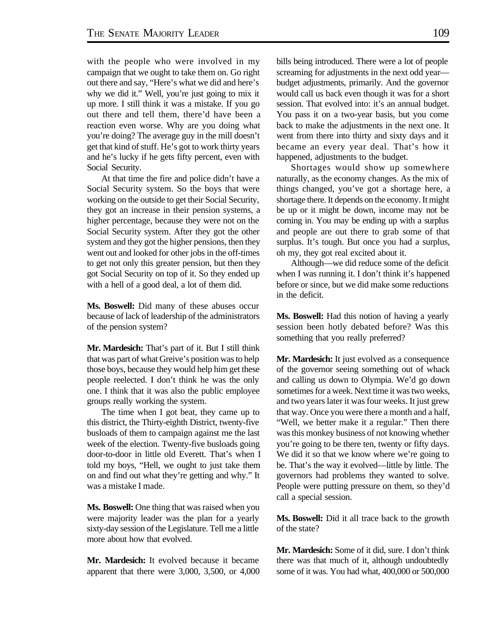with the people who were involved in my campaign that we ought to take them on. Go right out there and say, "Here's what we did and here's why we did it." Well, you're just going to mix it up more. I still think it was a mistake. If you go out there and tell them, there'd have been a reaction even worse. Why are you doing what you're doing? The average guy in the mill doesn't get that kind of stuff. He's got to work thirty years and he's lucky if he gets fifty percent, even with Social Security.

At that time the fire and police didn't have a Social Security system. So the boys that were working on the outside to get their Social Security, they got an increase in their pension systems, a higher percentage, because they were not on the Social Security system. After they got the other system and they got the higher pensions, then they went out and looked for other jobs in the off-times to get not only this greater pension, but then they got Social Security on top of it. So they ended up with a hell of a good deal, a lot of them did.

**Ms. Boswell:** Did many of these abuses occur because of lack of leadership of the administrators of the pension system?

**Mr. Mardesich:** That's part of it. But I still think that was part of what Greive's position was to help those boys, because they would help him get these people reelected. I don't think he was the only one. I think that it was also the public employee groups really working the system.

The time when I got beat, they came up to this district, the Thirty-eighth District, twenty-five busloads of them to campaign against me the last week of the election. Twenty-five busloads going door-to-door in little old Everett. That's when I told my boys, "Hell, we ought to just take them on and find out what they're getting and why." It was a mistake I made.

**Ms. Boswell:** One thing that was raised when you were majority leader was the plan for a yearly sixty-day session of the Legislature. Tell me a little more about how that evolved.

**Mr. Mardesich:** It evolved because it became apparent that there were 3,000, 3,500, or 4,000 bills being introduced. There were a lot of people screaming for adjustments in the next odd year budget adjustments, primarily. And the governor would call us back even though it was for a short session. That evolved into: it's an annual budget. You pass it on a two-year basis, but you come back to make the adjustments in the next one. It went from there into thirty and sixty days and it became an every year deal. That's how it happened, adjustments to the budget.

Shortages would show up somewhere naturally, as the economy changes. As the mix of things changed, you've got a shortage here, a shortage there. It depends on the economy. It might be up or it might be down, income may not be coming in. You may be ending up with a surplus and people are out there to grab some of that surplus. It's tough. But once you had a surplus, oh my, they got real excited about it.

Although—we did reduce some of the deficit when I was running it. I don't think it's happened before or since, but we did make some reductions in the deficit.

**Ms. Boswell:** Had this notion of having a yearly session been hotly debated before? Was this something that you really preferred?

**Mr. Mardesich:** It just evolved as a consequence of the governor seeing something out of whack and calling us down to Olympia. We'd go down sometimes for a week. Next time it was two weeks, and two years later it was four weeks. It just grew that way. Once you were there a month and a half, "Well, we better make it a regular." Then there was this monkey business of not knowing whether you're going to be there ten, twenty or fifty days. We did it so that we know where we're going to be. That's the way it evolved—little by little. The governors had problems they wanted to solve. People were putting pressure on them, so they'd call a special session.

**Ms. Boswell:** Did it all trace back to the growth of the state?

**Mr. Mardesich:** Some of it did, sure. I don't think there was that much of it, although undoubtedly some of it was. You had what, 400,000 or 500,000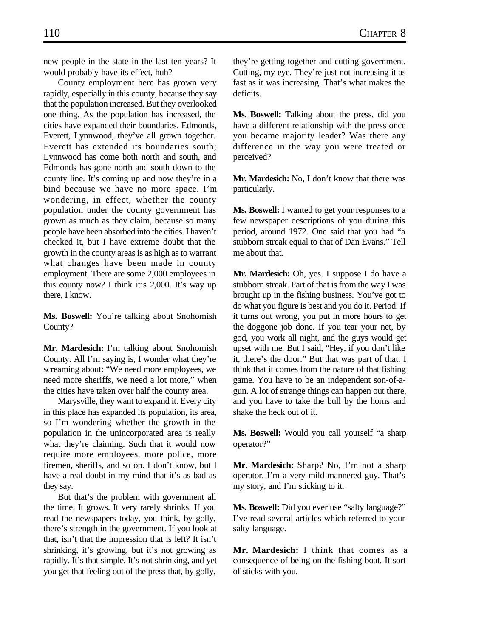new people in the state in the last ten years? It would probably have its effect, huh?

County employment here has grown very rapidly, especially in this county, because they say that the population increased. But they overlooked one thing. As the population has increased, the cities have expanded their boundaries. Edmonds, Everett, Lynnwood, they've all grown together. Everett has extended its boundaries south; Lynnwood has come both north and south, and Edmonds has gone north and south down to the county line. It's coming up and now they're in a bind because we have no more space. I'm wondering, in effect, whether the county population under the county government has grown as much as they claim, because so many people have been absorbed into the cities. I haven't checked it, but I have extreme doubt that the growth in the county areas is as high as to warrant what changes have been made in county employment. There are some 2,000 employees in this county now? I think it's 2,000. It's way up there, I know.

**Ms. Boswell:** You're talking about Snohomish County?

**Mr. Mardesich:** I'm talking about Snohomish County. All I'm saying is, I wonder what they're screaming about: "We need more employees, we need more sheriffs, we need a lot more," when the cities have taken over half the county area.

Marysville, they want to expand it. Every city in this place has expanded its population, its area, so I'm wondering whether the growth in the population in the unincorporated area is really what they're claiming. Such that it would now require more employees, more police, more firemen, sheriffs, and so on. I don't know, but I have a real doubt in my mind that it's as bad as they say.

But that's the problem with government all the time. It grows. It very rarely shrinks. If you read the newspapers today, you think, by golly, there's strength in the government. If you look at that, isn't that the impression that is left? It isn't shrinking, it's growing, but it's not growing as rapidly. It's that simple. It's not shrinking, and yet you get that feeling out of the press that, by golly,

they're getting together and cutting government. Cutting, my eye. They're just not increasing it as fast as it was increasing. That's what makes the deficits.

**Ms. Boswell:** Talking about the press, did you have a different relationship with the press once you became majority leader? Was there any difference in the way you were treated or perceived?

**Mr. Mardesich:** No, I don't know that there was particularly.

**Ms. Boswell:** I wanted to get your responses to a few newspaper descriptions of you during this period, around 1972. One said that you had "a stubborn streak equal to that of Dan Evans." Tell me about that.

**Mr. Mardesich:** Oh, yes. I suppose I do have a stubborn streak. Part of that is from the way I was brought up in the fishing business. You've got to do what you figure is best and you do it. Period. If it turns out wrong, you put in more hours to get the doggone job done. If you tear your net, by god, you work all night, and the guys would get upset with me. But I said, "Hey, if you don't like it, there's the door." But that was part of that. I think that it comes from the nature of that fishing game. You have to be an independent son-of-agun. A lot of strange things can happen out there, and you have to take the bull by the horns and shake the heck out of it.

**Ms. Boswell:** Would you call yourself "a sharp operator?"

**Mr. Mardesich:** Sharp? No, I'm not a sharp operator. I'm a very mild-mannered guy. That's my story, and I'm sticking to it.

**Ms. Boswell:** Did you ever use "salty language?" I've read several articles which referred to your salty language.

**Mr. Mardesich:** I think that comes as a consequence of being on the fishing boat. It sort of sticks with you.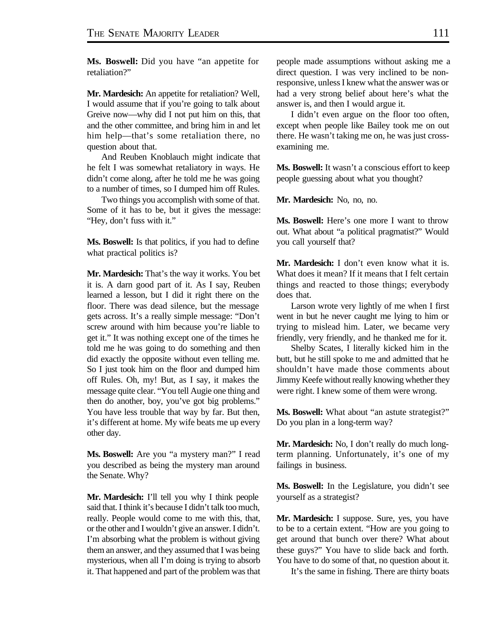**Ms. Boswell:** Did you have "an appetite for retaliation?"

**Mr. Mardesich:** An appetite for retaliation? Well, I would assume that if you're going to talk about Greive now—why did I not put him on this, that and the other committee, and bring him in and let him help—that's some retaliation there, no question about that.

And Reuben Knoblauch might indicate that he felt I was somewhat retaliatory in ways. He didn't come along, after he told me he was going to a number of times, so I dumped him off Rules.

Two things you accomplish with some of that. Some of it has to be, but it gives the message: "Hey, don't fuss with it."

**Ms. Boswell:** Is that politics, if you had to define what practical politics is?

**Mr. Mardesich:** That's the way it works. You bet it is. A darn good part of it. As I say, Reuben learned a lesson, but I did it right there on the floor. There was dead silence, but the message gets across. It's a really simple message: "Don't screw around with him because you're liable to get it." It was nothing except one of the times he told me he was going to do something and then did exactly the opposite without even telling me. So I just took him on the floor and dumped him off Rules. Oh, my! But, as I say, it makes the message quite clear. "You tell Augie one thing and then do another, boy, you've got big problems." You have less trouble that way by far. But then, it's different at home. My wife beats me up every other day.

**Ms. Boswell:** Are you "a mystery man?" I read you described as being the mystery man around the Senate. Why?

**Mr. Mardesich:** I'll tell you why I think people said that. I think it's because I didn't talk too much, really. People would come to me with this, that, or the other and I wouldn't give an answer. I didn't. I'm absorbing what the problem is without giving them an answer, and they assumed that I was being mysterious, when all I'm doing is trying to absorb it. That happened and part of the problem was that people made assumptions without asking me a direct question. I was very inclined to be nonresponsive, unless I knew what the answer was or had a very strong belief about here's what the answer is, and then I would argue it.

I didn't even argue on the floor too often, except when people like Bailey took me on out there. He wasn't taking me on, he was just crossexamining me.

**Ms. Boswell:** It wasn't a conscious effort to keep people guessing about what you thought?

**Mr. Mardesich:** No, no, no.

**Ms. Boswell:** Here's one more I want to throw out. What about "a political pragmatist?" Would you call yourself that?

**Mr. Mardesich:** I don't even know what it is. What does it mean? If it means that I felt certain things and reacted to those things; everybody does that.

Larson wrote very lightly of me when I first went in but he never caught me lying to him or trying to mislead him. Later, we became very friendly, very friendly, and he thanked me for it.

Shelby Scates, I literally kicked him in the butt, but he still spoke to me and admitted that he shouldn't have made those comments about Jimmy Keefe without really knowing whether they were right. I knew some of them were wrong.

**Ms. Boswell:** What about "an astute strategist?" Do you plan in a long-term way?

**Mr. Mardesich:** No, I don't really do much longterm planning. Unfortunately, it's one of my failings in business.

**Ms. Boswell:** In the Legislature, you didn't see yourself as a strategist?

**Mr. Mardesich:** I suppose. Sure, yes, you have to be to a certain extent. "How are you going to get around that bunch over there? What about these guys?" You have to slide back and forth. You have to do some of that, no question about it.

It's the same in fishing. There are thirty boats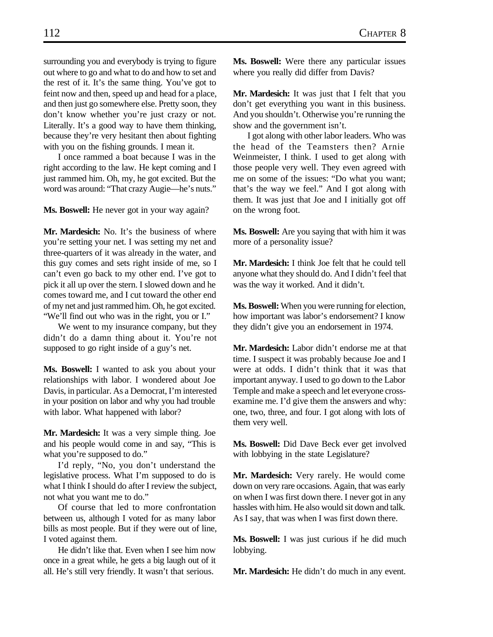surrounding you and everybody is trying to figure out where to go and what to do and how to set and the rest of it. It's the same thing. You've got to feint now and then, speed up and head for a place, and then just go somewhere else. Pretty soon, they don't know whether you're just crazy or not. Literally. It's a good way to have them thinking, because they're very hesitant then about fighting with you on the fishing grounds. I mean it.

I once rammed a boat because I was in the right according to the law. He kept coming and I just rammed him. Oh, my, he got excited. But the word was around: "That crazy Augie—he's nuts."

**Ms. Boswell:** He never got in your way again?

**Mr. Mardesich:** No. It's the business of where you're setting your net. I was setting my net and three-quarters of it was already in the water, and this guy comes and sets right inside of me, so I can't even go back to my other end. I've got to pick it all up over the stern. I slowed down and he comes toward me, and I cut toward the other end of my net and just rammed him. Oh, he got excited. "We'll find out who was in the right, you or I."

We went to my insurance company, but they didn't do a damn thing about it. You're not supposed to go right inside of a guy's net.

**Ms. Boswell:** I wanted to ask you about your relationships with labor. I wondered about Joe Davis, in particular. As a Democrat, I'm interested in your position on labor and why you had trouble with labor. What happened with labor?

**Mr. Mardesich:** It was a very simple thing. Joe and his people would come in and say, "This is what you're supposed to do."

I'd reply, "No, you don't understand the legislative process. What I'm supposed to do is what I think I should do after I review the subject, not what you want me to do."

Of course that led to more confrontation between us, although I voted for as many labor bills as most people. But if they were out of line, I voted against them.

He didn't like that. Even when I see him now once in a great while, he gets a big laugh out of it all. He's still very friendly. It wasn't that serious.

**Ms. Boswell:** Were there any particular issues where you really did differ from Davis?

Mr. Mardesich: It was just that I felt that you don't get everything you want in this business. And you shouldn't. Otherwise you're running the show and the government isn't.

I got along with other labor leaders. Who was the head of the Teamsters then? Arnie Weinmeister, I think. I used to get along with those people very well. They even agreed with me on some of the issues: "Do what you want; that's the way we feel." And I got along with them. It was just that Joe and I initially got off on the wrong foot.

**Ms. Boswell:** Are you saying that with him it was more of a personality issue?

**Mr. Mardesich:** I think Joe felt that he could tell anyone what they should do. And I didn't feel that was the way it worked. And it didn't.

**Ms. Boswell:** When you were running for election, how important was labor's endorsement? I know they didn't give you an endorsement in 1974.

**Mr. Mardesich:** Labor didn't endorse me at that time. I suspect it was probably because Joe and I were at odds. I didn't think that it was that important anyway. I used to go down to the Labor Temple and make a speech and let everyone crossexamine me. I'd give them the answers and why: one, two, three, and four. I got along with lots of them very well.

**Ms. Boswell:** Did Dave Beck ever get involved with lobbying in the state Legislature?

**Mr. Mardesich:** Very rarely. He would come down on very rare occasions. Again, that was early on when I was first down there. I never got in any hassles with him. He also would sit down and talk. As I say, that was when I was first down there.

**Ms. Boswell:** I was just curious if he did much lobbying.

**Mr. Mardesich:** He didn't do much in any event.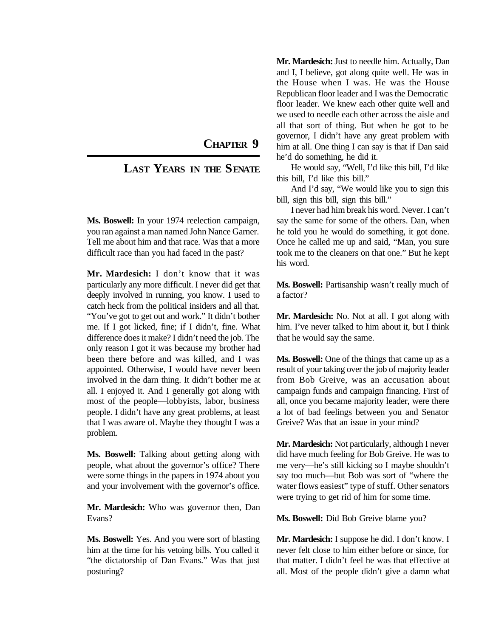## **CHAPTER 9**

## **LAST YEARS IN THE SENATE**

**Ms. Boswell:** In your 1974 reelection campaign, you ran against a man named John Nance Garner. Tell me about him and that race. Was that a more difficult race than you had faced in the past?

**Mr. Mardesich:** I don't know that it was particularly any more difficult. I never did get that deeply involved in running, you know. I used to catch heck from the political insiders and all that. "You've got to get out and work." It didn't bother me. If I got licked, fine; if I didn't, fine. What difference does it make? I didn't need the job. The only reason I got it was because my brother had been there before and was killed, and I was appointed. Otherwise, I would have never been involved in the darn thing. It didn't bother me at all. I enjoyed it. And I generally got along with most of the people—lobbyists, labor, business people. I didn't have any great problems, at least that I was aware of. Maybe they thought I was a problem.

**Ms. Boswell:** Talking about getting along with people, what about the governor's office? There were some things in the papers in 1974 about you and your involvement with the governor's office.

**Mr. Mardesich:** Who was governor then, Dan Evans?

**Ms. Boswell:** Yes. And you were sort of blasting him at the time for his vetoing bills. You called it "the dictatorship of Dan Evans." Was that just posturing?

**Mr. Mardesich:** Just to needle him. Actually, Dan and I, I believe, got along quite well. He was in the House when I was. He was the House Republican floor leader and I was the Democratic floor leader. We knew each other quite well and we used to needle each other across the aisle and all that sort of thing. But when he got to be governor, I didn't have any great problem with him at all. One thing I can say is that if Dan said he'd do something, he did it.

He would say, "Well, I'd like this bill, I'd like this bill, I'd like this bill."

And I'd say, "We would like you to sign this bill, sign this bill, sign this bill."

I never had him break his word. Never. I can't say the same for some of the others. Dan, when he told you he would do something, it got done. Once he called me up and said, "Man, you sure took me to the cleaners on that one." But he kept his word.

**Ms. Boswell:** Partisanship wasn't really much of a factor?

**Mr. Mardesich:** No. Not at all. I got along with him. I've never talked to him about it, but I think that he would say the same.

**Ms. Boswell:** One of the things that came up as a result of your taking over the job of majority leader from Bob Greive, was an accusation about campaign funds and campaign financing. First of all, once you became majority leader, were there a lot of bad feelings between you and Senator Greive? Was that an issue in your mind?

**Mr. Mardesich:** Not particularly, although I never did have much feeling for Bob Greive. He was to me very—he's still kicking so I maybe shouldn't say too much—but Bob was sort of "where the water flows easiest" type of stuff. Other senators were trying to get rid of him for some time.

**Ms. Boswell:** Did Bob Greive blame you?

**Mr. Mardesich:** I suppose he did. I don't know. I never felt close to him either before or since, for that matter. I didn't feel he was that effective at all. Most of the people didn't give a damn what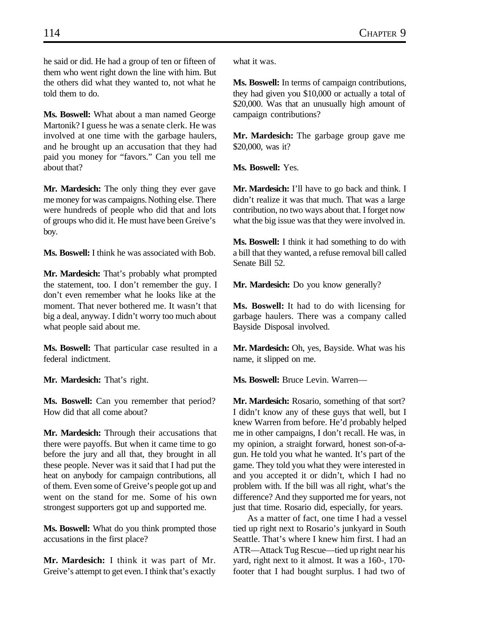he said or did. He had a group of ten or fifteen of them who went right down the line with him. But the others did what they wanted to, not what he told them to do.

**Ms. Boswell:** What about a man named George Martonik? I guess he was a senate clerk. He was involved at one time with the garbage haulers, and he brought up an accusation that they had paid you money for "favors." Can you tell me about that?

**Mr. Mardesich:** The only thing they ever gave me money for was campaigns. Nothing else. There were hundreds of people who did that and lots of groups who did it. He must have been Greive's boy.

**Ms. Boswell:** I think he was associated with Bob.

**Mr. Mardesich:** That's probably what prompted the statement, too. I don't remember the guy. I don't even remember what he looks like at the moment. That never bothered me. It wasn't that big a deal, anyway. I didn't worry too much about what people said about me.

**Ms. Boswell:** That particular case resulted in a federal indictment.

**Mr. Mardesich:** That's right.

**Ms. Boswell:** Can you remember that period? How did that all come about?

**Mr. Mardesich:** Through their accusations that there were payoffs. But when it came time to go before the jury and all that, they brought in all these people. Never was it said that I had put the heat on anybody for campaign contributions, all of them. Even some of Greive's people got up and went on the stand for me. Some of his own strongest supporters got up and supported me.

**Ms. Boswell:** What do you think prompted those accusations in the first place?

**Mr. Mardesich:** I think it was part of Mr. Greive's attempt to get even. I think that's exactly what it was.

**Ms. Boswell:** In terms of campaign contributions, they had given you \$10,000 or actually a total of \$20,000. Was that an unusually high amount of campaign contributions?

**Mr. Mardesich:** The garbage group gave me \$20,000, was it?

**Ms. Boswell:** Yes.

**Mr. Mardesich:** I'll have to go back and think. I didn't realize it was that much. That was a large contribution, no two ways about that. I forget now what the big issue was that they were involved in.

**Ms. Boswell:** I think it had something to do with a bill that they wanted, a refuse removal bill called Senate Bill 52.

**Mr. Mardesich:** Do you know generally?

**Ms. Boswell:** It had to do with licensing for garbage haulers. There was a company called Bayside Disposal involved.

**Mr. Mardesich:** Oh, yes, Bayside. What was his name, it slipped on me.

**Ms. Boswell:** Bruce Levin. Warren—

**Mr. Mardesich:** Rosario, something of that sort? I didn't know any of these guys that well, but I knew Warren from before. He'd probably helped me in other campaigns, I don't recall. He was, in my opinion, a straight forward, honest son-of-agun. He told you what he wanted. It's part of the game. They told you what they were interested in and you accepted it or didn't, which I had no problem with. If the bill was all right, what's the difference? And they supported me for years, not just that time. Rosario did, especially, for years.

As a matter of fact, one time I had a vessel tied up right next to Rosario's junkyard in South Seattle. That's where I knew him first. I had an ATR—Attack Tug Rescue—tied up right near his yard, right next to it almost. It was a 160-, 170 footer that I had bought surplus. I had two of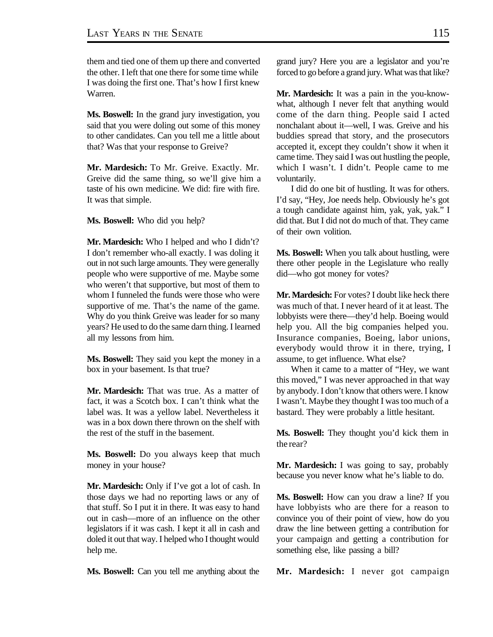them and tied one of them up there and converted the other. I left that one there for some time while I was doing the first one. That's how I first knew Warren.

**Ms. Boswell:** In the grand jury investigation, you said that you were doling out some of this money to other candidates. Can you tell me a little about that? Was that your response to Greive?

**Mr. Mardesich:** To Mr. Greive. Exactly. Mr. Greive did the same thing, so we'll give him a taste of his own medicine. We did: fire with fire. It was that simple.

**Ms. Boswell:** Who did you help?

**Mr. Mardesich:** Who I helped and who I didn't? I don't remember who-all exactly. I was doling it out in not such large amounts. They were generally people who were supportive of me. Maybe some who weren't that supportive, but most of them to whom I funneled the funds were those who were supportive of me. That's the name of the game. Why do you think Greive was leader for so many years? He used to do the same darn thing. I learned all my lessons from him.

**Ms. Boswell:** They said you kept the money in a box in your basement. Is that true?

**Mr. Mardesich:** That was true. As a matter of fact, it was a Scotch box. I can't think what the label was. It was a yellow label. Nevertheless it was in a box down there thrown on the shelf with the rest of the stuff in the basement.

**Ms. Boswell:** Do you always keep that much money in your house?

**Mr. Mardesich:** Only if I've got a lot of cash. In those days we had no reporting laws or any of that stuff. So I put it in there. It was easy to hand out in cash—more of an influence on the other legislators if it was cash. I kept it all in cash and doled it out that way. I helped who I thought would help me.

**Ms. Boswell:** Can you tell me anything about the

grand jury? Here you are a legislator and you're forced to go before a grand jury. What was that like?

**Mr. Mardesich:** It was a pain in the you-knowwhat, although I never felt that anything would come of the darn thing. People said I acted nonchalant about it—well, I was. Greive and his buddies spread that story, and the prosecutors accepted it, except they couldn't show it when it came time. They said I was out hustling the people, which I wasn't. I didn't. People came to me voluntarily.

I did do one bit of hustling. It was for others. I'd say, "Hey, Joe needs help. Obviously he's got a tough candidate against him, yak, yak, yak." I did that. But I did not do much of that. They came of their own volition.

**Ms. Boswell:** When you talk about hustling, were there other people in the Legislature who really did—who got money for votes?

**Mr. Mardesich:** For votes? I doubt like heck there was much of that. I never heard of it at least. The lobbyists were there—they'd help. Boeing would help you. All the big companies helped you. Insurance companies, Boeing, labor unions, everybody would throw it in there, trying, I assume, to get influence. What else?

When it came to a matter of "Hey, we want this moved," I was never approached in that way by anybody. I don't know that others were. I know I wasn't. Maybe they thought I was too much of a bastard. They were probably a little hesitant.

**Ms. Boswell:** They thought you'd kick them in the rear?

**Mr. Mardesich:** I was going to say, probably because you never know what he's liable to do.

**Ms. Boswell:** How can you draw a line? If you have lobbyists who are there for a reason to convince you of their point of view, how do you draw the line between getting a contribution for your campaign and getting a contribution for something else, like passing a bill?

**Mr. Mardesich:** I never got campaign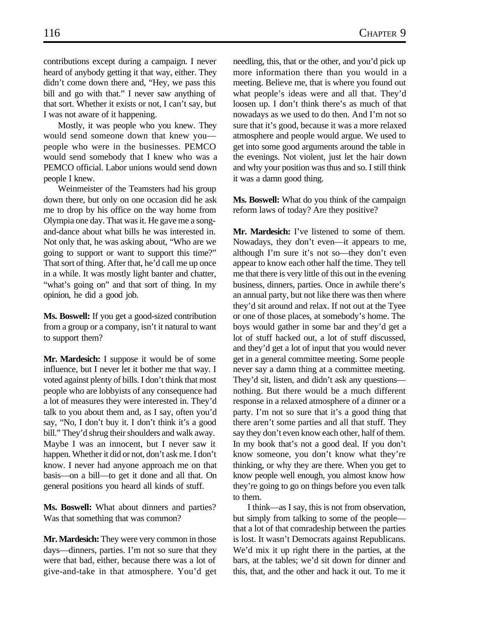contributions except during a campaign. I never heard of anybody getting it that way, either. They didn't come down there and, "Hey, we pass this bill and go with that." I never saw anything of that sort. Whether it exists or not, I can't say, but I was not aware of it happening.

Mostly, it was people who you knew. They would send someone down that knew you people who were in the businesses. PEMCO would send somebody that I knew who was a PEMCO official. Labor unions would send down people I knew.

Weinmeister of the Teamsters had his group down there, but only on one occasion did he ask me to drop by his office on the way home from Olympia one day. That was it. He gave me a songand-dance about what bills he was interested in. Not only that, he was asking about, "Who are we going to support or want to support this time?" That sort of thing. After that, he'd call me up once in a while. It was mostly light banter and chatter, "what's going on" and that sort of thing. In my opinion, he did a good job.

**Ms. Boswell:** If you get a good-sized contribution from a group or a company, isn't it natural to want to support them?

**Mr. Mardesich:** I suppose it would be of some influence, but I never let it bother me that way. I voted against plenty of bills. I don't think that most people who are lobbyists of any consequence had a lot of measures they were interested in. They'd talk to you about them and, as I say, often you'd say, "No, I don't buy it. I don't think it's a good bill." They'd shrug their shoulders and walk away. Maybe I was an innocent, but I never saw it happen. Whether it did or not, don't ask me. I don't know. I never had anyone approach me on that basis—on a bill—to get it done and all that. On general positions you heard all kinds of stuff.

**Ms. Boswell:** What about dinners and parties? Was that something that was common?

**Mr. Mardesich:** They were very common in those days—dinners, parties. I'm not so sure that they were that bad, either, because there was a lot of give-and-take in that atmosphere. You'd get needling, this, that or the other, and you'd pick up more information there than you would in a meeting. Believe me, that is where you found out what people's ideas were and all that. They'd loosen up. I don't think there's as much of that nowadays as we used to do then. And I'm not so sure that it's good, because it was a more relaxed atmosphere and people would argue. We used to get into some good arguments around the table in the evenings. Not violent, just let the hair down and why your position was thus and so. I still think it was a damn good thing.

**Ms. Boswell:** What do you think of the campaign reform laws of today? Are they positive?

**Mr. Mardesich:** I've listened to some of them. Nowadays, they don't even—it appears to me, although I'm sure it's not so—they don't even appear to know each other half the time. They tell me that there is very little of this out in the evening business, dinners, parties. Once in awhile there's an annual party, but not like there was then where they'd sit around and relax. If not out at the Tyee or one of those places, at somebody's home. The boys would gather in some bar and they'd get a lot of stuff hacked out, a lot of stuff discussed, and they'd get a lot of input that you would never get in a general committee meeting. Some people never say a damn thing at a committee meeting. They'd sit, listen, and didn't ask any questions nothing. But there would be a much different response in a relaxed atmosphere of a dinner or a party. I'm not so sure that it's a good thing that there aren't some parties and all that stuff. They say they don't even know each other, half of them. In my book that's not a good deal. If you don't know someone, you don't know what they're thinking, or why they are there. When you get to know people well enough, you almost know how they're going to go on things before you even talk to them.

I think—as I say, this is not from observation, but simply from talking to some of the people that a lot of that comradeship between the parties is lost. It wasn't Democrats against Republicans. We'd mix it up right there in the parties, at the bars, at the tables; we'd sit down for dinner and this, that, and the other and hack it out. To me it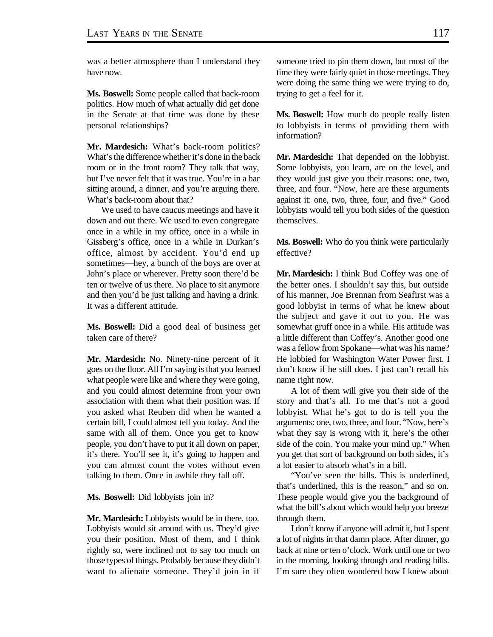was a better atmosphere than I understand they have now.

**Ms. Boswell:** Some people called that back-room politics. How much of what actually did get done in the Senate at that time was done by these personal relationships?

**Mr. Mardesich:** What's back-room politics? What's the difference whether it's done in the back room or in the front room? They talk that way, but I've never felt that it was true. You're in a bar sitting around, a dinner, and you're arguing there. What's back-room about that?

We used to have caucus meetings and have it down and out there. We used to even congregate once in a while in my office, once in a while in Gissberg's office, once in a while in Durkan's office, almost by accident. You'd end up sometimes—hey, a bunch of the boys are over at John's place or wherever. Pretty soon there'd be ten or twelve of us there. No place to sit anymore and then you'd be just talking and having a drink. It was a different attitude.

**Ms. Boswell:** Did a good deal of business get taken care of there?

**Mr. Mardesich:** No. Ninety-nine percent of it goes on the floor. All I'm saying is that you learned what people were like and where they were going, and you could almost determine from your own association with them what their position was. If you asked what Reuben did when he wanted a certain bill, I could almost tell you today. And the same with all of them. Once you get to know people, you don't have to put it all down on paper, it's there. You'll see it, it's going to happen and you can almost count the votes without even talking to them. Once in awhile they fall off.

**Ms. Boswell:** Did lobbyists join in?

**Mr. Mardesich:** Lobbyists would be in there, too. Lobbyists would sit around with us. They'd give you their position. Most of them, and I think rightly so, were inclined not to say too much on those types of things. Probably because they didn't want to alienate someone. They'd join in if someone tried to pin them down, but most of the time they were fairly quiet in those meetings. They were doing the same thing we were trying to do, trying to get a feel for it.

**Ms. Boswell:** How much do people really listen to lobbyists in terms of providing them with information?

**Mr. Mardesich:** That depended on the lobbyist. Some lobbyists, you learn, are on the level, and they would just give you their reasons: one, two, three, and four. "Now, here are these arguments against it: one, two, three, four, and five." Good lobbyists would tell you both sides of the question themselves.

**Ms. Boswell:** Who do you think were particularly effective?

**Mr. Mardesich:** I think Bud Coffey was one of the better ones. I shouldn't say this, but outside of his manner, Joe Brennan from Seafirst was a good lobbyist in terms of what he knew about the subject and gave it out to you. He was somewhat gruff once in a while. His attitude was a little different than Coffey's. Another good one was a fellow from Spokane—what was his name? He lobbied for Washington Water Power first. I don't know if he still does. I just can't recall his name right now.

A lot of them will give you their side of the story and that's all. To me that's not a good lobbyist. What he's got to do is tell you the arguments: one, two, three, and four. "Now, here's what they say is wrong with it, here's the other side of the coin. You make your mind up." When you get that sort of background on both sides, it's a lot easier to absorb what's in a bill.

"You've seen the bills. This is underlined, that's underlined, this is the reason," and so on. These people would give you the background of what the bill's about which would help you breeze through them.

I don't know if anyone will admit it, but I spent a lot of nights in that damn place. After dinner, go back at nine or ten o'clock. Work until one or two in the morning, looking through and reading bills. I'm sure they often wondered how I knew about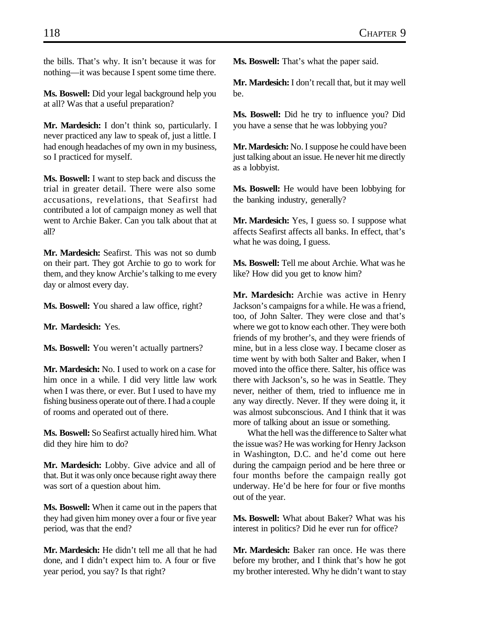the bills. That's why. It isn't because it was for nothing—it was because I spent some time there.

**Ms. Boswell:** Did your legal background help you at all? Was that a useful preparation?

**Mr. Mardesich:** I don't think so, particularly. I never practiced any law to speak of, just a little. I had enough headaches of my own in my business, so I practiced for myself.

**Ms. Boswell:** I want to step back and discuss the trial in greater detail. There were also some accusations, revelations, that Seafirst had contributed a lot of campaign money as well that went to Archie Baker. Can you talk about that at all?

**Mr. Mardesich:** Seafirst. This was not so dumb on their part. They got Archie to go to work for them, and they know Archie's talking to me every day or almost every day.

**Ms. Boswell:** You shared a law office, right?

**Mr. Mardesich:** Yes.

**Ms. Boswell:** You weren't actually partners?

**Mr. Mardesich:** No. I used to work on a case for him once in a while. I did very little law work when I was there, or ever. But I used to have my fishing business operate out of there. I had a couple of rooms and operated out of there.

**Ms. Boswell:** So Seafirst actually hired him. What did they hire him to do?

**Mr. Mardesich:** Lobby. Give advice and all of that. But it was only once because right away there was sort of a question about him.

**Ms. Boswell:** When it came out in the papers that they had given him money over a four or five year period, was that the end?

**Mr. Mardesich:** He didn't tell me all that he had done, and I didn't expect him to. A four or five year period, you say? Is that right?

**Ms. Boswell:** That's what the paper said.

**Mr. Mardesich:** I don't recall that, but it may well be.

**Ms. Boswell:** Did he try to influence you? Did you have a sense that he was lobbying you?

**Mr. Mardesich:** No. I suppose he could have been just talking about an issue. He never hit me directly as a lobbyist.

**Ms. Boswell:** He would have been lobbying for the banking industry, generally?

**Mr. Mardesich:** Yes, I guess so. I suppose what affects Seafirst affects all banks. In effect, that's what he was doing, I guess.

**Ms. Boswell:** Tell me about Archie. What was he like? How did you get to know him?

**Mr. Mardesich:** Archie was active in Henry Jackson's campaigns for a while. He was a friend, too, of John Salter. They were close and that's where we got to know each other. They were both friends of my brother's, and they were friends of mine, but in a less close way. I became closer as time went by with both Salter and Baker, when I moved into the office there. Salter, his office was there with Jackson's, so he was in Seattle. They never, neither of them, tried to influence me in any way directly. Never. If they were doing it, it was almost subconscious. And I think that it was more of talking about an issue or something.

What the hell was the difference to Salter what the issue was? He was working for Henry Jackson in Washington, D.C. and he'd come out here during the campaign period and be here three or four months before the campaign really got underway. He'd be here for four or five months out of the year.

**Ms. Boswell:** What about Baker? What was his interest in politics? Did he ever run for office?

**Mr. Mardesich:** Baker ran once. He was there before my brother, and I think that's how he got my brother interested. Why he didn't want to stay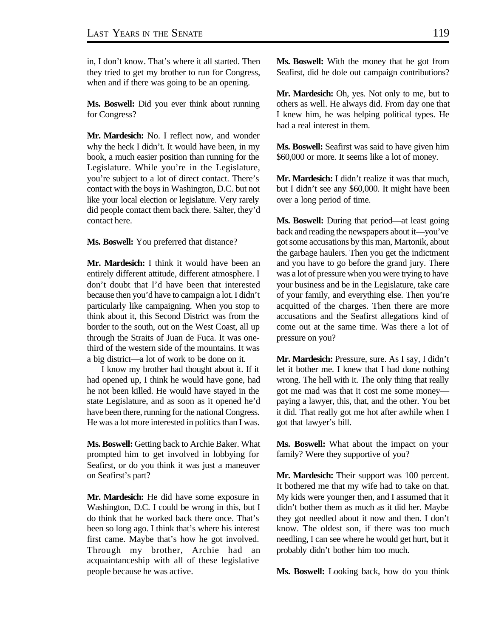in, I don't know. That's where it all started. Then they tried to get my brother to run for Congress, when and if there was going to be an opening.

**Ms. Boswell:** Did you ever think about running for Congress?

**Mr. Mardesich:** No. I reflect now, and wonder why the heck I didn't. It would have been, in my book, a much easier position than running for the Legislature. While you're in the Legislature, you're subject to a lot of direct contact. There's contact with the boys in Washington, D.C. but not like your local election or legislature. Very rarely did people contact them back there. Salter, they'd contact here.

**Ms. Boswell:** You preferred that distance?

**Mr. Mardesich:** I think it would have been an entirely different attitude, different atmosphere. I don't doubt that I'd have been that interested because then you'd have to campaign a lot. I didn't particularly like campaigning. When you stop to think about it, this Second District was from the border to the south, out on the West Coast, all up through the Straits of Juan de Fuca. It was onethird of the western side of the mountains. It was a big district—a lot of work to be done on it.

I know my brother had thought about it. If it had opened up, I think he would have gone, had he not been killed. He would have stayed in the state Legislature, and as soon as it opened he'd have been there, running for the national Congress. He was a lot more interested in politics than I was.

**Ms. Boswell:** Getting back to Archie Baker. What prompted him to get involved in lobbying for Seafirst, or do you think it was just a maneuver on Seafirst's part?

**Mr. Mardesich:** He did have some exposure in Washington, D.C. I could be wrong in this, but I do think that he worked back there once. That's been so long ago. I think that's where his interest first came. Maybe that's how he got involved. Through my brother, Archie had an acquaintanceship with all of these legislative people because he was active.

**Ms. Boswell:** With the money that he got from Seafirst, did he dole out campaign contributions?

**Mr. Mardesich:** Oh, yes. Not only to me, but to others as well. He always did. From day one that I knew him, he was helping political types. He had a real interest in them.

**Ms. Boswell:** Seafirst was said to have given him \$60,000 or more. It seems like a lot of money.

**Mr. Mardesich:** I didn't realize it was that much, but I didn't see any \$60,000. It might have been over a long period of time.

**Ms. Boswell:** During that period—at least going back and reading the newspapers about it—you've got some accusations by this man, Martonik, about the garbage haulers. Then you get the indictment and you have to go before the grand jury. There was a lot of pressure when you were trying to have your business and be in the Legislature, take care of your family, and everything else. Then you're acquitted of the charges. Then there are more accusations and the Seafirst allegations kind of come out at the same time. Was there a lot of pressure on you?

**Mr. Mardesich:** Pressure, sure. As I say, I didn't let it bother me. I knew that I had done nothing wrong. The hell with it. The only thing that really got me mad was that it cost me some money paying a lawyer, this, that, and the other. You bet it did. That really got me hot after awhile when I got that lawyer's bill.

**Ms. Boswell:** What about the impact on your family? Were they supportive of you?

**Mr. Mardesich:** Their support was 100 percent. It bothered me that my wife had to take on that. My kids were younger then, and I assumed that it didn't bother them as much as it did her. Maybe they got needled about it now and then. I don't know. The oldest son, if there was too much needling, I can see where he would get hurt, but it probably didn't bother him too much.

**Ms. Boswell:** Looking back, how do you think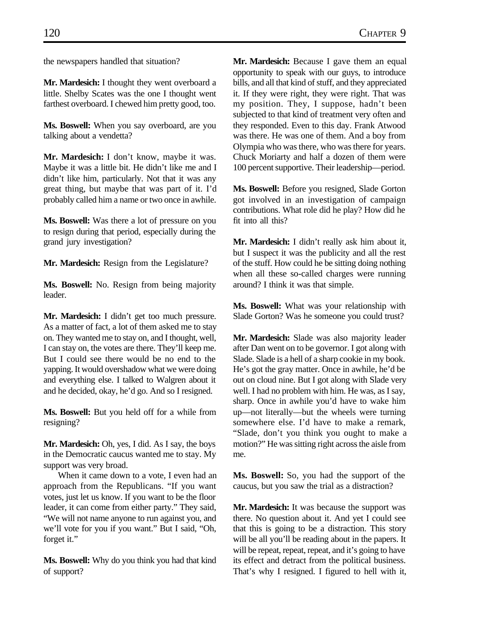the newspapers handled that situation?

**Mr. Mardesich:** I thought they went overboard a little. Shelby Scates was the one I thought went farthest overboard. I chewed him pretty good, too.

**Ms. Boswell:** When you say overboard, are you talking about a vendetta?

**Mr. Mardesich:** I don't know, maybe it was. Maybe it was a little bit. He didn't like me and I didn't like him, particularly. Not that it was any great thing, but maybe that was part of it. I'd probably called him a name or two once in awhile.

**Ms. Boswell:** Was there a lot of pressure on you to resign during that period, especially during the grand jury investigation?

**Mr. Mardesich:** Resign from the Legislature?

**Ms. Boswell:** No. Resign from being majority leader.

**Mr. Mardesich:** I didn't get too much pressure. As a matter of fact, a lot of them asked me to stay on. They wanted me to stay on, and I thought, well, I can stay on, the votes are there. They'll keep me. But I could see there would be no end to the yapping. It would overshadow what we were doing and everything else. I talked to Walgren about it and he decided, okay, he'd go. And so I resigned.

**Ms. Boswell:** But you held off for a while from resigning?

**Mr. Mardesich:** Oh, yes, I did. As I say, the boys in the Democratic caucus wanted me to stay. My support was very broad.

When it came down to a vote, I even had an approach from the Republicans. "If you want votes, just let us know. If you want to be the floor leader, it can come from either party." They said, "We will not name anyone to run against you, and we'll vote for you if you want." But I said, "Oh, forget it."

**Ms. Boswell:** Why do you think you had that kind of support?

**Mr. Mardesich:** Because I gave them an equal opportunity to speak with our guys, to introduce bills, and all that kind of stuff, and they appreciated it. If they were right, they were right. That was my position. They, I suppose, hadn't been subjected to that kind of treatment very often and they responded. Even to this day. Frank Atwood was there. He was one of them. And a boy from Olympia who was there, who was there for years. Chuck Moriarty and half a dozen of them were 100 percent supportive. Their leadership—period.

**Ms. Boswell:** Before you resigned, Slade Gorton got involved in an investigation of campaign contributions. What role did he play? How did he fit into all this?

**Mr. Mardesich:** I didn't really ask him about it, but I suspect it was the publicity and all the rest of the stuff. How could he be sitting doing nothing when all these so-called charges were running around? I think it was that simple.

**Ms. Boswell:** What was your relationship with Slade Gorton? Was he someone you could trust?

**Mr. Mardesich:** Slade was also majority leader after Dan went on to be governor. I got along with Slade. Slade is a hell of a sharp cookie in my book. He's got the gray matter. Once in awhile, he'd be out on cloud nine. But I got along with Slade very well. I had no problem with him. He was, as I say, sharp. Once in awhile you'd have to wake him up—not literally—but the wheels were turning somewhere else. I'd have to make a remark, "Slade, don't you think you ought to make a motion?" He was sitting right across the aisle from me.

**Ms. Boswell:** So, you had the support of the caucus, but you saw the trial as a distraction?

**Mr. Mardesich:** It was because the support was there. No question about it. And yet I could see that this is going to be a distraction. This story will be all you'll be reading about in the papers. It will be repeat, repeat, repeat, and it's going to have its effect and detract from the political business. That's why I resigned. I figured to hell with it,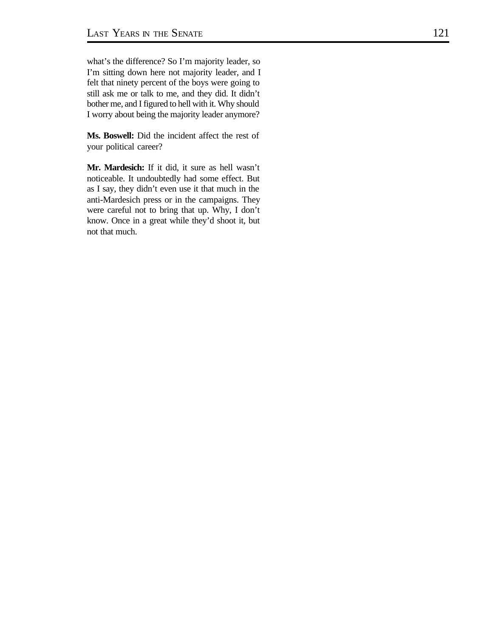what's the difference? So I'm majority leader, so I'm sitting down here not majority leader, and I felt that ninety percent of the boys were going to still ask me or talk to me, and they did. It didn't bother me, and I figured to hell with it. Why should I worry about being the majority leader anymore?

**Ms. Boswell:** Did the incident affect the rest of your political career?

**Mr. Mardesich:** If it did, it sure as hell wasn't noticeable. It undoubtedly had some effect. But as I say, they didn't even use it that much in the anti-Mardesich press or in the campaigns. They were careful not to bring that up. Why, I don't know. Once in a great while they'd shoot it, but not that much.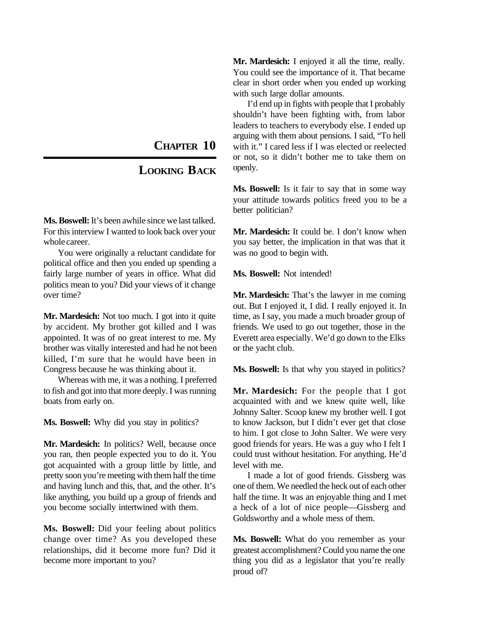**CHAPTER 10**

## **LOOKING BACK**

**Ms. Boswell:** It's been awhile since we last talked. For this interview I wanted to look back over your whole career.

You were originally a reluctant candidate for political office and then you ended up spending a fairly large number of years in office. What did politics mean to you? Did your views of it change over time?

**Mr. Mardesich:** Not too much. I got into it quite by accident. My brother got killed and I was appointed. It was of no great interest to me. My brother was vitally interested and had he not been killed, I'm sure that he would have been in Congress because he was thinking about it.

Whereas with me, it was a nothing. I preferred to fish and got into that more deeply. I was running boats from early on.

**Ms. Boswell:** Why did you stay in politics?

**Mr. Mardesich:** In politics? Well, because once you ran, then people expected you to do it. You got acquainted with a group little by little, and pretty soon you're meeting with them half the time and having lunch and this, that, and the other. It's like anything, you build up a group of friends and you become socially intertwined with them.

**Ms. Boswell:** Did your feeling about politics change over time? As you developed these relationships, did it become more fun? Did it become more important to you?

**Mr. Mardesich:** I enjoyed it all the time, really. You could see the importance of it. That became clear in short order when you ended up working with such large dollar amounts.

I'd end up in fights with people that I probably shouldn't have been fighting with, from labor leaders to teachers to everybody else. I ended up arguing with them about pensions. I said, "To hell with it." I cared less if I was elected or reelected or not, so it didn't bother me to take them on openly.

**Ms. Boswell:** Is it fair to say that in some way your attitude towards politics freed you to be a better politician?

**Mr. Mardesich:** It could be. I don't know when you say better, the implication in that was that it was no good to begin with.

**Ms. Boswell:** Not intended!

**Mr. Mardesich:** That's the lawyer in me coming out. But I enjoyed it, I did. I really enjoyed it. In time, as I say, you made a much broader group of friends. We used to go out together, those in the Everett area especially. We'd go down to the Elks or the yacht club.

**Ms. Boswell:** Is that why you stayed in politics?

**Mr. Mardesich:** For the people that I got acquainted with and we knew quite well, like Johnny Salter. Scoop knew my brother well. I got to know Jackson, but I didn't ever get that close to him. I got close to John Salter. We were very good friends for years. He was a guy who I felt I could trust without hesitation. For anything. He'd level with me.

I made a lot of good friends. Gissberg was one of them. We needled the heck out of each other half the time. It was an enjoyable thing and I met a heck of a lot of nice people—Gissberg and Goldsworthy and a whole mess of them.

**Ms. Boswell:** What do you remember as your greatest accomplishment? Could you name the one thing you did as a legislator that you're really proud of?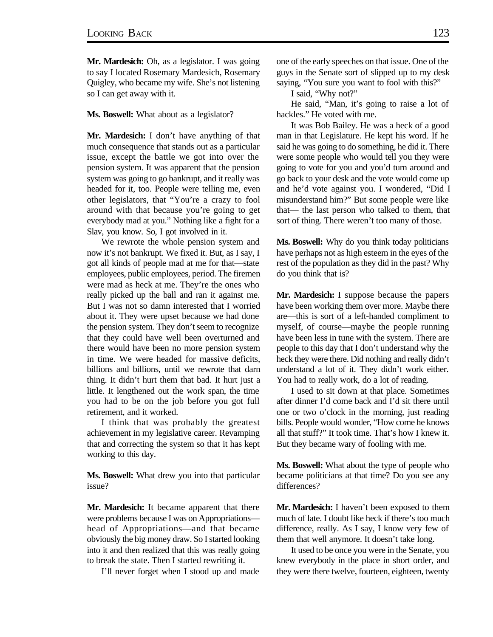**Mr. Mardesich:** Oh, as a legislator. I was going to say I located Rosemary Mardesich, Rosemary Quigley, who became my wife. She's not listening so I can get away with it.

**Ms. Boswell:** What about as a legislator?

**Mr. Mardesich:** I don't have anything of that much consequence that stands out as a particular issue, except the battle we got into over the pension system. It was apparent that the pension system was going to go bankrupt, and it really was headed for it, too. People were telling me, even other legislators, that "You're a crazy to fool around with that because you're going to get everybody mad at you." Nothing like a fight for a Slav, you know. So, I got involved in it.

We rewrote the whole pension system and now it's not bankrupt. We fixed it. But, as I say, I got all kinds of people mad at me for that—state employees, public employees, period. The firemen were mad as heck at me. They're the ones who really picked up the ball and ran it against me. But I was not so damn interested that I worried about it. They were upset because we had done the pension system. They don't seem to recognize that they could have well been overturned and there would have been no more pension system in time. We were headed for massive deficits, billions and billions, until we rewrote that darn thing. It didn't hurt them that bad. It hurt just a little. It lengthened out the work span, the time you had to be on the job before you got full retirement, and it worked.

I think that was probably the greatest achievement in my legislative career. Revamping that and correcting the system so that it has kept working to this day.

**Ms. Boswell:** What drew you into that particular issue?

**Mr. Mardesich:** It became apparent that there were problems because I was on Appropriations head of Appropriations—and that became obviously the big money draw. So I started looking into it and then realized that this was really going to break the state. Then I started rewriting it.

I'll never forget when I stood up and made

one of the early speeches on that issue. One of the guys in the Senate sort of slipped up to my desk saying, "You sure you want to fool with this?"

I said, "Why not?"

He said, "Man, it's going to raise a lot of hackles." He voted with me.

It was Bob Bailey. He was a heck of a good man in that Legislature. He kept his word. If he said he was going to do something, he did it. There were some people who would tell you they were going to vote for you and you'd turn around and go back to your desk and the vote would come up and he'd vote against you. I wondered, "Did I misunderstand him?" But some people were like that— the last person who talked to them, that sort of thing. There weren't too many of those.

**Ms. Boswell:** Why do you think today politicians have perhaps not as high esteem in the eyes of the rest of the population as they did in the past? Why do you think that is?

**Mr. Mardesich:** I suppose because the papers have been working them over more. Maybe there are—this is sort of a left-handed compliment to myself, of course—maybe the people running have been less in tune with the system. There are people to this day that I don't understand why the heck they were there. Did nothing and really didn't understand a lot of it. They didn't work either. You had to really work, do a lot of reading.

I used to sit down at that place. Sometimes after dinner I'd come back and I'd sit there until one or two o'clock in the morning, just reading bills. People would wonder, "How come he knows all that stuff?" It took time. That's how I knew it. But they became wary of fooling with me.

**Ms. Boswell:** What about the type of people who became politicians at that time? Do you see any differences?

**Mr. Mardesich:** I haven't been exposed to them much of late. I doubt like heck if there's too much difference, really. As I say, I know very few of them that well anymore. It doesn't take long.

It used to be once you were in the Senate, you knew everybody in the place in short order, and they were there twelve, fourteen, eighteen, twenty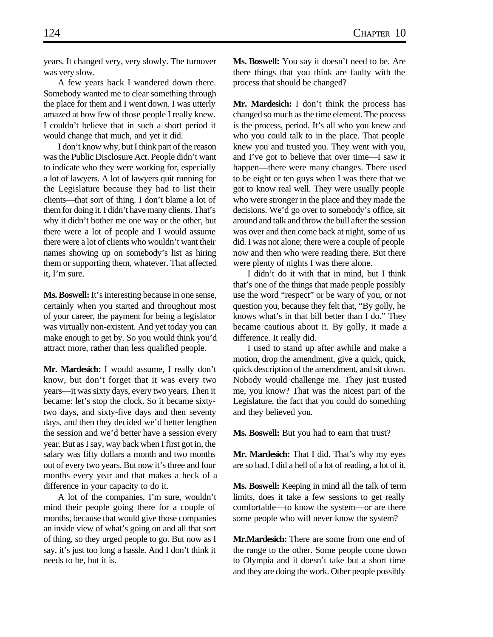years. It changed very, very slowly. The turnover was very slow.

A few years back I wandered down there. Somebody wanted me to clear something through the place for them and I went down. I was utterly amazed at how few of those people I really knew. I couldn't believe that in such a short period it would change that much, and yet it did.

I don't know why, but I think part of the reason was the Public Disclosure Act. People didn't want to indicate who they were working for, especially a lot of lawyers. A lot of lawyers quit running for the Legislature because they had to list their clients—that sort of thing. I don't blame a lot of them for doing it. I didn't have many clients. That's why it didn't bother me one way or the other, but there were a lot of people and I would assume there were a lot of clients who wouldn't want their names showing up on somebody's list as hiring them or supporting them, whatever. That affected it, I'm sure.

**Ms. Boswell:** It's interesting because in one sense, certainly when you started and throughout most of your career, the payment for being a legislator was virtually non-existent. And yet today you can make enough to get by. So you would think you'd attract more, rather than less qualified people.

**Mr. Mardesich:** I would assume, I really don't know, but don't forget that it was every two years—it was sixty days, every two years. Then it became: let's stop the clock. So it became sixtytwo days, and sixty-five days and then seventy days, and then they decided we'd better lengthen the session and we'd better have a session every year. But as I say, way back when I first got in, the salary was fifty dollars a month and two months out of every two years. But now it's three and four months every year and that makes a heck of a difference in your capacity to do it.

A lot of the companies, I'm sure, wouldn't mind their people going there for a couple of months, because that would give those companies an inside view of what's going on and all that sort of thing, so they urged people to go. But now as I say, it's just too long a hassle. And I don't think it needs to be, but it is.

**Ms. Boswell:** You say it doesn't need to be. Are there things that you think are faulty with the process that should be changed?

**Mr. Mardesich:** I don't think the process has changed so much as the time element. The process is the process, period. It's all who you knew and who you could talk to in the place. That people knew you and trusted you. They went with you, and I've got to believe that over time—I saw it happen—there were many changes. There used to be eight or ten guys when I was there that we got to know real well. They were usually people who were stronger in the place and they made the decisions. We'd go over to somebody's office, sit around and talk and throw the bull after the session was over and then come back at night, some of us did. I was not alone; there were a couple of people now and then who were reading there. But there were plenty of nights I was there alone.

I didn't do it with that in mind, but I think that's one of the things that made people possibly use the word "respect" or be wary of you, or not question you, because they felt that, "By golly, he knows what's in that bill better than I do." They became cautious about it. By golly, it made a difference. It really did.

I used to stand up after awhile and make a motion, drop the amendment, give a quick, quick, quick description of the amendment, and sit down. Nobody would challenge me. They just trusted me, you know? That was the nicest part of the Legislature, the fact that you could do something and they believed you.

**Ms. Boswell:** But you had to earn that trust?

**Mr. Mardesich:** That I did. That's why my eyes are so bad. I did a hell of a lot of reading, a lot of it.

**Ms. Boswell:** Keeping in mind all the talk of term limits, does it take a few sessions to get really comfortable—to know the system—or are there some people who will never know the system?

**Mr.Mardesich:** There are some from one end of the range to the other. Some people come down to Olympia and it doesn't take but a short time and they are doing the work. Other people possibly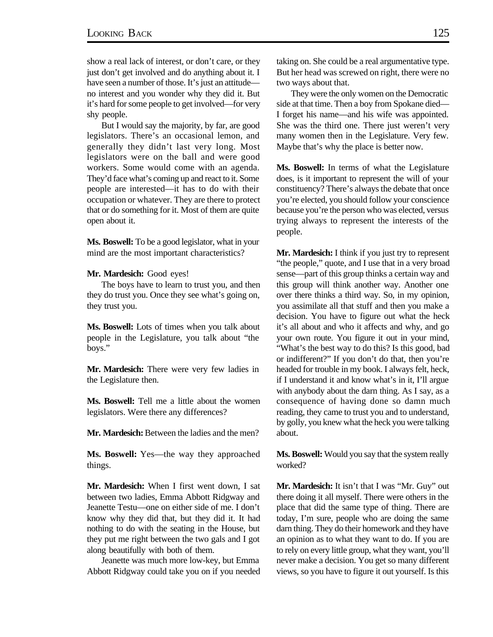show a real lack of interest, or don't care, or they just don't get involved and do anything about it. I have seen a number of those. It's just an attitude no interest and you wonder why they did it. But it's hard for some people to get involved—for very shy people.

But I would say the majority, by far, are good legislators. There's an occasional lemon, and generally they didn't last very long. Most legislators were on the ball and were good workers. Some would come with an agenda. They'd face what's coming up and react to it. Some people are interested—it has to do with their occupation or whatever. They are there to protect that or do something for it. Most of them are quite open about it.

**Ms. Boswell:** To be a good legislator, what in your mind are the most important characteristics?

## **Mr. Mardesich:** Good eyes!

The boys have to learn to trust you, and then they do trust you. Once they see what's going on, they trust you.

**Ms. Boswell:** Lots of times when you talk about people in the Legislature, you talk about "the boys."

**Mr. Mardesich:** There were very few ladies in the Legislature then.

**Ms. Boswell:** Tell me a little about the women legislators. Were there any differences?

**Mr. Mardesich:** Between the ladies and the men?

**Ms. Boswell:** Yes—the way they approached things.

**Mr. Mardesich:** When I first went down, I sat between two ladies, Emma Abbott Ridgway and Jeanette Testu—one on either side of me. I don't know why they did that, but they did it. It had nothing to do with the seating in the House, but they put me right between the two gals and I got along beautifully with both of them.

Jeanette was much more low-key, but Emma Abbott Ridgway could take you on if you needed taking on. She could be a real argumentative type. But her head was screwed on right, there were no two ways about that.

They were the only women on the Democratic side at that time. Then a boy from Spokane died— I forget his name—and his wife was appointed. She was the third one. There just weren't very many women then in the Legislature. Very few. Maybe that's why the place is better now.

**Ms. Boswell:** In terms of what the Legislature does, is it important to represent the will of your constituency? There's always the debate that once you're elected, you should follow your conscience because you're the person who was elected, versus trying always to represent the interests of the people.

**Mr. Mardesich:** I think if you just try to represent "the people," quote, and I use that in a very broad sense—part of this group thinks a certain way and this group will think another way. Another one over there thinks a third way. So, in my opinion, you assimilate all that stuff and then you make a decision. You have to figure out what the heck it's all about and who it affects and why, and go your own route. You figure it out in your mind, "What's the best way to do this? Is this good, bad or indifferent?" If you don't do that, then you're headed for trouble in my book. I always felt, heck, if I understand it and know what's in it, I'll argue with anybody about the darn thing. As I say, as a consequence of having done so damn much reading, they came to trust you and to understand, by golly, you knew what the heck you were talking about.

**Ms. Boswell:** Would you say that the system really worked?

**Mr. Mardesich:** It isn't that I was "Mr. Guy" out there doing it all myself. There were others in the place that did the same type of thing. There are today, I'm sure, people who are doing the same darn thing. They do their homework and they have an opinion as to what they want to do. If you are to rely on every little group, what they want, you'll never make a decision. You get so many different views, so you have to figure it out yourself. Is this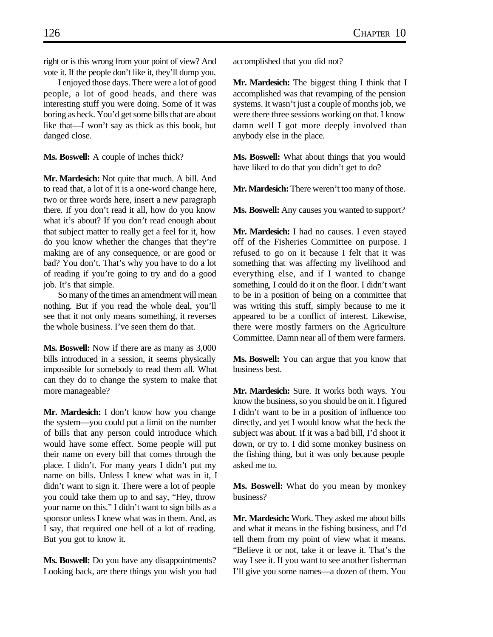right or is this wrong from your point of view? And vote it. If the people don't like it, they'll dump you.

I enjoyed those days. There were a lot of good people, a lot of good heads, and there was interesting stuff you were doing. Some of it was boring as heck. You'd get some bills that are about like that—I won't say as thick as this book, but danged close.

**Ms. Boswell:** A couple of inches thick?

**Mr. Mardesich:** Not quite that much. A bill. And to read that, a lot of it is a one-word change here, two or three words here, insert a new paragraph there. If you don't read it all, how do you know what it's about? If you don't read enough about that subject matter to really get a feel for it, how do you know whether the changes that they're making are of any consequence, or are good or bad? You don't. That's why you have to do a lot of reading if you're going to try and do a good job. It's that simple.

So many of the times an amendment will mean nothing. But if you read the whole deal, you'll see that it not only means something, it reverses the whole business. I've seen them do that.

**Ms. Boswell:** Now if there are as many as 3,000 bills introduced in a session, it seems physically impossible for somebody to read them all. What can they do to change the system to make that more manageable?

**Mr. Mardesich:** I don't know how you change the system—you could put a limit on the number of bills that any person could introduce which would have some effect. Some people will put their name on every bill that comes through the place. I didn't. For many years I didn't put my name on bills. Unless I knew what was in it, I didn't want to sign it. There were a lot of people you could take them up to and say, "Hey, throw your name on this." I didn't want to sign bills as a sponsor unless I knew what was in them. And, as I say, that required one hell of a lot of reading. But you got to know it.

**Ms. Boswell:** Do you have any disappointments? Looking back, are there things you wish you had accomplished that you did not?

**Mr. Mardesich:** The biggest thing I think that I accomplished was that revamping of the pension systems. It wasn't just a couple of months job, we were there three sessions working on that. I know damn well I got more deeply involved than anybody else in the place.

**Ms. Boswell:** What about things that you would have liked to do that you didn't get to do?

**Mr. Mardesich:** There weren't too many of those.

**Ms. Boswell:** Any causes you wanted to support?

**Mr. Mardesich:** I had no causes. I even stayed off of the Fisheries Committee on purpose. I refused to go on it because I felt that it was something that was affecting my livelihood and everything else, and if I wanted to change something, I could do it on the floor. I didn't want to be in a position of being on a committee that was writing this stuff, simply because to me it appeared to be a conflict of interest. Likewise, there were mostly farmers on the Agriculture Committee. Damn near all of them were farmers.

**Ms. Boswell:** You can argue that you know that business best.

**Mr. Mardesich:** Sure. It works both ways. You know the business, so you should be on it. I figured I didn't want to be in a position of influence too directly, and yet I would know what the heck the subject was about. If it was a bad bill, I'd shoot it down, or try to. I did some monkey business on the fishing thing, but it was only because people asked me to.

**Ms. Boswell:** What do you mean by monkey business?

**Mr. Mardesich:** Work. They asked me about bills and what it means in the fishing business, and I'd tell them from my point of view what it means. "Believe it or not, take it or leave it. That's the way I see it. If you want to see another fisherman I'll give you some names—a dozen of them. You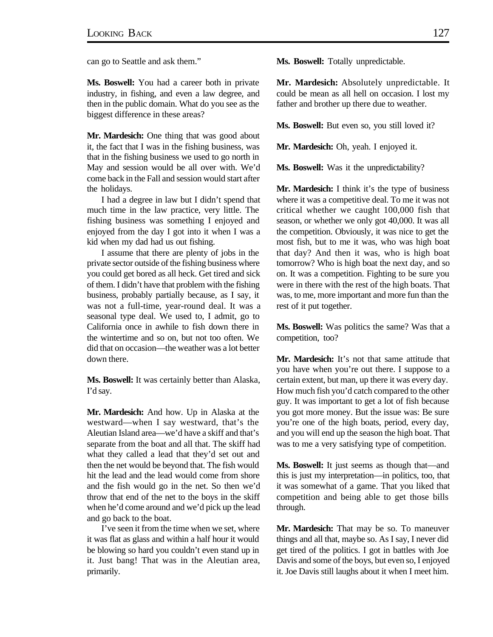can go to Seattle and ask them."

**Ms. Boswell:** You had a career both in private industry, in fishing, and even a law degree, and then in the public domain. What do you see as the biggest difference in these areas?

**Mr. Mardesich:** One thing that was good about it, the fact that I was in the fishing business, was that in the fishing business we used to go north in May and session would be all over with. We'd come back in the Fall and session would start after the holidays.

I had a degree in law but I didn't spend that much time in the law practice, very little. The fishing business was something I enjoyed and enjoyed from the day I got into it when I was a kid when my dad had us out fishing.

I assume that there are plenty of jobs in the private sector outside of the fishing business where you could get bored as all heck. Get tired and sick of them. I didn't have that problem with the fishing business, probably partially because, as I say, it was not a full-time, year-round deal. It was a seasonal type deal. We used to, I admit, go to California once in awhile to fish down there in the wintertime and so on, but not too often. We did that on occasion—the weather was a lot better down there.

**Ms. Boswell:** It was certainly better than Alaska, I'd say.

**Mr. Mardesich:** And how. Up in Alaska at the westward—when I say westward, that's the Aleutian Island area—we'd have a skiff and that's separate from the boat and all that. The skiff had what they called a lead that they'd set out and then the net would be beyond that. The fish would hit the lead and the lead would come from shore and the fish would go in the net. So then we'd throw that end of the net to the boys in the skiff when he'd come around and we'd pick up the lead and go back to the boat.

I've seen it from the time when we set, where it was flat as glass and within a half hour it would be blowing so hard you couldn't even stand up in it. Just bang! That was in the Aleutian area, primarily.

**Ms. Boswell:** Totally unpredictable.

**Mr. Mardesich:** Absolutely unpredictable. It could be mean as all hell on occasion. I lost my father and brother up there due to weather.

**Ms. Boswell:** But even so, you still loved it?

**Mr. Mardesich:** Oh, yeah. I enjoyed it.

**Ms. Boswell:** Was it the unpredictability?

**Mr. Mardesich:** I think it's the type of business where it was a competitive deal. To me it was not critical whether we caught 100,000 fish that season, or whether we only got 40,000. It was all the competition. Obviously, it was nice to get the most fish, but to me it was, who was high boat that day? And then it was, who is high boat tomorrow? Who is high boat the next day, and so on. It was a competition. Fighting to be sure you were in there with the rest of the high boats. That was, to me, more important and more fun than the rest of it put together.

**Ms. Boswell:** Was politics the same? Was that a competition, too?

**Mr. Mardesich:** It's not that same attitude that you have when you're out there. I suppose to a certain extent, but man, up there it was every day. How much fish you'd catch compared to the other guy. It was important to get a lot of fish because you got more money. But the issue was: Be sure you're one of the high boats, period, every day, and you will end up the season the high boat. That was to me a very satisfying type of competition.

**Ms. Boswell:** It just seems as though that—and this is just my interpretation—in politics, too, that it was somewhat of a game. That you liked that competition and being able to get those bills through.

**Mr. Mardesich:** That may be so. To maneuver things and all that, maybe so. As I say, I never did get tired of the politics. I got in battles with Joe Davis and some of the boys, but even so, I enjoyed it. Joe Davis still laughs about it when I meet him.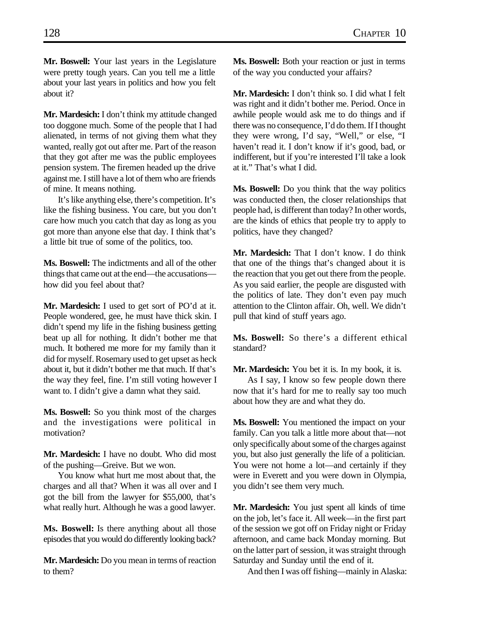**Mr. Boswell:** Your last years in the Legislature were pretty tough years. Can you tell me a little about your last years in politics and how you felt about it?

**Mr. Mardesich:** I don't think my attitude changed too doggone much. Some of the people that I had alienated, in terms of not giving them what they wanted, really got out after me. Part of the reason that they got after me was the public employees pension system. The firemen headed up the drive against me. I still have a lot of them who are friends of mine. It means nothing.

It's like anything else, there's competition. It's like the fishing business. You care, but you don't care how much you catch that day as long as you got more than anyone else that day. I think that's a little bit true of some of the politics, too.

**Ms. Boswell:** The indictments and all of the other things that came out at the end—the accusations how did you feel about that?

**Mr. Mardesich:** I used to get sort of PO'd at it. People wondered, gee, he must have thick skin. I didn't spend my life in the fishing business getting beat up all for nothing. It didn't bother me that much. It bothered me more for my family than it did for myself. Rosemary used to get upset as heck about it, but it didn't bother me that much. If that's the way they feel, fine. I'm still voting however I want to. I didn't give a damn what they said.

**Ms. Boswell:** So you think most of the charges and the investigations were political in motivation?

**Mr. Mardesich:** I have no doubt. Who did most of the pushing—Greive. But we won.

You know what hurt me most about that, the charges and all that? When it was all over and I got the bill from the lawyer for \$55,000, that's what really hurt. Although he was a good lawyer.

**Ms. Boswell:** Is there anything about all those episodes that you would do differently looking back?

**Mr. Mardesich:** Do you mean in terms of reaction to them?

**Ms. Boswell:** Both your reaction or just in terms of the way you conducted your affairs?

**Mr. Mardesich:** I don't think so. I did what I felt was right and it didn't bother me. Period. Once in awhile people would ask me to do things and if there was no consequence, I'd do them. If I thought they were wrong, I'd say, "Well," or else, "I haven't read it. I don't know if it's good, bad, or indifferent, but if you're interested I'll take a look at it." That's what I did.

**Ms. Boswell:** Do you think that the way politics was conducted then, the closer relationships that people had, is different than today? In other words, are the kinds of ethics that people try to apply to politics, have they changed?

**Mr. Mardesich:** That I don't know. I do think that one of the things that's changed about it is the reaction that you get out there from the people. As you said earlier, the people are disgusted with the politics of late. They don't even pay much attention to the Clinton affair. Oh, well. We didn't pull that kind of stuff years ago.

**Ms. Boswell:** So there's a different ethical standard?

**Mr. Mardesich:** You bet it is. In my book, it is.

As I say, I know so few people down there now that it's hard for me to really say too much about how they are and what they do.

**Ms. Boswell:** You mentioned the impact on your family. Can you talk a little more about that—not only specifically about some of the charges against you, but also just generally the life of a politician. You were not home a lot—and certainly if they were in Everett and you were down in Olympia, you didn't see them very much.

**Mr. Mardesich:** You just spent all kinds of time on the job, let's face it. All week—in the first part of the session we got off on Friday night or Friday afternoon, and came back Monday morning. But on the latter part of session, it was straight through Saturday and Sunday until the end of it.

And then I was off fishing—mainly in Alaska: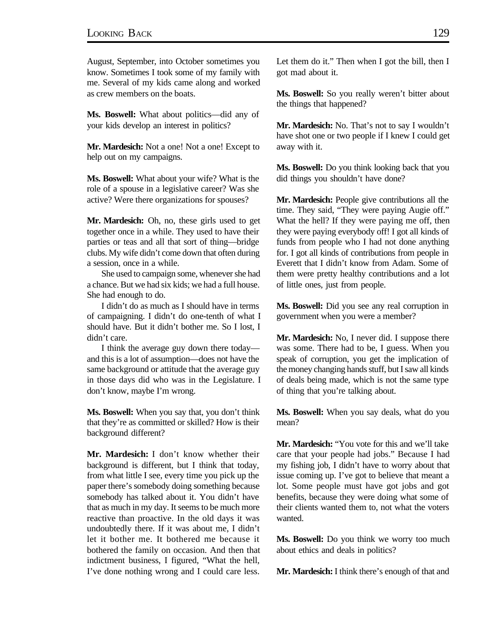August, September, into October sometimes you know. Sometimes I took some of my family with me. Several of my kids came along and worked as crew members on the boats.

**Ms. Boswell:** What about politics—did any of your kids develop an interest in politics?

Mr. Mardesich: Not a one! Not a one! Except to help out on my campaigns.

**Ms. Boswell:** What about your wife? What is the role of a spouse in a legislative career? Was she active? Were there organizations for spouses?

**Mr. Mardesich:** Oh, no, these girls used to get together once in a while. They used to have their parties or teas and all that sort of thing—bridge clubs. My wife didn't come down that often during a session, once in a while.

She used to campaign some, whenever she had a chance. But we had six kids; we had a full house. She had enough to do.

I didn't do as much as I should have in terms of campaigning. I didn't do one-tenth of what I should have. But it didn't bother me. So I lost, I didn't care.

I think the average guy down there today and this is a lot of assumption—does not have the same background or attitude that the average guy in those days did who was in the Legislature. I don't know, maybe I'm wrong.

**Ms. Boswell:** When you say that, you don't think that they're as committed or skilled? How is their background different?

**Mr. Mardesich:** I don't know whether their background is different, but I think that today, from what little I see, every time you pick up the paper there's somebody doing something because somebody has talked about it. You didn't have that as much in my day. It seems to be much more reactive than proactive. In the old days it was undoubtedly there. If it was about me, I didn't let it bother me. It bothered me because it bothered the family on occasion. And then that indictment business, I figured, "What the hell, I've done nothing wrong and I could care less. Let them do it." Then when I got the bill, then I got mad about it.

Ms. Boswell: So you really weren't bitter about the things that happened?

**Mr. Mardesich:** No. That's not to say I wouldn't have shot one or two people if I knew I could get away with it.

**Ms. Boswell:** Do you think looking back that you did things you shouldn't have done?

**Mr. Mardesich:** People give contributions all the time. They said, "They were paying Augie off." What the hell? If they were paying me off, then they were paying everybody off! I got all kinds of funds from people who I had not done anything for. I got all kinds of contributions from people in Everett that I didn't know from Adam. Some of them were pretty healthy contributions and a lot of little ones, just from people.

**Ms. Boswell:** Did you see any real corruption in government when you were a member?

**Mr. Mardesich:** No, I never did. I suppose there was some. There had to be, I guess. When you speak of corruption, you get the implication of the money changing hands stuff, but I saw all kinds of deals being made, which is not the same type of thing that you're talking about.

**Ms. Boswell:** When you say deals, what do you mean?

**Mr. Mardesich:** "You vote for this and we'll take care that your people had jobs." Because I had my fishing job, I didn't have to worry about that issue coming up. I've got to believe that meant a lot. Some people must have got jobs and got benefits, because they were doing what some of their clients wanted them to, not what the voters wanted.

**Ms. Boswell:** Do you think we worry too much about ethics and deals in politics?

**Mr. Mardesich:** I think there's enough of that and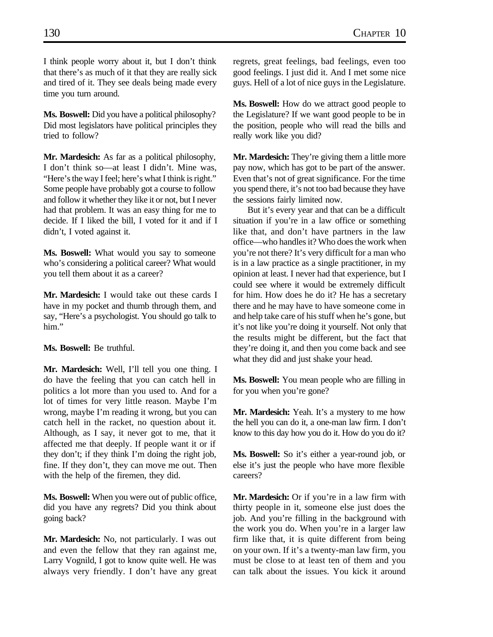I think people worry about it, but I don't think that there's as much of it that they are really sick and tired of it. They see deals being made every time you turn around.

**Ms. Boswell:** Did you have a political philosophy? Did most legislators have political principles they tried to follow?

**Mr. Mardesich:** As far as a political philosophy, I don't think so—at least I didn't. Mine was, "Here's the way I feel; here's what I think is right." Some people have probably got a course to follow and follow it whether they like it or not, but I never had that problem. It was an easy thing for me to decide. If I liked the bill, I voted for it and if I didn't, I voted against it.

**Ms. Boswell:** What would you say to someone who's considering a political career? What would you tell them about it as a career?

**Mr. Mardesich:** I would take out these cards I have in my pocket and thumb through them, and say, "Here's a psychologist. You should go talk to him."

**Ms. Boswell:** Be truthful.

**Mr. Mardesich:** Well, I'll tell you one thing. I do have the feeling that you can catch hell in politics a lot more than you used to. And for a lot of times for very little reason. Maybe I'm wrong, maybe I'm reading it wrong, but you can catch hell in the racket, no question about it. Although, as I say, it never got to me, that it affected me that deeply. If people want it or if they don't; if they think I'm doing the right job, fine. If they don't, they can move me out. Then with the help of the firemen, they did.

**Ms. Boswell:** When you were out of public office, did you have any regrets? Did you think about going back?

**Mr. Mardesich:** No, not particularly. I was out and even the fellow that they ran against me, Larry Vognild, I got to know quite well. He was always very friendly. I don't have any great

regrets, great feelings, bad feelings, even too good feelings. I just did it. And I met some nice guys. Hell of a lot of nice guys in the Legislature.

**Ms. Boswell:** How do we attract good people to the Legislature? If we want good people to be in the position, people who will read the bills and really work like you did?

**Mr. Mardesich:** They're giving them a little more pay now, which has got to be part of the answer. Even that's not of great significance. For the time you spend there, it's not too bad because they have the sessions fairly limited now.

But it's every year and that can be a difficult situation if you're in a law office or something like that, and don't have partners in the law office—who handles it? Who does the work when you're not there? It's very difficult for a man who is in a law practice as a single practitioner, in my opinion at least. I never had that experience, but I could see where it would be extremely difficult for him. How does he do it? He has a secretary there and he may have to have someone come in and help take care of his stuff when he's gone, but it's not like you're doing it yourself. Not only that the results might be different, but the fact that they're doing it, and then you come back and see what they did and just shake your head.

**Ms. Boswell:** You mean people who are filling in for you when you're gone?

**Mr. Mardesich:** Yeah. It's a mystery to me how the hell you can do it, a one-man law firm. I don't know to this day how you do it. How do you do it?

**Ms. Boswell:** So it's either a year-round job, or else it's just the people who have more flexible careers?

**Mr. Mardesich:** Or if you're in a law firm with thirty people in it, someone else just does the job. And you're filling in the background with the work you do. When you're in a larger law firm like that, it is quite different from being on your own. If it's a twenty-man law firm, you must be close to at least ten of them and you can talk about the issues. You kick it around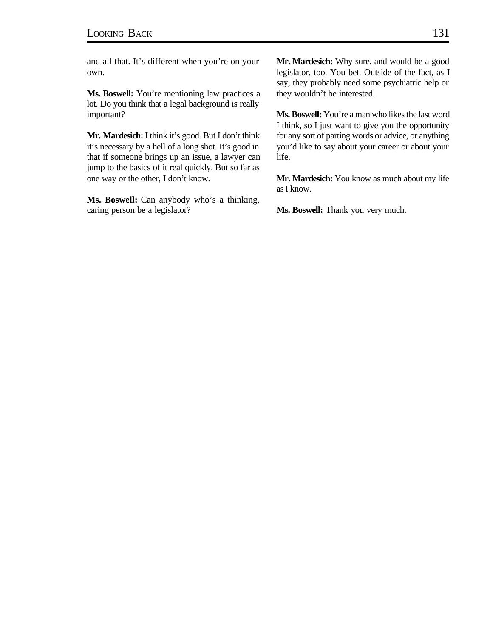and all that. It's different when you're on your own.

**Ms. Boswell:** You're mentioning law practices a lot. Do you think that a legal background is really important?

**Mr. Mardesich:** I think it's good. But I don't think it's necessary by a hell of a long shot. It's good in that if someone brings up an issue, a lawyer can jump to the basics of it real quickly. But so far as one way or the other, I don't know.

**Ms. Boswell:** Can anybody who's a thinking, caring person be a legislator?

**Mr. Mardesich:** Why sure, and would be a good legislator, too. You bet. Outside of the fact, as I say, they probably need some psychiatric help or they wouldn't be interested.

**Ms. Boswell:** You're a man who likes the last word I think, so I just want to give you the opportunity for any sort of parting words or advice, or anything you'd like to say about your career or about your life.

**Mr. Mardesich:** You know as much about my life as I know.

**Ms. Boswell:** Thank you very much.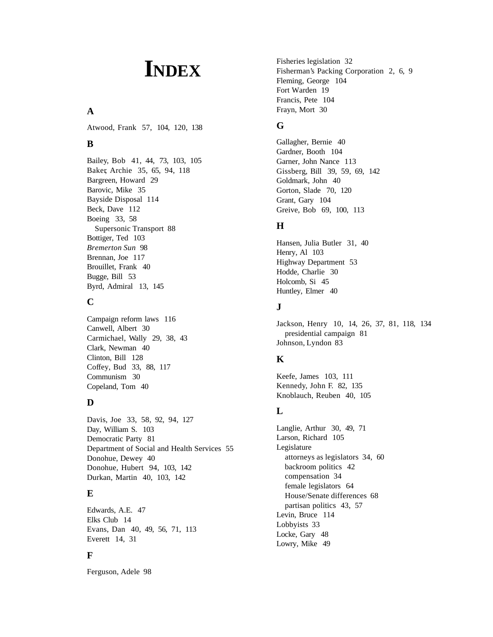# **INDEX**

## **A**

Atwood, Frank 57, 104, 120, 138

## **B**

Bailey, Bob 41, 44, 73, 103, 105 Baker, Archie 35, 65, 94, 118 Bargreen, Howard 29 Barovic, Mike 35 Bayside Disposal 114 Beck, Dave 112 Boeing 33, 58 Supersonic Transport 88 Bottiger, Ted 103 *Bremerton Sun* 98 Brennan, Joe 117 Brouillet, Frank 40 Bugge, Bill 53 Byrd, Admiral 13, 145

## **C**

Campaign reform laws 116 Canwell, Albert 30 Carmichael, Wally 29, 38, 43 Clark, Newman 40 Clinton, Bill 128 Coffey, Bud 33, 88, 117 Communism 30 Copeland, Tom 40

## **D**

Davis, Joe 33, 58, 92, 94, 127 Day, William S. 103 Democratic Party 81 Department of Social and Health Services 55 Donohue, Dewey 40 Donohue, Hubert 94, 103, 142 Durkan, Martin 40, 103, 142

## **E**

Edwards, A.E. 47 Elks Club 14 Evans, Dan 40, 49, 56, 71, 113 Everett 14, 31

# **F**

Ferguson, Adele 98

Fisheries legislation 32 Fisherman's Packing Corporation 2, 6, 9 Fleming, George 104 Fort Warden 19 Francis, Pete 104 Frayn, Mort 30

# **G**

Gallagher, Bernie 40 Gardner, Booth 104 Garner, John Nance 113 Gissberg, Bill 39, 59, 69, 142 Goldmark, John 40 Gorton, Slade 70, 120 Grant, Gary 104 Greive, Bob 69, 100, 113

# **H**

Hansen, Julia Butler 31, 40 Henry, Al 103 Highway Department 53 Hodde, Charlie 30 Holcomb, Si 45 Huntley, Elmer 40

## **J**

Jackson, Henry 10, 14, 26, 37, 81, 118, 134 presidential campaign 81 Johnson, Lyndon 83

# **K**

Keefe, James 103, 111 Kennedy, John F. 82, 135 Knoblauch, Reuben 40, 105

# **L**

Langlie, Arthur 30, 49, 71 Larson, Richard 105 Legislature attorneys as legislators 34, 60 backroom politics 42 compensation 34 female legislators 64 House/Senate differences 68 partisan politics 43, 57 Levin, Bruce 114 Lobbyists 33 Locke, Gary 48 Lowry, Mike 49